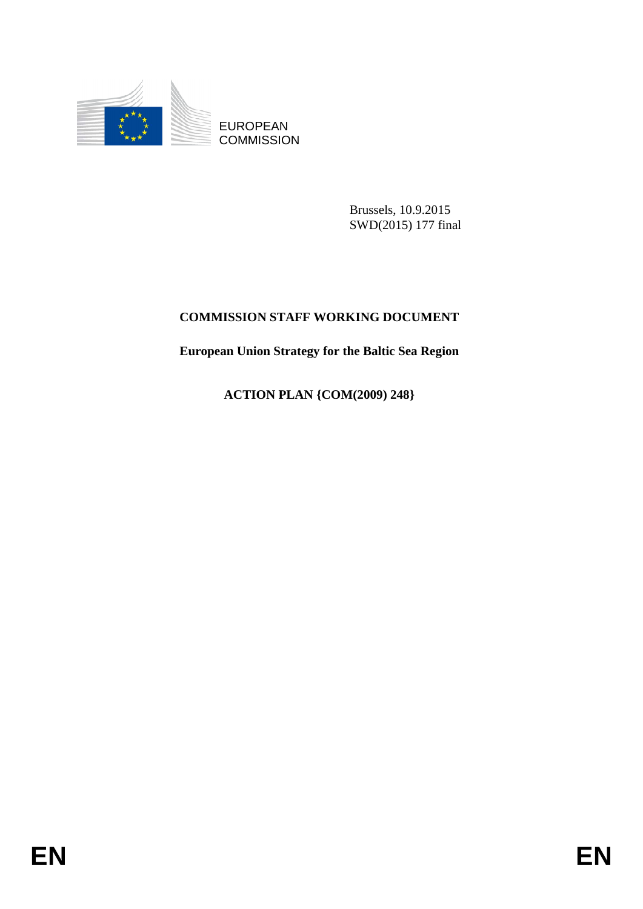

EUROPEAN **COMMISSION** 

> Brussels, 10.9.2015 SWD(2015) 177 final

## **COMMISSION STAFF WORKING DOCUMENT**

**European Union Strategy for the Baltic Sea Region** 

**ACTION PLAN {COM(2009) 248}**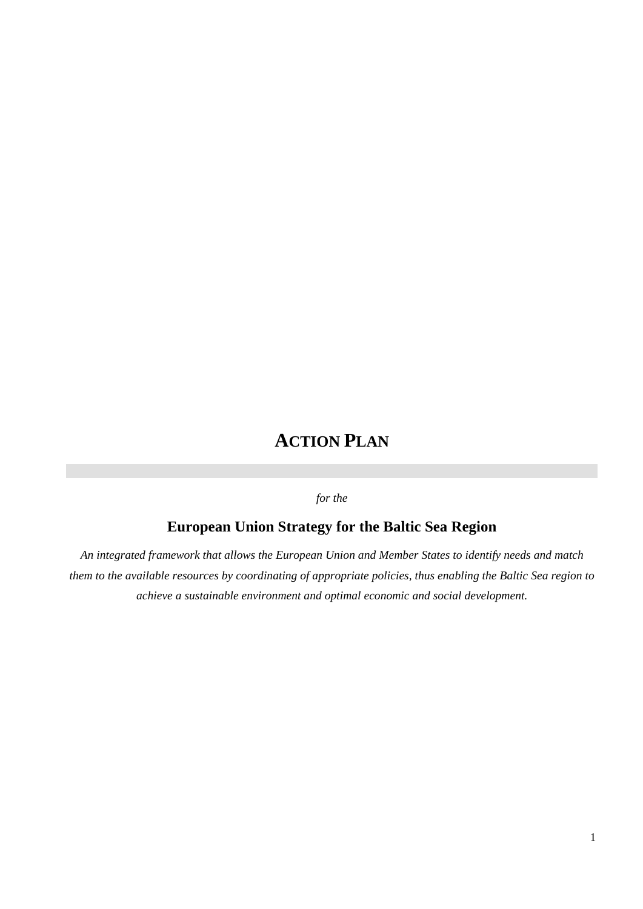# **ACTION PLAN**

*for the* 

# **European Union Strategy for the Baltic Sea Region**

*An integrated framework that allows the European Union and Member States to identify needs and match them to the available resources by coordinating of appropriate policies, thus enabling the Baltic Sea region to achieve a sustainable environment and optimal economic and social development.*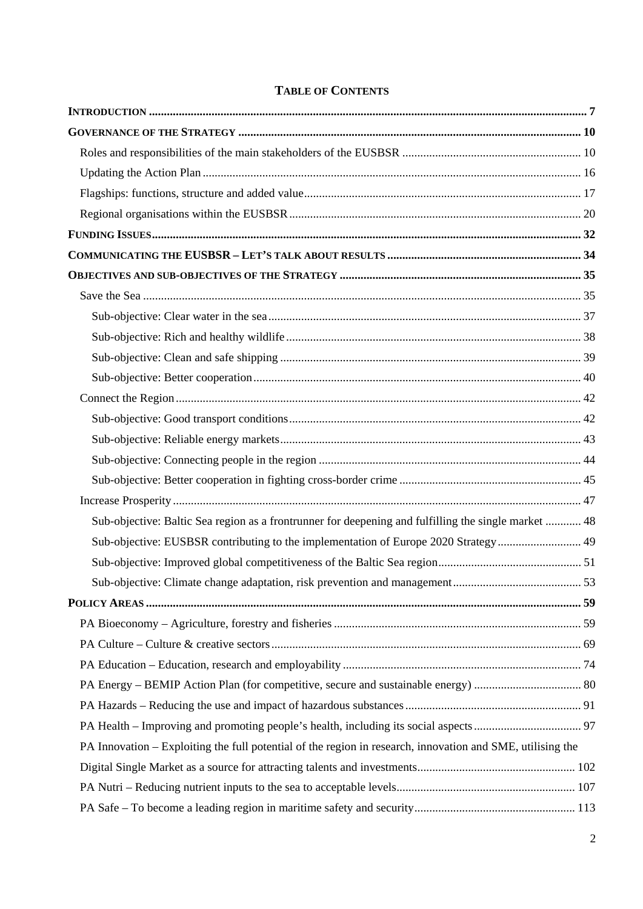| Sub-objective: Baltic Sea region as a frontrunner for deepening and fulfilling the single market  48       |  |
|------------------------------------------------------------------------------------------------------------|--|
| Sub-objective: EUSBSR contributing to the implementation of Europe 2020 Strategy 49                        |  |
|                                                                                                            |  |
|                                                                                                            |  |
|                                                                                                            |  |
|                                                                                                            |  |
|                                                                                                            |  |
|                                                                                                            |  |
|                                                                                                            |  |
|                                                                                                            |  |
|                                                                                                            |  |
| PA Innovation – Exploiting the full potential of the region in research, innovation and SME, utilising the |  |
|                                                                                                            |  |
|                                                                                                            |  |
|                                                                                                            |  |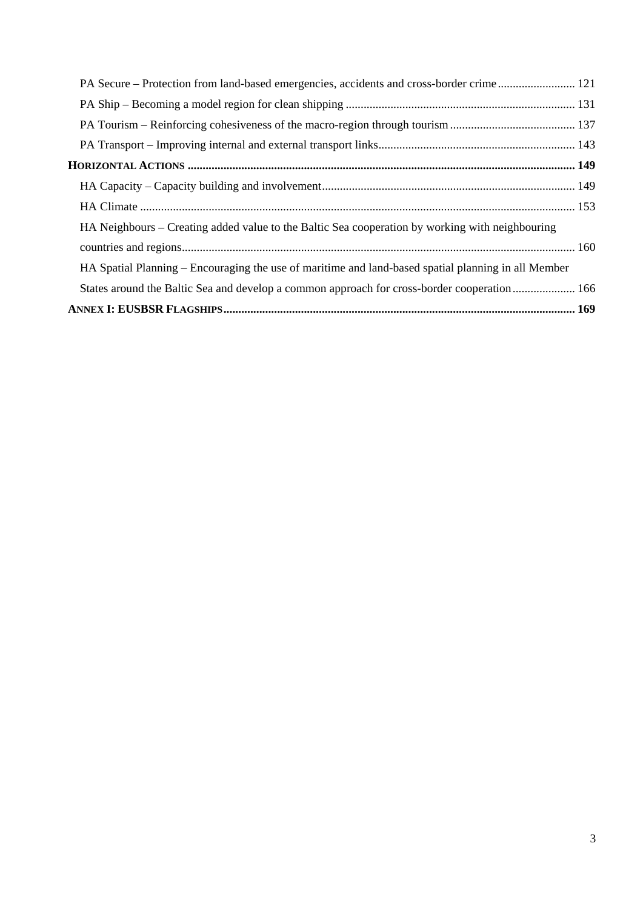| PA Secure – Protection from land-based emergencies, accidents and cross-border crime 121            |  |
|-----------------------------------------------------------------------------------------------------|--|
|                                                                                                     |  |
|                                                                                                     |  |
|                                                                                                     |  |
|                                                                                                     |  |
|                                                                                                     |  |
|                                                                                                     |  |
| HA Neighbours – Creating added value to the Baltic Sea cooperation by working with neighbouring     |  |
|                                                                                                     |  |
| HA Spatial Planning – Encouraging the use of maritime and land-based spatial planning in all Member |  |
| States around the Baltic Sea and develop a common approach for cross-border cooperation 166         |  |
|                                                                                                     |  |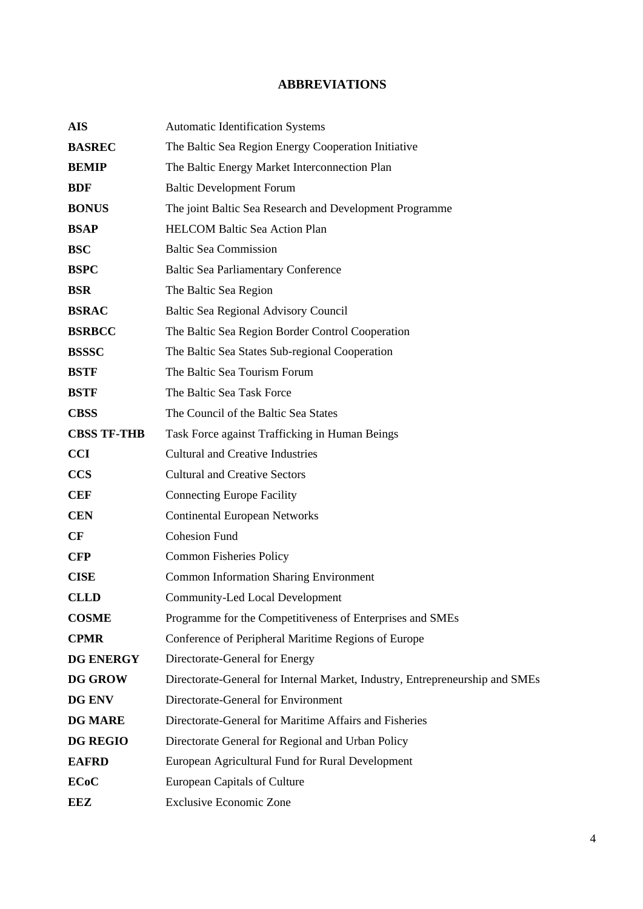## **ABBREVIATIONS**

| <b>AIS</b>         | <b>Automatic Identification Systems</b>                                      |
|--------------------|------------------------------------------------------------------------------|
| <b>BASREC</b>      | The Baltic Sea Region Energy Cooperation Initiative                          |
| <b>BEMIP</b>       | The Baltic Energy Market Interconnection Plan                                |
| <b>BDF</b>         | <b>Baltic Development Forum</b>                                              |
| <b>BONUS</b>       | The joint Baltic Sea Research and Development Programme                      |
| <b>BSAP</b>        | <b>HELCOM Baltic Sea Action Plan</b>                                         |
| <b>BSC</b>         | <b>Baltic Sea Commission</b>                                                 |
| <b>BSPC</b>        | <b>Baltic Sea Parliamentary Conference</b>                                   |
| <b>BSR</b>         | The Baltic Sea Region                                                        |
| <b>BSRAC</b>       | Baltic Sea Regional Advisory Council                                         |
| <b>BSRBCC</b>      | The Baltic Sea Region Border Control Cooperation                             |
| <b>BSSSC</b>       | The Baltic Sea States Sub-regional Cooperation                               |
| <b>BSTF</b>        | The Baltic Sea Tourism Forum                                                 |
| <b>BSTF</b>        | The Baltic Sea Task Force                                                    |
| <b>CBSS</b>        | The Council of the Baltic Sea States                                         |
| <b>CBSS TF-THB</b> | Task Force against Trafficking in Human Beings                               |
| <b>CCI</b>         | <b>Cultural and Creative Industries</b>                                      |
| <b>CCS</b>         | <b>Cultural and Creative Sectors</b>                                         |
| <b>CEF</b>         | <b>Connecting Europe Facility</b>                                            |
| <b>CEN</b>         | <b>Continental European Networks</b>                                         |
| CF                 | <b>Cohesion Fund</b>                                                         |
| <b>CFP</b>         | <b>Common Fisheries Policy</b>                                               |
| <b>CISE</b>        | <b>Common Information Sharing Environment</b>                                |
| <b>CLLD</b>        | <b>Community-Led Local Development</b>                                       |
| <b>COSME</b>       | Programme for the Competitiveness of Enterprises and SMEs                    |
| <b>CPMR</b>        | Conference of Peripheral Maritime Regions of Europe                          |
| <b>DG ENERGY</b>   | Directorate-General for Energy                                               |
| <b>DG GROW</b>     | Directorate-General for Internal Market, Industry, Entrepreneurship and SMEs |
| DG ENV             | Directorate-General for Environment                                          |
| <b>DG MARE</b>     | Directorate-General for Maritime Affairs and Fisheries                       |
| <b>DG REGIO</b>    | Directorate General for Regional and Urban Policy                            |
| <b>EAFRD</b>       | European Agricultural Fund for Rural Development                             |
| <b>ECoC</b>        | <b>European Capitals of Culture</b>                                          |
| <b>EEZ</b>         | <b>Exclusive Economic Zone</b>                                               |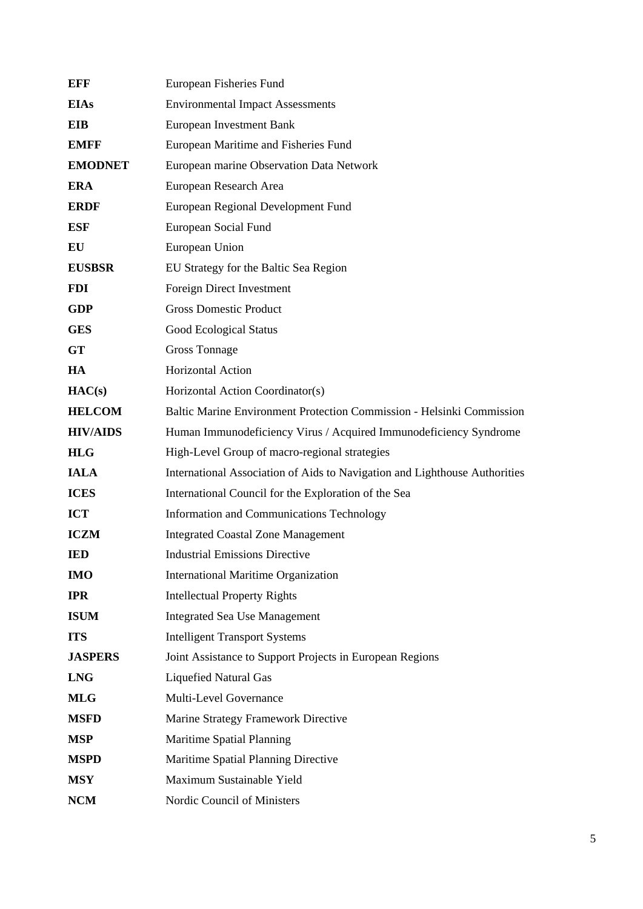| EFF             | European Fisheries Fund                                                    |  |
|-----------------|----------------------------------------------------------------------------|--|
| <b>EIAs</b>     | <b>Environmental Impact Assessments</b>                                    |  |
| EIB             | <b>European Investment Bank</b>                                            |  |
| <b>EMFF</b>     | European Maritime and Fisheries Fund                                       |  |
| <b>EMODNET</b>  | European marine Observation Data Network                                   |  |
| <b>ERA</b>      | European Research Area                                                     |  |
| <b>ERDF</b>     | European Regional Development Fund                                         |  |
| <b>ESF</b>      | European Social Fund                                                       |  |
| EU              | European Union                                                             |  |
| <b>EUSBSR</b>   | EU Strategy for the Baltic Sea Region                                      |  |
| <b>FDI</b>      | Foreign Direct Investment                                                  |  |
| <b>GDP</b>      | <b>Gross Domestic Product</b>                                              |  |
| <b>GES</b>      | <b>Good Ecological Status</b>                                              |  |
| <b>GT</b>       | <b>Gross Tonnage</b>                                                       |  |
| HA              | <b>Horizontal Action</b>                                                   |  |
| HAC(s)          | Horizontal Action Coordinator(s)                                           |  |
| <b>HELCOM</b>   | Baltic Marine Environment Protection Commission - Helsinki Commission      |  |
| <b>HIV/AIDS</b> | Human Immunodeficiency Virus / Acquired Immunodeficiency Syndrome          |  |
| <b>HLG</b>      | High-Level Group of macro-regional strategies                              |  |
| <b>IALA</b>     | International Association of Aids to Navigation and Lighthouse Authorities |  |
| <b>ICES</b>     | International Council for the Exploration of the Sea                       |  |
| <b>ICT</b>      | Information and Communications Technology                                  |  |
| <b>ICZM</b>     | <b>Integrated Coastal Zone Management</b>                                  |  |
| <b>IED</b>      | <b>Industrial Emissions Directive</b>                                      |  |
| <b>IMO</b>      | <b>International Maritime Organization</b>                                 |  |
| <b>IPR</b>      | <b>Intellectual Property Rights</b>                                        |  |
| <b>ISUM</b>     | <b>Integrated Sea Use Management</b>                                       |  |
| <b>ITS</b>      | <b>Intelligent Transport Systems</b>                                       |  |
| <b>JASPERS</b>  | Joint Assistance to Support Projects in European Regions                   |  |
| <b>LNG</b>      | <b>Liquefied Natural Gas</b>                                               |  |
| <b>MLG</b>      | Multi-Level Governance                                                     |  |
| <b>MSFD</b>     | Marine Strategy Framework Directive                                        |  |
| <b>MSP</b>      | <b>Maritime Spatial Planning</b>                                           |  |
| <b>MSPD</b>     | Maritime Spatial Planning Directive                                        |  |
| <b>MSY</b>      | Maximum Sustainable Yield                                                  |  |
| <b>NCM</b>      | Nordic Council of Ministers                                                |  |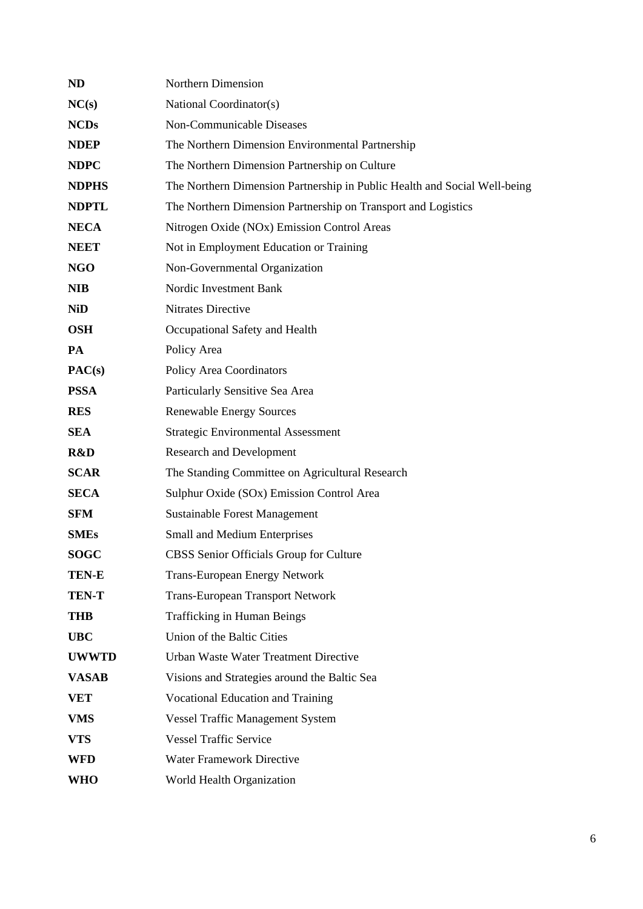| <b>ND</b>    | Northern Dimension                                                        |
|--------------|---------------------------------------------------------------------------|
| NC(s)        | National Coordinator(s)                                                   |
| <b>NCDs</b>  | Non-Communicable Diseases                                                 |
| <b>NDEP</b>  | The Northern Dimension Environmental Partnership                          |
| <b>NDPC</b>  | The Northern Dimension Partnership on Culture                             |
| <b>NDPHS</b> | The Northern Dimension Partnership in Public Health and Social Well-being |
| <b>NDPTL</b> | The Northern Dimension Partnership on Transport and Logistics             |
| <b>NECA</b>  | Nitrogen Oxide (NOx) Emission Control Areas                               |
| <b>NEET</b>  | Not in Employment Education or Training                                   |
| <b>NGO</b>   | Non-Governmental Organization                                             |
| <b>NIB</b>   | Nordic Investment Bank                                                    |
| <b>NiD</b>   | Nitrates Directive                                                        |
| <b>OSH</b>   | Occupational Safety and Health                                            |
| <b>PA</b>    | Policy Area                                                               |
| PAC(s)       | <b>Policy Area Coordinators</b>                                           |
| <b>PSSA</b>  | Particularly Sensitive Sea Area                                           |
| <b>RES</b>   | <b>Renewable Energy Sources</b>                                           |
| <b>SEA</b>   | <b>Strategic Environmental Assessment</b>                                 |
| R&D          | <b>Research and Development</b>                                           |
| <b>SCAR</b>  | The Standing Committee on Agricultural Research                           |
| <b>SECA</b>  | Sulphur Oxide (SOx) Emission Control Area                                 |
| <b>SFM</b>   | <b>Sustainable Forest Management</b>                                      |
| <b>SMEs</b>  | Small and Medium Enterprises                                              |
| <b>SOGC</b>  | CBSS Senior Officials Group for Culture                                   |
| <b>TEN-E</b> | <b>Trans-European Energy Network</b>                                      |
| <b>TEN-T</b> | <b>Trans-European Transport Network</b>                                   |
| <b>THB</b>   | Trafficking in Human Beings                                               |
| <b>UBC</b>   | Union of the Baltic Cities                                                |
| <b>UWWTD</b> | Urban Waste Water Treatment Directive                                     |
| <b>VASAB</b> | Visions and Strategies around the Baltic Sea                              |
| <b>VET</b>   | Vocational Education and Training                                         |
| <b>VMS</b>   | <b>Vessel Traffic Management System</b>                                   |
| <b>VTS</b>   | <b>Vessel Traffic Service</b>                                             |
| <b>WFD</b>   | Water Framework Directive                                                 |
| WHO          | World Health Organization                                                 |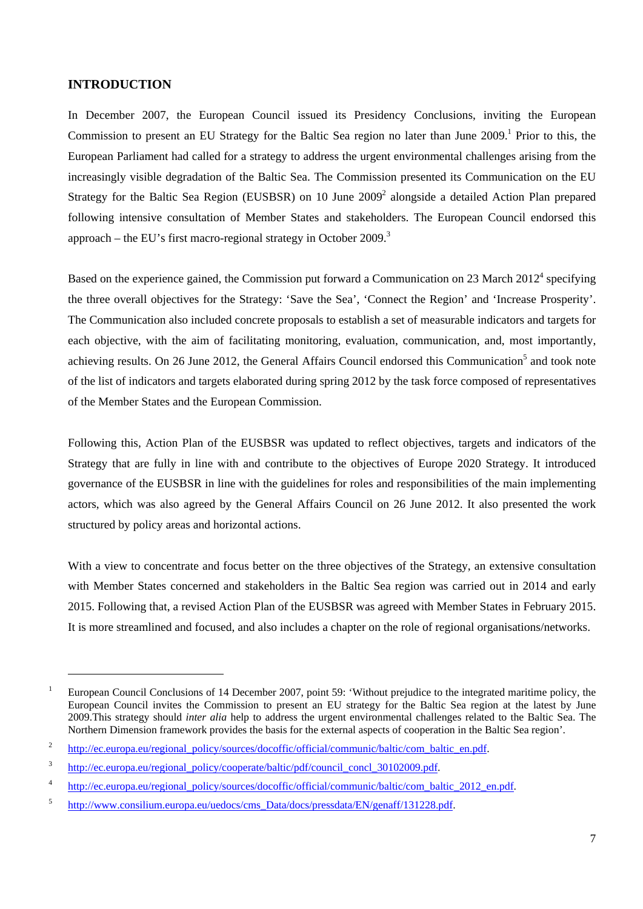## <span id="page-7-0"></span>**INTRODUCTION**

1

In December 2007, the European Council issued its Presidency Conclusions, inviting the European Commission to present an EU Strategy for the Baltic Sea region no later than June 2009.<sup>1</sup> Prior to this, the European Parliament had called for a strategy to address the urgent environmental challenges arising from the increasingly visible degradation of the Baltic Sea. The Commission presented its Communication on the EU Strategy for the Baltic Sea Region (EUSBSR) on 10 June 2009<sup>2</sup> alongside a detailed Action Plan prepared following intensive consultation of Member States and stakeholders. The European Council endorsed this approach – the EU's first macro-regional strategy in October  $2009$ .<sup>3</sup>

Based on the experience gained, the Commission put forward a Communication on 23 March  $2012^4$  specifying the three overall objectives for the Strategy: 'Save the Sea', 'Connect the Region' and 'Increase Prosperity'. The Communication also included concrete proposals to establish a set of measurable indicators and targets for each objective, with the aim of facilitating monitoring, evaluation, communication, and, most importantly, achieving results. On 26 June 2012, the General Affairs Council endorsed this Communication<sup>5</sup> and took note of the list of indicators and targets elaborated during spring 2012 by the task force composed of representatives of the Member States and the European Commission.

Following this, Action Plan of the EUSBSR was updated to reflect objectives, targets and indicators of the Strategy that are fully in line with and contribute to the objectives of Europe 2020 Strategy. It introduced governance of the EUSBSR in line with the guidelines for roles and responsibilities of the main implementing actors, which was also agreed by the General Affairs Council on 26 June 2012. It also presented the work structured by policy areas and horizontal actions.

With a view to concentrate and focus better on the three objectives of the Strategy, an extensive consultation with Member States concerned and stakeholders in the Baltic Sea region was carried out in 2014 and early 2015. Following that, a revised Action Plan of the EUSBSR was agreed with Member States in February 2015. It is more streamlined and focused, and also includes a chapter on the role of regional organisations/networks.

<sup>&</sup>lt;sup>1</sup> European Council Conclusions of 14 December 2007, point 59: 'Without prejudice to the integrated maritime policy, the European Council invites the Commission to present an EU strategy for the Baltic Sea region at the latest by June 2009.This strategy should *inter alia* help to address the urgent environmental challenges related to the Baltic Sea. The Northern Dimension framework provides the basis for the external aspects of cooperation in the Baltic Sea region'.

<sup>2</sup> [http://ec.europa.eu/regional\\_policy/sources/docoffic/official/communic/baltic/com\\_baltic\\_en.pdf.](http://ec.europa.eu/regional_policy/sources/docoffic/official/communic/baltic/com_baltic_en.pdf) 

<sup>3</sup> http://ec.europa.eu/regional\_policy/cooperate/baltic/pdf/council\_concl\_30102009.pdf.

<sup>4</sup> [http://ec.europa.eu/regional\\_policy/sources/docoffic/official/communic/baltic/com\\_baltic\\_2012\\_en.pdf.](http://ec.europa.eu/regional_policy/sources/docoffic/official/communic/baltic/com_baltic_2012_en.pdf) 

<sup>5</sup> [http://www.consilium.europa.eu/uedocs/cms\\_Data/docs/pressdata/EN/genaff/131228.pdf.](http://www.consilium.europa.eu/uedocs/cms_Data/docs/pressdata/EN/genaff/131228.pdf)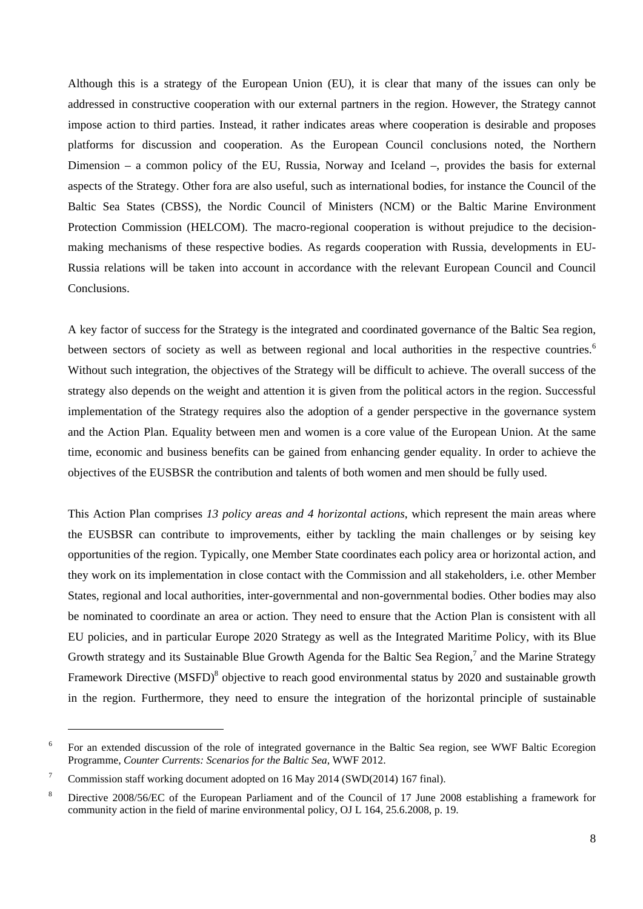Although this is a strategy of the European Union (EU), it is clear that many of the issues can only be addressed in constructive cooperation with our external partners in the region. However, the Strategy cannot impose action to third parties. Instead, it rather indicates areas where cooperation is desirable and proposes platforms for discussion and cooperation. As the European Council conclusions noted, the Northern Dimension – a common policy of the EU, Russia, Norway and Iceland –, provides the basis for external aspects of the Strategy. Other fora are also useful, such as international bodies, for instance the Council of the Baltic Sea States (CBSS), the Nordic Council of Ministers (NCM) or the Baltic Marine Environment Protection Commission (HELCOM). The macro-regional cooperation is without prejudice to the decisionmaking mechanisms of these respective bodies. As regards cooperation with Russia, developments in EU-Russia relations will be taken into account in accordance with the relevant European Council and Council Conclusions.

A key factor of success for the Strategy is the integrated and coordinated governance of the Baltic Sea region, between sectors of society as well as between regional and local authorities in the respective countries.<sup>6</sup> Without such integration, the objectives of the Strategy will be difficult to achieve. The overall success of the strategy also depends on the weight and attention it is given from the political actors in the region. Successful implementation of the Strategy requires also the adoption of a gender perspective in the governance system and the Action Plan. Equality between men and women is a core value of the European Union. At the same time, economic and business benefits can be gained from enhancing gender equality. In order to achieve the objectives of the EUSBSR the contribution and talents of both women and men should be fully used.

This Action Plan comprises *13 policy areas and 4 horizontal actions*, which represent the main areas where the EUSBSR can contribute to improvements, either by tackling the main challenges or by seising key opportunities of the region. Typically, one Member State coordinates each policy area or horizontal action, and they work on its implementation in close contact with the Commission and all stakeholders, i.e. other Member States, regional and local authorities, inter-governmental and non-governmental bodies. Other bodies may also be nominated to coordinate an area or action. They need to ensure that the Action Plan is consistent with all EU policies, and in particular Europe 2020 Strategy as well as the Integrated Maritime Policy, with its Blue Growth strategy and its Sustainable Blue Growth Agenda for the Baltic Sea Region,<sup>7</sup> and the Marine Strategy Framework Directive (MSFD)<sup>8</sup> objective to reach good environmental status by 2020 and sustainable growth in the region. Furthermore, they need to ensure the integration of the horizontal principle of sustainable

1

<sup>6</sup> For an extended discussion of the role of integrated governance in the Baltic Sea region, see WWF Baltic Ecoregion Programme, *Counter Currents: Scenarios for the Baltic Sea*, WWF 2012.

<sup>7</sup> Commission staff working document adopted on 16 May 2014 (SWD(2014) 167 final).

<sup>8</sup> Directive 2008/56/EC of the European Parliament and of the Council of 17 June 2008 establishing a framework for community action in the field of marine environmental policy, OJ L 164, 25.6.2008, p. 19.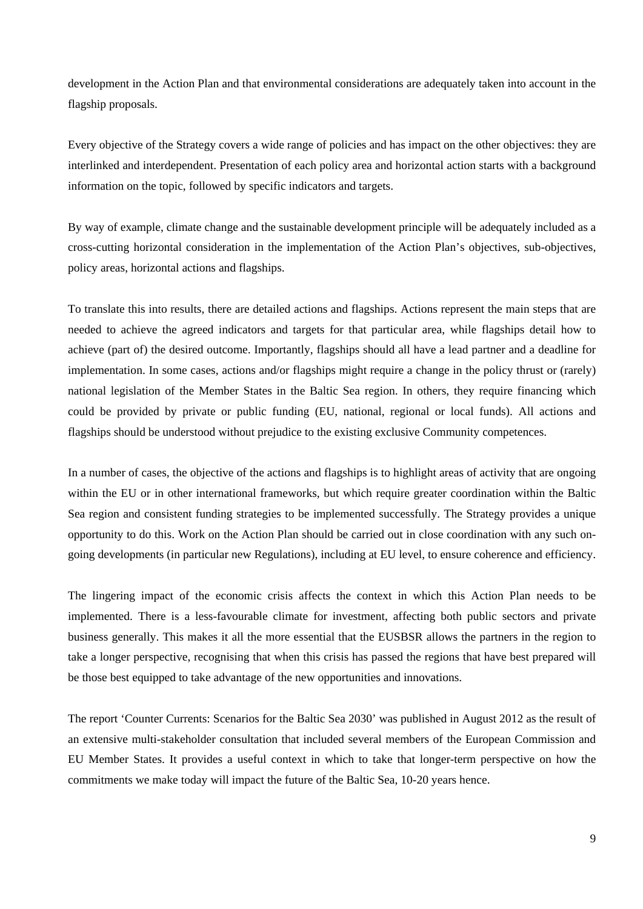development in the Action Plan and that environmental considerations are adequately taken into account in the flagship proposals.

Every objective of the Strategy covers a wide range of policies and has impact on the other objectives: they are interlinked and interdependent. Presentation of each policy area and horizontal action starts with a background information on the topic, followed by specific indicators and targets.

By way of example, climate change and the sustainable development principle will be adequately included as a cross-cutting horizontal consideration in the implementation of the Action Plan's objectives, sub-objectives, policy areas, horizontal actions and flagships.

To translate this into results, there are detailed actions and flagships. Actions represent the main steps that are needed to achieve the agreed indicators and targets for that particular area, while flagships detail how to achieve (part of) the desired outcome. Importantly, flagships should all have a lead partner and a deadline for implementation. In some cases, actions and/or flagships might require a change in the policy thrust or (rarely) national legislation of the Member States in the Baltic Sea region. In others, they require financing which could be provided by private or public funding (EU, national, regional or local funds). All actions and flagships should be understood without prejudice to the existing exclusive Community competences.

In a number of cases, the objective of the actions and flagships is to highlight areas of activity that are ongoing within the EU or in other international frameworks, but which require greater coordination within the Baltic Sea region and consistent funding strategies to be implemented successfully. The Strategy provides a unique opportunity to do this. Work on the Action Plan should be carried out in close coordination with any such ongoing developments (in particular new Regulations), including at EU level, to ensure coherence and efficiency.

The lingering impact of the economic crisis affects the context in which this Action Plan needs to be implemented. There is a less-favourable climate for investment, affecting both public sectors and private business generally. This makes it all the more essential that the EUSBSR allows the partners in the region to take a longer perspective, recognising that when this crisis has passed the regions that have best prepared will be those best equipped to take advantage of the new opportunities and innovations.

The report 'Counter Currents: Scenarios for the Baltic Sea 2030' was published in August 2012 as the result of an extensive multi-stakeholder consultation that included several members of the European Commission and EU Member States. It provides a useful context in which to take that longer-term perspective on how the commitments we make today will impact the future of the Baltic Sea, 10-20 years hence.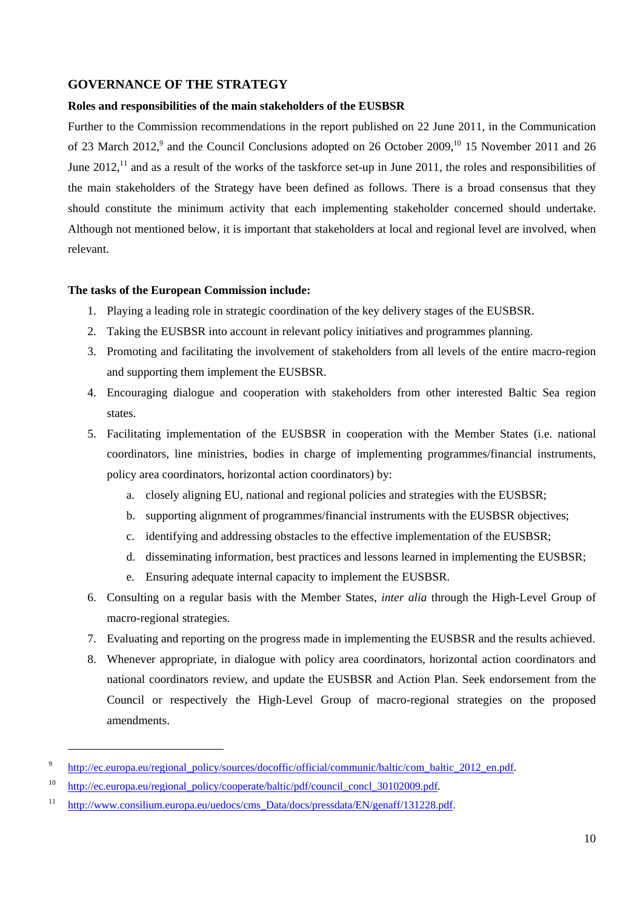## <span id="page-10-1"></span><span id="page-10-0"></span>**GOVERNANCE OF THE STRATEGY**

#### **Roles and responsibilities of the main stakeholders of the EUSBSR**

Further to the Commission recommendations in the report published on 22 June 2011, in the Communication of 23 March 2012,<sup>9</sup> and the Council Conclusions adopted on 26 October 2009,<sup>10</sup> 15 November 2011 and 26 June 2012,<sup>11</sup> and as a result of the works of the taskforce set-up in June 2011, the roles and responsibilities of the main stakeholders of the Strategy have been defined as follows. There is a broad consensus that they should constitute the minimum activity that each implementing stakeholder concerned should undertake. Although not mentioned below, it is important that stakeholders at local and regional level are involved, when relevant.

#### **The tasks of the European Commission include:**

- 1. Playing a leading role in strategic coordination of the key delivery stages of the EUSBSR.
- 2. Taking the EUSBSR into account in relevant policy initiatives and programmes planning.
- 3. Promoting and facilitating the involvement of stakeholders from all levels of the entire macro-region and supporting them implement the EUSBSR.
- 4. Encouraging dialogue and cooperation with stakeholders from other interested Baltic Sea region states.
- 5. Facilitating implementation of the EUSBSR in cooperation with the Member States (i.e. national coordinators, line ministries, bodies in charge of implementing programmes/financial instruments, policy area coordinators, horizontal action coordinators) by:
	- a. closely aligning EU, national and regional policies and strategies with the EUSBSR;
	- b. supporting alignment of programmes/financial instruments with the EUSBSR objectives;
	- c. identifying and addressing obstacles to the effective implementation of the EUSBSR;
	- d. disseminating information, best practices and lessons learned in implementing the EUSBSR;
	- e. Ensuring adequate internal capacity to implement the EUSBSR.
- 6. Consulting on a regular basis with the Member States, *inter alia* through the High-Level Group of macro-regional strategies.
- 7. Evaluating and reporting on the progress made in implementing the EUSBSR and the results achieved.
- 8. Whenever appropriate, in dialogue with policy area coordinators, horizontal action coordinators and national coordinators review, and update the EUSBSR and Action Plan. Seek endorsement from the Council or respectively the High-Level Group of macro-regional strategies on the proposed amendments.

-

<sup>9</sup> http://ec.europa.eu/regional\_policy/sources/docoffic/official/communic/baltic/com\_baltic\_2012\_en.pdf.

<sup>10</sup> [http://ec.europa.eu/regional\\_policy/cooperate/baltic/pdf/council\\_concl\\_30102009.pdf.](http://ec.europa.eu/regional_policy/cooperate/baltic/pdf/council_concl_30102009.pdf) 

<sup>&</sup>lt;sup>11</sup> http://www.consilium.europa.eu/uedocs/cms\_Data/docs/pressdata/EN/genaff/131228.pdf.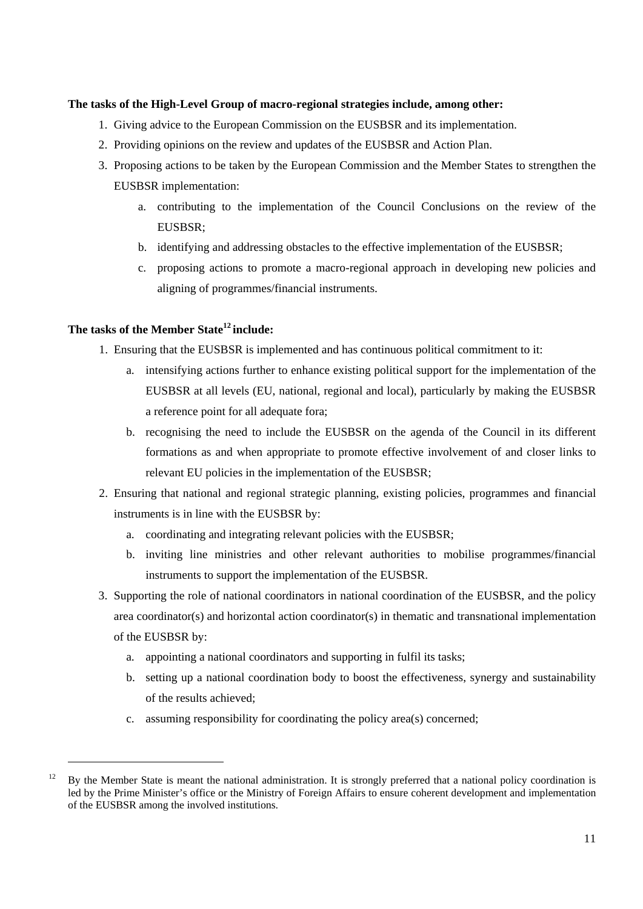## **The tasks of the High-Level Group of macro-regional strategies include, among other:**

- 1. Giving advice to the European Commission on the EUSBSR and its implementation.
- 2. Providing opinions on the review and updates of the EUSBSR and Action Plan.
- 3. Proposing actions to be taken by the European Commission and the Member States to strengthen the EUSBSR implementation:
	- a. contributing to the implementation of the Council Conclusions on the review of the EUSBSR;
	- b. identifying and addressing obstacles to the effective implementation of the EUSBSR;
	- c. proposing actions to promote a macro-regional approach in developing new policies and aligning of programmes/financial instruments.

## **The tasks of the Member State12 include:**

-

- 1. Ensuring that the EUSBSR is implemented and has continuous political commitment to it:
	- a. intensifying actions further to enhance existing political support for the implementation of the EUSBSR at all levels (EU, national, regional and local), particularly by making the EUSBSR a reference point for all adequate fora;
	- b. recognising the need to include the EUSBSR on the agenda of the Council in its different formations as and when appropriate to promote effective involvement of and closer links to relevant EU policies in the implementation of the EUSBSR;
- 2. Ensuring that national and regional strategic planning, existing policies, programmes and financial instruments is in line with the EUSBSR by:
	- a. coordinating and integrating relevant policies with the EUSBSR;
	- b. inviting line ministries and other relevant authorities to mobilise programmes/financial instruments to support the implementation of the EUSBSR.
- 3. Supporting the role of national coordinators in national coordination of the EUSBSR, and the policy area coordinator(s) and horizontal action coordinator(s) in thematic and transnational implementation of the EUSBSR by:
	- a. appointing a national coordinators and supporting in fulfil its tasks;
	- b. setting up a national coordination body to boost the effectiveness, synergy and sustainability of the results achieved;
	- c. assuming responsibility for coordinating the policy area(s) concerned;

<sup>&</sup>lt;sup>12</sup> By the Member State is meant the national administration. It is strongly preferred that a national policy coordination is led by the Prime Minister's office or the Ministry of Foreign Affairs to ensure coherent development and implementation of the EUSBSR among the involved institutions.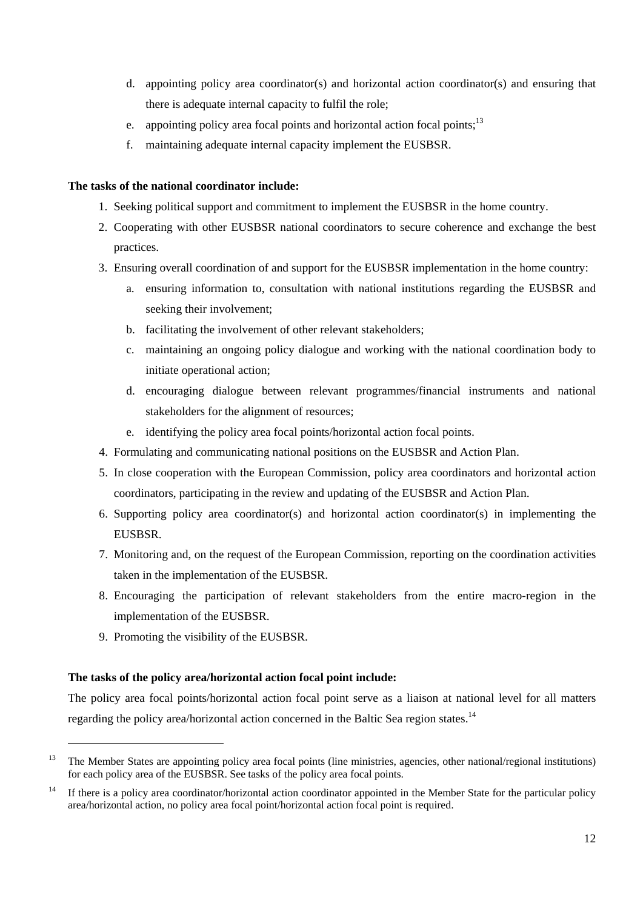- d. appointing policy area coordinator(s) and horizontal action coordinator(s) and ensuring that there is adequate internal capacity to fulfil the role;
- e. appointing policy area focal points and horizontal action focal points;<sup>13</sup>
- f. maintaining adequate internal capacity implement the EUSBSR.

## **The tasks of the national coordinator include:**

- 1. Seeking political support and commitment to implement the EUSBSR in the home country.
- 2. Cooperating with other EUSBSR national coordinators to secure coherence and exchange the best practices.
- 3. Ensuring overall coordination of and support for the EUSBSR implementation in the home country:
	- a. ensuring information to, consultation with national institutions regarding the EUSBSR and seeking their involvement;
	- b. facilitating the involvement of other relevant stakeholders;
	- c. maintaining an ongoing policy dialogue and working with the national coordination body to initiate operational action;
	- d. encouraging dialogue between relevant programmes/financial instruments and national stakeholders for the alignment of resources;
	- e. identifying the policy area focal points/horizontal action focal points.
- 4. Formulating and communicating national positions on the EUSBSR and Action Plan.
- 5. In close cooperation with the European Commission, policy area coordinators and horizontal action coordinators, participating in the review and updating of the EUSBSR and Action Plan.
- 6. Supporting policy area coordinator(s) and horizontal action coordinator(s) in implementing the EUSBSR.
- 7. Monitoring and, on the request of the European Commission, reporting on the coordination activities taken in the implementation of the EUSBSR.
- 8. Encouraging the participation of relevant stakeholders from the entire macro-region in the implementation of the EUSBSR.
- 9. Promoting the visibility of the EUSBSR.

1

## **The tasks of the policy area/horizontal action focal point include:**

The policy area focal points/horizontal action focal point serve as a liaison at national level for all matters regarding the policy area/horizontal action concerned in the Baltic Sea region states.<sup>14</sup>

<sup>&</sup>lt;sup>13</sup> The Member States are appointing policy area focal points (line ministries, agencies, other national/regional institutions) for each policy area of the EUSBSR. See tasks of the policy area focal points.

<sup>&</sup>lt;sup>14</sup> If there is a policy area coordinator/horizontal action coordinator appointed in the Member State for the particular policy area/horizontal action, no policy area focal point/horizontal action focal point is required.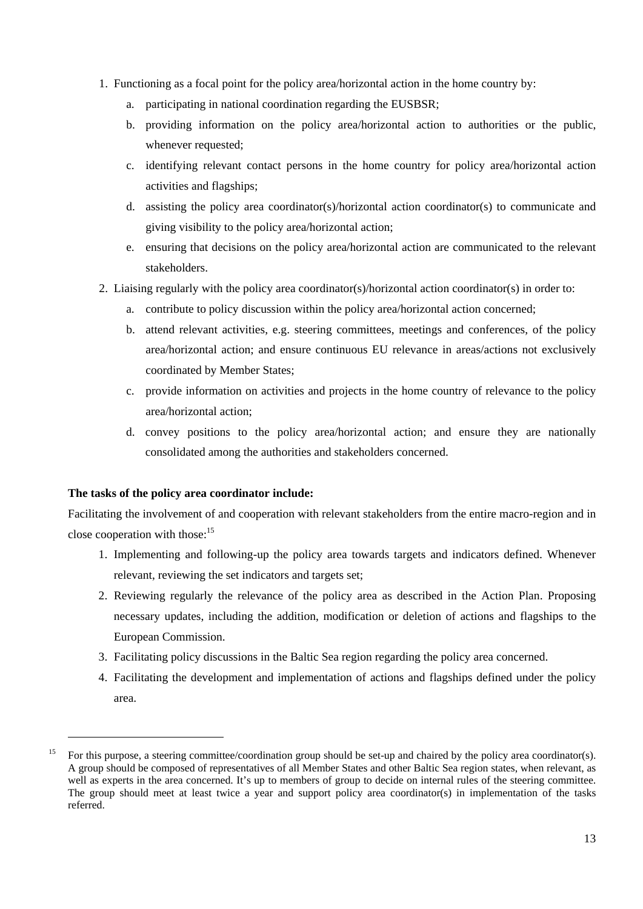- 1. Functioning as a focal point for the policy area/horizontal action in the home country by:
	- a. participating in national coordination regarding the EUSBSR;
	- b. providing information on the policy area/horizontal action to authorities or the public, whenever requested;
	- c. identifying relevant contact persons in the home country for policy area/horizontal action activities and flagships;
	- d. assisting the policy area coordinator(s)/horizontal action coordinator(s) to communicate and giving visibility to the policy area/horizontal action;
	- e. ensuring that decisions on the policy area/horizontal action are communicated to the relevant stakeholders.
- 2. Liaising regularly with the policy area coordinator(s)/horizontal action coordinator(s) in order to:
	- a. contribute to policy discussion within the policy area/horizontal action concerned;
	- b. attend relevant activities, e.g. steering committees, meetings and conferences, of the policy area/horizontal action; and ensure continuous EU relevance in areas/actions not exclusively coordinated by Member States;
	- c. provide information on activities and projects in the home country of relevance to the policy area/horizontal action;
	- d. convey positions to the policy area/horizontal action; and ensure they are nationally consolidated among the authorities and stakeholders concerned.

## **The tasks of the policy area coordinator include:**

1

Facilitating the involvement of and cooperation with relevant stakeholders from the entire macro-region and in close cooperation with those:<sup>15</sup>

- 1. Implementing and following-up the policy area towards targets and indicators defined. Whenever relevant, reviewing the set indicators and targets set;
- 2. Reviewing regularly the relevance of the policy area as described in the Action Plan. Proposing necessary updates, including the addition, modification or deletion of actions and flagships to the European Commission.
- 3. Facilitating policy discussions in the Baltic Sea region regarding the policy area concerned.
- 4. Facilitating the development and implementation of actions and flagships defined under the policy area.

<sup>&</sup>lt;sup>15</sup> For this purpose, a steering committee/coordination group should be set-up and chaired by the policy area coordinator(s). A group should be composed of representatives of all Member States and other Baltic Sea region states, when relevant, as well as experts in the area concerned. It's up to members of group to decide on internal rules of the steering committee. The group should meet at least twice a year and support policy area coordinator(s) in implementation of the tasks referred.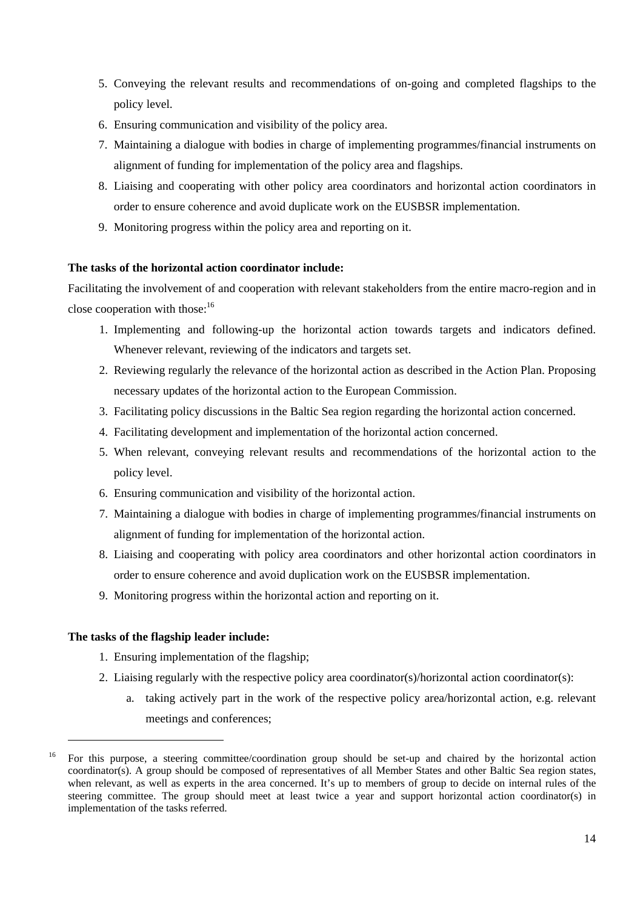- 5. Conveying the relevant results and recommendations of on-going and completed flagships to the policy level.
- 6. Ensuring communication and visibility of the policy area.
- 7. Maintaining a dialogue with bodies in charge of implementing programmes/financial instruments on alignment of funding for implementation of the policy area and flagships.
- 8. Liaising and cooperating with other policy area coordinators and horizontal action coordinators in order to ensure coherence and avoid duplicate work on the EUSBSR implementation.
- 9. Monitoring progress within the policy area and reporting on it.

## **The tasks of the horizontal action coordinator include:**

Facilitating the involvement of and cooperation with relevant stakeholders from the entire macro-region and in close cooperation with those: $16$ 

- 1. Implementing and following-up the horizontal action towards targets and indicators defined. Whenever relevant, reviewing of the indicators and targets set.
- 2. Reviewing regularly the relevance of the horizontal action as described in the Action Plan. Proposing necessary updates of the horizontal action to the European Commission.
- 3. Facilitating policy discussions in the Baltic Sea region regarding the horizontal action concerned.
- 4. Facilitating development and implementation of the horizontal action concerned.
- 5. When relevant, conveying relevant results and recommendations of the horizontal action to the policy level.
- 6. Ensuring communication and visibility of the horizontal action.
- 7. Maintaining a dialogue with bodies in charge of implementing programmes/financial instruments on alignment of funding for implementation of the horizontal action.
- 8. Liaising and cooperating with policy area coordinators and other horizontal action coordinators in order to ensure coherence and avoid duplication work on the EUSBSR implementation.
- 9. Monitoring progress within the horizontal action and reporting on it.

## **The tasks of the flagship leader include:**

1

- 1. Ensuring implementation of the flagship;
- 2. Liaising regularly with the respective policy area coordinator(s)/horizontal action coordinator(s):
	- a. taking actively part in the work of the respective policy area/horizontal action, e.g. relevant meetings and conferences;

<sup>16</sup> For this purpose, a steering committee/coordination group should be set-up and chaired by the horizontal action coordinator(s). A group should be composed of representatives of all Member States and other Baltic Sea region states, when relevant, as well as experts in the area concerned. It's up to members of group to decide on internal rules of the steering committee. The group should meet at least twice a year and support horizontal action coordinator(s) in implementation of the tasks referred.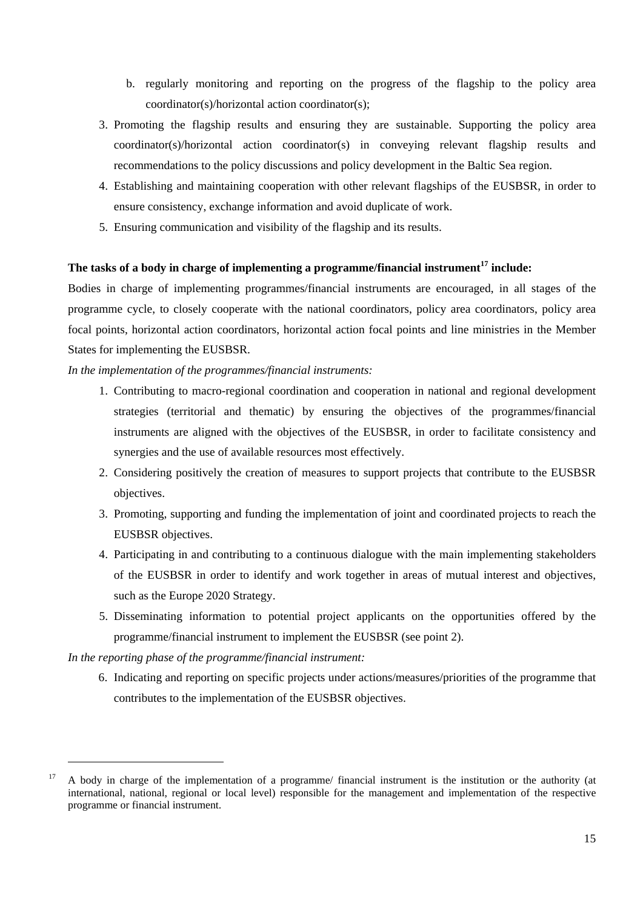- b. regularly monitoring and reporting on the progress of the flagship to the policy area coordinator(s)/horizontal action coordinator(s);
- 3. Promoting the flagship results and ensuring they are sustainable. Supporting the policy area coordinator(s)/horizontal action coordinator(s) in conveying relevant flagship results and recommendations to the policy discussions and policy development in the Baltic Sea region.
- 4. Establishing and maintaining cooperation with other relevant flagships of the EUSBSR, in order to ensure consistency, exchange information and avoid duplicate of work.
- 5. Ensuring communication and visibility of the flagship and its results.

## **The tasks of a body in charge of implementing a programme/financial instrument17 include:**

Bodies in charge of implementing programmes/financial instruments are encouraged, in all stages of the programme cycle, to closely cooperate with the national coordinators, policy area coordinators, policy area focal points, horizontal action coordinators, horizontal action focal points and line ministries in the Member States for implementing the EUSBSR.

## *In the implementation of the programmes/financial instruments:*

- 1. Contributing to macro-regional coordination and cooperation in national and regional development strategies (territorial and thematic) by ensuring the objectives of the programmes/financial instruments are aligned with the objectives of the EUSBSR, in order to facilitate consistency and synergies and the use of available resources most effectively.
- 2. Considering positively the creation of measures to support projects that contribute to the EUSBSR objectives.
- 3. Promoting, supporting and funding the implementation of joint and coordinated projects to reach the EUSBSR objectives.
- 4. Participating in and contributing to a continuous dialogue with the main implementing stakeholders of the EUSBSR in order to identify and work together in areas of mutual interest and objectives, such as the Europe 2020 Strategy.
- 5. Disseminating information to potential project applicants on the opportunities offered by the programme/financial instrument to implement the EUSBSR (see point 2).

*In the reporting phase of the programme/financial instrument:* 

-

6. Indicating and reporting on specific projects under actions/measures/priorities of the programme that contributes to the implementation of the EUSBSR objectives.

<sup>&</sup>lt;sup>17</sup> A body in charge of the implementation of a programme/ financial instrument is the institution or the authority (at international, national, regional or local level) responsible for the management and implementation of the respective programme or financial instrument.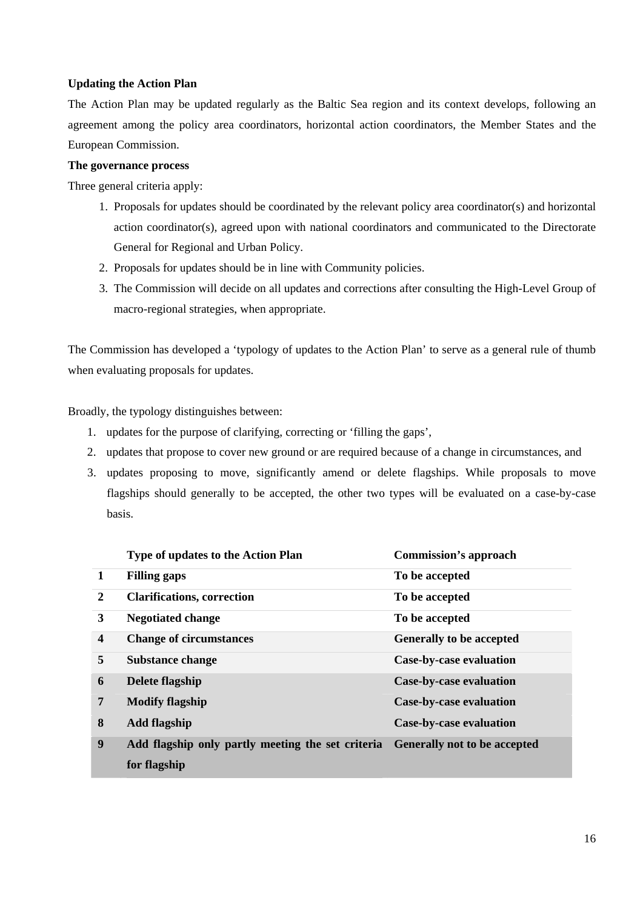## <span id="page-16-0"></span>**Updating the Action Plan**

The Action Plan may be updated regularly as the Baltic Sea region and its context develops, following an agreement among the policy area coordinators, horizontal action coordinators, the Member States and the European Commission.

## **The governance process**

Three general criteria apply:

- 1. Proposals for updates should be coordinated by the relevant policy area coordinator(s) and horizontal action coordinator(s), agreed upon with national coordinators and communicated to the Directorate General for Regional and Urban Policy.
- 2. Proposals for updates should be in line with Community policies.
- 3. The Commission will decide on all updates and corrections after consulting the High-Level Group of macro-regional strategies, when appropriate.

The Commission has developed a 'typology of updates to the Action Plan' to serve as a general rule of thumb when evaluating proposals for updates.

Broadly, the typology distinguishes between:

- 1. updates for the purpose of clarifying, correcting or 'filling the gaps',
- 2. updates that propose to cover new ground or are required because of a change in circumstances, and
- 3. updates proposing to move, significantly amend or delete flagships. While proposals to move flagships should generally to be accepted, the other two types will be evaluated on a case-by-case basis.

|                         | <b>Type of updates to the Action Plan</b>                                      | <b>Commission's approach</b>    |
|-------------------------|--------------------------------------------------------------------------------|---------------------------------|
| $\mathbf{1}$            | <b>Filling gaps</b>                                                            | To be accepted                  |
| 2                       | <b>Clarifications, correction</b>                                              | To be accepted                  |
| 3                       | <b>Negotiated change</b>                                                       | To be accepted                  |
| $\overline{\mathbf{4}}$ | <b>Change of circumstances</b>                                                 | <b>Generally to be accepted</b> |
| 5                       | Substance change                                                               | Case-by-case evaluation         |
| 6                       | Delete flagship                                                                | Case-by-case evaluation         |
| 7                       | <b>Modify flagship</b>                                                         | <b>Case-by-case evaluation</b>  |
| 8                       | <b>Add flagship</b>                                                            | <b>Case-by-case evaluation</b>  |
| 9                       | Add flagship only partly meeting the set criteria Generally not to be accepted |                                 |
|                         | for flagship                                                                   |                                 |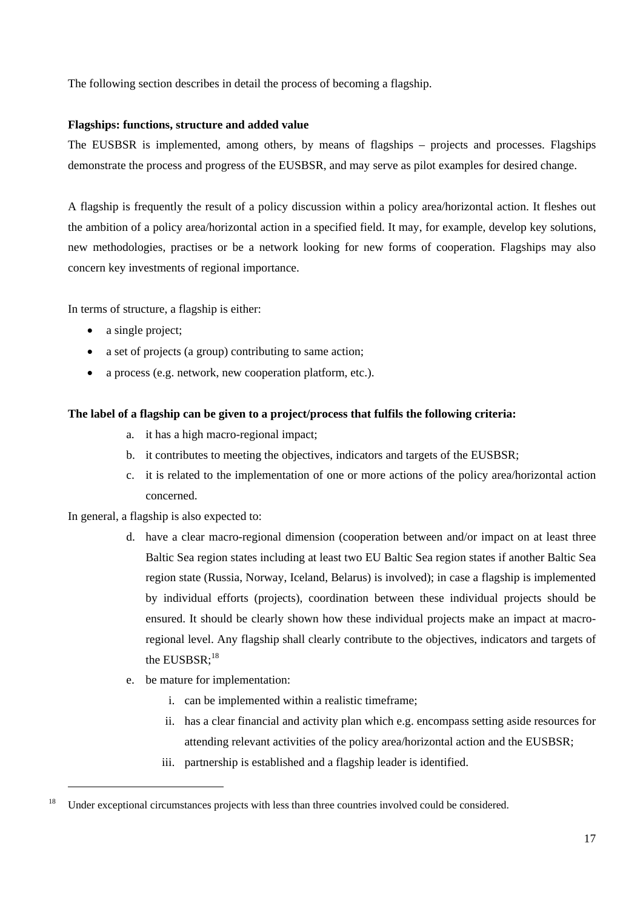The following section describes in detail the process of becoming a flagship.

## <span id="page-17-0"></span>**Flagships: functions, structure and added value**

The EUSBSR is implemented, among others, by means of flagships – projects and processes. Flagships demonstrate the process and progress of the EUSBSR, and may serve as pilot examples for desired change.

A flagship is frequently the result of a policy discussion within a policy area/horizontal action. It fleshes out the ambition of a policy area/horizontal action in a specified field. It may, for example, develop key solutions, new methodologies, practises or be a network looking for new forms of cooperation. Flagships may also concern key investments of regional importance.

In terms of structure, a flagship is either:

- a single project;
- a set of projects (a group) contributing to same action;
- a process (e.g. network, new cooperation platform, etc.).

## **The label of a flagship can be given to a project/process that fulfils the following criteria:**

- a. it has a high macro-regional impact;
- b. it contributes to meeting the objectives, indicators and targets of the EUSBSR;
- c. it is related to the implementation of one or more actions of the policy area/horizontal action concerned.

## In general, a flagship is also expected to:

1

- d. have a clear macro-regional dimension (cooperation between and/or impact on at least three Baltic Sea region states including at least two EU Baltic Sea region states if another Baltic Sea region state (Russia, Norway, Iceland, Belarus) is involved); in case a flagship is implemented by individual efforts (projects), coordination between these individual projects should be ensured. It should be clearly shown how these individual projects make an impact at macroregional level. Any flagship shall clearly contribute to the objectives, indicators and targets of the  $EUSBSR$ :<sup>18</sup>
- e. be mature for implementation:
	- i. can be implemented within a realistic timeframe;
	- ii. has a clear financial and activity plan which e.g. encompass setting aside resources for attending relevant activities of the policy area/horizontal action and the EUSBSR;
	- iii. partnership is established and a flagship leader is identified.

<sup>&</sup>lt;sup>18</sup> Under exceptional circumstances projects with less than three countries involved could be considered.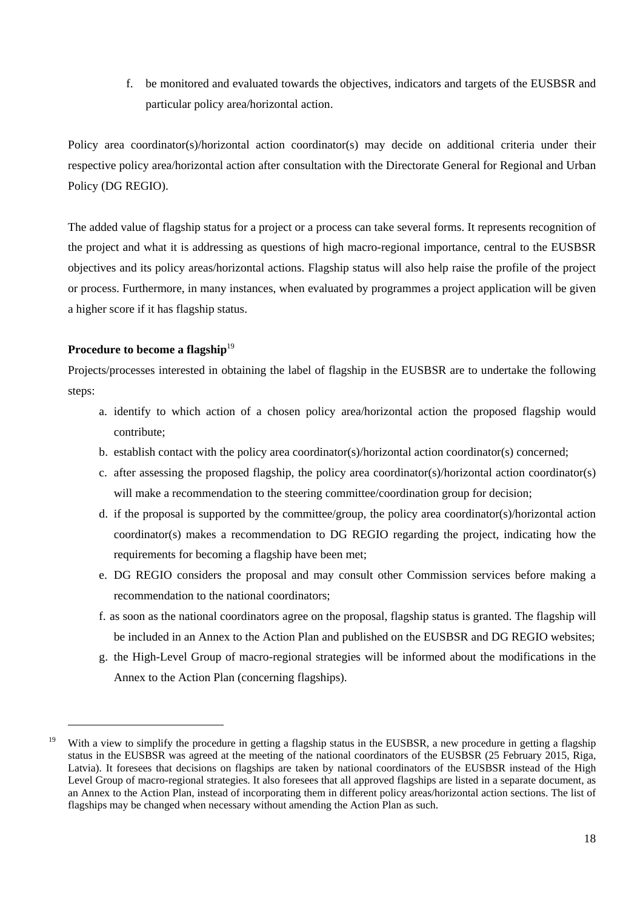f. be monitored and evaluated towards the objectives, indicators and targets of the EUSBSR and particular policy area/horizontal action.

Policy area coordinator(s)/horizontal action coordinator(s) may decide on additional criteria under their respective policy area/horizontal action after consultation with the Directorate General for Regional and Urban Policy (DG REGIO).

The added value of flagship status for a project or a process can take several forms. It represents recognition of the project and what it is addressing as questions of high macro-regional importance, central to the EUSBSR objectives and its policy areas/horizontal actions. Flagship status will also help raise the profile of the project or process. Furthermore, in many instances, when evaluated by programmes a project application will be given a higher score if it has flagship status.

## **Procedure to become a flagship**<sup>19</sup>

-

Projects/processes interested in obtaining the label of flagship in the EUSBSR are to undertake the following steps:

- a. identify to which action of a chosen policy area/horizontal action the proposed flagship would contribute;
- b. establish contact with the policy area coordinator(s)/horizontal action coordinator(s) concerned;
- c. after assessing the proposed flagship, the policy area coordinator(s)/horizontal action coordinator(s) will make a recommendation to the steering committee/coordination group for decision;
- d. if the proposal is supported by the committee/group, the policy area coordinator(s)/horizontal action coordinator(s) makes a recommendation to DG REGIO regarding the project, indicating how the requirements for becoming a flagship have been met;
- e. DG REGIO considers the proposal and may consult other Commission services before making a recommendation to the national coordinators;
- f. as soon as the national coordinators agree on the proposal, flagship status is granted. The flagship will be included in an Annex to the Action Plan and published on the EUSBSR and DG REGIO websites;
- g. the High-Level Group of macro-regional strategies will be informed about the modifications in the Annex to the Action Plan (concerning flagships).

<sup>&</sup>lt;sup>19</sup> With a view to simplify the procedure in getting a flagship status in the EUSBSR, a new procedure in getting a flagship status in the EUSBSR was agreed at the meeting of the national coordinators of the EUSBSR (25 February 2015, Riga, Latvia). It foresees that decisions on flagships are taken by national coordinators of the EUSBSR instead of the High Level Group of macro-regional strategies. It also foresees that all approved flagships are listed in a separate document, as an Annex to the Action Plan, instead of incorporating them in different policy areas/horizontal action sections. The list of flagships may be changed when necessary without amending the Action Plan as such.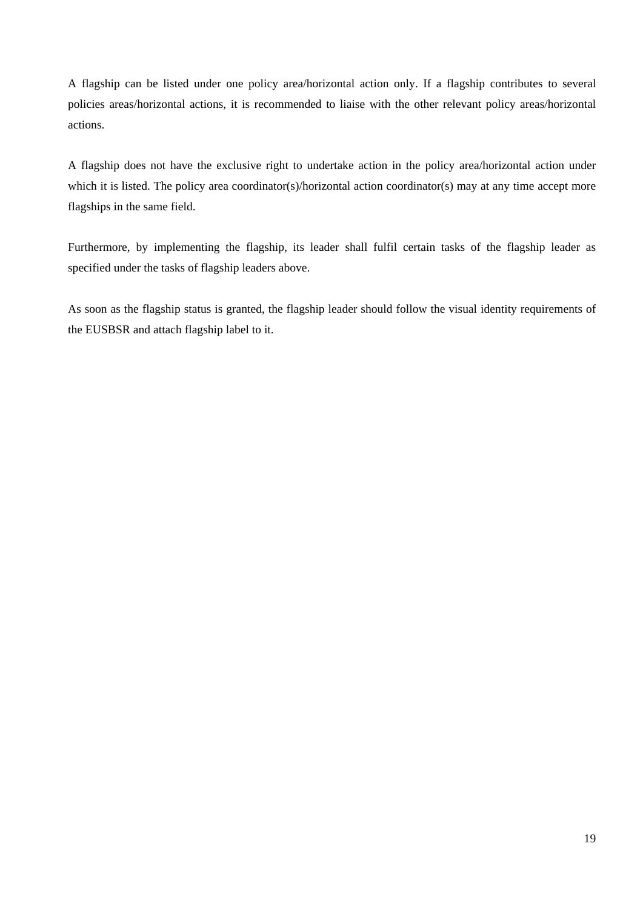A flagship can be listed under one policy area/horizontal action only. If a flagship contributes to several policies areas/horizontal actions, it is recommended to liaise with the other relevant policy areas/horizontal actions.

A flagship does not have the exclusive right to undertake action in the policy area/horizontal action under which it is listed. The policy area coordinator(s)/horizontal action coordinator(s) may at any time accept more flagships in the same field.

Furthermore, by implementing the flagship, its leader shall fulfil certain tasks of the flagship leader as specified under the tasks of flagship leaders above.

As soon as the flagship status is granted, the flagship leader should follow the visual identity requirements of the EUSBSR and attach flagship label to it.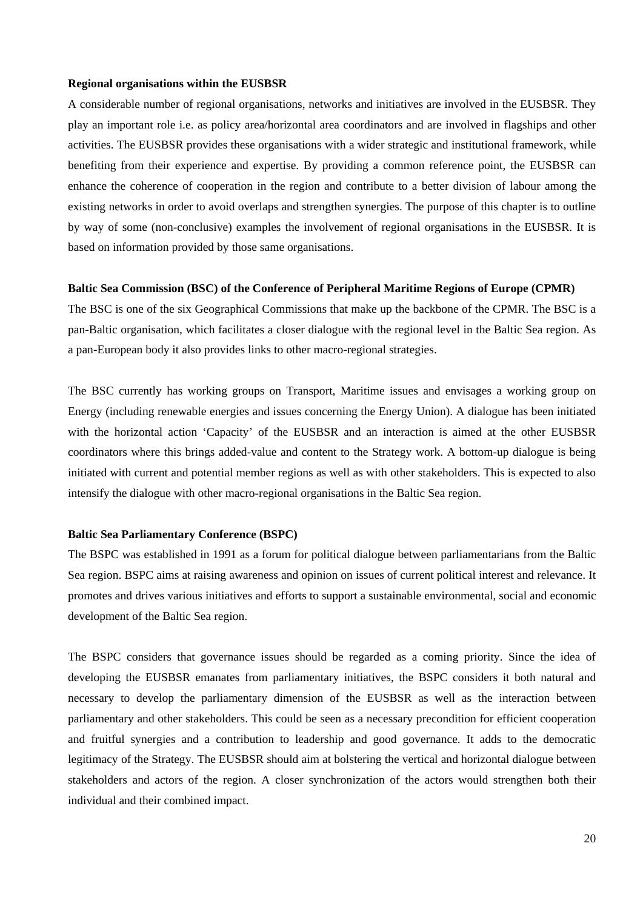#### <span id="page-20-0"></span>**Regional organisations within the EUSBSR**

A considerable number of regional organisations, networks and initiatives are involved in the EUSBSR. They play an important role i.e. as policy area/horizontal area coordinators and are involved in flagships and other activities. The EUSBSR provides these organisations with a wider strategic and institutional framework, while benefiting from their experience and expertise. By providing a common reference point, the EUSBSR can enhance the coherence of cooperation in the region and contribute to a better division of labour among the existing networks in order to avoid overlaps and strengthen synergies. The purpose of this chapter is to outline by way of some (non-conclusive) examples the involvement of regional organisations in the EUSBSR. It is based on information provided by those same organisations.

#### **Baltic Sea Commission (BSC) of the Conference of Peripheral Maritime Regions of Europe (CPMR)**

The BSC is one of the six Geographical Commissions that make up the backbone of the CPMR. The BSC is a pan-Baltic organisation, which facilitates a closer dialogue with the regional level in the Baltic Sea region. As a pan-European body it also provides links to other macro-regional strategies.

The BSC currently has working groups on Transport, Maritime issues and envisages a working group on Energy (including renewable energies and issues concerning the Energy Union). A dialogue has been initiated with the horizontal action 'Capacity' of the EUSBSR and an interaction is aimed at the other EUSBSR coordinators where this brings added-value and content to the Strategy work. A bottom-up dialogue is being initiated with current and potential member regions as well as with other stakeholders. This is expected to also intensify the dialogue with other macro-regional organisations in the Baltic Sea region.

#### **Baltic Sea Parliamentary Conference (BSPC)**

The BSPC was established in 1991 as a forum for political dialogue between parliamentarians from the Baltic Sea region. BSPC aims at raising awareness and opinion on issues of current political interest and relevance. It promotes and drives various initiatives and efforts to support a sustainable environmental, social and economic development of the Baltic Sea region.

The BSPC considers that governance issues should be regarded as a coming priority. Since the idea of developing the EUSBSR emanates from parliamentary initiatives, the BSPC considers it both natural and necessary to develop the parliamentary dimension of the EUSBSR as well as the interaction between parliamentary and other stakeholders. This could be seen as a necessary precondition for efficient cooperation and fruitful synergies and a contribution to leadership and good governance. It adds to the democratic legitimacy of the Strategy. The EUSBSR should aim at bolstering the vertical and horizontal dialogue between stakeholders and actors of the region. A closer synchronization of the actors would strengthen both their individual and their combined impact.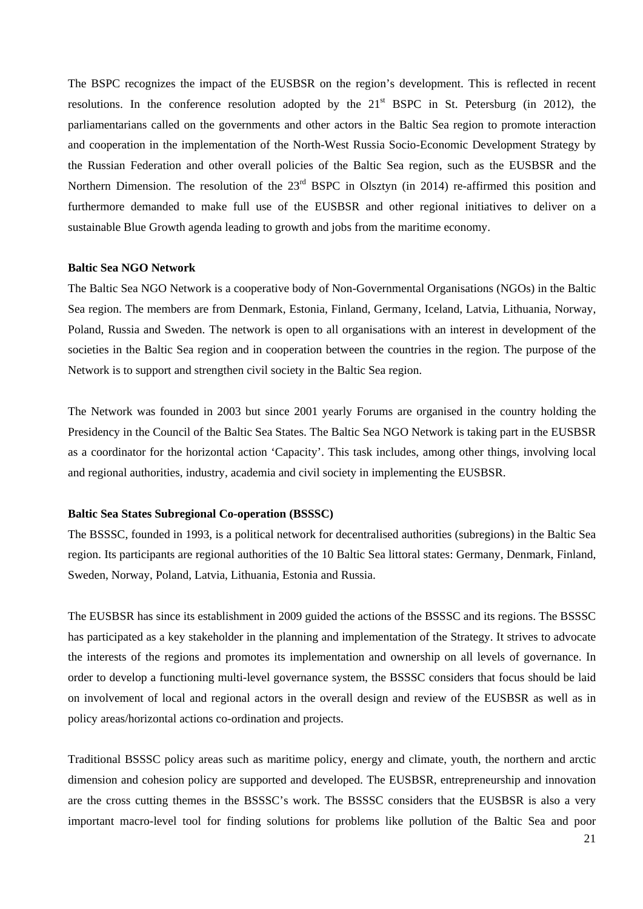The BSPC recognizes the impact of the EUSBSR on the region's development. This is reflected in recent resolutions. In the conference resolution adopted by the  $21<sup>st</sup> BSPC$  in St. Petersburg (in 2012), the parliamentarians called on the governments and other actors in the Baltic Sea region to promote interaction and cooperation in the implementation of the North-West Russia Socio-Economic Development Strategy by the Russian Federation and other overall policies of the Baltic Sea region, such as the EUSBSR and the Northern Dimension. The resolution of the 23<sup>rd</sup> BSPC in Olsztyn (in 2014) re-affirmed this position and furthermore demanded to make full use of the EUSBSR and other regional initiatives to deliver on a sustainable Blue Growth agenda leading to growth and jobs from the maritime economy.

## **Baltic Sea NGO Network**

The Baltic Sea NGO Network is a cooperative body of Non-Governmental Organisations (NGOs) in the Baltic Sea region. The members are from Denmark, Estonia, Finland, Germany, Iceland, Latvia, Lithuania, Norway, Poland, Russia and Sweden. The network is open to all organisations with an interest in development of the societies in the Baltic Sea region and in cooperation between the countries in the region. The purpose of the Network is to support and strengthen civil society in the Baltic Sea region.

The Network was founded in 2003 but since 2001 yearly Forums are organised in the country holding the Presidency in the Council of the Baltic Sea States. The Baltic Sea NGO Network is taking part in the EUSBSR as a coordinator for the horizontal action 'Capacity'. This task includes, among other things, involving local and regional authorities, industry, academia and civil society in implementing the EUSBSR.

#### **Baltic Sea States Subregional Co-operation (BSSSC)**

The BSSSC, founded in 1993, is a political network for decentralised authorities (subregions) in the Baltic Sea region. Its participants are regional authorities of the 10 Baltic Sea littoral states: Germany, Denmark, Finland, Sweden, Norway, Poland, Latvia, Lithuania, Estonia and Russia.

The EUSBSR has since its establishment in 2009 guided the actions of the BSSSC and its regions. The BSSSC has participated as a key stakeholder in the planning and implementation of the Strategy. It strives to advocate the interests of the regions and promotes its implementation and ownership on all levels of governance. In order to develop a functioning multi-level governance system, the BSSSC considers that focus should be laid on involvement of local and regional actors in the overall design and review of the EUSBSR as well as in policy areas/horizontal actions co-ordination and projects.

Traditional BSSSC policy areas such as maritime policy, energy and climate, youth, the northern and arctic dimension and cohesion policy are supported and developed. The EUSBSR, entrepreneurship and innovation are the cross cutting themes in the BSSSC's work. The BSSSC considers that the EUSBSR is also a very important macro-level tool for finding solutions for problems like pollution of the Baltic Sea and poor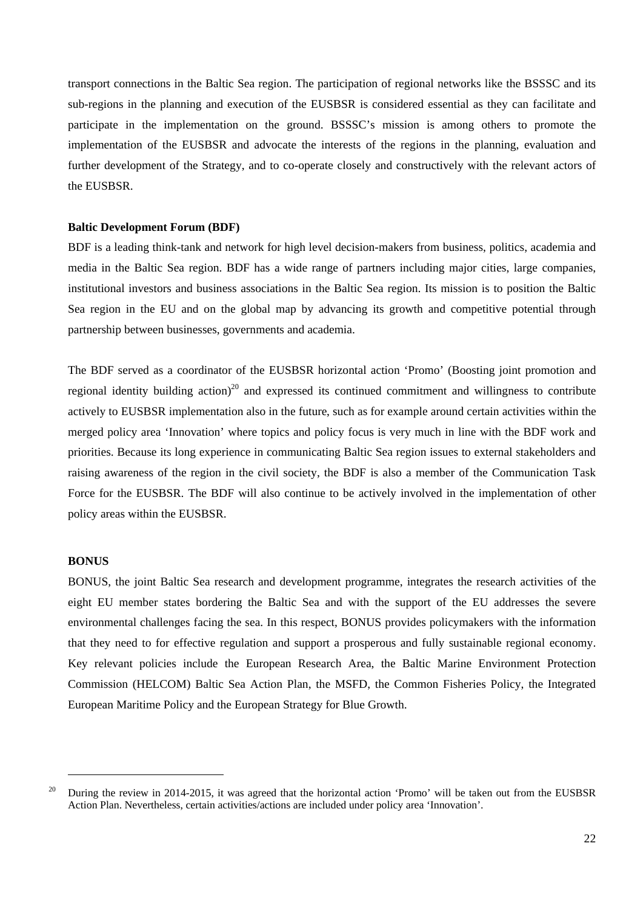transport connections in the Baltic Sea region. The participation of regional networks like the BSSSC and its sub-regions in the planning and execution of the EUSBSR is considered essential as they can facilitate and participate in the implementation on the ground. BSSSC's mission is among others to promote the implementation of the EUSBSR and advocate the interests of the regions in the planning, evaluation and further development of the Strategy, and to co-operate closely and constructively with the relevant actors of the EUSBSR.

#### **Baltic Development Forum (BDF)**

BDF is a leading think-tank and network for high level decision-makers from business, politics, academia and media in the Baltic Sea region. BDF has a wide range of partners including major cities, large companies, institutional investors and business associations in the Baltic Sea region. Its mission is to position the Baltic Sea region in the EU and on the global map by advancing its growth and competitive potential through partnership between businesses, governments and academia.

The BDF served as a coordinator of the EUSBSR horizontal action 'Promo' (Boosting joint promotion and regional identity building action)<sup>20</sup> and expressed its continued commitment and willingness to contribute actively to EUSBSR implementation also in the future, such as for example around certain activities within the merged policy area 'Innovation' where topics and policy focus is very much in line with the BDF work and priorities. Because its long experience in communicating Baltic Sea region issues to external stakeholders and raising awareness of the region in the civil society, the BDF is also a member of the Communication Task Force for the EUSBSR. The BDF will also continue to be actively involved in the implementation of other policy areas within the EUSBSR.

#### **BONUS**

1

BONUS, the joint Baltic Sea research and development programme, integrates the research activities of the eight EU member states bordering the Baltic Sea and with the support of the EU addresses the severe environmental challenges facing the sea. In this respect, BONUS provides policymakers with the information that they need to for effective regulation and support a prosperous and fully sustainable regional economy. Key relevant policies include the European Research Area, the Baltic Marine Environment Protection Commission (HELCOM) Baltic Sea Action Plan, the MSFD, the Common Fisheries Policy, the Integrated European Maritime Policy and the European Strategy for Blue Growth.

<sup>&</sup>lt;sup>20</sup> During the review in 2014-2015, it was agreed that the horizontal action 'Promo' will be taken out from the EUSBSR Action Plan. Nevertheless, certain activities/actions are included under policy area 'Innovation'.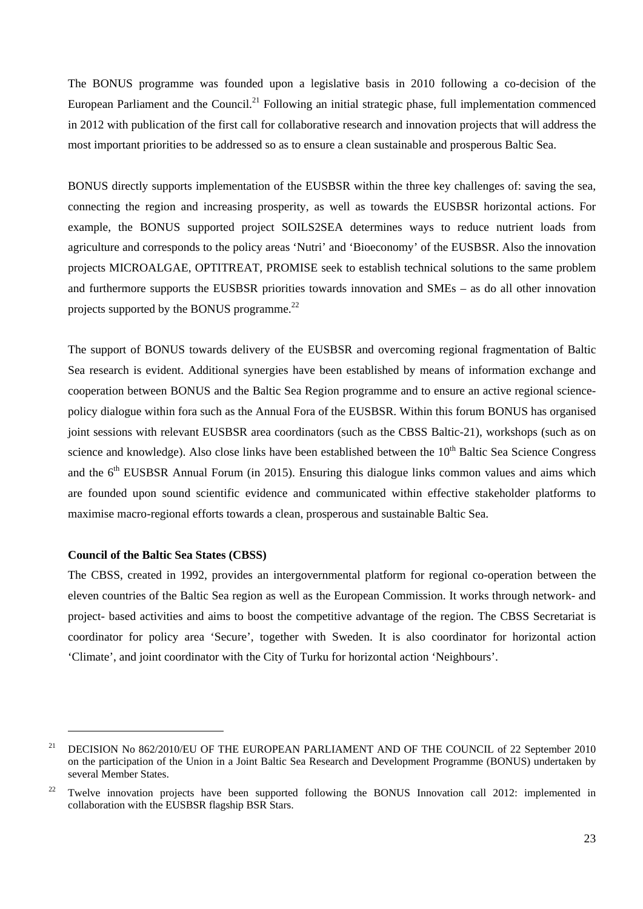The BONUS programme was founded upon a legislative basis in 2010 following a co-decision of the European Parliament and the Council.<sup>21</sup> Following an initial strategic phase, full implementation commenced in 2012 with publication of the first call for collaborative research and innovation projects that will address the most important priorities to be addressed so as to ensure a clean sustainable and prosperous Baltic Sea.

BONUS directly supports implementation of the EUSBSR within the three key challenges of: saving the sea, connecting the region and increasing prosperity, as well as towards the EUSBSR horizontal actions. For example, the BONUS supported project SOILS2SEA determines ways to reduce nutrient loads from agriculture and corresponds to the policy areas 'Nutri' and 'Bioeconomy' of the EUSBSR. Also the innovation projects MICROALGAE, OPTITREAT, PROMISE seek to establish technical solutions to the same problem and furthermore supports the EUSBSR priorities towards innovation and SMEs – as do all other innovation projects supported by the BONUS programme.<sup>22</sup>

The support of BONUS towards delivery of the EUSBSR and overcoming regional fragmentation of Baltic Sea research is evident. Additional synergies have been established by means of information exchange and cooperation between BONUS and the Baltic Sea Region programme and to ensure an active regional sciencepolicy dialogue within fora such as the Annual Fora of the EUSBSR. Within this forum BONUS has organised joint sessions with relevant EUSBSR area coordinators (such as the CBSS Baltic-21), workshops (such as on science and knowledge). Also close links have been established between the 10<sup>th</sup> Baltic Sea Science Congress and the  $6<sup>th</sup> EUSBSR$  Annual Forum (in 2015). Ensuring this dialogue links common values and aims which are founded upon sound scientific evidence and communicated within effective stakeholder platforms to maximise macro-regional efforts towards a clean, prosperous and sustainable Baltic Sea.

#### **Council of the Baltic Sea States (CBSS)**

1

The CBSS, created in 1992, provides an intergovernmental platform for regional co-operation between the eleven countries of the Baltic Sea region as well as the European Commission. It works through network- and project- based activities and aims to boost the competitive advantage of the region. The CBSS Secretariat is coordinator for policy area 'Secure', together with Sweden. It is also coordinator for horizontal action 'Climate', and joint coordinator with the City of Turku for horizontal action 'Neighbours'.

<sup>&</sup>lt;sup>21</sup> DECISION No 862/2010/EU OF THE EUROPEAN PARLIAMENT AND OF THE COUNCIL of 22 September 2010 on the participation of the Union in a Joint Baltic Sea Research and Development Programme (BONUS) undertaken by several Member States.

<sup>&</sup>lt;sup>22</sup> Twelve innovation projects have been supported following the BONUS Innovation call 2012: implemented in collaboration with the EUSBSR flagship BSR Stars.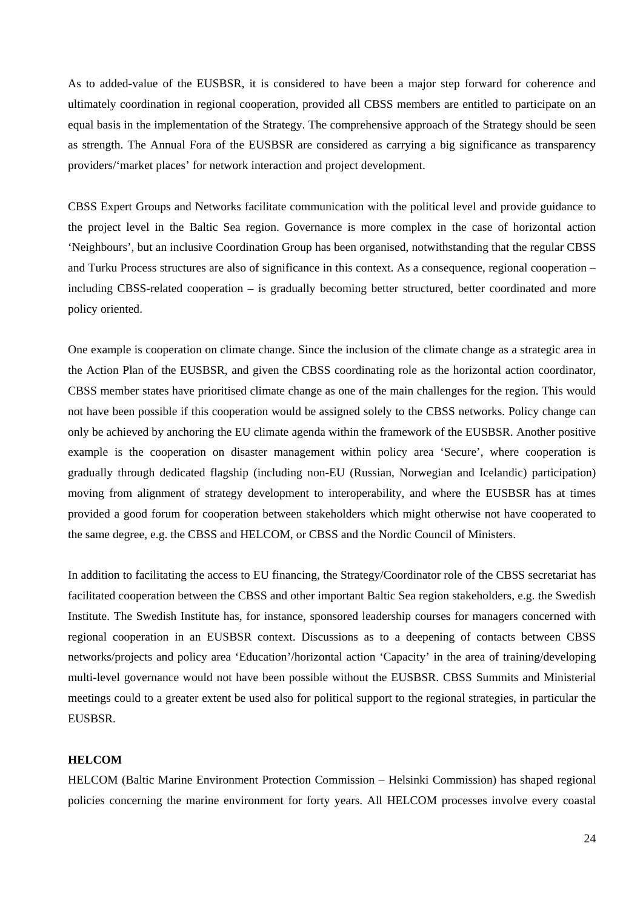As to added-value of the EUSBSR, it is considered to have been a major step forward for coherence and ultimately coordination in regional cooperation, provided all CBSS members are entitled to participate on an equal basis in the implementation of the Strategy. The comprehensive approach of the Strategy should be seen as strength. The Annual Fora of the EUSBSR are considered as carrying a big significance as transparency providers/'market places' for network interaction and project development.

CBSS Expert Groups and Networks facilitate communication with the political level and provide guidance to the project level in the Baltic Sea region. Governance is more complex in the case of horizontal action 'Neighbours', but an inclusive Coordination Group has been organised, notwithstanding that the regular CBSS and Turku Process structures are also of significance in this context. As a consequence, regional cooperation – including CBSS-related cooperation – is gradually becoming better structured, better coordinated and more policy oriented.

One example is cooperation on climate change. Since the inclusion of the climate change as a strategic area in the Action Plan of the EUSBSR, and given the CBSS coordinating role as the horizontal action coordinator, CBSS member states have prioritised climate change as one of the main challenges for the region. This would not have been possible if this cooperation would be assigned solely to the CBSS networks. Policy change can only be achieved by anchoring the EU climate agenda within the framework of the EUSBSR. Another positive example is the cooperation on disaster management within policy area 'Secure', where cooperation is gradually through dedicated flagship (including non-EU (Russian, Norwegian and Icelandic) participation) moving from alignment of strategy development to interoperability, and where the EUSBSR has at times provided a good forum for cooperation between stakeholders which might otherwise not have cooperated to the same degree, e.g. the CBSS and HELCOM, or CBSS and the Nordic Council of Ministers.

In addition to facilitating the access to EU financing, the Strategy/Coordinator role of the CBSS secretariat has facilitated cooperation between the CBSS and other important Baltic Sea region stakeholders, e.g. the Swedish Institute. The Swedish Institute has, for instance, sponsored leadership courses for managers concerned with regional cooperation in an EUSBSR context. Discussions as to a deepening of contacts between CBSS networks/projects and policy area 'Education'/horizontal action 'Capacity' in the area of training/developing multi-level governance would not have been possible without the EUSBSR. CBSS Summits and Ministerial meetings could to a greater extent be used also for political support to the regional strategies, in particular the EUSBSR.

#### **HELCOM**

HELCOM (Baltic Marine Environment Protection Commission – Helsinki Commission) has shaped regional policies concerning the marine environment for forty years. All HELCOM processes involve every coastal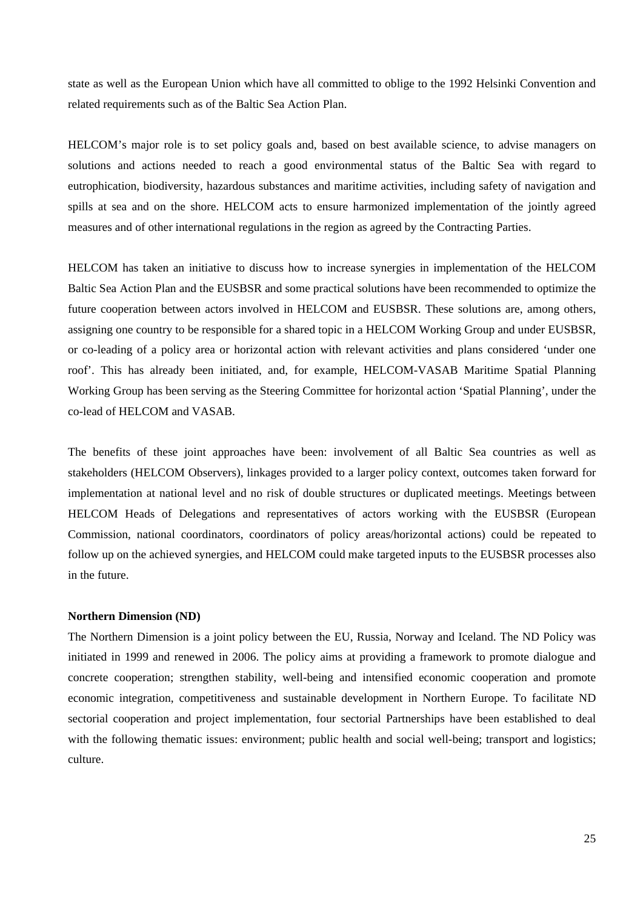state as well as the European Union which have all committed to oblige to the 1992 Helsinki Convention and related requirements such as of the Baltic Sea Action Plan.

HELCOM's major role is to set policy goals and, based on best available science, to advise managers on solutions and actions needed to reach a good environmental status of the Baltic Sea with regard to eutrophication, biodiversity, hazardous substances and maritime activities, including safety of navigation and spills at sea and on the shore. HELCOM acts to ensure harmonized implementation of the jointly agreed measures and of other international regulations in the region as agreed by the Contracting Parties.

HELCOM has taken an initiative to discuss how to increase synergies in implementation of the HELCOM Baltic Sea Action Plan and the EUSBSR and some practical solutions have been recommended to optimize the future cooperation between actors involved in HELCOM and EUSBSR. These solutions are, among others, assigning one country to be responsible for a shared topic in a HELCOM Working Group and under EUSBSR, or co-leading of a policy area or horizontal action with relevant activities and plans considered 'under one roof'. This has already been initiated, and, for example, HELCOM-VASAB Maritime Spatial Planning Working Group has been serving as the Steering Committee for horizontal action 'Spatial Planning', under the co-lead of HELCOM and VASAB.

The benefits of these joint approaches have been: involvement of all Baltic Sea countries as well as stakeholders (HELCOM Observers), linkages provided to a larger policy context, outcomes taken forward for implementation at national level and no risk of double structures or duplicated meetings. Meetings between HELCOM Heads of Delegations and representatives of actors working with the EUSBSR (European Commission, national coordinators, coordinators of policy areas/horizontal actions) could be repeated to follow up on the achieved synergies, and HELCOM could make targeted inputs to the EUSBSR processes also in the future.

#### **Northern Dimension (ND)**

The Northern Dimension is a joint policy between the EU, Russia, Norway and Iceland. The ND Policy was initiated in 1999 and renewed in 2006. The policy aims at providing a framework to promote dialogue and concrete cooperation; strengthen stability, well-being and intensified economic cooperation and promote economic integration, competitiveness and sustainable development in Northern Europe. To facilitate ND sectorial cooperation and project implementation, four sectorial Partnerships have been established to deal with the following thematic issues: environment; public health and social well-being; transport and logistics; culture.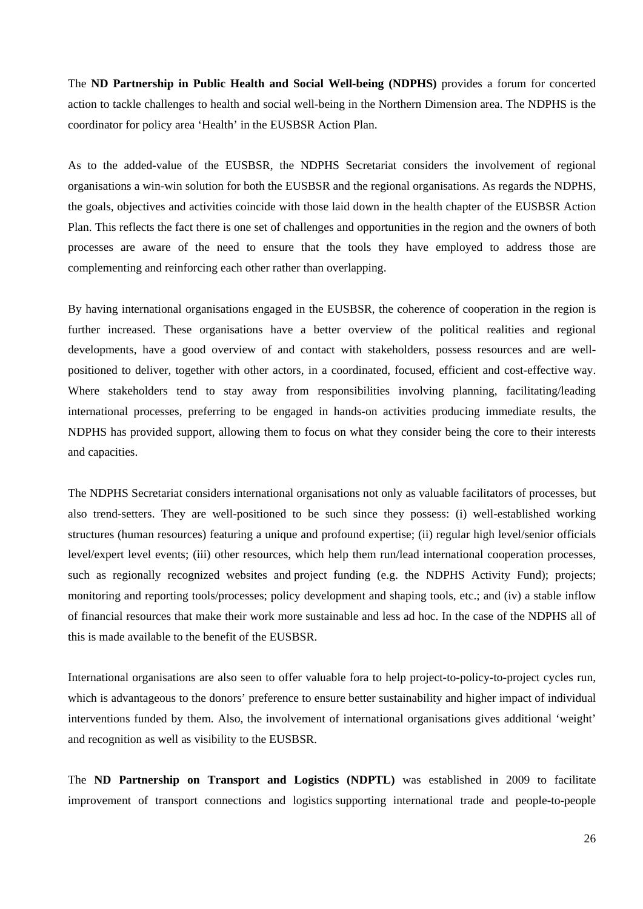The **ND Partnership in Public Health and Social Well-being (NDPHS)** provides a forum for concerted action to tackle challenges to health and social well-being in the Northern Dimension area. The NDPHS is the coordinator for policy area 'Health' in the EUSBSR Action Plan.

As to the added-value of the EUSBSR, the NDPHS Secretariat considers the involvement of regional organisations a win-win solution for both the EUSBSR and the regional organisations. As regards the NDPHS, the goals, objectives and activities coincide with those laid down in the health chapter of the EUSBSR Action Plan. This reflects the fact there is one set of challenges and opportunities in the region and the owners of both processes are aware of the need to ensure that the tools they have employed to address those are complementing and reinforcing each other rather than overlapping.

By having international organisations engaged in the EUSBSR, the coherence of cooperation in the region is further increased. These organisations have a better overview of the political realities and regional developments, have a good overview of and contact with stakeholders, possess resources and are wellpositioned to deliver, together with other actors, in a coordinated, focused, efficient and cost-effective way. Where stakeholders tend to stay away from responsibilities involving planning, facilitating/leading international processes, preferring to be engaged in hands-on activities producing immediate results, the NDPHS has provided support, allowing them to focus on what they consider being the core to their interests and capacities.

The NDPHS Secretariat considers international organisations not only as valuable facilitators of processes, but also trend-setters. They are well-positioned to be such since they possess: (i) well-established working structures (human resources) featuring a unique and profound expertise; (ii) regular high level/senior officials level/expert level events; (iii) other resources, which help them run/lead international cooperation processes, such as regionally recognized websites and project funding (e.g. the NDPHS Activity Fund); projects; monitoring and reporting tools/processes; policy development and shaping tools, etc.; and (iv) a stable inflow of financial resources that make their work more sustainable and less ad hoc. In the case of the NDPHS all of this is made available to the benefit of the EUSBSR.

International organisations are also seen to offer valuable fora to help project-to-policy-to-project cycles run, which is advantageous to the donors' preference to ensure better sustainability and higher impact of individual interventions funded by them. Also, the involvement of international organisations gives additional 'weight' and recognition as well as visibility to the EUSBSR.

The **ND Partnership on Transport and Logistics (NDPTL)** was established in 2009 to facilitate improvement of transport connections and logistics supporting international trade and people-to-people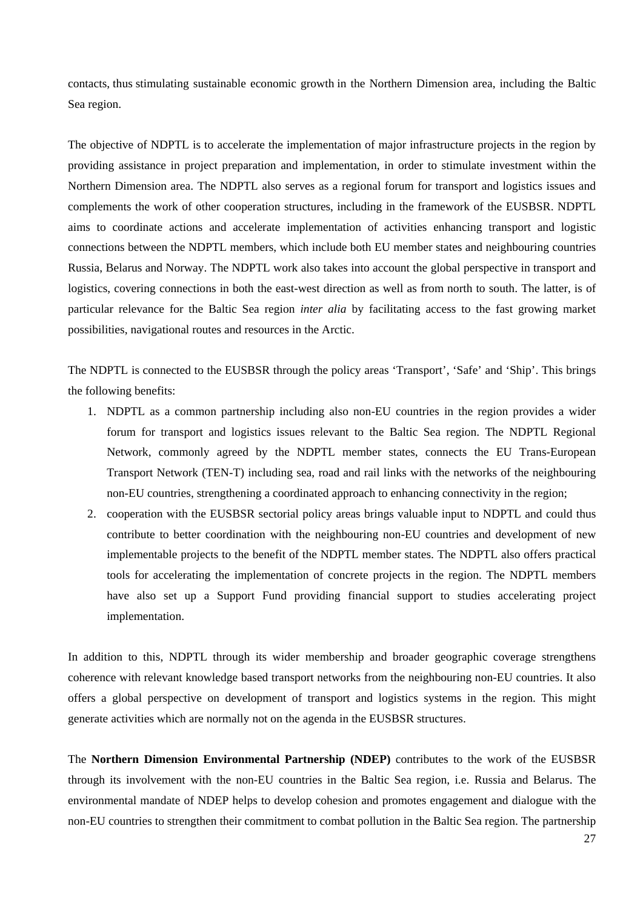contacts, thus stimulating sustainable economic growth in the Northern Dimension area, including the Baltic Sea region.

The objective of NDPTL is to accelerate the implementation of major infrastructure projects in the region by providing assistance in project preparation and implementation, in order to stimulate investment within the Northern Dimension area. The NDPTL also serves as a regional forum for transport and logistics issues and complements the work of other cooperation structures, including in the framework of the EUSBSR. NDPTL aims to coordinate actions and accelerate implementation of activities enhancing transport and logistic connections between the NDPTL members, which include both EU member states and neighbouring countries Russia, Belarus and Norway. The NDPTL work also takes into account the global perspective in transport and logistics, covering connections in both the east-west direction as well as from north to south. The latter, is of particular relevance for the Baltic Sea region *inter alia* by facilitating access to the fast growing market possibilities, navigational routes and resources in the Arctic.

The NDPTL is connected to the EUSBSR through the policy areas 'Transport', 'Safe' and 'Ship'. This brings the following benefits:

- 1. NDPTL as a common partnership including also non-EU countries in the region provides a wider forum for transport and logistics issues relevant to the Baltic Sea region. The NDPTL Regional Network, commonly agreed by the NDPTL member states, connects the EU Trans-European Transport Network (TEN-T) including sea, road and rail links with the networks of the neighbouring non-EU countries, strengthening a coordinated approach to enhancing connectivity in the region;
- 2. cooperation with the EUSBSR sectorial policy areas brings valuable input to NDPTL and could thus contribute to better coordination with the neighbouring non-EU countries and development of new implementable projects to the benefit of the NDPTL member states. The NDPTL also offers practical tools for accelerating the implementation of concrete projects in the region. The NDPTL members have also set up a Support Fund providing financial support to studies accelerating project implementation.

In addition to this, NDPTL through its wider membership and broader geographic coverage strengthens coherence with relevant knowledge based transport networks from the neighbouring non-EU countries. It also offers a global perspective on development of transport and logistics systems in the region. This might generate activities which are normally not on the agenda in the EUSBSR structures.

The **Northern Dimension Environmental Partnership (NDEP)** contributes to the work of the EUSBSR through its involvement with the non-EU countries in the Baltic Sea region, i.e. Russia and Belarus. The environmental mandate of NDEP helps to develop cohesion and promotes engagement and dialogue with the non-EU countries to strengthen their commitment to combat pollution in the Baltic Sea region. The partnership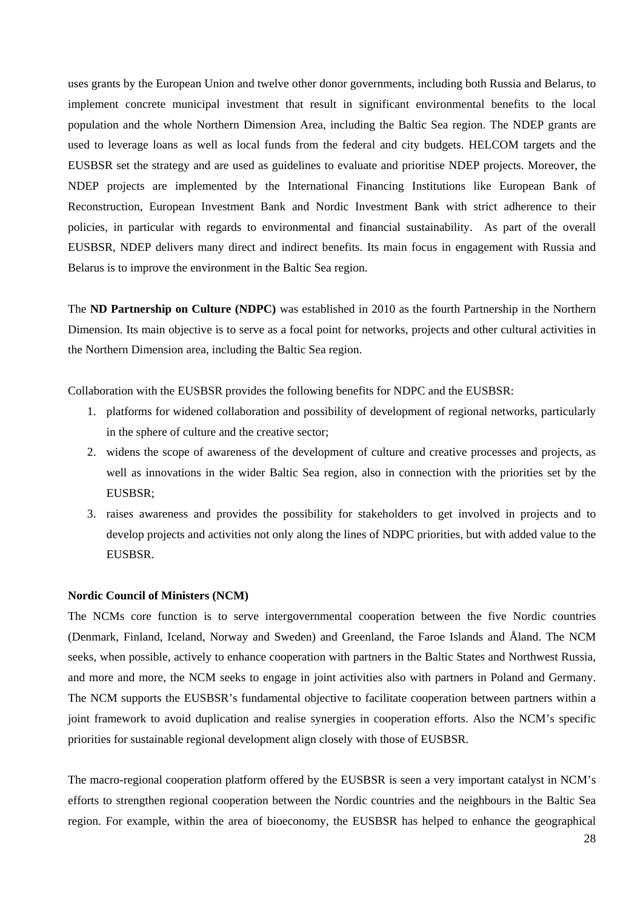uses grants by the European Union and twelve other donor governments, including both Russia and Belarus, to implement concrete municipal investment that result in significant environmental benefits to the local population and the whole Northern Dimension Area, including the Baltic Sea region. The NDEP grants are used to leverage loans as well as local funds from the federal and city budgets. HELCOM targets and the EUSBSR set the strategy and are used as guidelines to evaluate and prioritise NDEP projects. Moreover, the NDEP projects are implemented by the International Financing Institutions like European Bank of Reconstruction, European Investment Bank and Nordic Investment Bank with strict adherence to their policies, in particular with regards to environmental and financial sustainability. As part of the overall EUSBSR, NDEP delivers many direct and indirect benefits. Its main focus in engagement with Russia and Belarus is to improve the environment in the Baltic Sea region.

The **ND Partnership on Culture (NDPC)** was established in 2010 as the fourth Partnership in the Northern Dimension. Its main objective is to serve as a focal point for networks, projects and other cultural activities in the Northern Dimension area, including the Baltic Sea region.

Collaboration with the EUSBSR provides the following benefits for NDPC and the EUSBSR:

- 1. platforms for widened collaboration and possibility of development of regional networks, particularly in the sphere of culture and the creative sector;
- 2. widens the scope of awareness of the development of culture and creative processes and projects, as well as innovations in the wider Baltic Sea region, also in connection with the priorities set by the EUSBSR;
- 3. raises awareness and provides the possibility for stakeholders to get involved in projects and to develop projects and activities not only along the lines of NDPC priorities, but with added value to the EUSBSR.

#### **Nordic Council of Ministers (NCM)**

The NCMs core function is to serve intergovernmental cooperation between the five Nordic countries (Denmark, Finland, Iceland, Norway and Sweden) and Greenland, the Faroe Islands and Åland. The NCM seeks, when possible, actively to enhance cooperation with partners in the Baltic States and Northwest Russia, and more and more, the NCM seeks to engage in joint activities also with partners in Poland and Germany. The NCM supports the EUSBSR's fundamental objective to facilitate cooperation between partners within a joint framework to avoid duplication and realise synergies in cooperation efforts. Also the NCM's specific priorities for sustainable regional development align closely with those of EUSBSR.

The macro-regional cooperation platform offered by the EUSBSR is seen a very important catalyst in NCM's efforts to strengthen regional cooperation between the Nordic countries and the neighbours in the Baltic Sea region. For example, within the area of bioeconomy, the EUSBSR has helped to enhance the geographical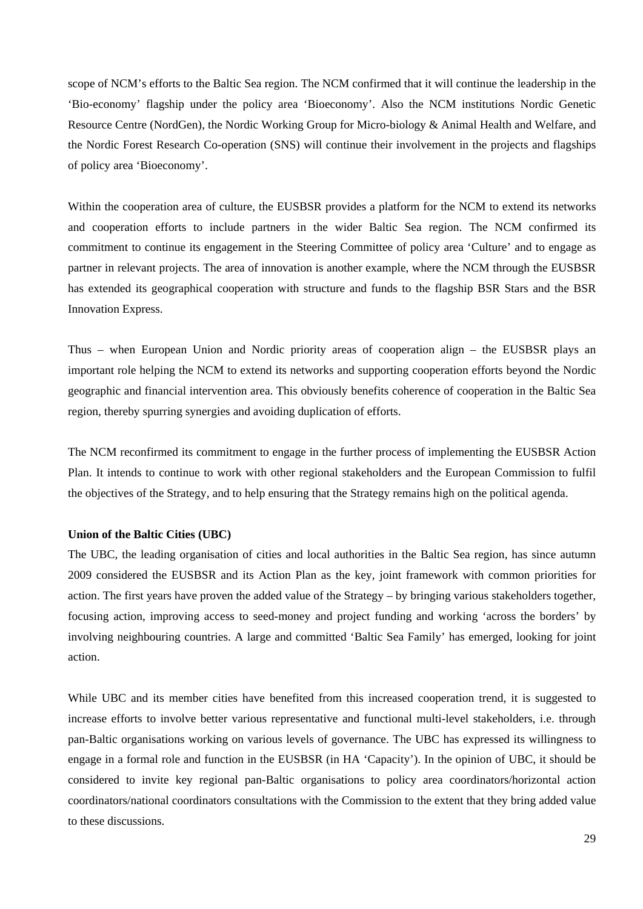scope of NCM's efforts to the Baltic Sea region. The NCM confirmed that it will continue the leadership in the 'Bio-economy' flagship under the policy area 'Bioeconomy'. Also the NCM institutions Nordic Genetic Resource Centre (NordGen), the Nordic Working Group for Micro-biology & Animal Health and Welfare, and the Nordic Forest Research Co-operation (SNS) will continue their involvement in the projects and flagships of policy area 'Bioeconomy'.

Within the cooperation area of culture, the EUSBSR provides a platform for the NCM to extend its networks and cooperation efforts to include partners in the wider Baltic Sea region. The NCM confirmed its commitment to continue its engagement in the Steering Committee of policy area 'Culture' and to engage as partner in relevant projects. The area of innovation is another example, where the NCM through the EUSBSR has extended its geographical cooperation with structure and funds to the flagship BSR Stars and the BSR Innovation Express.

Thus – when European Union and Nordic priority areas of cooperation align – the EUSBSR plays an important role helping the NCM to extend its networks and supporting cooperation efforts beyond the Nordic geographic and financial intervention area. This obviously benefits coherence of cooperation in the Baltic Sea region, thereby spurring synergies and avoiding duplication of efforts.

The NCM reconfirmed its commitment to engage in the further process of implementing the EUSBSR Action Plan. It intends to continue to work with other regional stakeholders and the European Commission to fulfil the objectives of the Strategy, and to help ensuring that the Strategy remains high on the political agenda.

#### **Union of the Baltic Cities (UBC)**

The UBC, the leading organisation of cities and local authorities in the Baltic Sea region, has since autumn 2009 considered the EUSBSR and its Action Plan as the key, joint framework with common priorities for action. The first years have proven the added value of the Strategy – by bringing various stakeholders together, focusing action, improving access to seed-money and project funding and working 'across the borders' by involving neighbouring countries. A large and committed 'Baltic Sea Family' has emerged, looking for joint action.

While UBC and its member cities have benefited from this increased cooperation trend, it is suggested to increase efforts to involve better various representative and functional multi-level stakeholders, i.e. through pan-Baltic organisations working on various levels of governance. The UBC has expressed its willingness to engage in a formal role and function in the EUSBSR (in HA 'Capacity'). In the opinion of UBC, it should be considered to invite key regional pan-Baltic organisations to policy area coordinators/horizontal action coordinators/national coordinators consultations with the Commission to the extent that they bring added value to these discussions.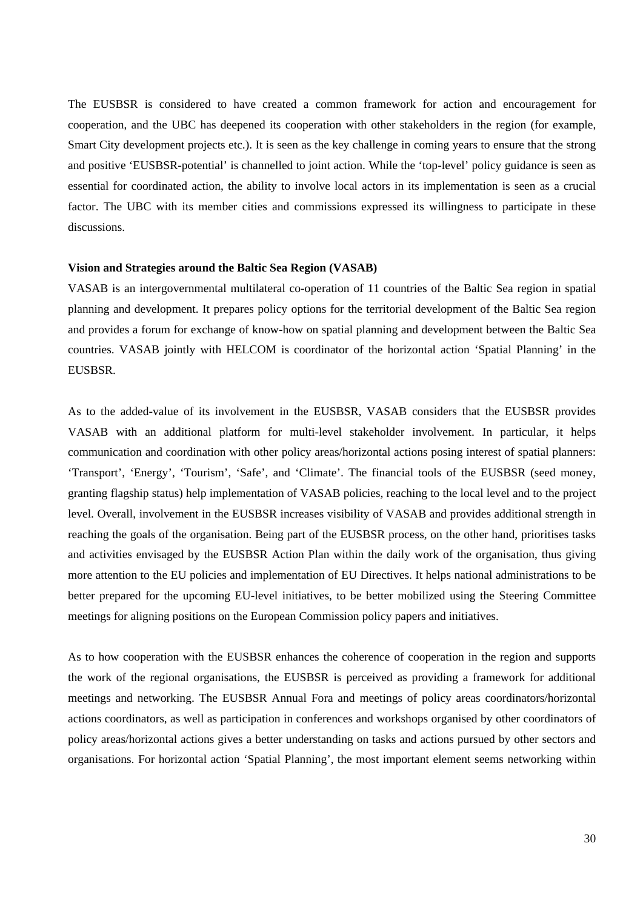The EUSBSR is considered to have created a common framework for action and encouragement for cooperation, and the UBC has deepened its cooperation with other stakeholders in the region (for example, Smart City development projects etc.). It is seen as the key challenge in coming years to ensure that the strong and positive 'EUSBSR-potential' is channelled to joint action. While the 'top-level' policy guidance is seen as essential for coordinated action, the ability to involve local actors in its implementation is seen as a crucial factor. The UBC with its member cities and commissions expressed its willingness to participate in these discussions.

#### **Vision and Strategies around the Baltic Sea Region (VASAB)**

VASAB is an intergovernmental multilateral co-operation of 11 countries of the Baltic Sea region in spatial planning and development. It prepares policy options for the territorial development of the Baltic Sea region and provides a forum for exchange of know-how on spatial planning and development between the Baltic Sea countries. VASAB jointly with HELCOM is coordinator of the horizontal action 'Spatial Planning' in the EUSBSR.

As to the added-value of its involvement in the EUSBSR, VASAB considers that the EUSBSR provides VASAB with an additional platform for multi-level stakeholder involvement. In particular, it helps communication and coordination with other policy areas/horizontal actions posing interest of spatial planners: 'Transport', 'Energy', 'Tourism', 'Safe', and 'Climate'. The financial tools of the EUSBSR (seed money, granting flagship status) help implementation of VASAB policies, reaching to the local level and to the project level. Overall, involvement in the EUSBSR increases visibility of VASAB and provides additional strength in reaching the goals of the organisation. Being part of the EUSBSR process, on the other hand, prioritises tasks and activities envisaged by the EUSBSR Action Plan within the daily work of the organisation, thus giving more attention to the EU policies and implementation of EU Directives. It helps national administrations to be better prepared for the upcoming EU-level initiatives, to be better mobilized using the Steering Committee meetings for aligning positions on the European Commission policy papers and initiatives.

As to how cooperation with the EUSBSR enhances the coherence of cooperation in the region and supports the work of the regional organisations, the EUSBSR is perceived as providing a framework for additional meetings and networking. The EUSBSR Annual Fora and meetings of policy areas coordinators/horizontal actions coordinators, as well as participation in conferences and workshops organised by other coordinators of policy areas/horizontal actions gives a better understanding on tasks and actions pursued by other sectors and organisations. For horizontal action 'Spatial Planning', the most important element seems networking within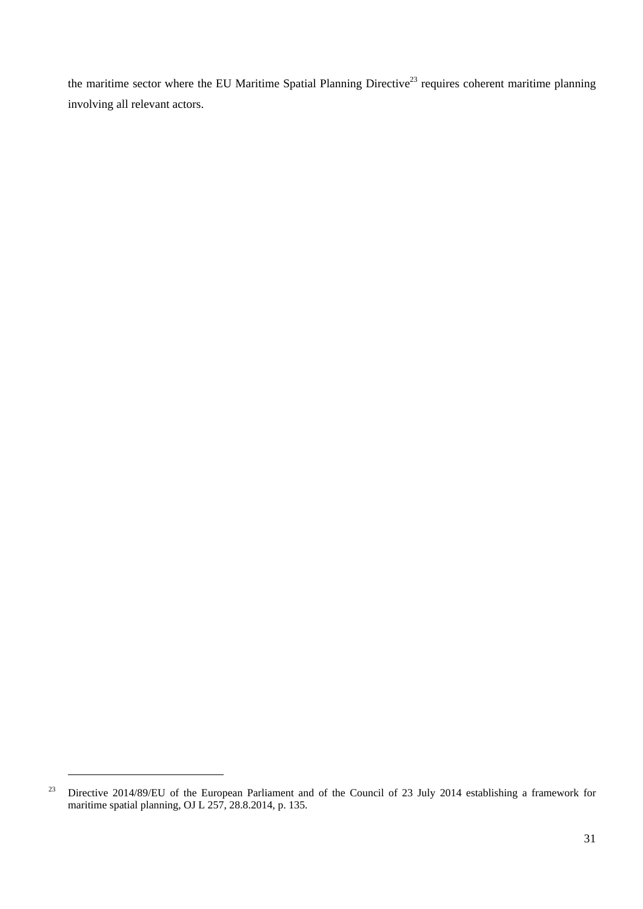the maritime sector where the EU Maritime Spatial Planning Directive<sup>23</sup> requires coherent maritime planning involving all relevant actors.

1

<sup>&</sup>lt;sup>23</sup> Directive 2014/89/EU of the European Parliament and of the Council of 23 July 2014 establishing a framework for maritime spatial planning, OJ L  $257$ ,  $28.8.2014$ , p. 135.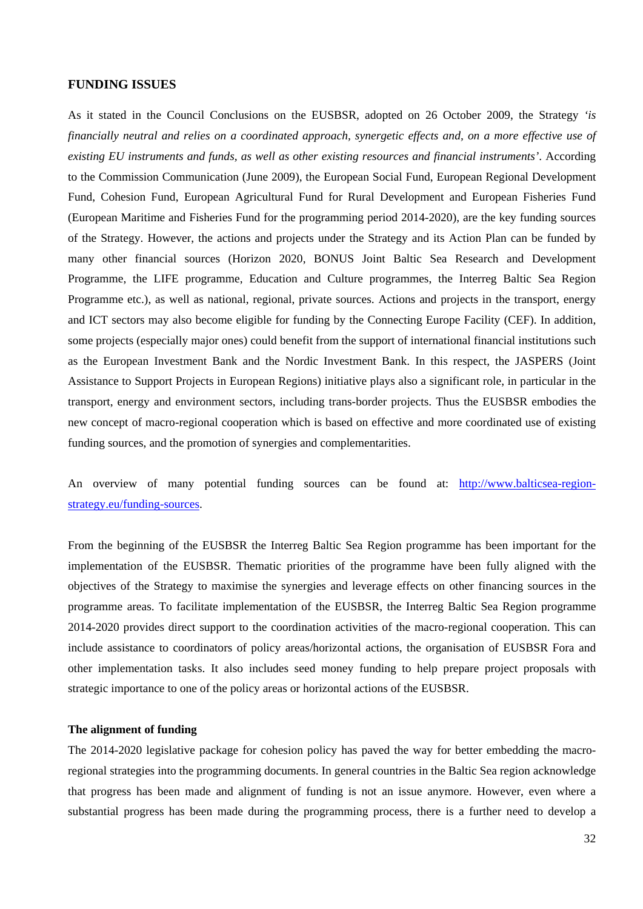#### <span id="page-32-0"></span>**FUNDING ISSUES**

As it stated in the Council Conclusions on the EUSBSR, adopted on 26 October 2009, the Strategy *'is financially neutral and relies on a coordinated approach, synergetic effects and, on a more effective use of existing EU instruments and funds, as well as other existing resources and financial instruments'*. According to the Commission Communication (June 2009), the European Social Fund, European Regional Development Fund, Cohesion Fund, European Agricultural Fund for Rural Development and European Fisheries Fund (European Maritime and Fisheries Fund for the programming period 2014-2020), are the key funding sources of the Strategy. However, the actions and projects under the Strategy and its Action Plan can be funded by many other financial sources (Horizon 2020, BONUS Joint Baltic Sea Research and Development Programme, the LIFE programme, Education and Culture programmes, the Interreg Baltic Sea Region Programme etc.), as well as national, regional, private sources. Actions and projects in the transport, energy and ICT sectors may also become eligible for funding by the Connecting Europe Facility (CEF). In addition, some projects (especially major ones) could benefit from the support of international financial institutions such as the European Investment Bank and the Nordic Investment Bank. In this respect, the JASPERS (Joint Assistance to Support Projects in European Regions) initiative plays also a significant role, in particular in the transport, energy and environment sectors, including trans-border projects. Thus the EUSBSR embodies the new concept of macro-regional cooperation which is based on effective and more coordinated use of existing funding sources, and the promotion of synergies and complementarities.

An overview of many potential funding sources can be found at: [http://www.balticsea-region](http://www.balticsea-region-strategy.eu/funding-sources)[strategy.eu/funding-sources.](http://www.balticsea-region-strategy.eu/funding-sources) 

From the beginning of the EUSBSR the Interreg Baltic Sea Region programme has been important for the implementation of the EUSBSR. Thematic priorities of the programme have been fully aligned with the objectives of the Strategy to maximise the synergies and leverage effects on other financing sources in the programme areas. To facilitate implementation of the EUSBSR, the Interreg Baltic Sea Region programme 2014-2020 provides direct support to the coordination activities of the macro-regional cooperation. This can include assistance to coordinators of policy areas/horizontal actions, the organisation of EUSBSR Fora and other implementation tasks. It also includes seed money funding to help prepare project proposals with strategic importance to one of the policy areas or horizontal actions of the EUSBSR.

## **The alignment of funding**

The 2014-2020 legislative package for cohesion policy has paved the way for better embedding the macroregional strategies into the programming documents. In general countries in the Baltic Sea region acknowledge that progress has been made and alignment of funding is not an issue anymore. However, even where a substantial progress has been made during the programming process, there is a further need to develop a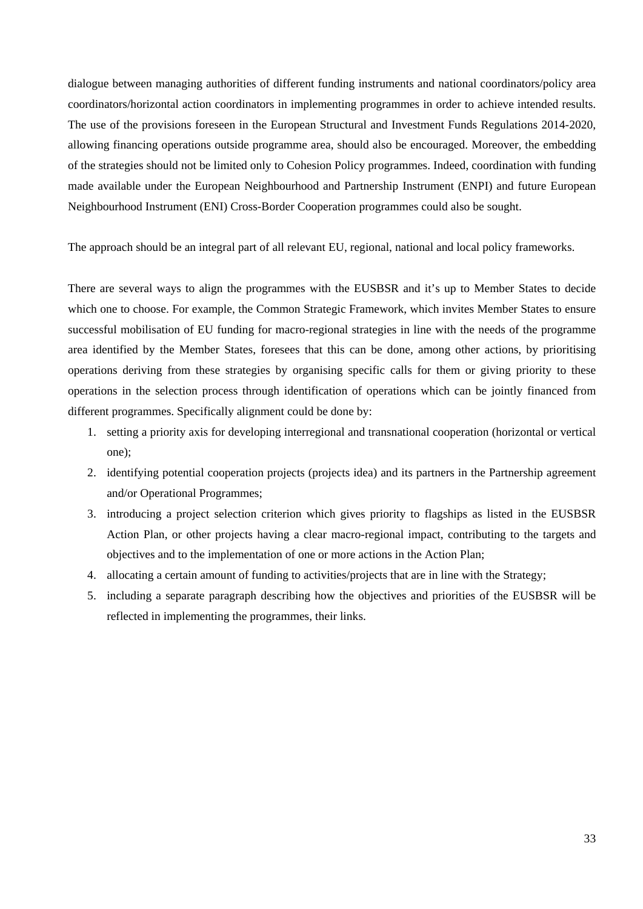dialogue between managing authorities of different funding instruments and national coordinators/policy area coordinators/horizontal action coordinators in implementing programmes in order to achieve intended results. The use of the provisions foreseen in the European Structural and Investment Funds Regulations 2014-2020, allowing financing operations outside programme area, should also be encouraged. Moreover, the embedding of the strategies should not be limited only to Cohesion Policy programmes. Indeed, coordination with funding made available under the European Neighbourhood and Partnership Instrument (ENPI) and future European Neighbourhood Instrument (ENI) Cross-Border Cooperation programmes could also be sought.

The approach should be an integral part of all relevant EU, regional, national and local policy frameworks.

There are several ways to align the programmes with the EUSBSR and it's up to Member States to decide which one to choose. For example, the Common Strategic Framework, which invites Member States to ensure successful mobilisation of EU funding for macro-regional strategies in line with the needs of the programme area identified by the Member States, foresees that this can be done, among other actions, by prioritising operations deriving from these strategies by organising specific calls for them or giving priority to these operations in the selection process through identification of operations which can be jointly financed from different programmes. Specifically alignment could be done by:

- 1. setting a priority axis for developing interregional and transnational cooperation (horizontal or vertical one);
- 2. identifying potential cooperation projects (projects idea) and its partners in the Partnership agreement and/or Operational Programmes;
- 3. introducing a project selection criterion which gives priority to flagships as listed in the EUSBSR Action Plan, or other projects having a clear macro-regional impact, contributing to the targets and objectives and to the implementation of one or more actions in the Action Plan;
- 4. allocating a certain amount of funding to activities/projects that are in line with the Strategy;
- 5. including a separate paragraph describing how the objectives and priorities of the EUSBSR will be reflected in implementing the programmes, their links.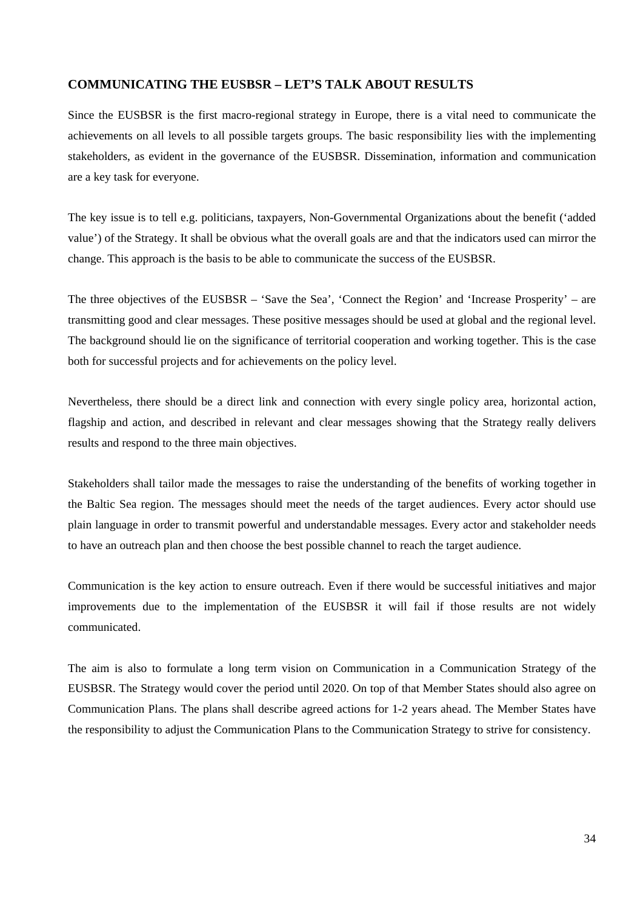## <span id="page-34-0"></span>**COMMUNICATING THE EUSBSR – LET'S TALK ABOUT RESULTS**

Since the EUSBSR is the first macro-regional strategy in Europe, there is a vital need to communicate the achievements on all levels to all possible targets groups. The basic responsibility lies with the implementing stakeholders, as evident in the governance of the EUSBSR. Dissemination, information and communication are a key task for everyone.

The key issue is to tell e.g. politicians, taxpayers, Non-Governmental Organizations about the benefit ('added value') of the Strategy. It shall be obvious what the overall goals are and that the indicators used can mirror the change. This approach is the basis to be able to communicate the success of the EUSBSR.

The three objectives of the EUSBSR – 'Save the Sea', 'Connect the Region' and 'Increase Prosperity' – are transmitting good and clear messages. These positive messages should be used at global and the regional level. The background should lie on the significance of territorial cooperation and working together. This is the case both for successful projects and for achievements on the policy level.

Nevertheless, there should be a direct link and connection with every single policy area, horizontal action, flagship and action, and described in relevant and clear messages showing that the Strategy really delivers results and respond to the three main objectives.

Stakeholders shall tailor made the messages to raise the understanding of the benefits of working together in the Baltic Sea region. The messages should meet the needs of the target audiences. Every actor should use plain language in order to transmit powerful and understandable messages. Every actor and stakeholder needs to have an outreach plan and then choose the best possible channel to reach the target audience.

Communication is the key action to ensure outreach. Even if there would be successful initiatives and major improvements due to the implementation of the EUSBSR it will fail if those results are not widely communicated.

The aim is also to formulate a long term vision on Communication in a Communication Strategy of the EUSBSR. The Strategy would cover the period until 2020. On top of that Member States should also agree on Communication Plans. The plans shall describe agreed actions for 1-2 years ahead. The Member States have the responsibility to adjust the Communication Plans to the Communication Strategy to strive for consistency.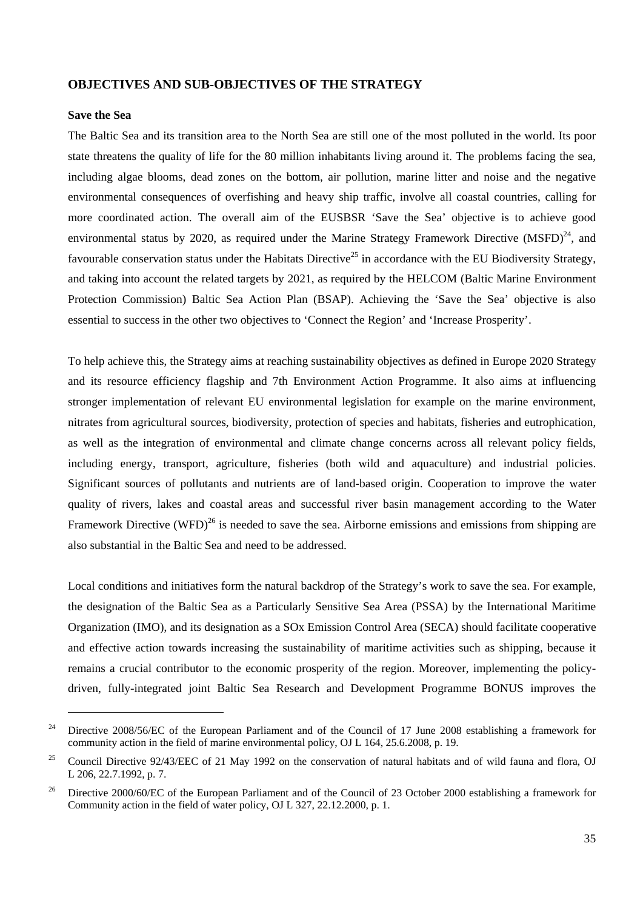#### <span id="page-35-0"></span>**OBJECTIVES AND SUB-OBJECTIVES OF THE STRATEGY**

#### <span id="page-35-1"></span>**Save the Sea**

-

The Baltic Sea and its transition area to the North Sea are still one of the most polluted in the world. Its poor state threatens the quality of life for the 80 million inhabitants living around it. The problems facing the sea, including algae blooms, dead zones on the bottom, air pollution, marine litter and noise and the negative environmental consequences of overfishing and heavy ship traffic, involve all coastal countries, calling for more coordinated action. The overall aim of the EUSBSR 'Save the Sea' objective is to achieve good environmental status by 2020, as required under the Marine Strategy Framework Directive  $(MSFD)^{24}$ , and favourable conservation status under the Habitats Directive<sup>25</sup> in accordance with the EU Biodiversity Strategy, and taking into account the related targets by 2021, as required by the HELCOM (Baltic Marine Environment Protection Commission) Baltic Sea Action Plan (BSAP). Achieving the 'Save the Sea' objective is also essential to success in the other two objectives to 'Connect the Region' and 'Increase Prosperity'.

To help achieve this, the Strategy aims at reaching sustainability objectives as defined in Europe 2020 Strategy and its resource efficiency flagship and 7th Environment Action Programme. It also aims at influencing stronger implementation of relevant EU environmental legislation for example on the marine environment, nitrates from agricultural sources, biodiversity, protection of species and habitats, fisheries and eutrophication, as well as the integration of environmental and climate change concerns across all relevant policy fields, including energy, transport, agriculture, fisheries (both wild and aquaculture) and industrial policies. Significant sources of pollutants and nutrients are of land-based origin. Cooperation to improve the water quality of rivers, lakes and coastal areas and successful river basin management according to the Water Framework Directive (WFD)<sup>26</sup> is needed to save the sea. Airborne emissions and emissions from shipping are also substantial in the Baltic Sea and need to be addressed.

Local conditions and initiatives form the natural backdrop of the Strategy's work to save the sea. For example, the designation of the Baltic Sea as a Particularly Sensitive Sea Area (PSSA) by the International Maritime Organization (IMO), and its designation as a SOx Emission Control Area (SECA) should facilitate cooperative and effective action towards increasing the sustainability of maritime activities such as shipping, because it remains a crucial contributor to the economic prosperity of the region. Moreover, implementing the policydriven, fully-integrated joint Baltic Sea Research and Development Programme BONUS improves the

<sup>&</sup>lt;sup>24</sup> Directive 2008/56/EC of the European Parliament and of the Council of 17 June 2008 establishing a framework for community action in the field of marine environmental policy, OJ L 164, 25.6.2008, p. 19.

<sup>&</sup>lt;sup>25</sup> Council Directive 92/43/EEC of 21 May 1992 on the conservation of natural habitats and of wild fauna and flora, OJ L 206, 22.7.1992, p. 7.

<sup>&</sup>lt;sup>26</sup> Directive 2000/60/EC of the European Parliament and of the Council of 23 October 2000 establishing a framework for Community action in the field of water policy, OJ L 327, 22.12.2000, p. 1.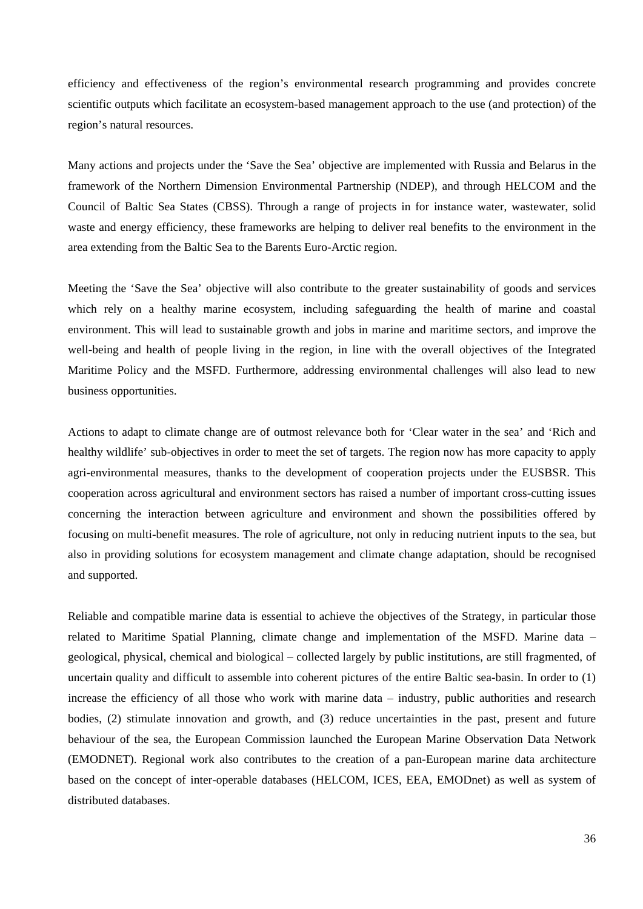efficiency and effectiveness of the region's environmental research programming and provides concrete scientific outputs which facilitate an ecosystem-based management approach to the use (and protection) of the region's natural resources.

Many actions and projects under the 'Save the Sea' objective are implemented with Russia and Belarus in the framework of the Northern Dimension Environmental Partnership (NDEP), and through HELCOM and the Council of Baltic Sea States (CBSS). Through a range of projects in for instance water, wastewater, solid waste and energy efficiency, these frameworks are helping to deliver real benefits to the environment in the area extending from the Baltic Sea to the Barents Euro-Arctic region.

Meeting the 'Save the Sea' objective will also contribute to the greater sustainability of goods and services which rely on a healthy marine ecosystem, including safeguarding the health of marine and coastal environment. This will lead to sustainable growth and jobs in marine and maritime sectors, and improve the well-being and health of people living in the region, in line with the overall objectives of the Integrated Maritime Policy and the MSFD. Furthermore, addressing environmental challenges will also lead to new business opportunities.

Actions to adapt to climate change are of outmost relevance both for 'Clear water in the sea' and 'Rich and healthy wildlife' sub-objectives in order to meet the set of targets. The region now has more capacity to apply agri-environmental measures, thanks to the development of cooperation projects under the EUSBSR. This cooperation across agricultural and environment sectors has raised a number of important cross-cutting issues concerning the interaction between agriculture and environment and shown the possibilities offered by focusing on multi-benefit measures. The role of agriculture, not only in reducing nutrient inputs to the sea, but also in providing solutions for ecosystem management and climate change adaptation, should be recognised and supported.

Reliable and compatible marine data is essential to achieve the objectives of the Strategy, in particular those related to Maritime Spatial Planning, climate change and implementation of the MSFD. Marine data – geological, physical, chemical and biological – collected largely by public institutions, are still fragmented, of uncertain quality and difficult to assemble into coherent pictures of the entire Baltic sea-basin. In order to (1) increase the efficiency of all those who work with marine data – industry, public authorities and research bodies, (2) stimulate innovation and growth, and (3) reduce uncertainties in the past, present and future behaviour of the sea, the European Commission launched the European Marine Observation Data Network (EMODNET). Regional work also contributes to the creation of a pan-European marine data architecture based on the concept of inter-operable databases (HELCOM, ICES, EEA, EMODnet) as well as system of distributed databases.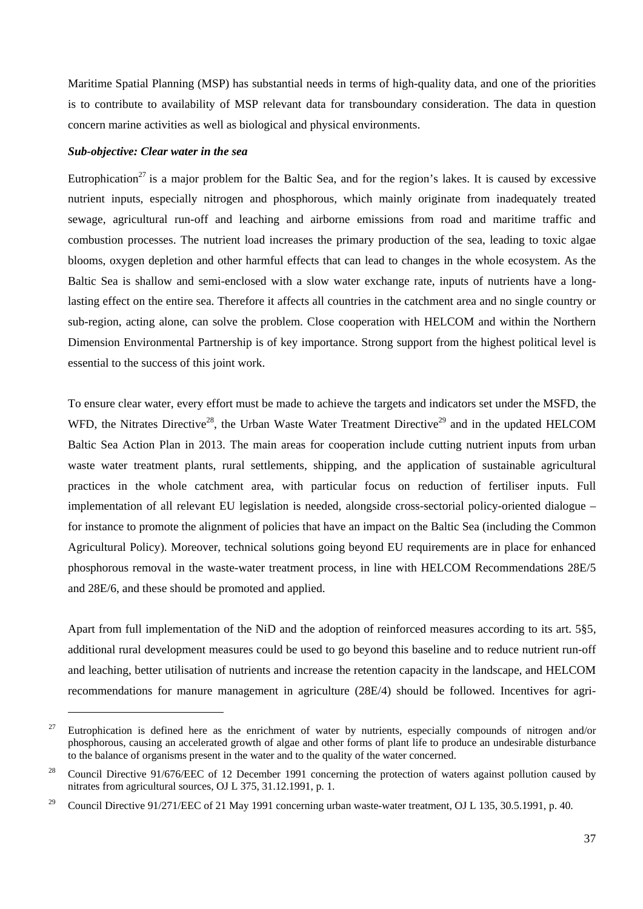Maritime Spatial Planning (MSP) has substantial needs in terms of high-quality data, and one of the priorities is to contribute to availability of MSP relevant data for transboundary consideration. The data in question concern marine activities as well as biological and physical environments.

### *Sub-objective: Clear water in the sea*

-

Eutrophication<sup>27</sup> is a major problem for the Baltic Sea, and for the region's lakes. It is caused by excessive nutrient inputs, especially nitrogen and phosphorous, which mainly originate from inadequately treated sewage, agricultural run-off and leaching and airborne emissions from road and maritime traffic and combustion processes. The nutrient load increases the primary production of the sea, leading to toxic algae blooms, oxygen depletion and other harmful effects that can lead to changes in the whole ecosystem. As the Baltic Sea is shallow and semi-enclosed with a slow water exchange rate, inputs of nutrients have a longlasting effect on the entire sea. Therefore it affects all countries in the catchment area and no single country or sub-region, acting alone, can solve the problem. Close cooperation with HELCOM and within the Northern Dimension Environmental Partnership is of key importance. Strong support from the highest political level is essential to the success of this joint work.

To ensure clear water, every effort must be made to achieve the targets and indicators set under the MSFD, the WFD, the Nitrates Directive<sup>28</sup>, the Urban Waste Water Treatment Directive<sup>29</sup> and in the updated HELCOM Baltic Sea Action Plan in 2013. The main areas for cooperation include cutting nutrient inputs from urban waste water treatment plants, rural settlements, shipping, and the application of sustainable agricultural practices in the whole catchment area, with particular focus on reduction of fertiliser inputs. Full implementation of all relevant EU legislation is needed, alongside cross-sectorial policy-oriented dialogue – for instance to promote the alignment of policies that have an impact on the Baltic Sea (including the Common Agricultural Policy). Moreover, technical solutions going beyond EU requirements are in place for enhanced phosphorous removal in the waste-water treatment process, in line with HELCOM Recommendations 28E/5 and 28E/6, and these should be promoted and applied.

Apart from full implementation of the NiD and the adoption of reinforced measures according to its art. 5§5, additional rural development measures could be used to go beyond this baseline and to reduce nutrient run-off and leaching, better utilisation of nutrients and increase the retention capacity in the landscape, and HELCOM recommendations for manure management in agriculture (28E/4) should be followed. Incentives for agri-

<sup>&</sup>lt;sup>27</sup> Eutrophication is defined here as the enrichment of water by nutrients, especially compounds of nitrogen and/or phosphorous, causing an accelerated growth of algae and other forms of plant life to produce an undesirable disturbance to the balance of organisms present in the water and to the quality of the water concerned.

<sup>&</sup>lt;sup>28</sup> Council Directive 91/676/EEC of 12 December 1991 concerning the protection of waters against pollution caused by nitrates from agricultural sources, OJ L 375, 31.12.1991, p. 1.

<sup>&</sup>lt;sup>29</sup> Council Directive 91/271/EEC of 21 May 1991 concerning urban waste-water treatment, OJ L 135, 30.5.1991, p. 40.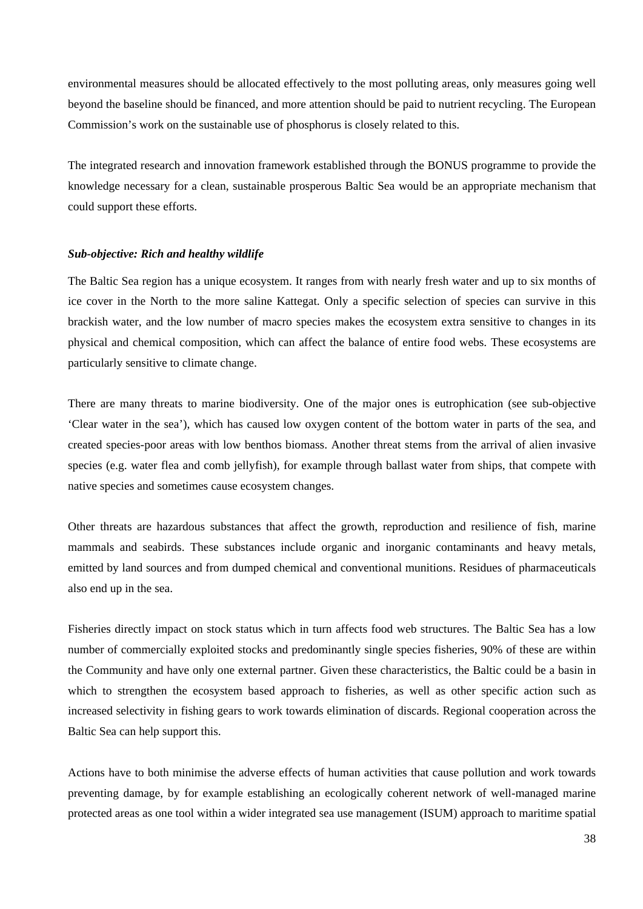environmental measures should be allocated effectively to the most polluting areas, only measures going well beyond the baseline should be financed, and more attention should be paid to nutrient recycling. The European Commission's work on the sustainable use of phosphorus is closely related to this.

The integrated research and innovation framework established through the BONUS programme to provide the knowledge necessary for a clean, sustainable prosperous Baltic Sea would be an appropriate mechanism that could support these efforts.

### *Sub-objective: Rich and healthy wildlife*

The Baltic Sea region has a unique ecosystem. It ranges from with nearly fresh water and up to six months of ice cover in the North to the more saline Kattegat. Only a specific selection of species can survive in this brackish water, and the low number of macro species makes the ecosystem extra sensitive to changes in its physical and chemical composition, which can affect the balance of entire food webs. These ecosystems are particularly sensitive to climate change.

There are many threats to marine biodiversity. One of the major ones is eutrophication (see sub-objective 'Clear water in the sea'), which has caused low oxygen content of the bottom water in parts of the sea, and created species-poor areas with low benthos biomass. Another threat stems from the arrival of alien invasive species (e.g. water flea and comb jellyfish), for example through ballast water from ships, that compete with native species and sometimes cause ecosystem changes.

Other threats are hazardous substances that affect the growth, reproduction and resilience of fish, marine mammals and seabirds. These substances include organic and inorganic contaminants and heavy metals, emitted by land sources and from dumped chemical and conventional munitions. Residues of pharmaceuticals also end up in the sea.

Fisheries directly impact on stock status which in turn affects food web structures. The Baltic Sea has a low number of commercially exploited stocks and predominantly single species fisheries, 90% of these are within the Community and have only one external partner. Given these characteristics, the Baltic could be a basin in which to strengthen the ecosystem based approach to fisheries, as well as other specific action such as increased selectivity in fishing gears to work towards elimination of discards. Regional cooperation across the Baltic Sea can help support this.

Actions have to both minimise the adverse effects of human activities that cause pollution and work towards preventing damage, by for example establishing an ecologically coherent network of well-managed marine protected areas as one tool within a wider integrated sea use management (ISUM) approach to maritime spatial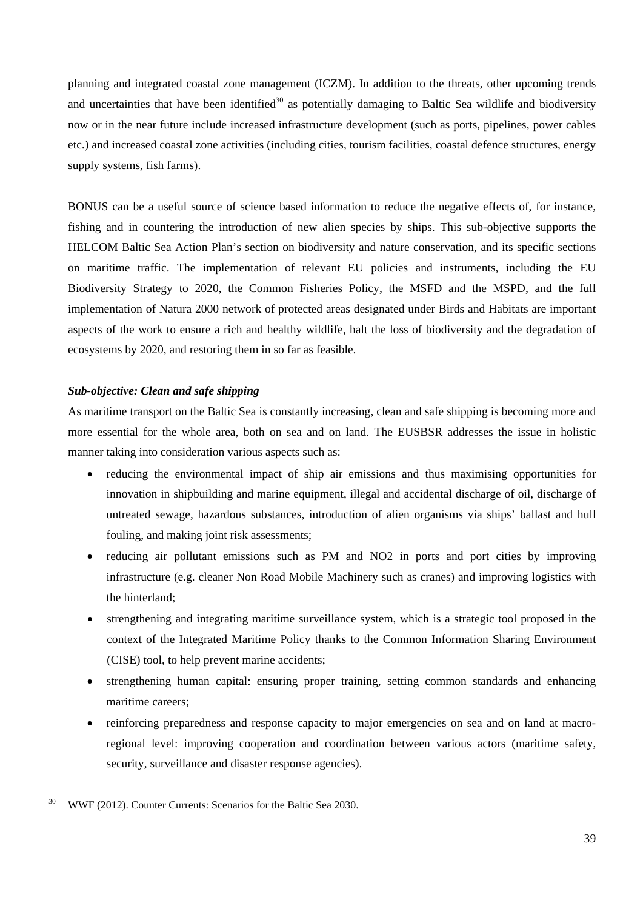planning and integrated coastal zone management (ICZM). In addition to the threats, other upcoming trends and uncertainties that have been identified<sup>30</sup> as potentially damaging to Baltic Sea wildlife and biodiversity now or in the near future include increased infrastructure development (such as ports, pipelines, power cables etc.) and increased coastal zone activities (including cities, tourism facilities, coastal defence structures, energy supply systems, fish farms).

BONUS can be a useful source of science based information to reduce the negative effects of, for instance, fishing and in countering the introduction of new alien species by ships. This sub-objective supports the HELCOM Baltic Sea Action Plan's section on biodiversity and nature conservation, and its specific sections on maritime traffic. The implementation of relevant EU policies and instruments, including the EU Biodiversity Strategy to 2020, the Common Fisheries Policy, the MSFD and the MSPD, and the full implementation of Natura 2000 network of protected areas designated under Birds and Habitats are important aspects of the work to ensure a rich and healthy wildlife, halt the loss of biodiversity and the degradation of ecosystems by 2020, and restoring them in so far as feasible.

### *Sub-objective: Clean and safe shipping*

As maritime transport on the Baltic Sea is constantly increasing, clean and safe shipping is becoming more and more essential for the whole area, both on sea and on land. The EUSBSR addresses the issue in holistic manner taking into consideration various aspects such as:

- reducing the environmental impact of ship air emissions and thus maximising opportunities for innovation in shipbuilding and marine equipment, illegal and accidental discharge of oil, discharge of untreated sewage, hazardous substances, introduction of alien organisms via ships' ballast and hull fouling, and making joint risk assessments;
- reducing air pollutant emissions such as PM and NO2 in ports and port cities by improving infrastructure (e.g. cleaner Non Road Mobile Machinery such as cranes) and improving logistics with the hinterland;
- strengthening and integrating maritime surveillance system, which is a strategic tool proposed in the context of the Integrated Maritime Policy thanks to the Common Information Sharing Environment (CISE) tool, to help prevent marine accidents;
- strengthening human capital: ensuring proper training, setting common standards and enhancing maritime careers;
- reinforcing preparedness and response capacity to major emergencies on sea and on land at macroregional level: improving cooperation and coordination between various actors (maritime safety, security, surveillance and disaster response agencies).

1

<sup>30</sup> WWF (2012). Counter Currents: Scenarios for the Baltic Sea 2030.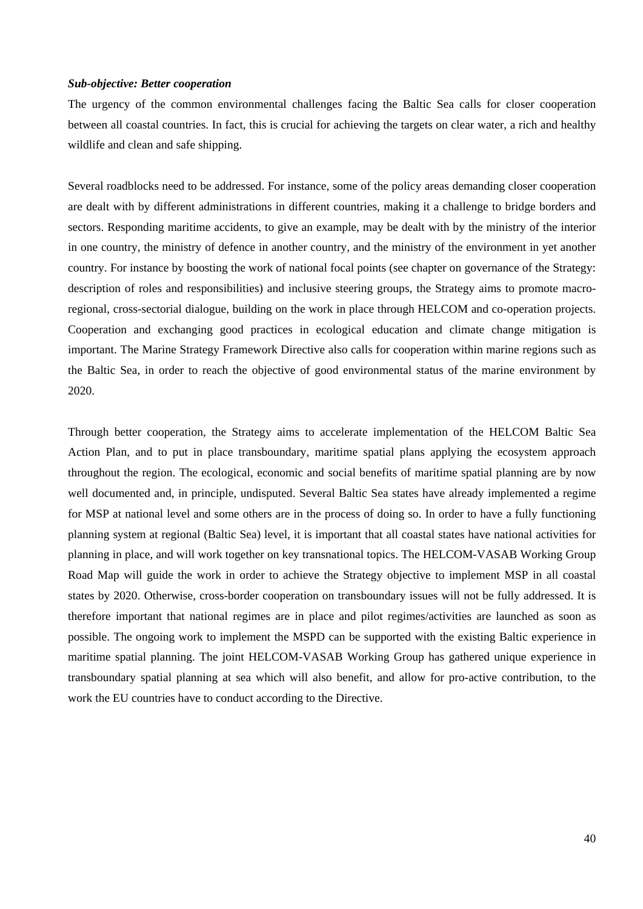### *Sub-objective: Better cooperation*

The urgency of the common environmental challenges facing the Baltic Sea calls for closer cooperation between all coastal countries. In fact, this is crucial for achieving the targets on clear water, a rich and healthy wildlife and clean and safe shipping.

Several roadblocks need to be addressed. For instance, some of the policy areas demanding closer cooperation are dealt with by different administrations in different countries, making it a challenge to bridge borders and sectors. Responding maritime accidents, to give an example, may be dealt with by the ministry of the interior in one country, the ministry of defence in another country, and the ministry of the environment in yet another country. For instance by boosting the work of national focal points (see chapter on governance of the Strategy: description of roles and responsibilities) and inclusive steering groups, the Strategy aims to promote macroregional, cross-sectorial dialogue, building on the work in place through HELCOM and co-operation projects. Cooperation and exchanging good practices in ecological education and climate change mitigation is important. The Marine Strategy Framework Directive also calls for cooperation within marine regions such as the Baltic Sea, in order to reach the objective of good environmental status of the marine environment by 2020.

Through better cooperation, the Strategy aims to accelerate implementation of the HELCOM Baltic Sea Action Plan, and to put in place transboundary, maritime spatial plans applying the ecosystem approach throughout the region. The ecological, economic and social benefits of maritime spatial planning are by now well documented and, in principle, undisputed. Several Baltic Sea states have already implemented a regime for MSP at national level and some others are in the process of doing so. In order to have a fully functioning planning system at regional (Baltic Sea) level, it is important that all coastal states have national activities for planning in place, and will work together on key transnational topics. The HELCOM-VASAB Working Group Road Map will guide the work in order to achieve the Strategy objective to implement MSP in all coastal states by 2020. Otherwise, cross-border cooperation on transboundary issues will not be fully addressed. It is therefore important that national regimes are in place and pilot regimes/activities are launched as soon as possible. The ongoing work to implement the MSPD can be supported with the existing Baltic experience in maritime spatial planning. The joint HELCOM-VASAB Working Group has gathered unique experience in transboundary spatial planning at sea which will also benefit, and allow for pro-active contribution, to the work the EU countries have to conduct according to the Directive.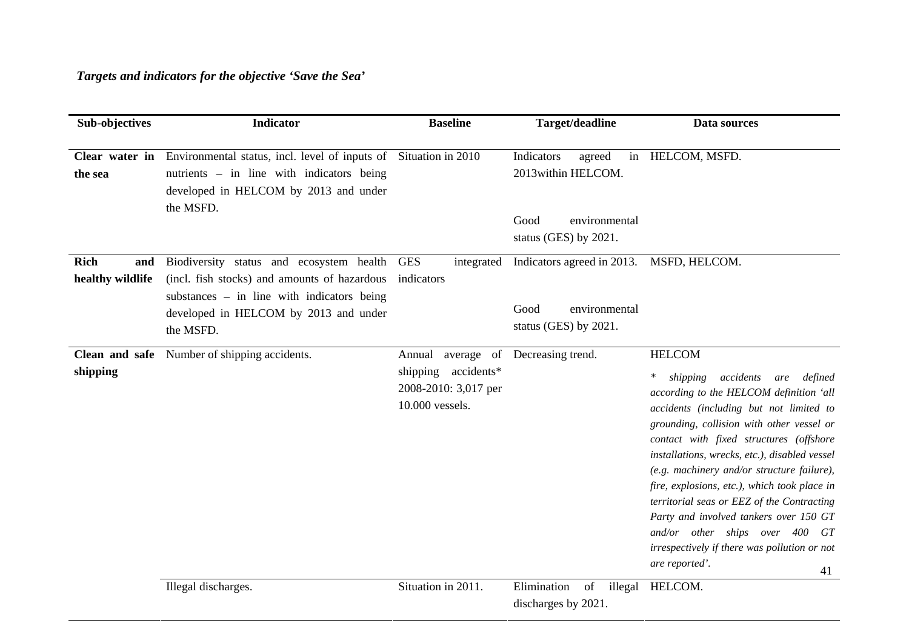| Sub-objectives                         | <b>Indicator</b>                                                                                                                                                                               | <b>Baseline</b>                                                                        | Target/deadline                                                                               | Data sources                                                                                                                                                                                                                                                                                                                                                                                                                                                                                                                                                                                   |
|----------------------------------------|------------------------------------------------------------------------------------------------------------------------------------------------------------------------------------------------|----------------------------------------------------------------------------------------|-----------------------------------------------------------------------------------------------|------------------------------------------------------------------------------------------------------------------------------------------------------------------------------------------------------------------------------------------------------------------------------------------------------------------------------------------------------------------------------------------------------------------------------------------------------------------------------------------------------------------------------------------------------------------------------------------------|
| the sea                                | <b>Clear water in</b> Environmental status, incl. level of inputs of Situation in 2010<br>nutrients – in line with indicators being<br>developed in HELCOM by 2013 and under<br>the MSFD.      |                                                                                        | Indicators<br>agreed<br>2013 within HELCOM.<br>environmental<br>Good<br>status (GES) by 2021. | in HELCOM, MSFD.                                                                                                                                                                                                                                                                                                                                                                                                                                                                                                                                                                               |
| <b>Rich</b><br>and<br>healthy wildlife | Biodiversity status and ecosystem health<br>(incl. fish stocks) and amounts of hazardous<br>substances $-$ in line with indicators being<br>developed in HELCOM by 2013 and under<br>the MSFD. | <b>GES</b><br>integrated<br>indicators                                                 | Indicators agreed in 2013.<br>environmental<br>Good<br>status (GES) by 2021.                  | MSFD, HELCOM.                                                                                                                                                                                                                                                                                                                                                                                                                                                                                                                                                                                  |
| Clean and safe<br>shipping             | Number of shipping accidents.                                                                                                                                                                  | Annual<br>average of<br>shipping accidents*<br>2008-2010: 3,017 per<br>10.000 vessels. | Decreasing trend.                                                                             | <b>HELCOM</b><br>accidents<br>shipping<br>are defined<br>$\ast$<br>according to the HELCOM definition 'all<br>accidents (including but not limited to<br>grounding, collision with other vessel or<br>contact with fixed structures (offshore<br>installations, wrecks, etc.), disabled vessel<br>(e.g. machinery and/or structure failure),<br>fire, explosions, etc.), which took place in<br>territorial seas or EEZ of the Contracting<br>Party and involved tankers over 150 GT<br>and/or other ships over 400 GT<br>irrespectively if there was pollution or not<br>are reported'.<br>41 |
|                                        | Illegal discharges.                                                                                                                                                                            | Situation in 2011.                                                                     | Elimination<br>of<br>illegal<br>discharges by 2021.                                           | HELCOM.                                                                                                                                                                                                                                                                                                                                                                                                                                                                                                                                                                                        |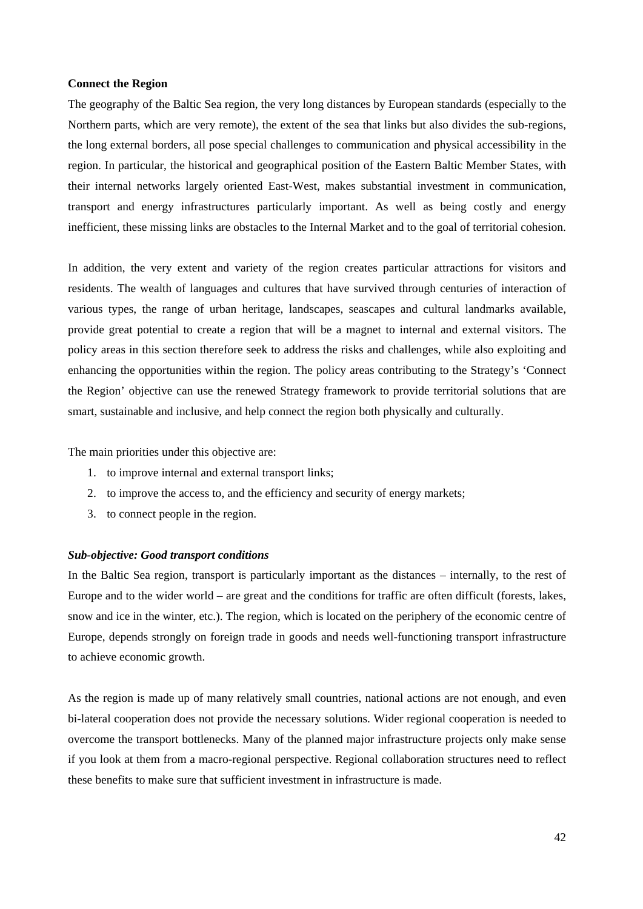### **Connect the Region**

The geography of the Baltic Sea region, the very long distances by European standards (especially to the Northern parts, which are very remote), the extent of the sea that links but also divides the sub-regions, the long external borders, all pose special challenges to communication and physical accessibility in the region. In particular, the historical and geographical position of the Eastern Baltic Member States, with their internal networks largely oriented East-West, makes substantial investment in communication, transport and energy infrastructures particularly important. As well as being costly and energy inefficient, these missing links are obstacles to the Internal Market and to the goal of territorial cohesion.

In addition, the very extent and variety of the region creates particular attractions for visitors and residents. The wealth of languages and cultures that have survived through centuries of interaction of various types, the range of urban heritage, landscapes, seascapes and cultural landmarks available, provide great potential to create a region that will be a magnet to internal and external visitors. The policy areas in this section therefore seek to address the risks and challenges, while also exploiting and enhancing the opportunities within the region. The policy areas contributing to the Strategy's 'Connect the Region' objective can use the renewed Strategy framework to provide territorial solutions that are smart, sustainable and inclusive, and help connect the region both physically and culturally.

The main priorities under this objective are:

- 1. to improve internal and external transport links;
- 2. to improve the access to, and the efficiency and security of energy markets;
- 3. to connect people in the region.

### *Sub-objective: Good transport conditions*

In the Baltic Sea region, transport is particularly important as the distances – internally, to the rest of Europe and to the wider world – are great and the conditions for traffic are often difficult (forests, lakes, snow and ice in the winter, etc.). The region, which is located on the periphery of the economic centre of Europe, depends strongly on foreign trade in goods and needs well-functioning transport infrastructure to achieve economic growth.

As the region is made up of many relatively small countries, national actions are not enough, and even bi-lateral cooperation does not provide the necessary solutions. Wider regional cooperation is needed to overcome the transport bottlenecks. Many of the planned major infrastructure projects only make sense if you look at them from a macro-regional perspective. Regional collaboration structures need to reflect these benefits to make sure that sufficient investment in infrastructure is made.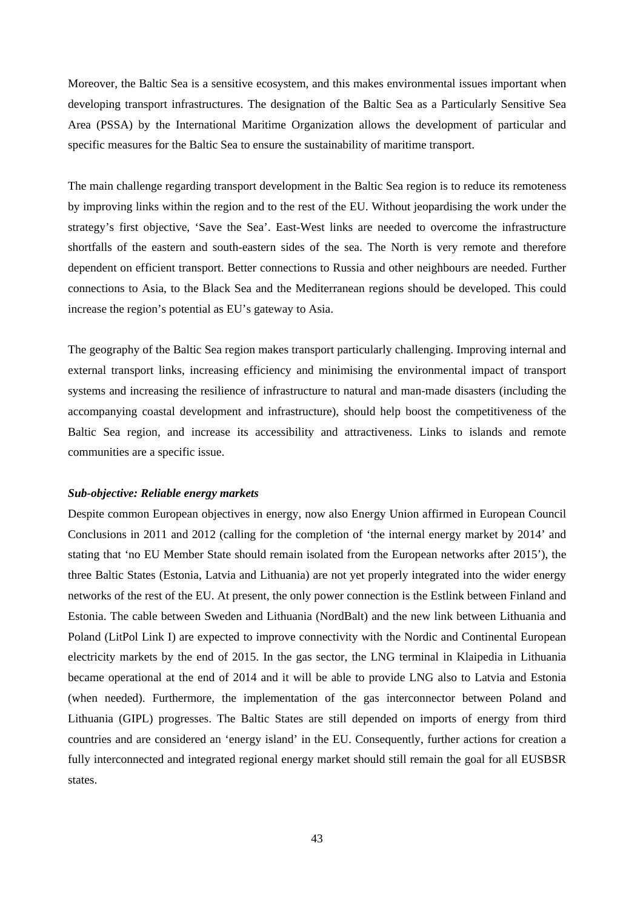Moreover, the Baltic Sea is a sensitive ecosystem, and this makes environmental issues important when developing transport infrastructures. The designation of the Baltic Sea as a Particularly Sensitive Sea Area (PSSA) by the International Maritime Organization allows the development of particular and specific measures for the Baltic Sea to ensure the sustainability of maritime transport.

The main challenge regarding transport development in the Baltic Sea region is to reduce its remoteness by improving links within the region and to the rest of the EU. Without jeopardising the work under the strategy's first objective, 'Save the Sea'. East-West links are needed to overcome the infrastructure shortfalls of the eastern and south-eastern sides of the sea. The North is very remote and therefore dependent on efficient transport. Better connections to Russia and other neighbours are needed. Further connections to Asia, to the Black Sea and the Mediterranean regions should be developed. This could increase the region's potential as EU's gateway to Asia.

The geography of the Baltic Sea region makes transport particularly challenging. Improving internal and external transport links, increasing efficiency and minimising the environmental impact of transport systems and increasing the resilience of infrastructure to natural and man-made disasters (including the accompanying coastal development and infrastructure), should help boost the competitiveness of the Baltic Sea region, and increase its accessibility and attractiveness. Links to islands and remote communities are a specific issue.

### *Sub-objective: Reliable energy markets*

Despite common European objectives in energy, now also Energy Union affirmed in European Council Conclusions in 2011 and 2012 (calling for the completion of 'the internal energy market by 2014' and stating that 'no EU Member State should remain isolated from the European networks after 2015'), the three Baltic States (Estonia, Latvia and Lithuania) are not yet properly integrated into the wider energy networks of the rest of the EU. At present, the only power connection is the Estlink between Finland and Estonia. The cable between Sweden and Lithuania (NordBalt) and the new link between Lithuania and Poland (LitPol Link I) are expected to improve connectivity with the Nordic and Continental European electricity markets by the end of 2015. In the gas sector, the LNG terminal in Klaipedia in Lithuania became operational at the end of 2014 and it will be able to provide LNG also to Latvia and Estonia (when needed). Furthermore, the implementation of the gas interconnector between Poland and Lithuania (GIPL) progresses. The Baltic States are still depended on imports of energy from third countries and are considered an 'energy island' in the EU. Consequently, further actions for creation a fully interconnected and integrated regional energy market should still remain the goal for all EUSBSR states.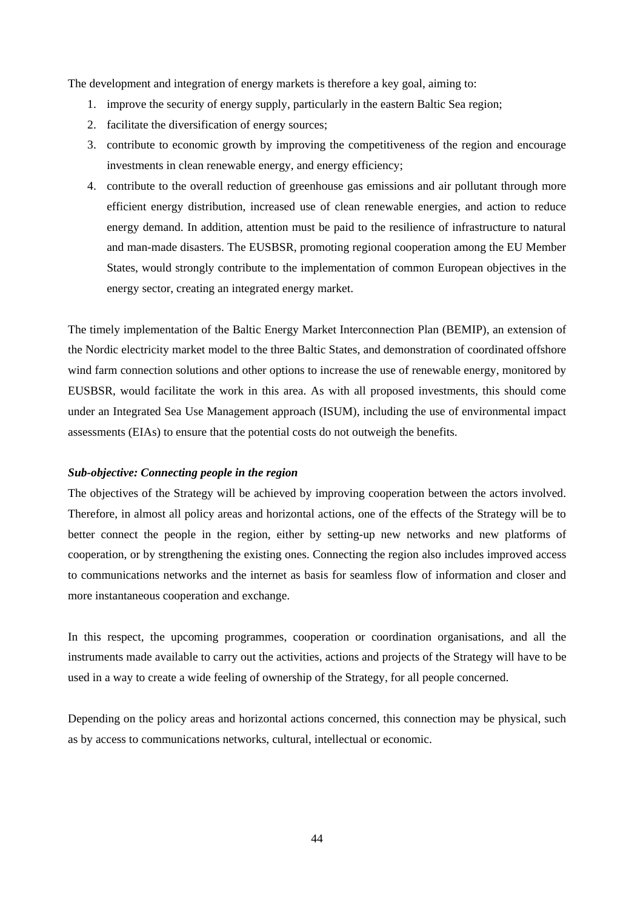The development and integration of energy markets is therefore a key goal, aiming to:

- 1. improve the security of energy supply, particularly in the eastern Baltic Sea region;
- 2. facilitate the diversification of energy sources;
- 3. contribute to economic growth by improving the competitiveness of the region and encourage investments in clean renewable energy, and energy efficiency;
- 4. contribute to the overall reduction of greenhouse gas emissions and air pollutant through more efficient energy distribution, increased use of clean renewable energies, and action to reduce energy demand. In addition, attention must be paid to the resilience of infrastructure to natural and man-made disasters. The EUSBSR, promoting regional cooperation among the EU Member States, would strongly contribute to the implementation of common European objectives in the energy sector, creating an integrated energy market.

The timely implementation of the Baltic Energy Market Interconnection Plan (BEMIP), an extension of the Nordic electricity market model to the three Baltic States, and demonstration of coordinated offshore wind farm connection solutions and other options to increase the use of renewable energy, monitored by EUSBSR, would facilitate the work in this area. As with all proposed investments, this should come under an Integrated Sea Use Management approach (ISUM), including the use of environmental impact assessments (EIAs) to ensure that the potential costs do not outweigh the benefits.

### *Sub-objective: Connecting people in the region*

The objectives of the Strategy will be achieved by improving cooperation between the actors involved. Therefore, in almost all policy areas and horizontal actions, one of the effects of the Strategy will be to better connect the people in the region, either by setting-up new networks and new platforms of cooperation, or by strengthening the existing ones. Connecting the region also includes improved access to communications networks and the internet as basis for seamless flow of information and closer and more instantaneous cooperation and exchange.

In this respect, the upcoming programmes, cooperation or coordination organisations, and all the instruments made available to carry out the activities, actions and projects of the Strategy will have to be used in a way to create a wide feeling of ownership of the Strategy, for all people concerned.

Depending on the policy areas and horizontal actions concerned, this connection may be physical, such as by access to communications networks, cultural, intellectual or economic.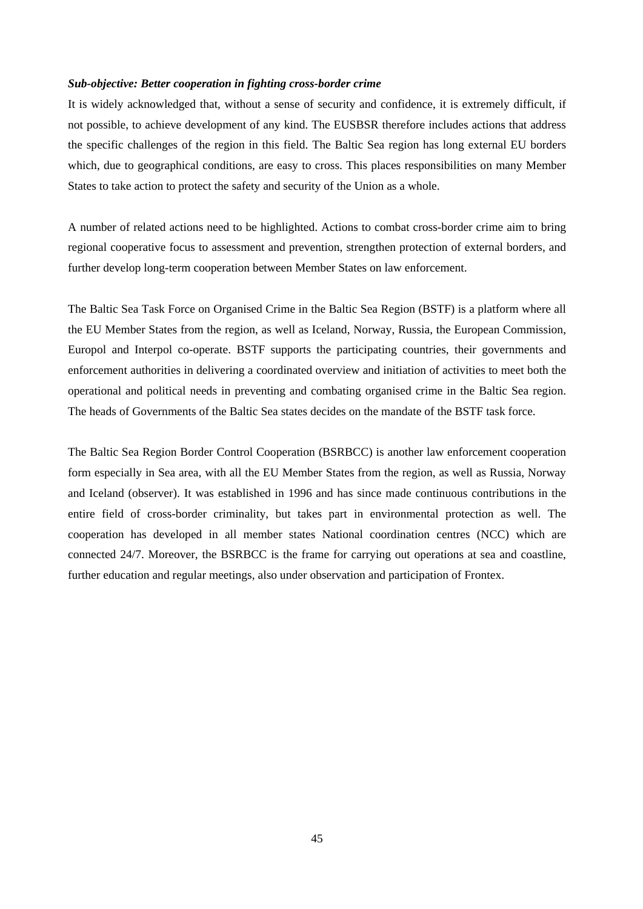### *Sub-objective: Better cooperation in fighting cross-border crime*

It is widely acknowledged that, without a sense of security and confidence, it is extremely difficult, if not possible, to achieve development of any kind. The EUSBSR therefore includes actions that address the specific challenges of the region in this field. The Baltic Sea region has long external EU borders which, due to geographical conditions, are easy to cross. This places responsibilities on many Member States to take action to protect the safety and security of the Union as a whole.

A number of related actions need to be highlighted. Actions to combat cross-border crime aim to bring regional cooperative focus to assessment and prevention, strengthen protection of external borders, and further develop long-term cooperation between Member States on law enforcement.

The Baltic Sea Task Force on Organised Crime in the Baltic Sea Region (BSTF) is a platform where all the EU Member States from the region, as well as Iceland, Norway, Russia, the European Commission, Europol and Interpol co-operate. BSTF supports the participating countries, their governments and enforcement authorities in delivering a coordinated overview and initiation of activities to meet both the operational and political needs in preventing and combating organised crime in the Baltic Sea region. The heads of Governments of the Baltic Sea states decides on the mandate of the BSTF task force.

The Baltic Sea Region Border Control Cooperation (BSRBCC) is another law enforcement cooperation form especially in Sea area, with all the EU Member States from the region, as well as Russia, Norway and Iceland (observer). It was established in 1996 and has since made continuous contributions in the entire field of cross-border criminality, but takes part in environmental protection as well. The cooperation has developed in all member states National coordination centres (NCC) which are connected 24/7. Moreover, the BSRBCC is the frame for carrying out operations at sea and coastline, further education and regular meetings, also under observation and participation of Frontex.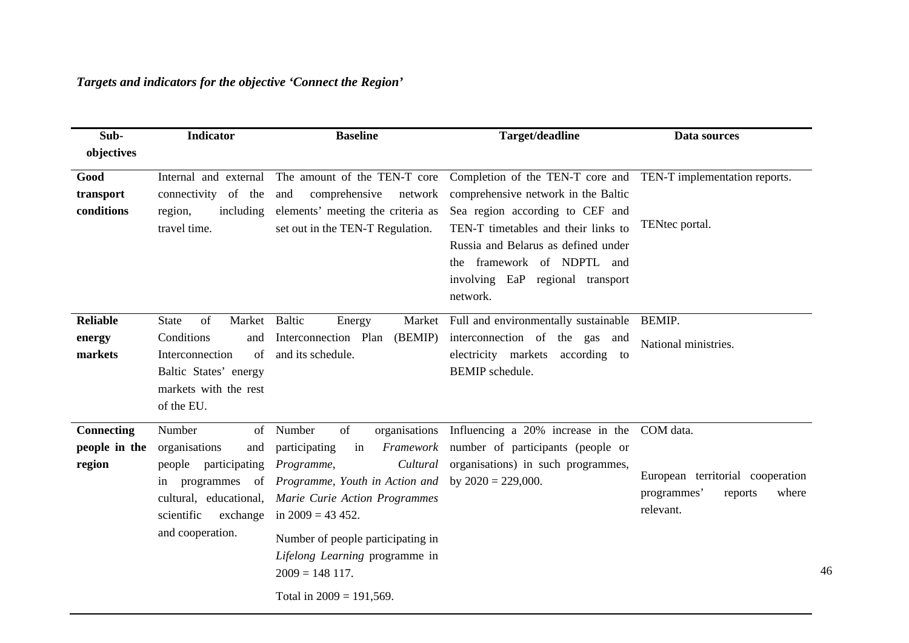| Sub-<br>objectives                    | <b>Indicator</b>                                                                                                                                            | <b>Baseline</b>                                                                                                                                                                                                                                                                   | Target/deadline                                                                                                                                                                                                                                                                                      | Data sources                                                                                  |
|---------------------------------------|-------------------------------------------------------------------------------------------------------------------------------------------------------------|-----------------------------------------------------------------------------------------------------------------------------------------------------------------------------------------------------------------------------------------------------------------------------------|------------------------------------------------------------------------------------------------------------------------------------------------------------------------------------------------------------------------------------------------------------------------------------------------------|-----------------------------------------------------------------------------------------------|
| Good<br>transport<br>conditions       | Internal and external<br>connectivity of the<br>including<br>region,<br>travel time.                                                                        | The amount of the TEN-T core<br>comprehensive<br>and<br>network<br>elements' meeting the criteria as<br>set out in the TEN-T Regulation.                                                                                                                                          | Completion of the TEN-T core and TEN-T implementation reports.<br>comprehensive network in the Baltic<br>Sea region according to CEF and<br>TEN-T timetables and their links to<br>Russia and Belarus as defined under<br>the framework of NDPTL and<br>involving EaP regional transport<br>network. | TENtec portal.                                                                                |
| <b>Reliable</b><br>energy<br>markets  | of<br>Market<br><b>State</b><br>Conditions<br>and<br>of<br>Interconnection<br>Baltic States' energy<br>markets with the rest<br>of the EU.                  | <b>Baltic</b><br>Energy<br>Interconnection Plan<br>(BEMIP)<br>and its schedule.                                                                                                                                                                                                   | Market Full and environmentally sustainable<br>interconnection of the gas and<br>electricity markets according to<br><b>BEMIP</b> schedule.                                                                                                                                                          | BEMIP.<br>National ministries.                                                                |
| Connecting<br>people in the<br>region | Number<br>of<br>organisations<br>and<br>people participating<br>programmes of<br>in<br>cultural, educational,<br>scientific<br>exchange<br>and cooperation. | Number<br>of<br>participating<br>in<br>Cultural<br>Programme,<br>Programme, Youth in Action and<br>Marie Curie Action Programmes<br>in $2009 = 43452$ .<br>Number of people participating in<br>Lifelong Learning programme in<br>$2009 = 148117.$<br>Total in $2009 = 191,569$ . | organisations Influencing a 20% increase in the<br><i>Framework</i> number of participants (people or<br>organisations) in such programmes,<br>by $2020 = 229,000$ .                                                                                                                                 | COM data.<br>European territorial cooperation<br>programmes'<br>where<br>reports<br>relevant. |

46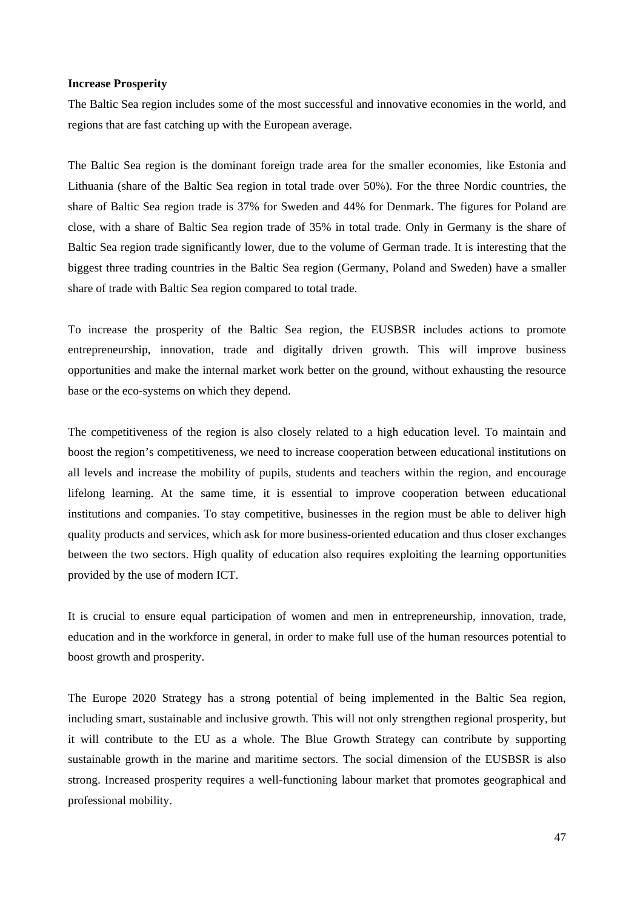### **Increase Prosperity**

The Baltic Sea region includes some of the most successful and innovative economies in the world, and regions that are fast catching up with the European average.

The Baltic Sea region is the dominant foreign trade area for the smaller economies, like Estonia and Lithuania (share of the Baltic Sea region in total trade over 50%). For the three Nordic countries, the share of Baltic Sea region trade is 37% for Sweden and 44% for Denmark. The figures for Poland are close, with a share of Baltic Sea region trade of 35% in total trade. Only in Germany is the share of Baltic Sea region trade significantly lower, due to the volume of German trade. It is interesting that the biggest three trading countries in the Baltic Sea region (Germany, Poland and Sweden) have a smaller share of trade with Baltic Sea region compared to total trade.

To increase the prosperity of the Baltic Sea region, the EUSBSR includes actions to promote entrepreneurship, innovation, trade and digitally driven growth. This will improve business opportunities and make the internal market work better on the ground, without exhausting the resource base or the eco-systems on which they depend.

The competitiveness of the region is also closely related to a high education level. To maintain and boost the region's competitiveness, we need to increase cooperation between educational institutions on all levels and increase the mobility of pupils, students and teachers within the region, and encourage lifelong learning. At the same time, it is essential to improve cooperation between educational institutions and companies. To stay competitive, businesses in the region must be able to deliver high quality products and services, which ask for more business-oriented education and thus closer exchanges between the two sectors. High quality of education also requires exploiting the learning opportunities provided by the use of modern ICT.

It is crucial to ensure equal participation of women and men in entrepreneurship, innovation, trade, education and in the workforce in general, in order to make full use of the human resources potential to boost growth and prosperity.

The Europe 2020 Strategy has a strong potential of being implemented in the Baltic Sea region, including smart, sustainable and inclusive growth. This will not only strengthen regional prosperity, but it will contribute to the EU as a whole. The Blue Growth Strategy can contribute by supporting sustainable growth in the marine and maritime sectors. The social dimension of the EUSBSR is also strong. Increased prosperity requires a well-functioning labour market that promotes geographical and professional mobility.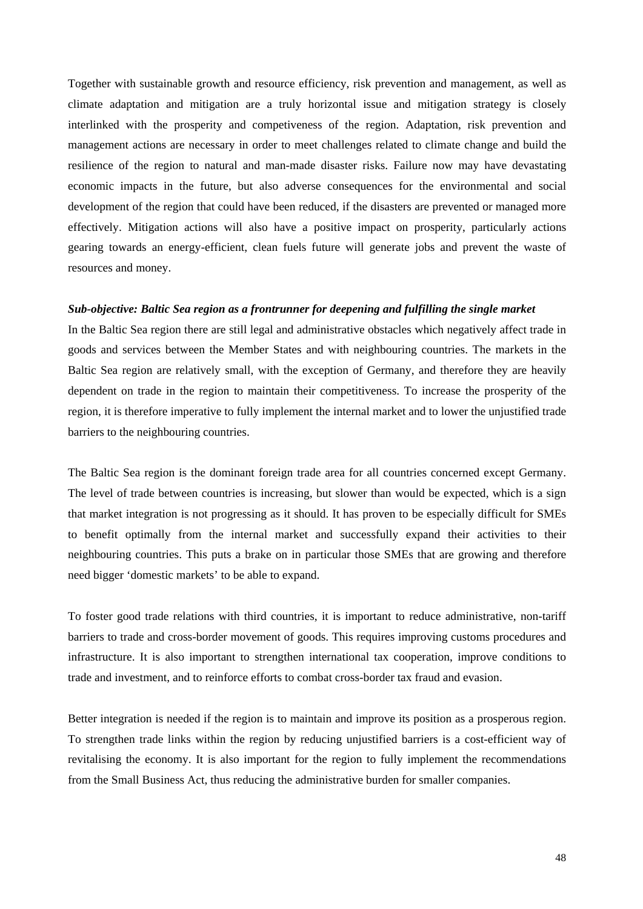Together with sustainable growth and resource efficiency, risk prevention and management, as well as climate adaptation and mitigation are a truly horizontal issue and mitigation strategy is closely interlinked with the prosperity and competiveness of the region. Adaptation, risk prevention and management actions are necessary in order to meet challenges related to climate change and build the resilience of the region to natural and man-made disaster risks. Failure now may have devastating economic impacts in the future, but also adverse consequences for the environmental and social development of the region that could have been reduced, if the disasters are prevented or managed more effectively. Mitigation actions will also have a positive impact on prosperity, particularly actions gearing towards an energy-efficient, clean fuels future will generate jobs and prevent the waste of resources and money.

### *Sub-objective: Baltic Sea region as a frontrunner for deepening and fulfilling the single market*

In the Baltic Sea region there are still legal and administrative obstacles which negatively affect trade in goods and services between the Member States and with neighbouring countries. The markets in the Baltic Sea region are relatively small, with the exception of Germany, and therefore they are heavily dependent on trade in the region to maintain their competitiveness. To increase the prosperity of the region, it is therefore imperative to fully implement the internal market and to lower the unjustified trade barriers to the neighbouring countries.

The Baltic Sea region is the dominant foreign trade area for all countries concerned except Germany. The level of trade between countries is increasing, but slower than would be expected, which is a sign that market integration is not progressing as it should. It has proven to be especially difficult for SMEs to benefit optimally from the internal market and successfully expand their activities to their neighbouring countries. This puts a brake on in particular those SMEs that are growing and therefore need bigger 'domestic markets' to be able to expand.

To foster good trade relations with third countries, it is important to reduce administrative, non-tariff barriers to trade and cross-border movement of goods. This requires improving customs procedures and infrastructure. It is also important to strengthen international tax cooperation, improve conditions to trade and investment, and to reinforce efforts to combat cross-border tax fraud and evasion.

Better integration is needed if the region is to maintain and improve its position as a prosperous region. To strengthen trade links within the region by reducing unjustified barriers is a cost-efficient way of revitalising the economy. It is also important for the region to fully implement the recommendations from the Small Business Act, thus reducing the administrative burden for smaller companies.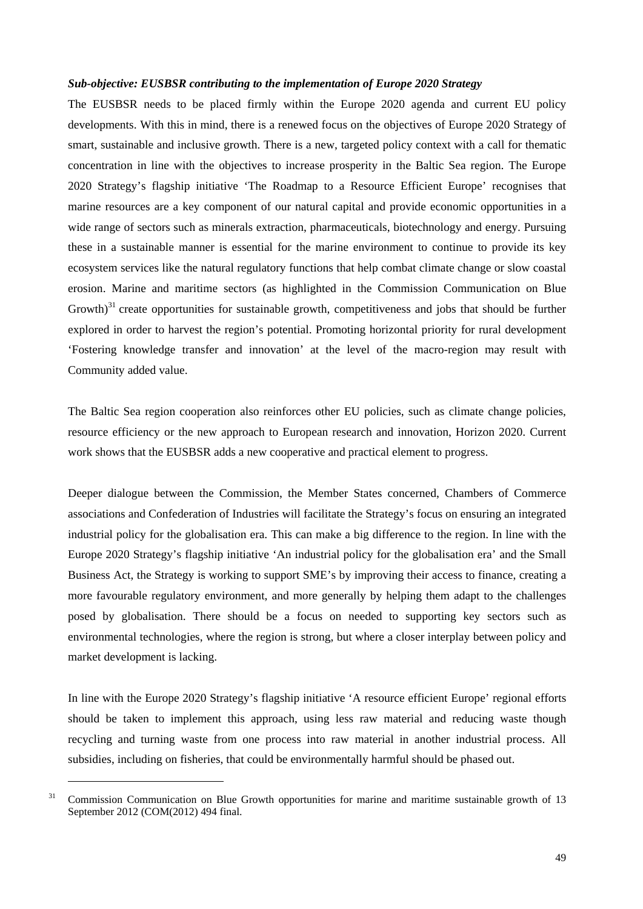### *Sub-objective: EUSBSR contributing to the implementation of Europe 2020 Strategy*

The EUSBSR needs to be placed firmly within the Europe 2020 agenda and current EU policy developments. With this in mind, there is a renewed focus on the objectives of Europe 2020 Strategy of smart, sustainable and inclusive growth. There is a new, targeted policy context with a call for thematic concentration in line with the objectives to increase prosperity in the Baltic Sea region. The Europe 2020 Strategy's flagship initiative 'The Roadmap to a Resource Efficient Europe' recognises that marine resources are a key component of our natural capital and provide economic opportunities in a wide range of sectors such as minerals extraction, pharmaceuticals, biotechnology and energy. Pursuing these in a sustainable manner is essential for the marine environment to continue to provide its key ecosystem services like the natural regulatory functions that help combat climate change or slow coastal erosion. Marine and maritime sectors (as highlighted in the Commission Communication on Blue Growth) $31$  create opportunities for sustainable growth, competitiveness and jobs that should be further explored in order to harvest the region's potential. Promoting horizontal priority for rural development 'Fostering knowledge transfer and innovation' at the level of the macro-region may result with Community added value.

The Baltic Sea region cooperation also reinforces other EU policies, such as climate change policies, resource efficiency or the new approach to European research and innovation, Horizon 2020. Current work shows that the EUSBSR adds a new cooperative and practical element to progress.

Deeper dialogue between the Commission, the Member States concerned, Chambers of Commerce associations and Confederation of Industries will facilitate the Strategy's focus on ensuring an integrated industrial policy for the globalisation era. This can make a big difference to the region. In line with the Europe 2020 Strategy's flagship initiative 'An industrial policy for the globalisation era' and the Small Business Act, the Strategy is working to support SME's by improving their access to finance, creating a more favourable regulatory environment, and more generally by helping them adapt to the challenges posed by globalisation. There should be a focus on needed to supporting key sectors such as environmental technologies, where the region is strong, but where a closer interplay between policy and market development is lacking.

In line with the Europe 2020 Strategy's flagship initiative 'A resource efficient Europe' regional efforts should be taken to implement this approach, using less raw material and reducing waste though recycling and turning waste from one process into raw material in another industrial process. All subsidies, including on fisheries, that could be environmentally harmful should be phased out.

1

 $31$  Commission Communication on Blue Growth opportunities for marine and maritime sustainable growth of 13 September 2012 (COM(2012) 494 final.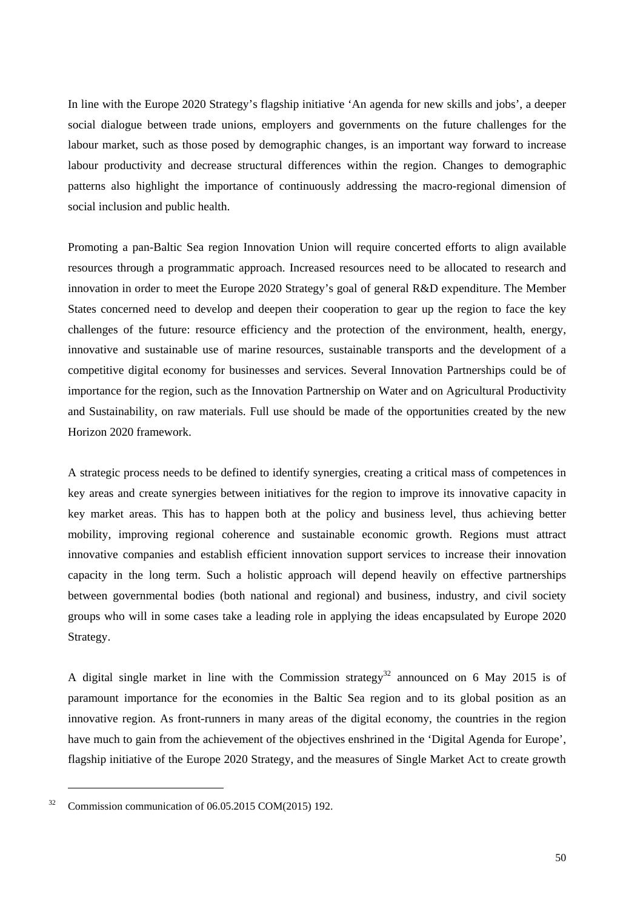In line with the Europe 2020 Strategy's flagship initiative 'An agenda for new skills and jobs', a deeper social dialogue between trade unions, employers and governments on the future challenges for the labour market, such as those posed by demographic changes, is an important way forward to increase labour productivity and decrease structural differences within the region. Changes to demographic patterns also highlight the importance of continuously addressing the macro-regional dimension of social inclusion and public health.

Promoting a pan-Baltic Sea region Innovation Union will require concerted efforts to align available resources through a programmatic approach. Increased resources need to be allocated to research and innovation in order to meet the Europe 2020 Strategy's goal of general R&D expenditure. The Member States concerned need to develop and deepen their cooperation to gear up the region to face the key challenges of the future: resource efficiency and the protection of the environment, health, energy, innovative and sustainable use of marine resources, sustainable transports and the development of a competitive digital economy for businesses and services. Several Innovation Partnerships could be of importance for the region, such as the Innovation Partnership on Water and on Agricultural Productivity and Sustainability, on raw materials. Full use should be made of the opportunities created by the new Horizon 2020 framework.

A strategic process needs to be defined to identify synergies, creating a critical mass of competences in key areas and create synergies between initiatives for the region to improve its innovative capacity in key market areas. This has to happen both at the policy and business level, thus achieving better mobility, improving regional coherence and sustainable economic growth. Regions must attract innovative companies and establish efficient innovation support services to increase their innovation capacity in the long term. Such a holistic approach will depend heavily on effective partnerships between governmental bodies (both national and regional) and business, industry, and civil society groups who will in some cases take a leading role in applying the ideas encapsulated by Europe 2020 Strategy.

A digital single market in line with the Commission strategy<sup>32</sup> announced on 6 May 2015 is of paramount importance for the economies in the Baltic Sea region and to its global position as an innovative region. As front-runners in many areas of the digital economy, the countries in the region have much to gain from the achievement of the objectives enshrined in the 'Digital Agenda for Europe', flagship initiative of the Europe 2020 Strategy, and the measures of Single Market Act to create growth

-

 $32$  Commission communication of 06.05.2015 COM(2015) 192.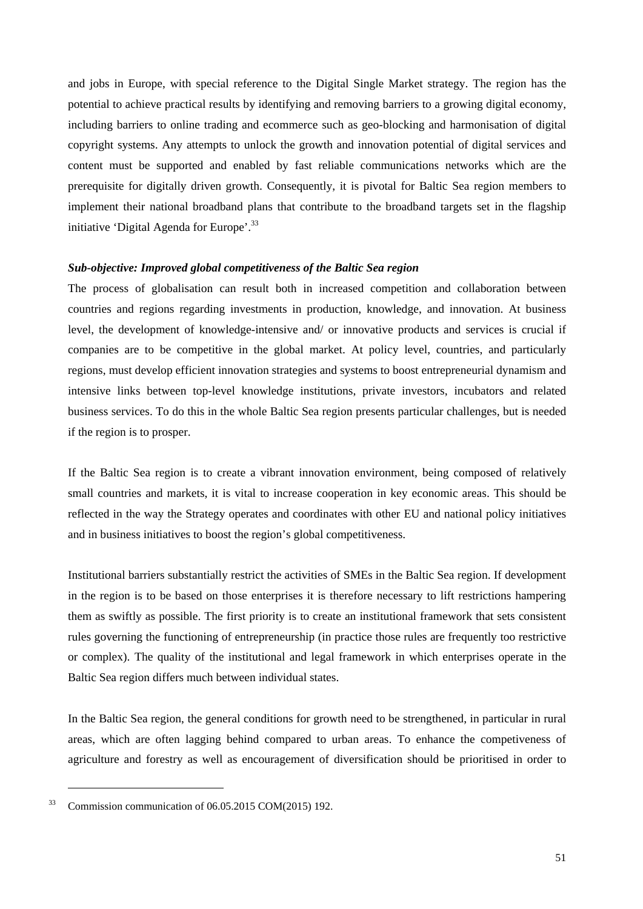and jobs in Europe, with special reference to the Digital Single Market strategy. The region has the potential to achieve practical results by identifying and removing barriers to a growing digital economy, including barriers to online trading and ecommerce such as geo-blocking and harmonisation of digital copyright systems. Any attempts to unlock the growth and innovation potential of digital services and content must be supported and enabled by fast reliable communications networks which are the prerequisite for digitally driven growth. Consequently, it is pivotal for Baltic Sea region members to implement their national broadband plans that contribute to the broadband targets set in the flagship initiative 'Digital Agenda for Europe'.<sup>33</sup>

### *Sub-objective: Improved global competitiveness of the Baltic Sea region*

The process of globalisation can result both in increased competition and collaboration between countries and regions regarding investments in production, knowledge, and innovation. At business level, the development of knowledge-intensive and/ or innovative products and services is crucial if companies are to be competitive in the global market. At policy level, countries, and particularly regions, must develop efficient innovation strategies and systems to boost entrepreneurial dynamism and intensive links between top-level knowledge institutions, private investors, incubators and related business services. To do this in the whole Baltic Sea region presents particular challenges, but is needed if the region is to prosper.

If the Baltic Sea region is to create a vibrant innovation environment, being composed of relatively small countries and markets, it is vital to increase cooperation in key economic areas. This should be reflected in the way the Strategy operates and coordinates with other EU and national policy initiatives and in business initiatives to boost the region's global competitiveness.

Institutional barriers substantially restrict the activities of SMEs in the Baltic Sea region. If development in the region is to be based on those enterprises it is therefore necessary to lift restrictions hampering them as swiftly as possible. The first priority is to create an institutional framework that sets consistent rules governing the functioning of entrepreneurship (in practice those rules are frequently too restrictive or complex). The quality of the institutional and legal framework in which enterprises operate in the Baltic Sea region differs much between individual states.

In the Baltic Sea region, the general conditions for growth need to be strengthened, in particular in rural areas, which are often lagging behind compared to urban areas. To enhance the competiveness of agriculture and forestry as well as encouragement of diversification should be prioritised in order to

-

 $33$  Commission communication of 06.05.2015 COM(2015) 192.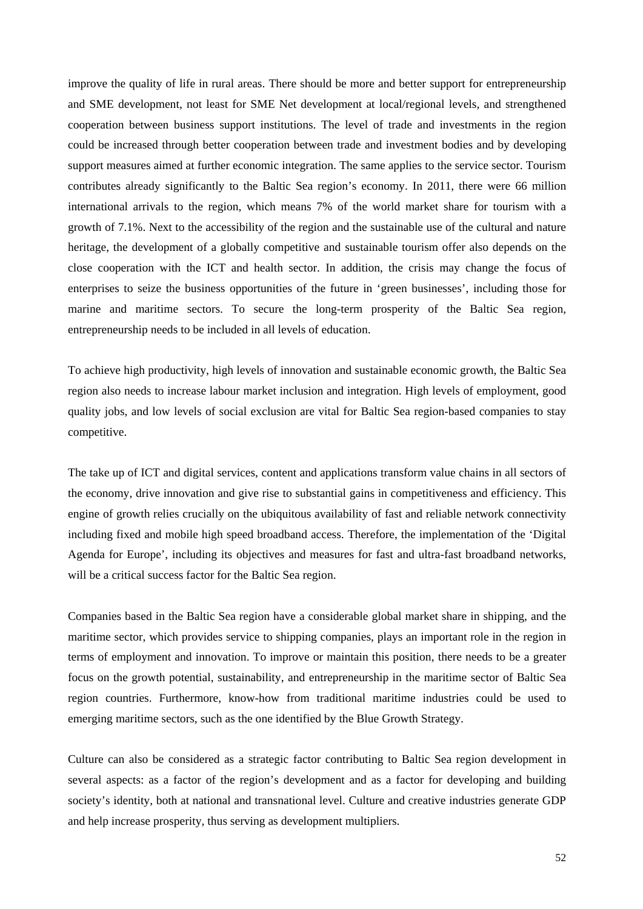improve the quality of life in rural areas. There should be more and better support for entrepreneurship and SME development, not least for SME Net development at local/regional levels, and strengthened cooperation between business support institutions. The level of trade and investments in the region could be increased through better cooperation between trade and investment bodies and by developing support measures aimed at further economic integration. The same applies to the service sector. Tourism contributes already significantly to the Baltic Sea region's economy. In 2011, there were 66 million international arrivals to the region, which means 7% of the world market share for tourism with a growth of 7.1%. Next to the accessibility of the region and the sustainable use of the cultural and nature heritage, the development of a globally competitive and sustainable tourism offer also depends on the close cooperation with the ICT and health sector. In addition, the crisis may change the focus of enterprises to seize the business opportunities of the future in 'green businesses', including those for marine and maritime sectors. To secure the long-term prosperity of the Baltic Sea region, entrepreneurship needs to be included in all levels of education.

To achieve high productivity, high levels of innovation and sustainable economic growth, the Baltic Sea region also needs to increase labour market inclusion and integration. High levels of employment, good quality jobs, and low levels of social exclusion are vital for Baltic Sea region-based companies to stay competitive.

The take up of ICT and digital services, content and applications transform value chains in all sectors of the economy, drive innovation and give rise to substantial gains in competitiveness and efficiency. This engine of growth relies crucially on the ubiquitous availability of fast and reliable network connectivity including fixed and mobile high speed broadband access. Therefore, the implementation of the 'Digital Agenda for Europe', including its objectives and measures for fast and ultra-fast broadband networks, will be a critical success factor for the Baltic Sea region.

Companies based in the Baltic Sea region have a considerable global market share in shipping, and the maritime sector, which provides service to shipping companies, plays an important role in the region in terms of employment and innovation. To improve or maintain this position, there needs to be a greater focus on the growth potential, sustainability, and entrepreneurship in the maritime sector of Baltic Sea region countries. Furthermore, know-how from traditional maritime industries could be used to emerging maritime sectors, such as the one identified by the Blue Growth Strategy.

Culture can also be considered as a strategic factor contributing to Baltic Sea region development in several aspects: as a factor of the region's development and as a factor for developing and building society's identity, both at national and transnational level. Culture and creative industries generate GDP and help increase prosperity, thus serving as development multipliers.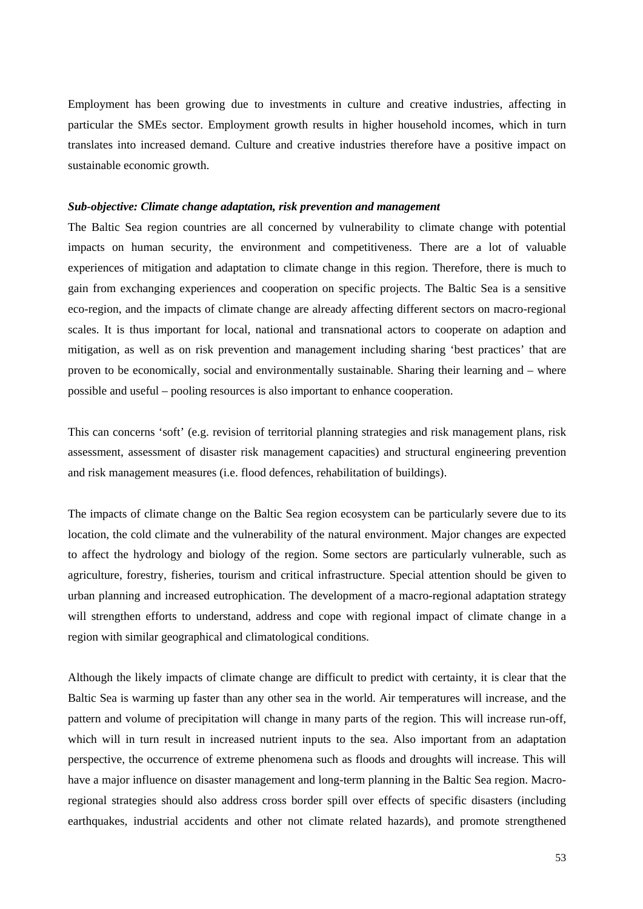Employment has been growing due to investments in culture and creative industries, affecting in particular the SMEs sector. Employment growth results in higher household incomes, which in turn translates into increased demand. Culture and creative industries therefore have a positive impact on sustainable economic growth.

### *Sub-objective: Climate change adaptation, risk prevention and management*

The Baltic Sea region countries are all concerned by vulnerability to climate change with potential impacts on human security, the environment and competitiveness. There are a lot of valuable experiences of mitigation and adaptation to climate change in this region. Therefore, there is much to gain from exchanging experiences and cooperation on specific projects. The Baltic Sea is a sensitive eco-region, and the impacts of climate change are already affecting different sectors on macro-regional scales. It is thus important for local, national and transnational actors to cooperate on adaption and mitigation, as well as on risk prevention and management including sharing 'best practices' that are proven to be economically, social and environmentally sustainable. Sharing their learning and – where possible and useful – pooling resources is also important to enhance cooperation.

This can concerns 'soft' (e.g. revision of territorial planning strategies and risk management plans, risk assessment, assessment of disaster risk management capacities) and structural engineering prevention and risk management measures (i.e. flood defences, rehabilitation of buildings).

The impacts of climate change on the Baltic Sea region ecosystem can be particularly severe due to its location, the cold climate and the vulnerability of the natural environment. Major changes are expected to affect the hydrology and biology of the region. Some sectors are particularly vulnerable, such as agriculture, forestry, fisheries, tourism and critical infrastructure. Special attention should be given to urban planning and increased eutrophication. The development of a macro-regional adaptation strategy will strengthen efforts to understand, address and cope with regional impact of climate change in a region with similar geographical and climatological conditions.

Although the likely impacts of climate change are difficult to predict with certainty, it is clear that the Baltic Sea is warming up faster than any other sea in the world. Air temperatures will increase, and the pattern and volume of precipitation will change in many parts of the region. This will increase run-off, which will in turn result in increased nutrient inputs to the sea. Also important from an adaptation perspective, the occurrence of extreme phenomena such as floods and droughts will increase. This will have a major influence on disaster management and long-term planning in the Baltic Sea region. Macroregional strategies should also address cross border spill over effects of specific disasters (including earthquakes, industrial accidents and other not climate related hazards), and promote strengthened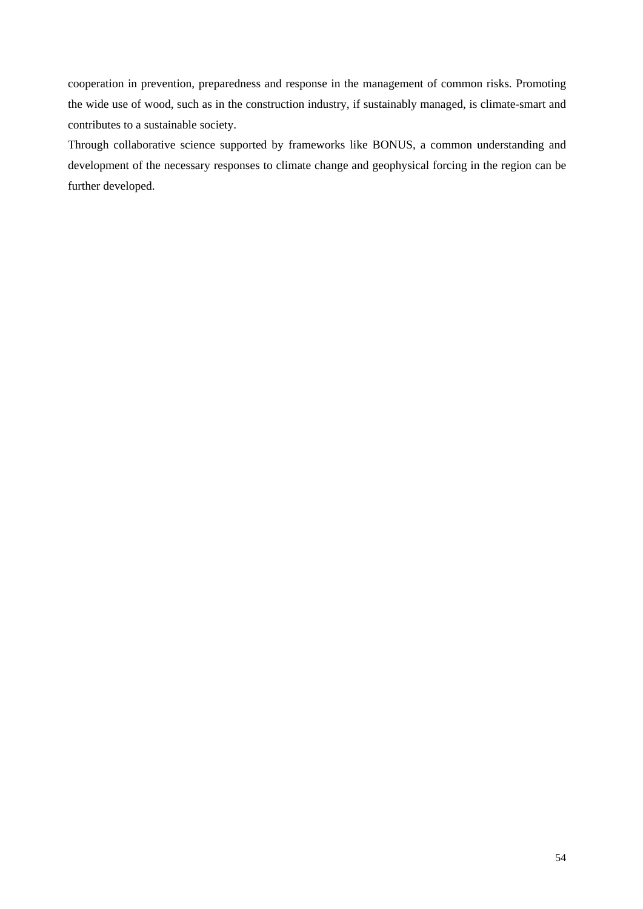cooperation in prevention, preparedness and response in the management of common risks. Promoting the wide use of wood, such as in the construction industry, if sustainably managed, is climate-smart and contributes to a sustainable society.

Through collaborative science supported by frameworks like BONUS, a common understanding and development of the necessary responses to climate change and geophysical forcing in the region can be further developed.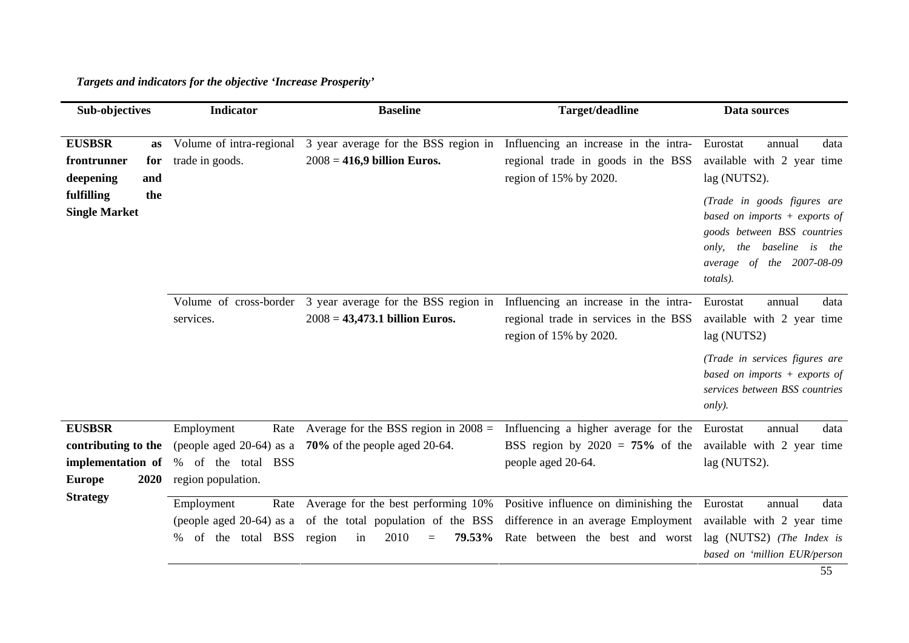# *Targets and indicators for the objective 'Increase Prosperity'*

| Sub-objectives                                                                     | <b>Indicator</b>                                                                              | <b>Baseline</b>                                                                                                    | Target/deadline                                                                                                 | Data sources                                                                                                                                                                   |
|------------------------------------------------------------------------------------|-----------------------------------------------------------------------------------------------|--------------------------------------------------------------------------------------------------------------------|-----------------------------------------------------------------------------------------------------------------|--------------------------------------------------------------------------------------------------------------------------------------------------------------------------------|
| <b>EUSBSR</b><br>as<br>frontrunner<br>for<br>deepening<br>and                      | Volume of intra-regional<br>trade in goods.                                                   | 3 year average for the BSS region in<br>$2008 = 416,9$ billion Euros.                                              | Influencing an increase in the intra-<br>regional trade in goods in the BSS<br>region of 15% by 2020.           | Eurostat<br>data<br>annual<br>available with 2 year time<br>lag (NUTS2).                                                                                                       |
| fulfilling<br>the<br><b>Single Market</b>                                          |                                                                                               |                                                                                                                    |                                                                                                                 | (Trade in goods figures are<br>based on imports $+$ exports of<br>goods between BSS countries<br>baseline is<br>the<br>only,<br>the<br>average of the $2007-08-09$<br>totals). |
|                                                                                    | Volume of cross-border<br>services.                                                           | 3 year average for the BSS region in<br>$2008 = 43,473.1$ billion Euros.                                           | Influencing an increase in the intra-<br>regional trade in services in the BSS<br>region of 15% by 2020.        | data<br>Eurostat<br>annual<br>available with 2 year time<br>lag (NUTS2)                                                                                                        |
|                                                                                    |                                                                                               |                                                                                                                    |                                                                                                                 | (Trade in services figures are<br>based on imports $+$ exports of<br>services between BSS countries<br>only).                                                                  |
| <b>EUSBSR</b><br>contributing to the<br>implementation of<br>2020<br><b>Europe</b> | Employment<br>Rate<br>(people aged 20-64) as a<br>of the total BSS<br>%<br>region population. | Average for the BSS region in $2008 =$<br>70% of the people aged 20-64.                                            | Influencing a higher average for the<br>BSS region by $2020 = 75\%$ of the<br>people aged 20-64.                | Eurostat<br>data<br>annual<br>available with 2 year time<br>lag (NUTS2).                                                                                                       |
| <b>Strategy</b>                                                                    | Employment<br>Rate<br>(people aged $20-64$ ) as a<br>the total BSS<br>of<br>%                 | Average for the best performing 10%<br>of the total population of the BSS<br>2010<br>79.53%<br>region<br>in<br>$=$ | Positive influence on diminishing the<br>difference in an average Employment<br>Rate between the best and worst | Eurostat<br>data<br>annual<br>available with 2 year time<br>lag (NUTS2) (The Index is<br>based on 'million EUR/person                                                          |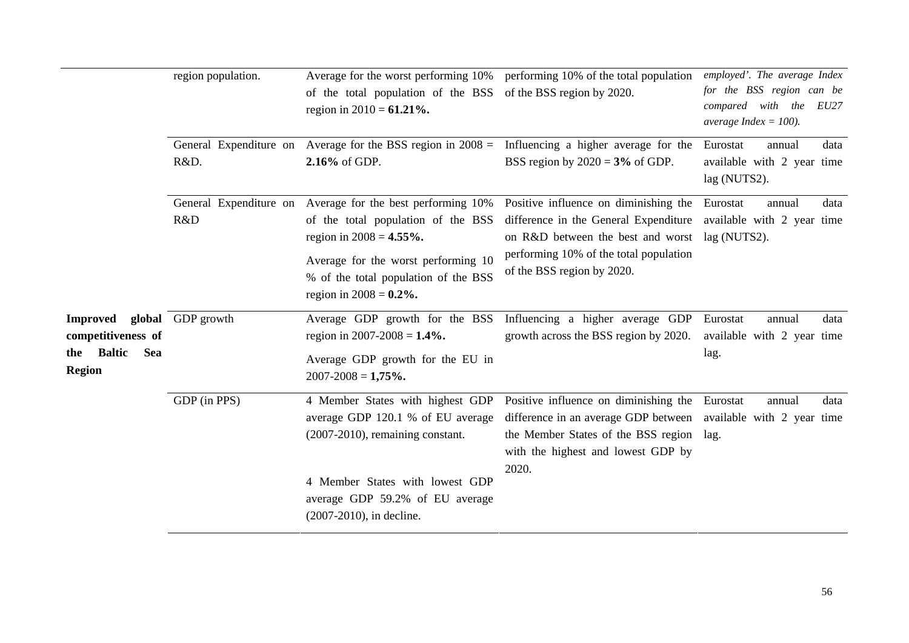|                                                                                                                | region population. | Average for the worst performing 10%<br>of the total population of the BSS<br>region in $2010 = 61.21\%$ .<br>General Expenditure on Average for the BSS region in $2008 =$ Influencing a higher average for the                             | performing 10% of the total population<br>of the BSS region by 2020.                                                                                                                                | employed'. The average Index<br>for the BSS region can be<br>compared with the EU27<br>average Index = $100$ ).<br>Eurostat<br>data<br>annual |
|----------------------------------------------------------------------------------------------------------------|--------------------|----------------------------------------------------------------------------------------------------------------------------------------------------------------------------------------------------------------------------------------------|-----------------------------------------------------------------------------------------------------------------------------------------------------------------------------------------------------|-----------------------------------------------------------------------------------------------------------------------------------------------|
|                                                                                                                | R&D.               | 2.16% of GDP.                                                                                                                                                                                                                                | BSS region by $2020 = 3\%$ of GDP.                                                                                                                                                                  | available with 2 year time<br>lag (NUTS2).                                                                                                    |
|                                                                                                                | R&D                | General Expenditure on Average for the best performing 10%<br>of the total population of the BSS<br>region in $2008 = 4.55\%$ .<br>Average for the worst performing 10<br>% of the total population of the BSS<br>region in $2008 = 0.2\%$ . | Positive influence on diminishing the<br>difference in the General Expenditure<br>on R&D between the best and worst<br>performing 10% of the total population<br>of the BSS region by 2020.         | Eurostat<br>data<br>annual<br>available with 2 year time<br>lag (NUTS2).                                                                      |
| <b>Improved global</b> GDP growth<br>competitiveness of<br><b>Baltic</b><br><b>Sea</b><br>the<br><b>Region</b> |                    | Average GDP growth for the BSS<br>region in 2007-2008 = $1.4\%$ .<br>Average GDP growth for the EU in<br>$2007 - 2008 = 1,75\%$ .                                                                                                            | Influencing a higher average GDP<br>growth across the BSS region by 2020.                                                                                                                           | Eurostat<br>data<br>annual<br>available with 2 year time<br>lag.                                                                              |
|                                                                                                                | GDP (in PPS)       | 4 Member States with highest GDP<br>average GDP 120.1 % of EU average<br>$(2007-2010)$ , remaining constant.<br>4 Member States with lowest GDP<br>average GDP 59.2% of EU average<br>$(2007-2010)$ , in decline.                            | Positive influence on diminishing the<br>difference in an average GDP between available with 2 year time<br>the Member States of the BSS region lag.<br>with the highest and lowest GDP by<br>2020. | Eurostat<br>data<br>annual                                                                                                                    |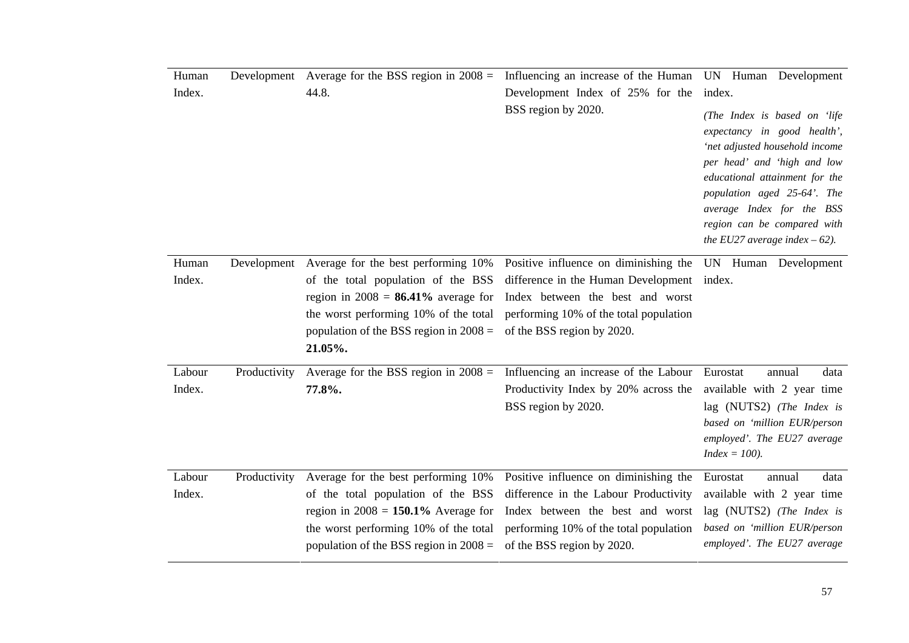| Human  |              | Development Average for the BSS region in $2008 =$                                | Influencing an increase of the Human                                 | UN Human Development                                                                                                                                                                                                                                                                         |
|--------|--------------|-----------------------------------------------------------------------------------|----------------------------------------------------------------------|----------------------------------------------------------------------------------------------------------------------------------------------------------------------------------------------------------------------------------------------------------------------------------------------|
| Index. |              | 44.8.                                                                             | Development Index of 25% for the                                     | index.                                                                                                                                                                                                                                                                                       |
|        |              |                                                                                   | BSS region by 2020.                                                  | (The Index is based on 'life<br>expectancy in good health',<br>'net adjusted household income<br>per head' and 'high and low<br>educational attainment for the<br>population aged 25-64'. The<br>average Index for the BSS<br>region can be compared with<br>the EU27 average index $-62$ ). |
| Human  |              | Development Average for the best performing 10%                                   | Positive influence on diminishing the                                | UN Human Development                                                                                                                                                                                                                                                                         |
| Index. |              | of the total population of the BSS                                                | difference in the Human Development                                  | index.                                                                                                                                                                                                                                                                                       |
|        |              | region in $2008 = 86.41\%$ average for                                            | Index between the best and worst                                     |                                                                                                                                                                                                                                                                                              |
|        |              | the worst performing 10% of the total<br>population of the BSS region in $2008 =$ | performing 10% of the total population<br>of the BSS region by 2020. |                                                                                                                                                                                                                                                                                              |
|        |              | 21.05%.                                                                           |                                                                      |                                                                                                                                                                                                                                                                                              |
| Labour | Productivity | Average for the BSS region in $2008 =$                                            | Influencing an increase of the Labour                                | Eurostat<br>data<br>annual                                                                                                                                                                                                                                                                   |
| Index. |              | 77.8%.                                                                            | Productivity Index by 20% across the                                 | available with 2 year time                                                                                                                                                                                                                                                                   |
|        |              |                                                                                   | BSS region by 2020.                                                  | lag (NUTS2) (The Index is                                                                                                                                                                                                                                                                    |
|        |              |                                                                                   |                                                                      | based on 'million EUR/person<br>employed'. The EU27 average                                                                                                                                                                                                                                  |
|        |              |                                                                                   |                                                                      | $Index = 100$ ).                                                                                                                                                                                                                                                                             |
| Labour | Productivity | Average for the best performing 10%                                               | Positive influence on diminishing the                                | Eurostat<br>annual<br>data                                                                                                                                                                                                                                                                   |
| Index. |              | of the total population of the BSS                                                | difference in the Labour Productivity                                | available with 2 year time                                                                                                                                                                                                                                                                   |
|        |              | region in $2008 = 150.1\%$ Average for                                            | Index between the best and worst                                     | lag (NUTS2) (The Index is                                                                                                                                                                                                                                                                    |
|        |              | the worst performing 10% of the total                                             | performing 10% of the total population                               | based on 'million EUR/person                                                                                                                                                                                                                                                                 |
|        |              | population of the BSS region in $2008 =$                                          | of the BSS region by 2020.                                           | employed'. The EU27 average                                                                                                                                                                                                                                                                  |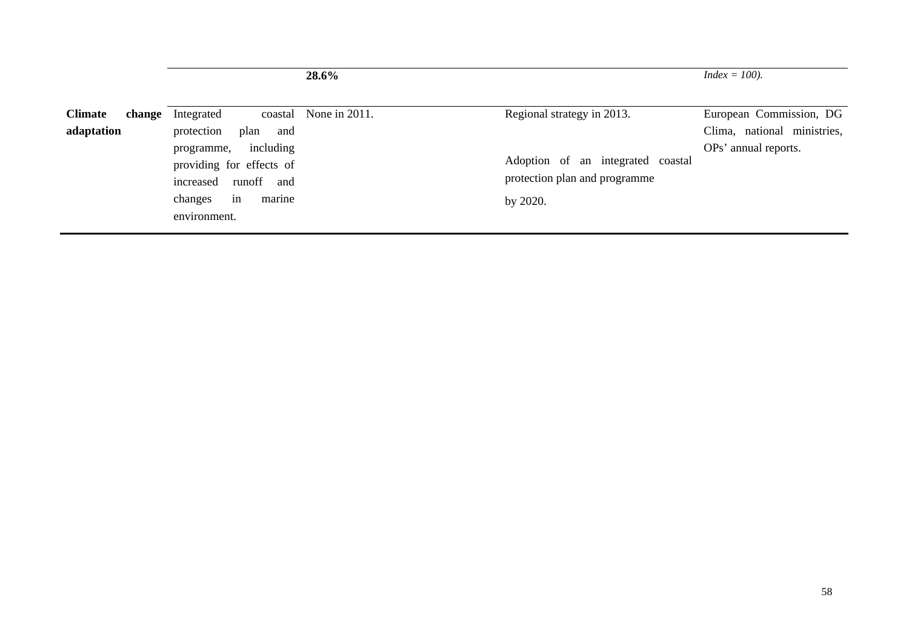|                                        |                                                                    | 28.6%                 |                                                                 | $Index = 100$ ).                                                               |
|----------------------------------------|--------------------------------------------------------------------|-----------------------|-----------------------------------------------------------------|--------------------------------------------------------------------------------|
| <b>Climate</b><br>change<br>adaptation | Integrated<br>protection<br>plan<br>and<br>including<br>programme, | coastal None in 2011. | Regional strategy in 2013.<br>Adoption of an integrated coastal | European Commission, DG<br>Clima, national ministries,<br>OPs' annual reports. |
|                                        | providing for effects of<br>increased runoff and                   |                       | protection plan and programme                                   |                                                                                |
|                                        | in<br>changes<br>marine<br>environment.                            |                       | by 2020.                                                        |                                                                                |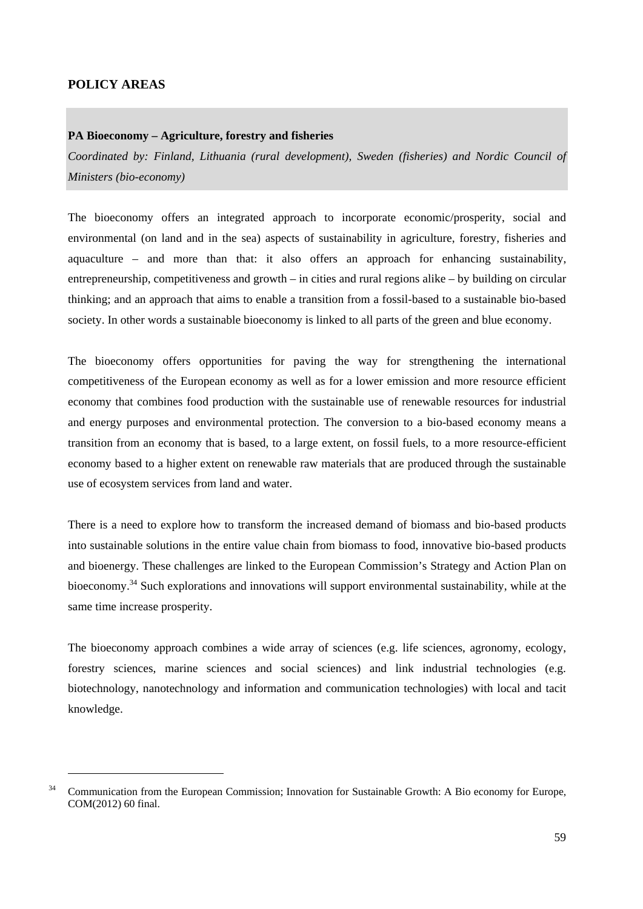### **POLICY AREAS**

1

### **PA Bioeconomy – Agriculture, forestry and fisheries**

*Coordinated by: Finland, Lithuania (rural development), Sweden (fisheries) and Nordic Council of Ministers (bio-economy)* 

The bioeconomy offers an integrated approach to incorporate economic/prosperity, social and environmental (on land and in the sea) aspects of sustainability in agriculture, forestry, fisheries and aquaculture – and more than that: it also offers an approach for enhancing sustainability, entrepreneurship, competitiveness and growth – in cities and rural regions alike – by building on circular thinking; and an approach that aims to enable a transition from a fossil-based to a sustainable bio-based society. In other words a sustainable bioeconomy is linked to all parts of the green and blue economy.

The bioeconomy offers opportunities for paving the way for strengthening the international competitiveness of the European economy as well as for a lower emission and more resource efficient economy that combines food production with the sustainable use of renewable resources for industrial and energy purposes and environmental protection. The conversion to a bio-based economy means a transition from an economy that is based, to a large extent, on fossil fuels, to a more resource-efficient economy based to a higher extent on renewable raw materials that are produced through the sustainable use of ecosystem services from land and water.

There is a need to explore how to transform the increased demand of biomass and bio-based products into sustainable solutions in the entire value chain from biomass to food, innovative bio-based products and bioenergy. These challenges are linked to the European Commission's Strategy and Action Plan on bioeconomy.34 Such explorations and innovations will support environmental sustainability, while at the same time increase prosperity.

The bioeconomy approach combines a wide array of sciences (e.g. life sciences, agronomy, ecology, forestry sciences, marine sciences and social sciences) and link industrial technologies (e.g. biotechnology, nanotechnology and information and communication technologies) with local and tacit knowledge.

<sup>&</sup>lt;sup>34</sup> Communication from the European Commission; Innovation for Sustainable Growth: A Bio economy for Europe, COM(2012) 60 final.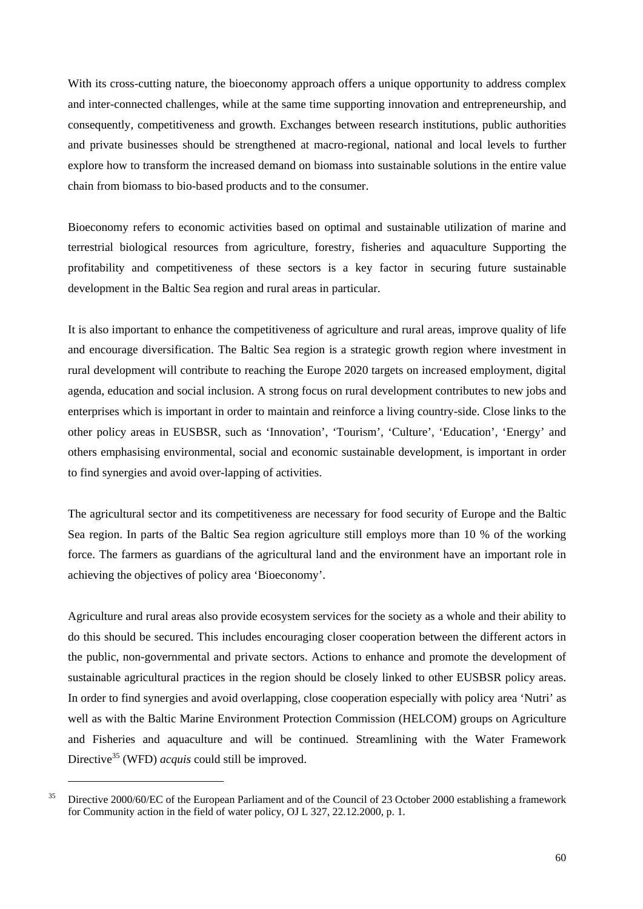With its cross-cutting nature, the bioeconomy approach offers a unique opportunity to address complex and inter-connected challenges, while at the same time supporting innovation and entrepreneurship, and consequently, competitiveness and growth. Exchanges between research institutions, public authorities and private businesses should be strengthened at macro-regional, national and local levels to further explore how to transform the increased demand on biomass into sustainable solutions in the entire value chain from biomass to bio-based products and to the consumer.

Bioeconomy refers to economic activities based on optimal and sustainable utilization of marine and terrestrial biological resources from agriculture, forestry, fisheries and aquaculture Supporting the profitability and competitiveness of these sectors is a key factor in securing future sustainable development in the Baltic Sea region and rural areas in particular.

It is also important to enhance the competitiveness of agriculture and rural areas, improve quality of life and encourage diversification. The Baltic Sea region is a strategic growth region where investment in rural development will contribute to reaching the Europe 2020 targets on increased employment, digital agenda, education and social inclusion. A strong focus on rural development contributes to new jobs and enterprises which is important in order to maintain and reinforce a living country-side. Close links to the other policy areas in EUSBSR, such as 'Innovation', 'Tourism', 'Culture', 'Education', 'Energy' and others emphasising environmental, social and economic sustainable development, is important in order to find synergies and avoid over-lapping of activities.

The agricultural sector and its competitiveness are necessary for food security of Europe and the Baltic Sea region. In parts of the Baltic Sea region agriculture still employs more than 10 % of the working force. The farmers as guardians of the agricultural land and the environment have an important role in achieving the objectives of policy area 'Bioeconomy'.

Agriculture and rural areas also provide ecosystem services for the society as a whole and their ability to do this should be secured. This includes encouraging closer cooperation between the different actors in the public, non-governmental and private sectors. Actions to enhance and promote the development of sustainable agricultural practices in the region should be closely linked to other EUSBSR policy areas. In order to find synergies and avoid overlapping, close cooperation especially with policy area 'Nutri' as well as with the Baltic Marine Environment Protection Commission (HELCOM) groups on Agriculture and Fisheries and aquaculture and will be continued. Streamlining with the Water Framework Directive<sup>35</sup> (WFD) *acquis* could still be improved.

1

<sup>&</sup>lt;sup>35</sup> Directive 2000/60/EC of the European Parliament and of the Council of 23 October 2000 establishing a framework for Community action in the field of water policy, OJ L 327, 22.12.2000, p. 1.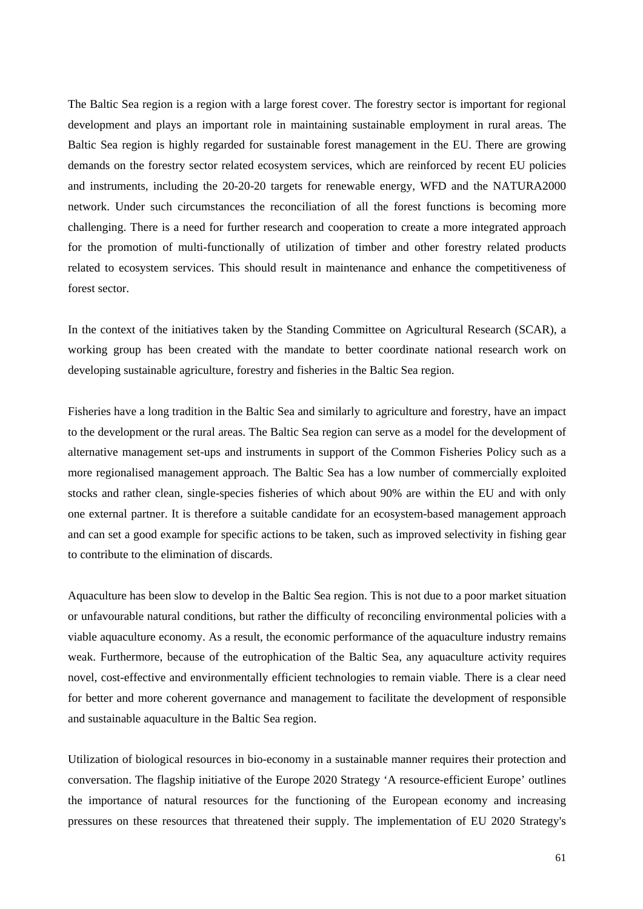The Baltic Sea region is a region with a large forest cover. The forestry sector is important for regional development and plays an important role in maintaining sustainable employment in rural areas. The Baltic Sea region is highly regarded for sustainable forest management in the EU. There are growing demands on the forestry sector related ecosystem services, which are reinforced by recent EU policies and instruments, including the 20-20-20 targets for renewable energy, WFD and the NATURA2000 network. Under such circumstances the reconciliation of all the forest functions is becoming more challenging. There is a need for further research and cooperation to create a more integrated approach for the promotion of multi-functionally of utilization of timber and other forestry related products related to ecosystem services. This should result in maintenance and enhance the competitiveness of forest sector.

In the context of the initiatives taken by the Standing Committee on Agricultural Research (SCAR), a working group has been created with the mandate to better coordinate national research work on developing sustainable agriculture, forestry and fisheries in the Baltic Sea region.

Fisheries have a long tradition in the Baltic Sea and similarly to agriculture and forestry, have an impact to the development or the rural areas. The Baltic Sea region can serve as a model for the development of alternative management set-ups and instruments in support of the Common Fisheries Policy such as a more regionalised management approach. The Baltic Sea has a low number of commercially exploited stocks and rather clean, single-species fisheries of which about 90% are within the EU and with only one external partner. It is therefore a suitable candidate for an ecosystem-based management approach and can set a good example for specific actions to be taken, such as improved selectivity in fishing gear to contribute to the elimination of discards.

Aquaculture has been slow to develop in the Baltic Sea region. This is not due to a poor market situation or unfavourable natural conditions, but rather the difficulty of reconciling environmental policies with a viable aquaculture economy. As a result, the economic performance of the aquaculture industry remains weak. Furthermore, because of the eutrophication of the Baltic Sea, any aquaculture activity requires novel, cost-effective and environmentally efficient technologies to remain viable. There is a clear need for better and more coherent governance and management to facilitate the development of responsible and sustainable aquaculture in the Baltic Sea region.

Utilization of biological resources in bio-economy in a sustainable manner requires their protection and conversation. The flagship initiative of the Europe 2020 Strategy 'A resource-efficient Europe' outlines the importance of natural resources for the functioning of the European economy and increasing pressures on these resources that threatened their supply. The implementation of EU 2020 Strategy's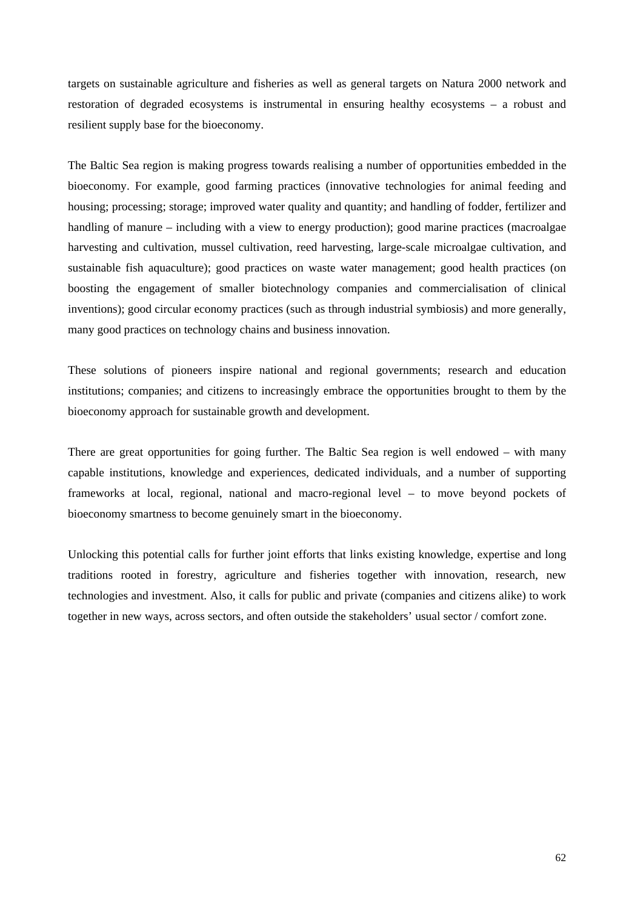targets on sustainable agriculture and fisheries as well as general targets on Natura 2000 network and restoration of degraded ecosystems is instrumental in ensuring healthy ecosystems – a robust and resilient supply base for the bioeconomy.

The Baltic Sea region is making progress towards realising a number of opportunities embedded in the bioeconomy. For example, good farming practices (innovative technologies for animal feeding and housing; processing; storage; improved water quality and quantity; and handling of fodder, fertilizer and handling of manure – including with a view to energy production); good marine practices (macroalgae harvesting and cultivation, mussel cultivation, reed harvesting, large-scale microalgae cultivation, and sustainable fish aquaculture); good practices on waste water management; good health practices (on boosting the engagement of smaller biotechnology companies and commercialisation of clinical inventions); good circular economy practices (such as through industrial symbiosis) and more generally, many good practices on technology chains and business innovation.

These solutions of pioneers inspire national and regional governments; research and education institutions; companies; and citizens to increasingly embrace the opportunities brought to them by the bioeconomy approach for sustainable growth and development.

There are great opportunities for going further. The Baltic Sea region is well endowed – with many capable institutions, knowledge and experiences, dedicated individuals, and a number of supporting frameworks at local, regional, national and macro-regional level – to move beyond pockets of bioeconomy smartness to become genuinely smart in the bioeconomy.

Unlocking this potential calls for further joint efforts that links existing knowledge, expertise and long traditions rooted in forestry, agriculture and fisheries together with innovation, research, new technologies and investment. Also, it calls for public and private (companies and citizens alike) to work together in new ways, across sectors, and often outside the stakeholders' usual sector / comfort zone.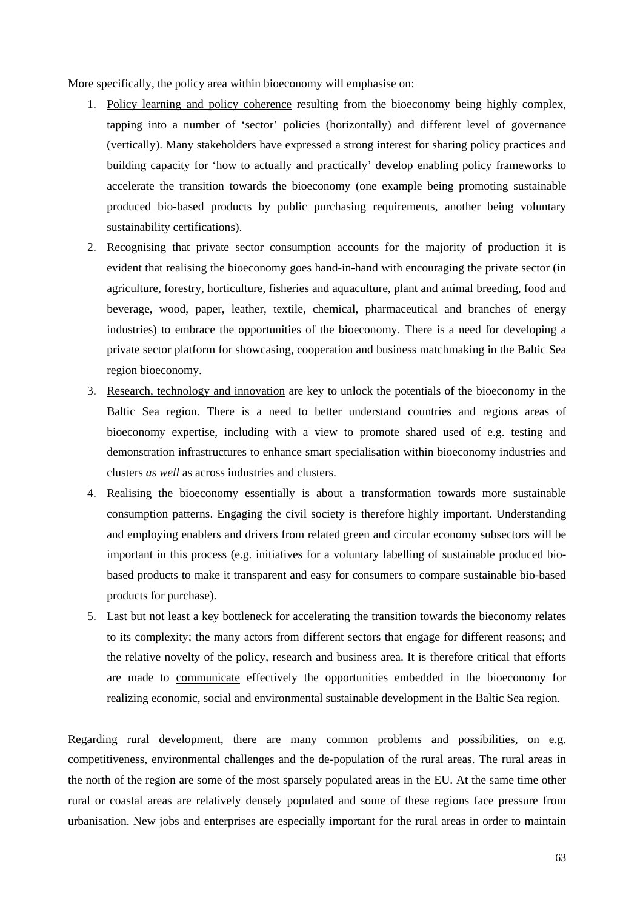More specifically, the policy area within bioeconomy will emphasise on:

- 1. Policy learning and policy coherence resulting from the bioeconomy being highly complex, tapping into a number of 'sector' policies (horizontally) and different level of governance (vertically). Many stakeholders have expressed a strong interest for sharing policy practices and building capacity for 'how to actually and practically' develop enabling policy frameworks to accelerate the transition towards the bioeconomy (one example being promoting sustainable produced bio-based products by public purchasing requirements, another being voluntary sustainability certifications).
- 2. Recognising that private sector consumption accounts for the majority of production it is evident that realising the bioeconomy goes hand-in-hand with encouraging the private sector (in agriculture, forestry, horticulture, fisheries and aquaculture, plant and animal breeding, food and beverage, wood, paper, leather, textile, chemical, pharmaceutical and branches of energy industries) to embrace the opportunities of the bioeconomy. There is a need for developing a private sector platform for showcasing, cooperation and business matchmaking in the Baltic Sea region bioeconomy.
- 3. Research, technology and innovation are key to unlock the potentials of the bioeconomy in the Baltic Sea region. There is a need to better understand countries and regions areas of bioeconomy expertise, including with a view to promote shared used of e.g. testing and demonstration infrastructures to enhance smart specialisation within bioeconomy industries and clusters *as well* as across industries and clusters.
- 4. Realising the bioeconomy essentially is about a transformation towards more sustainable consumption patterns. Engaging the civil society is therefore highly important. Understanding and employing enablers and drivers from related green and circular economy subsectors will be important in this process (e.g. initiatives for a voluntary labelling of sustainable produced biobased products to make it transparent and easy for consumers to compare sustainable bio-based products for purchase).
- 5. Last but not least a key bottleneck for accelerating the transition towards the bieconomy relates to its complexity; the many actors from different sectors that engage for different reasons; and the relative novelty of the policy, research and business area. It is therefore critical that efforts are made to communicate effectively the opportunities embedded in the bioeconomy for realizing economic, social and environmental sustainable development in the Baltic Sea region.

Regarding rural development, there are many common problems and possibilities, on e.g. competitiveness, environmental challenges and the de-population of the rural areas. The rural areas in the north of the region are some of the most sparsely populated areas in the EU. At the same time other rural or coastal areas are relatively densely populated and some of these regions face pressure from urbanisation. New jobs and enterprises are especially important for the rural areas in order to maintain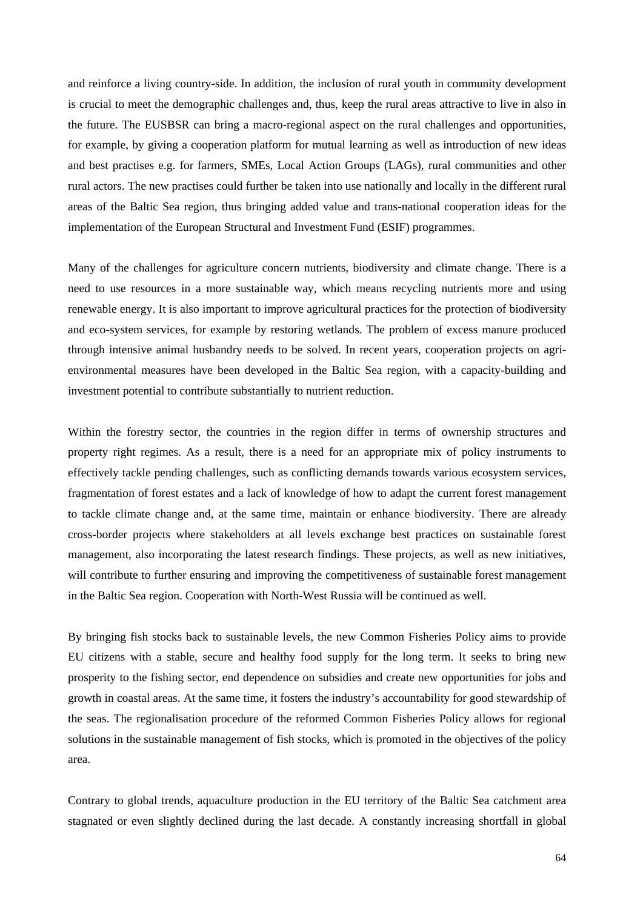and reinforce a living country-side. In addition, the inclusion of rural youth in community development is crucial to meet the demographic challenges and, thus, keep the rural areas attractive to live in also in the future. The EUSBSR can bring a macro-regional aspect on the rural challenges and opportunities, for example, by giving a cooperation platform for mutual learning as well as introduction of new ideas and best practises e.g. for farmers, SMEs, Local Action Groups (LAGs), rural communities and other rural actors. The new practises could further be taken into use nationally and locally in the different rural areas of the Baltic Sea region, thus bringing added value and trans-national cooperation ideas for the implementation of the European Structural and Investment Fund (ESIF) programmes.

Many of the challenges for agriculture concern nutrients, biodiversity and climate change. There is a need to use resources in a more sustainable way, which means recycling nutrients more and using renewable energy. It is also important to improve agricultural practices for the protection of biodiversity and eco-system services, for example by restoring wetlands. The problem of excess manure produced through intensive animal husbandry needs to be solved. In recent years, cooperation projects on agrienvironmental measures have been developed in the Baltic Sea region, with a capacity-building and investment potential to contribute substantially to nutrient reduction.

Within the forestry sector, the countries in the region differ in terms of ownership structures and property right regimes. As a result, there is a need for an appropriate mix of policy instruments to effectively tackle pending challenges, such as conflicting demands towards various ecosystem services, fragmentation of forest estates and a lack of knowledge of how to adapt the current forest management to tackle climate change and, at the same time, maintain or enhance biodiversity. There are already cross-border projects where stakeholders at all levels exchange best practices on sustainable forest management, also incorporating the latest research findings. These projects, as well as new initiatives, will contribute to further ensuring and improving the competitiveness of sustainable forest management in the Baltic Sea region. Cooperation with North-West Russia will be continued as well.

By bringing fish stocks back to sustainable levels, the new Common Fisheries Policy aims to provide EU citizens with a stable, secure and healthy food supply for the long term. It seeks to bring new prosperity to the fishing sector, end dependence on subsidies and create new opportunities for jobs and growth in coastal areas. At the same time, it fosters the industry's accountability for good stewardship of the seas. The regionalisation procedure of the reformed Common Fisheries Policy allows for regional solutions in the sustainable management of fish stocks, which is promoted in the objectives of the policy area.

Contrary to global trends, aquaculture production in the EU territory of the Baltic Sea catchment area stagnated or even slightly declined during the last decade. A constantly increasing shortfall in global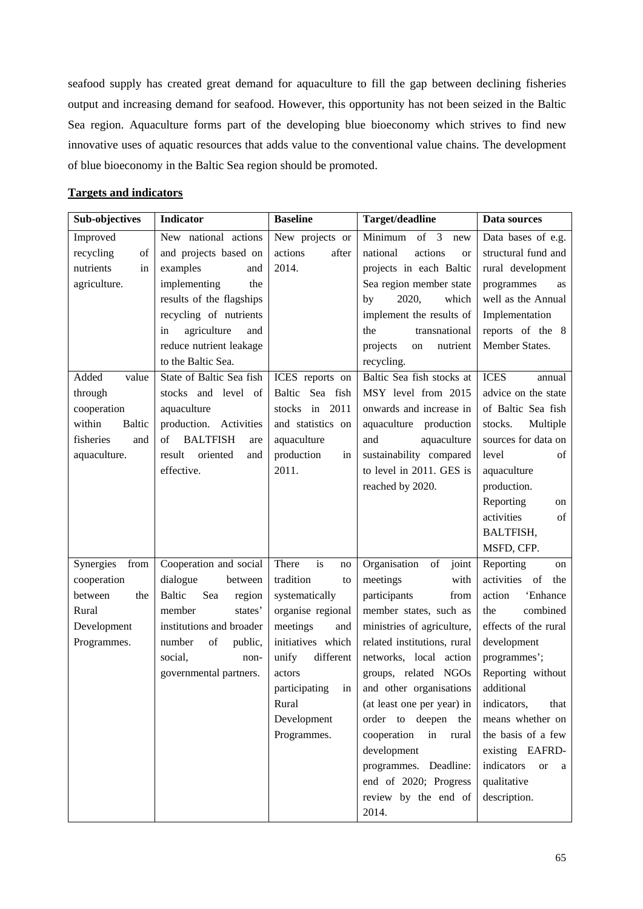seafood supply has created great demand for aquaculture to fill the gap between declining fisheries output and increasing demand for seafood. However, this opportunity has not been seized in the Baltic Sea region. Aquaculture forms part of the developing blue bioeconomy which strives to find new innovative uses of aquatic resources that adds value to the conventional value chains. The development of blue bioeconomy in the Baltic Sea region should be promoted.

### **Targets and indicators**

| <b>Sub-objectives</b>   | <b>Indicator</b>                | <b>Baseline</b>     | Target/deadline                                                                                                             | Data sources                 |
|-------------------------|---------------------------------|---------------------|-----------------------------------------------------------------------------------------------------------------------------|------------------------------|
| Improved                | New national actions            | New projects or     | Minimum<br>of 3<br>new                                                                                                      | Data bases of e.g.           |
| recycling<br>of         | and projects based on           | actions<br>after    | national<br>actions<br><b>or</b>                                                                                            | structural fund and          |
| nutrients<br>in         | examples<br>and                 | 2014.               | projects in each Baltic                                                                                                     | rural development            |
| agriculture.            | implementing<br>the             |                     | Sea region member state                                                                                                     | programmes<br>as             |
|                         | results of the flagships        |                     | 2020,<br>which<br>by                                                                                                        | well as the Annual           |
|                         | recycling of nutrients          |                     | implement the results of                                                                                                    | Implementation               |
|                         | agriculture<br>and<br>in        |                     | the<br>transnational                                                                                                        | reports of the 8             |
|                         | reduce nutrient leakage         |                     | projects<br>nutrient<br>on                                                                                                  | Member States.               |
|                         | to the Baltic Sea.              |                     | recycling.                                                                                                                  |                              |
| Added<br>value          | State of Baltic Sea fish        | ICES reports on     | Baltic Sea fish stocks at                                                                                                   | <b>ICES</b><br>annual        |
| through                 | stocks and level of             | Baltic Sea fish     | MSY level from 2015                                                                                                         | advice on the state          |
| cooperation             | aquaculture                     | stocks in 2011      | onwards and increase in                                                                                                     | of Baltic Sea fish           |
| within<br><b>Baltic</b> | production.<br>Activities       | and statistics on   | aquaculture<br>production                                                                                                   | stocks.<br>Multiple          |
| fisheries<br>and        | of<br><b>BALTFISH</b><br>are    | aquaculture         | and<br>aquaculture                                                                                                          | sources for data on          |
| aquaculture.            | result<br>oriented<br>and       | production<br>in    | sustainability compared                                                                                                     | of<br>level                  |
|                         | effective.                      | 2011.               | to level in 2011. GES is                                                                                                    | aquaculture                  |
|                         |                                 |                     | reached by 2020.                                                                                                            | production.                  |
|                         |                                 |                     |                                                                                                                             | Reporting<br>on              |
|                         |                                 |                     |                                                                                                                             | activities<br>of             |
|                         |                                 |                     |                                                                                                                             | BALTFISH,                    |
|                         |                                 |                     |                                                                                                                             | MSFD, CFP.                   |
| Synergies<br>from       | Cooperation and social          | is<br>There<br>no   | Organisation<br>$% \left( \left( \mathcal{A},\mathcal{A}\right) \right) =\left( \mathcal{A},\mathcal{A}\right)$ of<br>joint | Reporting<br>on              |
| cooperation             | dialogue<br>between             | tradition<br>to     | meetings<br>with                                                                                                            | activities<br>of<br>the      |
| between<br>the          | Sea<br>Baltic<br>region         | systematically      | participants<br>from                                                                                                        | action<br>'Enhance           |
| Rural                   | member<br>states'               | organise regional   | member states, such as                                                                                                      | combined<br>the              |
| Development             | institutions and broader        | meetings<br>and     | ministries of agriculture,                                                                                                  | effects of the rural         |
| Programmes.             | $\sigma f$<br>number<br>public, | initiatives which   | related institutions, rural                                                                                                 | development                  |
|                         | social,<br>non-                 | different<br>unify  | networks, local action                                                                                                      | programmes';                 |
|                         | governmental partners.          | actors              | groups, related NGOs                                                                                                        | Reporting without            |
|                         |                                 | participating<br>in | and other organisations                                                                                                     | additional                   |
|                         |                                 | Rural               | (at least one per year) in                                                                                                  | indicators,<br>that          |
|                         |                                 | Development         | order to deepen the                                                                                                         | means whether on             |
|                         |                                 | Programmes.         | cooperation<br>in<br>rural                                                                                                  | the basis of a few           |
|                         |                                 |                     | development                                                                                                                 | existing EAFRD-              |
|                         |                                 |                     | programmes. Deadline:                                                                                                       | indicators<br><b>or</b><br>a |
|                         |                                 |                     | end of 2020; Progress                                                                                                       | qualitative                  |
|                         |                                 |                     | review by the end of                                                                                                        | description.                 |
|                         |                                 |                     | 2014.                                                                                                                       |                              |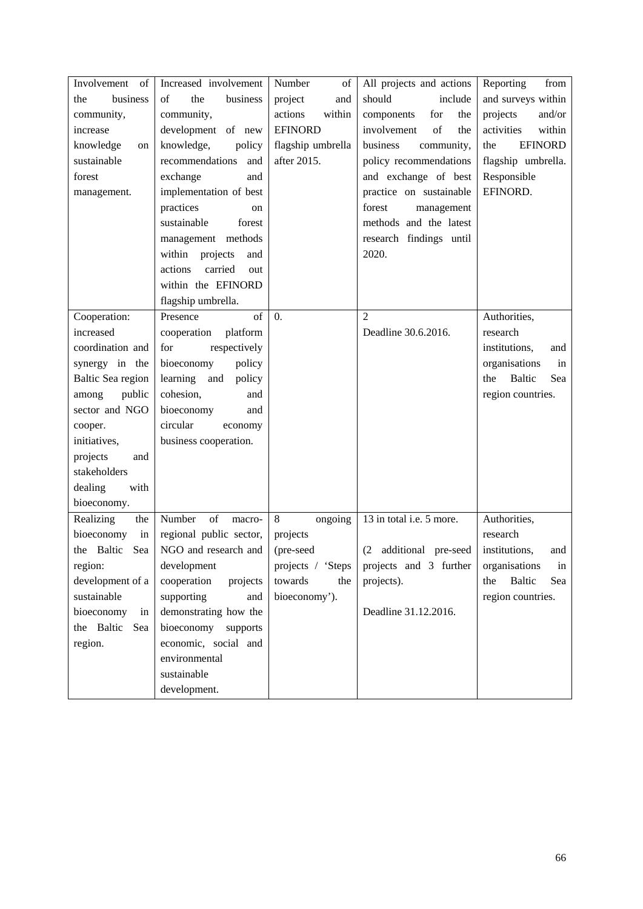| Involvement<br>of | Increased involvement      | Number<br>of      | All projects and actions   | Reporting<br>from           |
|-------------------|----------------------------|-------------------|----------------------------|-----------------------------|
| business<br>the   | of<br>the<br>business      | project<br>and    | should<br>include          | and surveys within          |
| community,        | community,                 | actions<br>within | components<br>for<br>the   | projects<br>and/or          |
| increase          | development of new         | <b>EFINORD</b>    | involvement<br>of<br>the   | within<br>activities        |
| knowledge<br>on   | knowledge,<br>policy       | flagship umbrella | business<br>community,     | <b>EFINORD</b><br>the       |
| sustainable       | recommendations<br>and     | after 2015.       | policy recommendations     | flagship umbrella.          |
| forest            | exchange<br>and            |                   | and exchange of best       | Responsible                 |
| management.       | implementation of best     |                   | practice on sustainable    | EFINORD.                    |
|                   | practices<br><sub>on</sub> |                   | forest<br>management       |                             |
|                   | sustainable<br>forest      |                   | methods and the latest     |                             |
|                   | management methods         |                   | research findings until    |                             |
|                   | within<br>projects<br>and  |                   | 2020.                      |                             |
|                   | carried<br>actions<br>out  |                   |                            |                             |
|                   | within the EFINORD         |                   |                            |                             |
|                   | flagship umbrella.         |                   |                            |                             |
| Cooperation:      | of<br>Presence             | $\overline{0}$ .  | $\overline{2}$             | Authorities,                |
| increased         | cooperation<br>platform    |                   | Deadline 30.6.2016.        | research                    |
| coordination and  | respectively<br>for        |                   |                            | institutions,<br>and        |
| synergy in the    | bioeconomy<br>policy       |                   |                            | organisations<br>in         |
| Baltic Sea region | learning<br>and<br>policy  |                   |                            | Baltic<br>Sea<br>the        |
| public<br>among   | cohesion,<br>and           |                   |                            | region countries.           |
| sector and NGO    | bioeconomy<br>and          |                   |                            |                             |
| cooper.           | circular<br>economy        |                   |                            |                             |
| initiatives,      | business cooperation.      |                   |                            |                             |
| projects<br>and   |                            |                   |                            |                             |
| stakeholders      |                            |                   |                            |                             |
| dealing<br>with   |                            |                   |                            |                             |
| bioeconomy.       |                            |                   |                            |                             |
| Realizing<br>the  | Number<br>of<br>macro-     | 8<br>ongoing      | 13 in total i.e. 5 more.   | Authorities,                |
| bioeconomy<br>in  | regional public sector,    | projects          |                            | research                    |
| the Baltic<br>Sea | NGO and research and       | (pre-seed         | additional pre-seed<br>(2) | institutions,<br>and        |
| region:           | development                | projects / 'Steps | projects and 3 further     | organisations<br>in         |
| development of a  | cooperation<br>projects    | towards<br>the    | projects).                 | <b>Baltic</b><br>Sea<br>the |
| sustainable       | supporting<br>and          | bioeconomy').     |                            | region countries.           |
| bioeconomy<br>in  | demonstrating how the      |                   | Deadline 31.12.2016.       |                             |
| the Baltic<br>Sea | bioeconomy<br>supports     |                   |                            |                             |
| region.           | economic, social and       |                   |                            |                             |
|                   | environmental              |                   |                            |                             |
|                   | sustainable                |                   |                            |                             |
|                   | development.               |                   |                            |                             |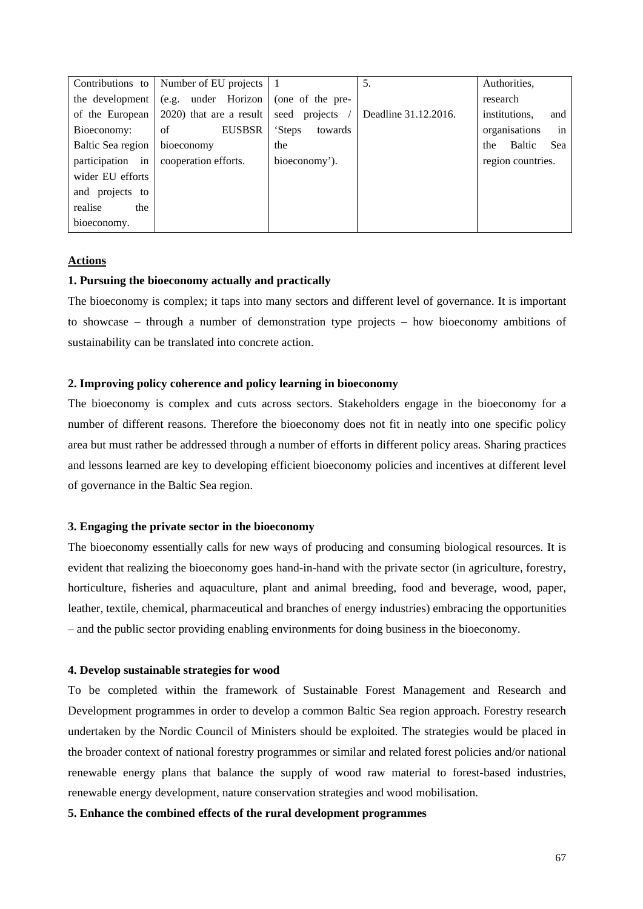|                   | Contributions to   Number of EU projects |                   | 5.                   | Authorities,         |
|-------------------|------------------------------------------|-------------------|----------------------|----------------------|
| the development   | (e.g. under Horizon                      | (one of the pre-  |                      | research             |
| of the European   | 2020) that are a result                  | seed projects     | Deadline 31.12.2016. | institutions,<br>and |
| Bioeconomy:       | <b>EUSBSR</b><br>of                      | towards<br>'Steps |                      | in<br>organisations  |
| Baltic Sea region | bioeconomy                               | the               |                      | Baltic<br>Sea<br>the |
| participation in  | cooperation efforts.                     | bioeconomy').     |                      | region countries.    |
| wider EU efforts  |                                          |                   |                      |                      |
| and projects to   |                                          |                   |                      |                      |
| realise<br>the    |                                          |                   |                      |                      |
| bioeconomy.       |                                          |                   |                      |                      |

### **Actions**

### **1. Pursuing the bioeconomy actually and practically**

The bioeconomy is complex; it taps into many sectors and different level of governance. It is important to showcase – through a number of demonstration type projects – how bioeconomy ambitions of sustainability can be translated into concrete action.

### **2. Improving policy coherence and policy learning in bioeconomy**

The bioeconomy is complex and cuts across sectors. Stakeholders engage in the bioeconomy for a number of different reasons. Therefore the bioeconomy does not fit in neatly into one specific policy area but must rather be addressed through a number of efforts in different policy areas. Sharing practices and lessons learned are key to developing efficient bioeconomy policies and incentives at different level of governance in the Baltic Sea region.

### **3. Engaging the private sector in the bioeconomy**

The bioeconomy essentially calls for new ways of producing and consuming biological resources. It is evident that realizing the bioeconomy goes hand-in-hand with the private sector (in agriculture, forestry, horticulture, fisheries and aquaculture, plant and animal breeding, food and beverage, wood, paper, leather, textile, chemical, pharmaceutical and branches of energy industries) embracing the opportunities – and the public sector providing enabling environments for doing business in the bioeconomy.

### **4. Develop sustainable strategies for wood**

To be completed within the framework of Sustainable Forest Management and Research and Development programmes in order to develop a common Baltic Sea region approach. Forestry research undertaken by the Nordic Council of Ministers should be exploited. The strategies would be placed in the broader context of national forestry programmes or similar and related forest policies and/or national renewable energy plans that balance the supply of wood raw material to forest-based industries, renewable energy development, nature conservation strategies and wood mobilisation.

### **5. Enhance the combined effects of the rural development programmes**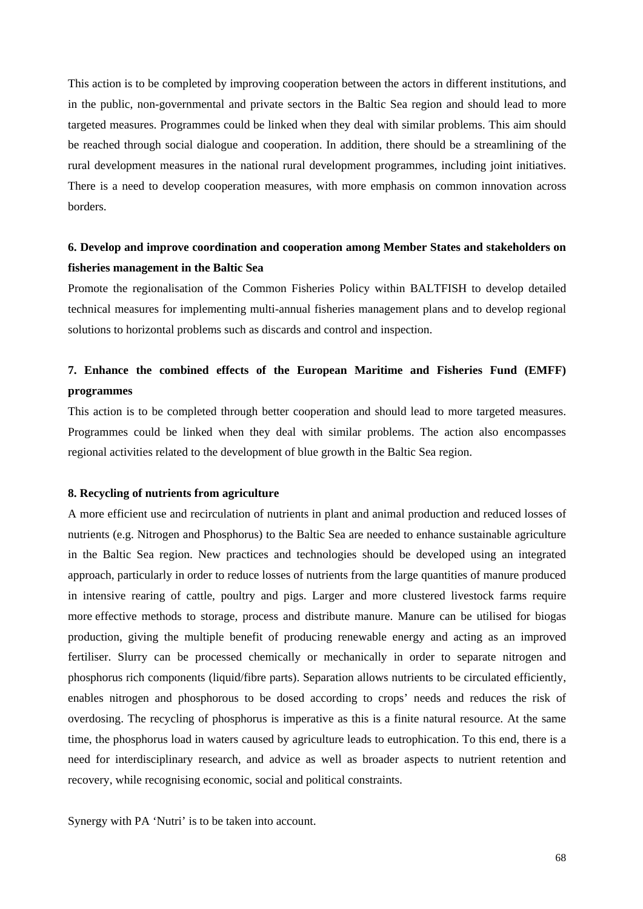This action is to be completed by improving cooperation between the actors in different institutions, and in the public, non-governmental and private sectors in the Baltic Sea region and should lead to more targeted measures. Programmes could be linked when they deal with similar problems. This aim should be reached through social dialogue and cooperation. In addition, there should be a streamlining of the rural development measures in the national rural development programmes, including joint initiatives. There is a need to develop cooperation measures, with more emphasis on common innovation across borders.

## **6. Develop and improve coordination and cooperation among Member States and stakeholders on fisheries management in the Baltic Sea**

Promote the regionalisation of the Common Fisheries Policy within BALTFISH to develop detailed technical measures for implementing multi-annual fisheries management plans and to develop regional solutions to horizontal problems such as discards and control and inspection.

# **7. Enhance the combined effects of the European Maritime and Fisheries Fund (EMFF) programmes**

This action is to be completed through better cooperation and should lead to more targeted measures. Programmes could be linked when they deal with similar problems. The action also encompasses regional activities related to the development of blue growth in the Baltic Sea region.

### **8. Recycling of nutrients from agriculture**

A more efficient use and recirculation of nutrients in plant and animal production and reduced losses of nutrients (e.g. Nitrogen and Phosphorus) to the Baltic Sea are needed to enhance sustainable agriculture in the Baltic Sea region. New practices and technologies should be developed using an integrated approach, particularly in order to reduce losses of nutrients from the large quantities of manure produced in intensive rearing of cattle, poultry and pigs. Larger and more clustered livestock farms require more effective methods to storage, process and distribute manure. Manure can be utilised for biogas production, giving the multiple benefit of producing renewable energy and acting as an improved fertiliser. Slurry can be processed chemically or mechanically in order to separate nitrogen and phosphorus rich components (liquid/fibre parts). Separation allows nutrients to be circulated efficiently, enables nitrogen and phosphorous to be dosed according to crops' needs and reduces the risk of overdosing. The recycling of phosphorus is imperative as this is a finite natural resource. At the same time, the phosphorus load in waters caused by agriculture leads to eutrophication. To this end, there is a need for interdisciplinary research, and advice as well as broader aspects to nutrient retention and recovery, while recognising economic, social and political constraints.

Synergy with PA 'Nutri' is to be taken into account.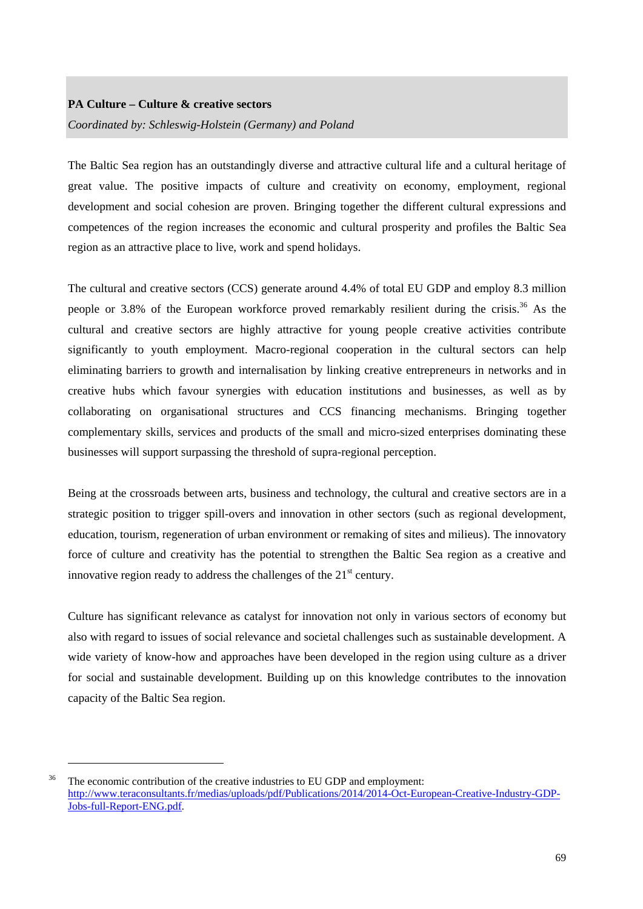### **PA Culture – Culture & creative sectors**

1

*Coordinated by: Schleswig-Holstein (Germany) and Poland* 

The Baltic Sea region has an outstandingly diverse and attractive cultural life and a cultural heritage of great value. The positive impacts of culture and creativity on economy, employment, regional development and social cohesion are proven. Bringing together the different cultural expressions and competences of the region increases the economic and cultural prosperity and profiles the Baltic Sea region as an attractive place to live, work and spend holidays.

The cultural and creative sectors (CCS) generate around 4.4% of total EU GDP and employ 8.3 million people or 3.8% of the European workforce proved remarkably resilient during the crisis.<sup>36</sup> As the cultural and creative sectors are highly attractive for young people creative activities contribute significantly to youth employment. Macro-regional cooperation in the cultural sectors can help eliminating barriers to growth and internalisation by linking creative entrepreneurs in networks and in creative hubs which favour synergies with education institutions and businesses, as well as by collaborating on organisational structures and CCS financing mechanisms. Bringing together complementary skills, services and products of the small and micro-sized enterprises dominating these businesses will support surpassing the threshold of supra-regional perception.

Being at the crossroads between arts, business and technology, the cultural and creative sectors are in a strategic position to trigger spill-overs and innovation in other sectors (such as regional development, education, tourism, regeneration of urban environment or remaking of sites and milieus). The innovatory force of culture and creativity has the potential to strengthen the Baltic Sea region as a creative and innovative region ready to address the challenges of the  $21<sup>st</sup>$  century.

Culture has significant relevance as catalyst for innovation not only in various sectors of economy but also with regard to issues of social relevance and societal challenges such as sustainable development. A wide variety of know-how and approaches have been developed in the region using culture as a driver for social and sustainable development. Building up on this knowledge contributes to the innovation capacity of the Baltic Sea region.

<sup>&</sup>lt;sup>36</sup> The economic contribution of the creative industries to EU GDP and employment: [http://www.teraconsultants.fr/medias/uploads/pdf/Publications/2014/2014-Oct-European-Creative-Industry-GDP-](http://www.teraconsultants.fr/medias/uploads/pdf/Publications/2014/2014-Oct-European-Creative-Industry-GDP-Jobs-full-Report-ENG.pdf)[Jobs-full-Report-ENG.pdf.](http://www.teraconsultants.fr/medias/uploads/pdf/Publications/2014/2014-Oct-European-Creative-Industry-GDP-Jobs-full-Report-ENG.pdf)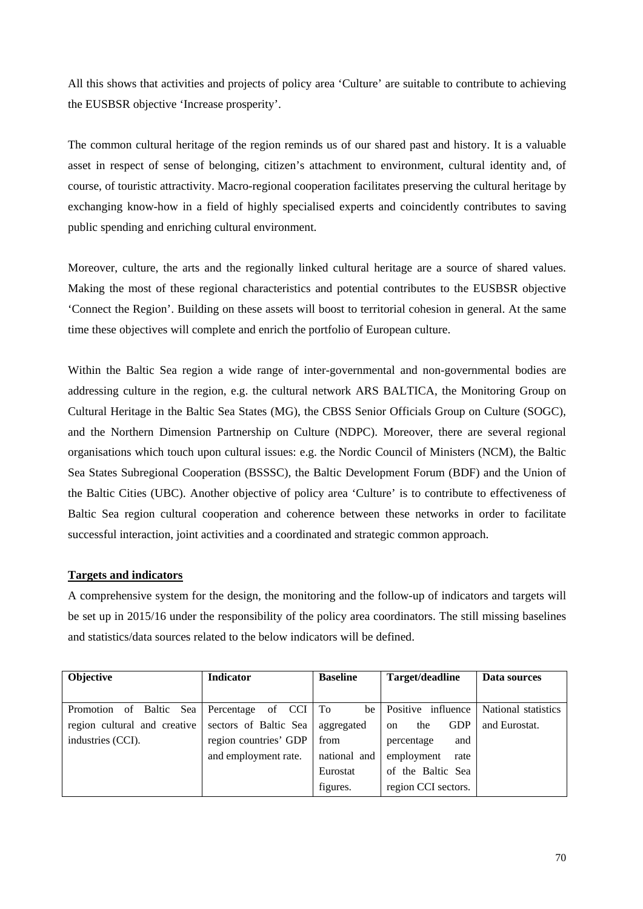All this shows that activities and projects of policy area 'Culture' are suitable to contribute to achieving the EUSBSR objective 'Increase prosperity'.

The common cultural heritage of the region reminds us of our shared past and history. It is a valuable asset in respect of sense of belonging, citizen's attachment to environment, cultural identity and, of course, of touristic attractivity. Macro-regional cooperation facilitates preserving the cultural heritage by exchanging know-how in a field of highly specialised experts and coincidently contributes to saving public spending and enriching cultural environment.

Moreover, culture, the arts and the regionally linked cultural heritage are a source of shared values. Making the most of these regional characteristics and potential contributes to the EUSBSR objective 'Connect the Region'. Building on these assets will boost to territorial cohesion in general. At the same time these objectives will complete and enrich the portfolio of European culture.

Within the Baltic Sea region a wide range of inter-governmental and non-governmental bodies are addressing culture in the region, e.g. the cultural network ARS BALTICA, the Monitoring Group on Cultural Heritage in the Baltic Sea States (MG), the CBSS Senior Officials Group on Culture (SOGC), and the Northern Dimension Partnership on Culture (NDPC). Moreover, there are several regional organisations which touch upon cultural issues: e.g. the Nordic Council of Ministers (NCM), the Baltic Sea States Subregional Cooperation (BSSSC), the Baltic Development Forum (BDF) and the Union of the Baltic Cities (UBC). Another objective of policy area 'Culture' is to contribute to effectiveness of Baltic Sea region cultural cooperation and coherence between these networks in order to facilitate successful interaction, joint activities and a coordinated and strategic common approach.

### **Targets and indicators**

A comprehensive system for the design, the monitoring and the follow-up of indicators and targets will be set up in 2015/16 under the responsibility of the policy area coordinators. The still missing baselines and statistics/data sources related to the below indicators will be defined.

| Objective                    | <b>Indicator</b>      | <b>Baseline</b> | Target/deadline                    | Data sources        |
|------------------------------|-----------------------|-----------------|------------------------------------|---------------------|
|                              |                       |                 |                                    |                     |
| of Baltic Sea<br>Promotion   | of CCI<br>Percentage  | To<br>be        | Positive influence                 | National statistics |
| region cultural and creative | sectors of Baltic Sea | aggregated      | <b>GDP</b><br>the<br><sub>on</sub> | and Eurostat.       |
| industries (CCI).            | region countries' GDP | from            | and<br>percentage                  |                     |
|                              | and employment rate.  | national and    | employment<br>rate                 |                     |
|                              |                       | Eurostat        | of the Baltic Sea                  |                     |
|                              |                       | figures.        | region CCI sectors.                |                     |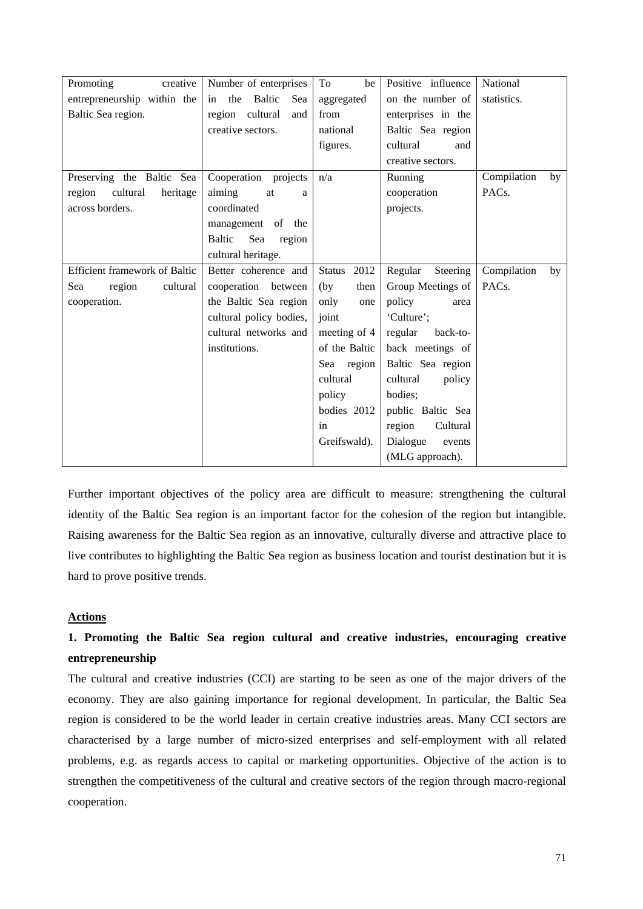| Promoting<br>creative                | Number of enterprises      | To<br>be              | Positive influence  | National           |
|--------------------------------------|----------------------------|-----------------------|---------------------|--------------------|
| entrepreneurship within the          | Baltic<br>the<br>Sea<br>in | aggregated            | on the number of    | statistics.        |
| Baltic Sea region.                   | region cultural<br>and     | from                  | enterprises in the  |                    |
|                                      | creative sectors.          | national              | Baltic Sea region   |                    |
|                                      |                            | figures.              | cultural<br>and     |                    |
|                                      |                            |                       | creative sectors.   |                    |
| Preserving the Baltic Sea            | Cooperation projects       | n/a                   | Running             | Compilation<br>by  |
| cultural<br>region<br>heritage       | aiming<br>at<br>a          |                       | cooperation         | PAC <sub>s</sub> . |
| across borders.                      | coordinated                |                       | projects.           |                    |
|                                      | management of the          |                       |                     |                    |
|                                      | Baltic<br>Sea<br>region    |                       |                     |                    |
|                                      | cultural heritage.         |                       |                     |                    |
| <b>Efficient framework of Baltic</b> | Better coherence and       | 2012<br><b>Status</b> | Regular<br>Steering | Compilation<br>by  |
| Sea<br>region<br>cultural            | cooperation between        | (by)<br>then          | Group Meetings of   | PAC <sub>s</sub> . |
| cooperation.                         | the Baltic Sea region      | only<br>one           | policy<br>area      |                    |
|                                      | cultural policy bodies,    | joint                 | 'Culture';          |                    |
|                                      | cultural networks and      | meeting of 4          | regular<br>back-to- |                    |
|                                      | institutions.              | of the Baltic         | back meetings of    |                    |
|                                      |                            | Sea region            | Baltic Sea region   |                    |
|                                      |                            | cultural              | cultural<br>policy  |                    |
|                                      |                            | policy                | bodies;             |                    |
|                                      |                            | bodies 2012           | public Baltic Sea   |                    |
|                                      |                            | in                    | region<br>Cultural  |                    |
|                                      |                            | Greifswald).          | Dialogue<br>events  |                    |
|                                      |                            |                       | (MLG approach).     |                    |

Further important objectives of the policy area are difficult to measure: strengthening the cultural identity of the Baltic Sea region is an important factor for the cohesion of the region but intangible. Raising awareness for the Baltic Sea region as an innovative, culturally diverse and attractive place to live contributes to highlighting the Baltic Sea region as business location and tourist destination but it is hard to prove positive trends.

### **Actions**

# **1. Promoting the Baltic Sea region cultural and creative industries, encouraging creative entrepreneurship**

The cultural and creative industries (CCI) are starting to be seen as one of the major drivers of the economy. They are also gaining importance for regional development. In particular, the Baltic Sea region is considered to be the world leader in certain creative industries areas. Many CCI sectors are characterised by a large number of micro-sized enterprises and self-employment with all related problems, e.g. as regards access to capital or marketing opportunities. Objective of the action is to strengthen the competitiveness of the cultural and creative sectors of the region through macro-regional cooperation.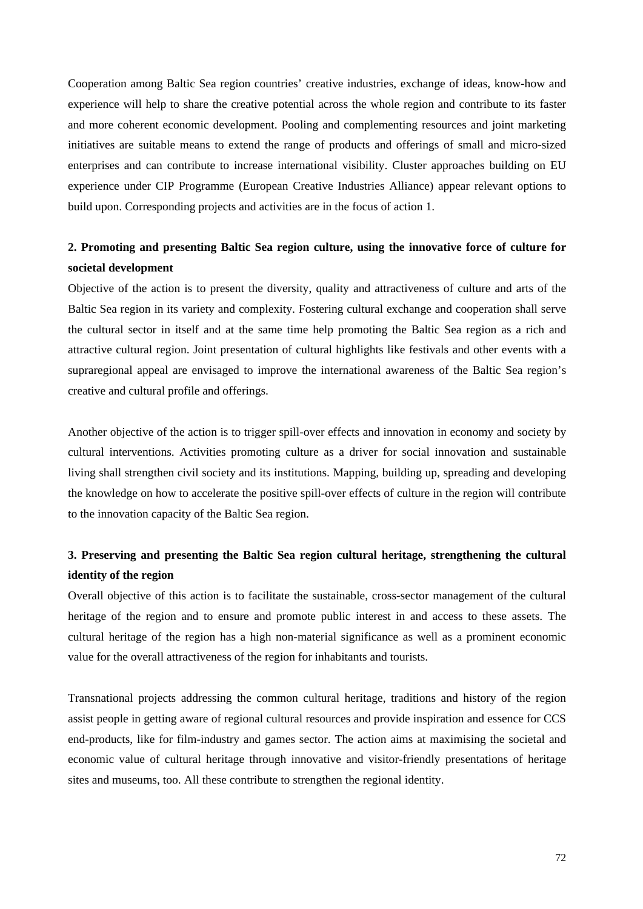Cooperation among Baltic Sea region countries' creative industries, exchange of ideas, know-how and experience will help to share the creative potential across the whole region and contribute to its faster and more coherent economic development. Pooling and complementing resources and joint marketing initiatives are suitable means to extend the range of products and offerings of small and micro-sized enterprises and can contribute to increase international visibility. Cluster approaches building on EU experience under CIP Programme (European Creative Industries Alliance) appear relevant options to build upon. Corresponding projects and activities are in the focus of action 1.

## **2. Promoting and presenting Baltic Sea region culture, using the innovative force of culture for societal development**

Objective of the action is to present the diversity, quality and attractiveness of culture and arts of the Baltic Sea region in its variety and complexity. Fostering cultural exchange and cooperation shall serve the cultural sector in itself and at the same time help promoting the Baltic Sea region as a rich and attractive cultural region. Joint presentation of cultural highlights like festivals and other events with a supraregional appeal are envisaged to improve the international awareness of the Baltic Sea region's creative and cultural profile and offerings.

Another objective of the action is to trigger spill-over effects and innovation in economy and society by cultural interventions. Activities promoting culture as a driver for social innovation and sustainable living shall strengthen civil society and its institutions. Mapping, building up, spreading and developing the knowledge on how to accelerate the positive spill-over effects of culture in the region will contribute to the innovation capacity of the Baltic Sea region.

## **3. Preserving and presenting the Baltic Sea region cultural heritage, strengthening the cultural identity of the region**

Overall objective of this action is to facilitate the sustainable, cross-sector management of the cultural heritage of the region and to ensure and promote public interest in and access to these assets. The cultural heritage of the region has a high non-material significance as well as a prominent economic value for the overall attractiveness of the region for inhabitants and tourists.

Transnational projects addressing the common cultural heritage, traditions and history of the region assist people in getting aware of regional cultural resources and provide inspiration and essence for CCS end-products, like for film-industry and games sector. The action aims at maximising the societal and economic value of cultural heritage through innovative and visitor-friendly presentations of heritage sites and museums, too. All these contribute to strengthen the regional identity.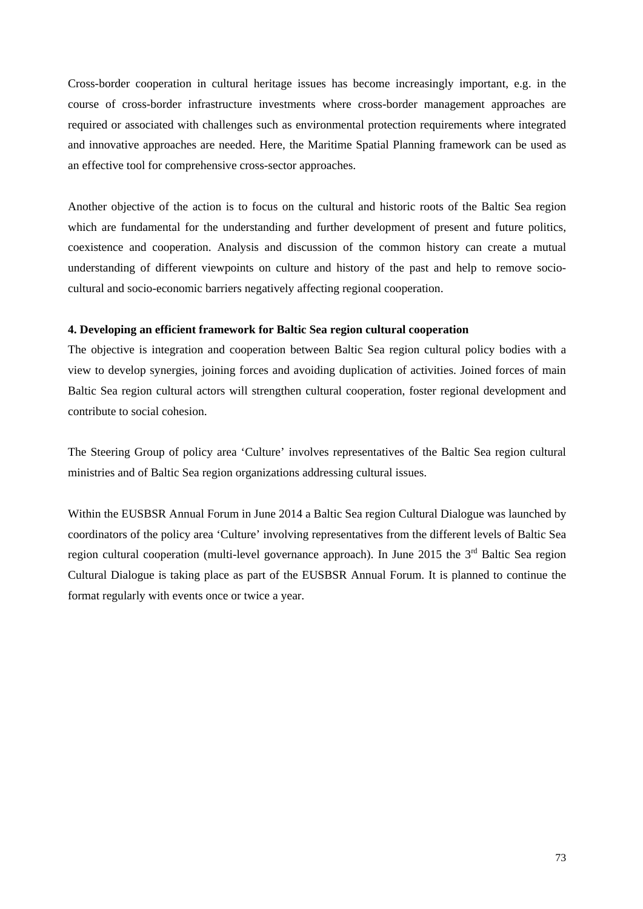Cross-border cooperation in cultural heritage issues has become increasingly important, e.g. in the course of cross-border infrastructure investments where cross-border management approaches are required or associated with challenges such as environmental protection requirements where integrated and innovative approaches are needed. Here, the Maritime Spatial Planning framework can be used as an effective tool for comprehensive cross-sector approaches.

Another objective of the action is to focus on the cultural and historic roots of the Baltic Sea region which are fundamental for the understanding and further development of present and future politics, coexistence and cooperation. Analysis and discussion of the common history can create a mutual understanding of different viewpoints on culture and history of the past and help to remove sociocultural and socio-economic barriers negatively affecting regional cooperation.

### **4. Developing an efficient framework for Baltic Sea region cultural cooperation**

The objective is integration and cooperation between Baltic Sea region cultural policy bodies with a view to develop synergies, joining forces and avoiding duplication of activities. Joined forces of main Baltic Sea region cultural actors will strengthen cultural cooperation, foster regional development and contribute to social cohesion.

The Steering Group of policy area 'Culture' involves representatives of the Baltic Sea region cultural ministries and of Baltic Sea region organizations addressing cultural issues.

Within the EUSBSR Annual Forum in June 2014 a Baltic Sea region Cultural Dialogue was launched by coordinators of the policy area 'Culture' involving representatives from the different levels of Baltic Sea region cultural cooperation (multi-level governance approach). In June 2015 the 3<sup>rd</sup> Baltic Sea region Cultural Dialogue is taking place as part of the EUSBSR Annual Forum. It is planned to continue the format regularly with events once or twice a year.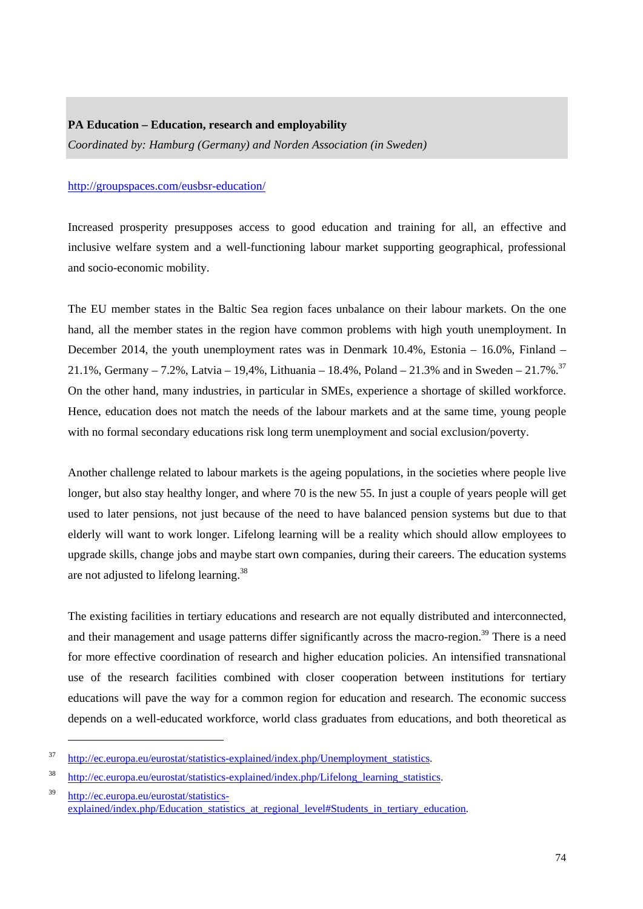## **PA Education – Education, research and employability**

*Coordinated by: Hamburg (Germany) and Norden Association (in Sweden)* 

### <http://groupspaces.com/eusbsr-education/>

Increased prosperity presupposes access to good education and training for all, an effective and inclusive welfare system and a well-functioning labour market supporting geographical, professional and socio-economic mobility.

The EU member states in the Baltic Sea region faces unbalance on their labour markets. On the one hand, all the member states in the region have common problems with high youth unemployment. In December 2014, the youth unemployment rates was in Denmark 10.4%, Estonia – 16.0%, Finland – 21.1%, Germany – 7.2%, Latvia – 19,4%, Lithuania – 18.4%, Poland – 21.3% and in Sweden – 21.7%.<sup>37</sup> On the other hand, many industries, in particular in SMEs, experience a shortage of skilled workforce. Hence, education does not match the needs of the labour markets and at the same time, young people with no formal secondary educations risk long term unemployment and social exclusion/poverty.

Another challenge related to labour markets is the ageing populations, in the societies where people live longer, but also stay healthy longer, and where 70 is the new 55. In just a couple of years people will get used to later pensions, not just because of the need to have balanced pension systems but due to that elderly will want to work longer. Lifelong learning will be a reality which should allow employees to upgrade skills, change jobs and maybe start own companies, during their careers. The education systems are not adjusted to lifelong learning.38

The existing facilities in tertiary educations and research are not equally distributed and interconnected, and their management and usage patterns differ significantly across the macro-region.<sup>39</sup> There is a need for more effective coordination of research and higher education policies. An intensified transnational use of the research facilities combined with closer cooperation between institutions for tertiary educations will pave the way for a common region for education and research. The economic success depends on a well-educated workforce, world class graduates from educations, and both theoretical as

1

<sup>&</sup>lt;sup>37</sup> http://ec.europa.eu/eurostat/statistics-explained/index.php/Unemployment statistics.

<sup>&</sup>lt;sup>38</sup> http://ec.europa.eu/eurostat/statistics-explained/index.php/Lifelong learning statistics.

<sup>39</sup>[http://ec.europa.eu/eurostat/statistics](http://ec.europa.eu/eurostat/statistics-explained/index.php/Education_statistics_at_regional_level#Students_in_tertiary_education)explained/index.php/Education\_statistics\_at\_regional\_level#Students\_in\_tertiary\_education.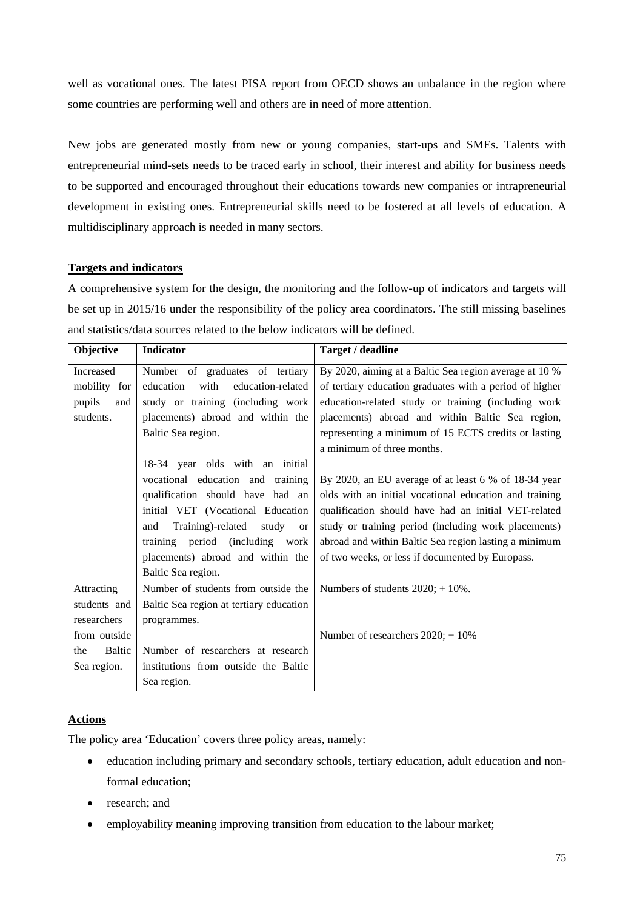well as vocational ones. The latest PISA report from OECD shows an unbalance in the region where some countries are performing well and others are in need of more attention.

New jobs are generated mostly from new or young companies, start-ups and SMEs. Talents with entrepreneurial mind-sets needs to be traced early in school, their interest and ability for business needs to be supported and encouraged throughout their educations towards new companies or intrapreneurial development in existing ones. Entrepreneurial skills need to be fostered at all levels of education. A multidisciplinary approach is needed in many sectors.

## **Targets and indicators**

A comprehensive system for the design, the monitoring and the follow-up of indicators and targets will be set up in 2015/16 under the responsibility of the policy area coordinators. The still missing baselines and statistics/data sources related to the below indicators will be defined.

| Objective                         | <b>Indicator</b>                               | Target / deadline                                       |
|-----------------------------------|------------------------------------------------|---------------------------------------------------------|
| Increased                         | Number of graduates of tertiary                | By 2020, aiming at a Baltic Sea region average at 10 %  |
| mobility for                      | education<br>with<br>education-related         | of tertiary education graduates with a period of higher |
| pupils<br>and                     | study or training (including work              | education-related study or training (including work     |
| students.                         | placements) abroad and within the              | placements) abroad and within Baltic Sea region,        |
|                                   | Baltic Sea region.                             | representing a minimum of 15 ECTS credits or lasting    |
|                                   |                                                | a minimum of three months.                              |
|                                   | 18-34 year olds with an initial                |                                                         |
|                                   | vocational education and training              | By 2020, an EU average of at least 6 % of 18-34 year    |
|                                   | qualification should have had an               | olds with an initial vocational education and training  |
|                                   | initial VET (Vocational Education              | qualification should have had an initial VET-related    |
|                                   | Training)-related<br>and<br>study<br><b>or</b> | study or training period (including work placements)    |
|                                   | training period (including work                | abroad and within Baltic Sea region lasting a minimum   |
| placements) abroad and within the |                                                | of two weeks, or less if documented by Europass.        |
|                                   | Baltic Sea region.                             |                                                         |
| Attracting                        | Number of students from outside the            | Numbers of students $2020$ ; + 10%.                     |
| students and                      | Baltic Sea region at tertiary education        |                                                         |
| researchers                       | programmes.                                    |                                                         |
| from outside                      |                                                | Number of researchers $2020; +10\%$                     |
| Baltic<br>the                     | Number of researchers at research              |                                                         |
| Sea region.                       | institutions from outside the Baltic           |                                                         |
|                                   | Sea region.                                    |                                                         |

## **Actions**

The policy area 'Education' covers three policy areas, namely:

- education including primary and secondary schools, tertiary education, adult education and nonformal education;
- research; and
- employability meaning improving transition from education to the labour market;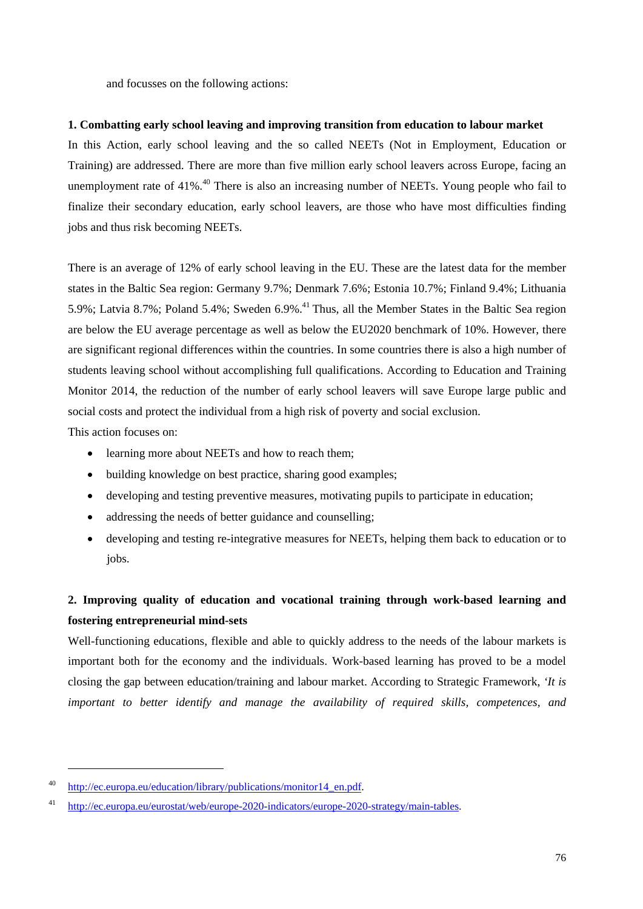and focusses on the following actions:

## **1. Combatting early school leaving and improving transition from education to labour market**

In this Action, early school leaving and the so called NEETs (Not in Employment, Education or Training) are addressed. There are more than five million early school leavers across Europe, facing an unemployment rate of  $41\%$ <sup>40</sup> There is also an increasing number of NEETs. Young people who fail to finalize their secondary education, early school leavers, are those who have most difficulties finding jobs and thus risk becoming NEETs.

There is an average of 12% of early school leaving in the EU. These are the latest data for the member states in the Baltic Sea region: Germany 9.7%; Denmark 7.6%; Estonia 10.7%; Finland 9.4%; Lithuania 5.9%; Latvia 8.7%; Poland 5.4%; Sweden 6.9%.<sup>41</sup> Thus, all the Member States in the Baltic Sea region are below the EU average percentage as well as below the EU2020 benchmark of 10%. However, there are significant regional differences within the countries. In some countries there is also a high number of students leaving school without accomplishing full qualifications. According to Education and Training Monitor 2014, the reduction of the number of early school leavers will save Europe large public and social costs and protect the individual from a high risk of poverty and social exclusion. This action focuses on:

- learning more about NEETs and how to reach them;
- building knowledge on best practice, sharing good examples;
- developing and testing preventive measures, motivating pupils to participate in education;
- addressing the needs of better guidance and counselling;
- developing and testing re-integrative measures for NEETs, helping them back to education or to jobs.

## **2. Improving quality of education and vocational training through work-based learning and fostering entrepreneurial mind-sets**

Well-functioning educations, flexible and able to quickly address to the needs of the labour markets is important both for the economy and the individuals. Work-based learning has proved to be a model closing the gap between education/training and labour market. According to Strategic Framework, *'It is important to better identify and manage the availability of required skills, competences, and* 

<u>.</u>

<sup>40</sup> [http://ec.europa.eu/education/lib](http://ec.europa.eu/education/library/publications/monitor14_en.pdf)rary/publications/monitor14\_en.pdf.

<sup>41</sup> [http://ec.europa.eu/eurostat/web/europe-2020-indicators/europe-2020-strategy/main-tables.](http://ec.europa.eu/eurostat/web/europe-2020-indicators/europe-2020-strategy/main-tables)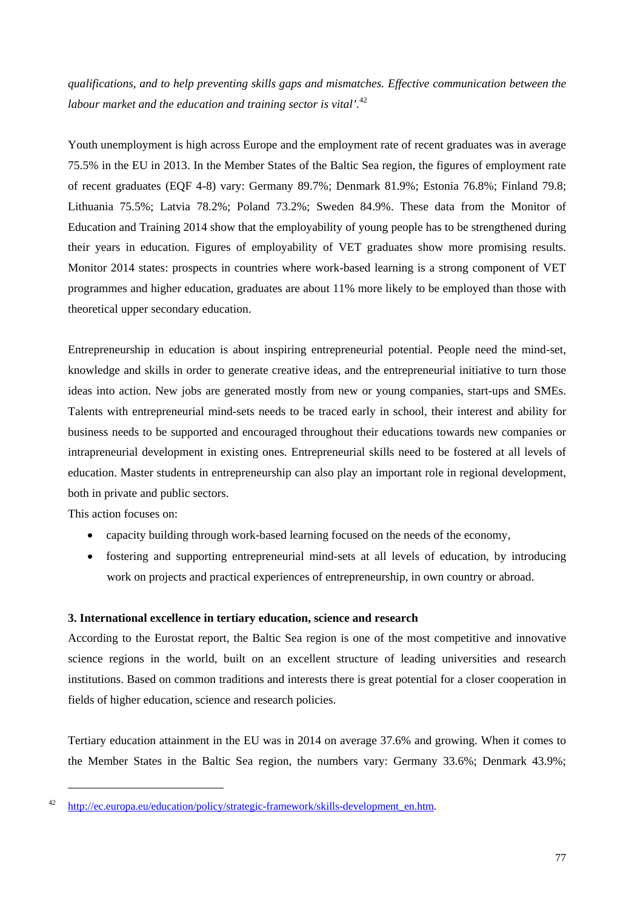*qualifications, and to help preventing skills gaps and mismatches. Effective communication between the labour market and the education and training sector is vital'.*<sup>42</sup>

Youth unemployment is high across Europe and the employment rate of recent graduates was in average 75.5% in the EU in 2013. In the Member States of the Baltic Sea region, the figures of employment rate of recent graduates (EQF 4-8) vary: Germany 89.7%; Denmark 81.9%; Estonia 76.8%; Finland 79.8; Lithuania 75.5%; Latvia 78.2%; Poland 73.2%; Sweden 84.9%. These data from the Monitor of Education and Training 2014 show that the employability of young people has to be strengthened during their years in education. Figures of employability of VET graduates show more promising results. Monitor 2014 states: prospects in countries where work-based learning is a strong component of VET programmes and higher education, graduates are about 11% more likely to be employed than those with theoretical upper secondary education.

Entrepreneurship in education is about inspiring entrepreneurial potential. People need the mind-set, knowledge and skills in order to generate creative ideas, and the entrepreneurial initiative to turn those ideas into action. New jobs are generated mostly from new or young companies, start-ups and SMEs. Talents with entrepreneurial mind-sets needs to be traced early in school, their interest and ability for business needs to be supported and encouraged throughout their educations towards new companies or intrapreneurial development in existing ones. Entrepreneurial skills need to be fostered at all levels of education. Master students in entrepreneurship can also play an important role in regional development, both in private and public sectors.

This action focuses on:

-

- capacity building through work-based learning focused on the needs of the economy,
- fostering and supporting entrepreneurial mind-sets at all levels of education, by introducing work on projects and practical experiences of entrepreneurship, in own country or abroad.

## **3. International excellence in tertiary education, science and research**

According to the Eurostat report, the Baltic Sea region is one of the most competitive and innovative science regions in the world, built on an excellent structure of leading universities and research institutions. Based on common traditions and interests there is great potential for a closer cooperation in fields of higher education, science and research policies.

Tertiary education attainment in the EU was in 2014 on average 37.6% and growing. When it comes to the Member States in the Baltic Sea region, the numbers vary: Germany 33.6%; Denmark 43.9%;

<sup>&</sup>lt;sup>42</sup> [http://ec.europa.eu/education/policy/strategic-framework/skills-deve](http://ec.europa.eu/education/policy/strategic-framework/skills-development_en.htm)lopment\_en.htm.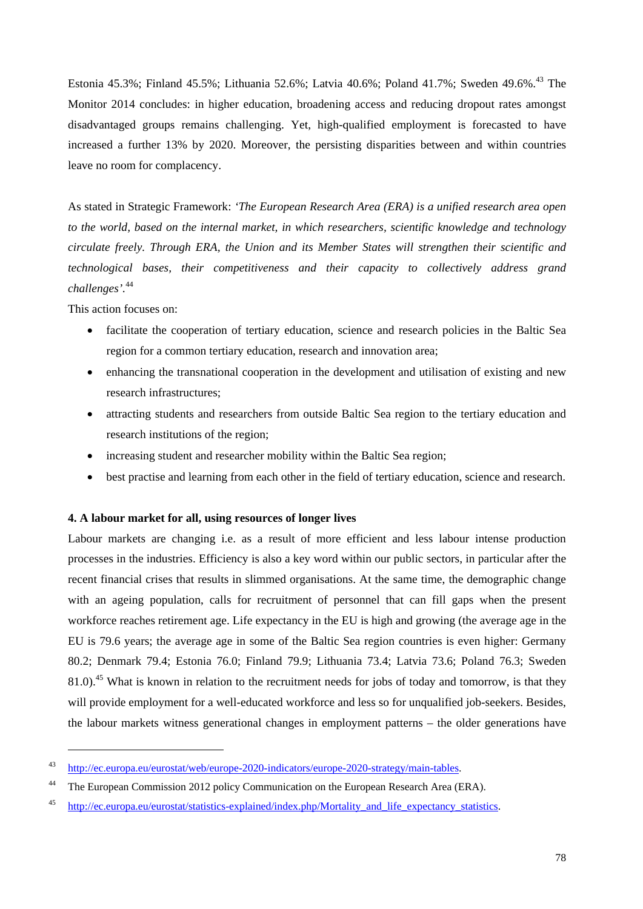Estonia 45.3%; Finland 45.5%; Lithuania 52.6%; Latvia 40.6%; Poland 41.7%; Sweden 49.6%.<sup>43</sup> The Monitor 2014 concludes: in higher education, broadening access and reducing dropout rates amongst disadvantaged groups remains challenging. Yet, high-qualified employment is forecasted to have increased a further 13% by 2020. Moreover, the persisting disparities between and within countries leave no room for complacency.

As stated in Strategic Framework: *'The European Research Area (ERA) is a unified research area open to the world, based on the internal market, in which researchers, scientific knowledge and technology circulate freely. Through ERA, the Union and its Member States will strengthen their scientific and technological bases, their competitiveness and their capacity to collectively address grand challenges'.*<sup>44</sup>

This action focuses on:

1

- facilitate the cooperation of tertiary education, science and research policies in the Baltic Sea region for a common tertiary education, research and innovation area;
- enhancing the transnational cooperation in the development and utilisation of existing and new research infrastructures;
- attracting students and researchers from outside Baltic Sea region to the tertiary education and research institutions of the region;
- increasing student and researcher mobility within the Baltic Sea region;
- best practise and learning from each other in the field of tertiary education, science and research.

## **4. A labour market for all, using resources of longer lives**

Labour markets are changing i.e. as a result of more efficient and less labour intense production processes in the industries. Efficiency is also a key word within our public sectors, in particular after the recent financial crises that results in slimmed organisations. At the same time, the demographic change with an ageing population, calls for recruitment of personnel that can fill gaps when the present workforce reaches retirement age. Life expectancy in the EU is high and growing (the average age in the EU is 79.6 years; the average age in some of the Baltic Sea region countries is even higher: Germany 80.2; Denmark 79.4; Estonia 76.0; Finland 79.9; Lithuania 73.4; Latvia 73.6; Poland 76.3; Sweden 81.0).<sup>45</sup> What is known in relation to the recruitment needs for jobs of today and tomorrow, is that they will provide employment for a well-educated workforce and less so for unqualified job-seekers. Besides, the labour markets witness generational changes in employment patterns – the older generations have

<sup>43</sup> [http://ec.europa.eu/eurostat/web/europe-2020-indicators/europe-2020-strategy/main-tables.](http://ec.europa.eu/eurostat/web/europe-2020-indicators/europe-2020-strategy/main-tables) 

<sup>&</sup>lt;sup>44</sup> The European Commission 2012 policy Communication on the European Research Area (ERA).

<sup>45</sup> [http://ec.europa.eu/eurostat/statistics-explained/index.php/Mortality\\_and\\_life\\_expectancy\\_statistics.](http://ec.europa.eu/eurostat/statistics-explained/index.php/Mortality_and_life_expectancy_statistics)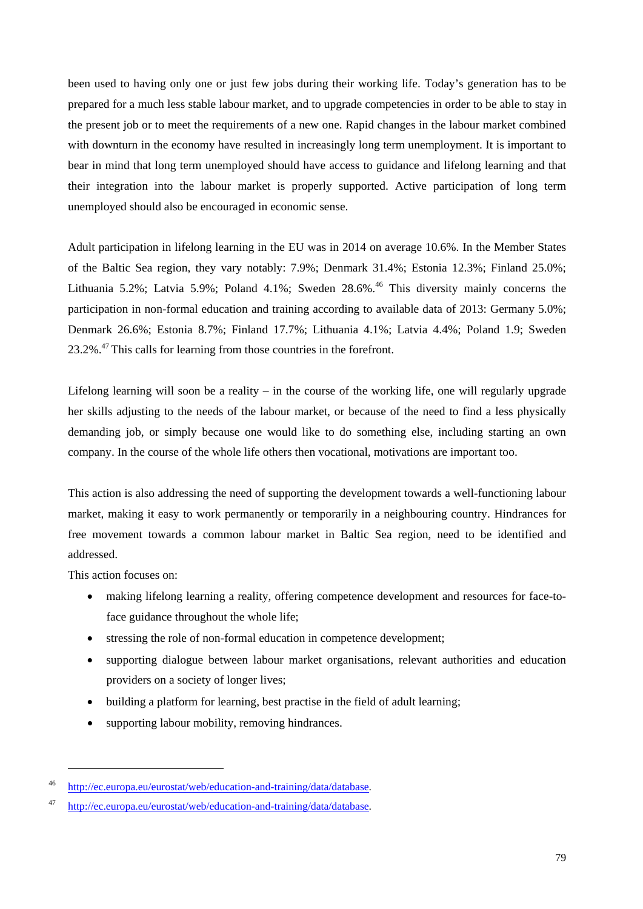been used to having only one or just few jobs during their working life. Today's generation has to be prepared for a much less stable labour market, and to upgrade competencies in order to be able to stay in the present job or to meet the requirements of a new one. Rapid changes in the labour market combined with downturn in the economy have resulted in increasingly long term unemployment. It is important to bear in mind that long term unemployed should have access to guidance and lifelong learning and that their integration into the labour market is properly supported. Active participation of long term unemployed should also be encouraged in economic sense.

Adult participation in lifelong learning in the EU was in 2014 on average 10.6%. In the Member States of the Baltic Sea region, they vary notably: 7.9%; Denmark 31.4%; Estonia 12.3%; Finland 25.0%; Lithuania 5.2%; Latvia 5.9%; Poland 4.1%; Sweden  $28.6\%$ .<sup>46</sup> This diversity mainly concerns the participation in non-formal education and training according to available data of 2013: Germany 5.0%; Denmark 26.6%; Estonia 8.7%; Finland 17.7%; Lithuania 4.1%; Latvia 4.4%; Poland 1.9; Sweden 23.2%.47 This calls for learning from those countries in the forefront.

Lifelong learning will soon be a reality – in the course of the working life, one will regularly upgrade her skills adjusting to the needs of the labour market, or because of the need to find a less physically demanding job, or simply because one would like to do something else, including starting an own company. In the course of the whole life others then vocational, motivations are important too.

This action is also addressing the need of supporting the development towards a well-functioning labour market, making it easy to work permanently or temporarily in a neighbouring country. Hindrances for free movement towards a common labour market in Baltic Sea region, need to be identified and addressed.

This action focuses on:

1

- making lifelong learning a reality, offering competence development and resources for face-toface guidance throughout the whole life;
- stressing the role of non-formal education in competence development;
- supporting dialogue between labour market organisations, relevant authorities and education providers on a society of longer lives;
- building a platform for learning, best practise in the field of adult learning;
- supporting labour mobility, removing hindrances.

<sup>46</sup> [http://ec.europa.eu/eurostat/web/education-and-training/data/database.](http://ec.europa.eu/eurostat/web/education-and-training/data/database) 

<sup>47</sup> [http://ec.europa.eu/eurostat/web/education-and-training/data/database.](http://ec.europa.eu/eurostat/web/education-and-training/data/database)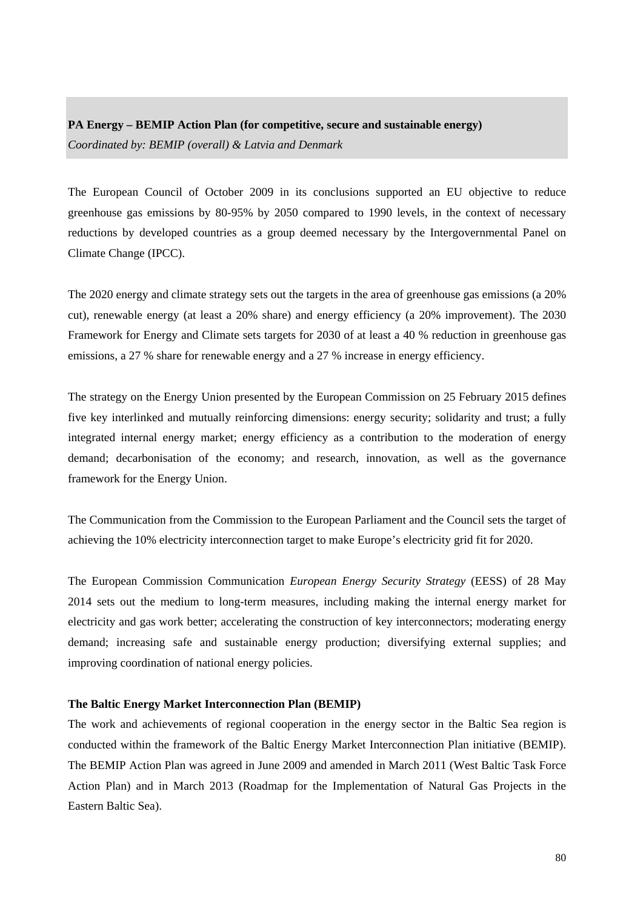## **PA Energy – BEMIP Action Plan (for competitive, secure and sustainable energy)**  *Coordinated by: BEMIP (overall) & Latvia and Denmark*

The European Council of October 2009 in its conclusions supported an EU objective to reduce greenhouse gas emissions by 80-95% by 2050 compared to 1990 levels, in the context of necessary reductions by developed countries as a group deemed necessary by the Intergovernmental Panel on Climate Change (IPCC).

The 2020 energy and climate strategy sets out the targets in the area of greenhouse gas emissions (a 20% cut), renewable energy (at least a 20% share) and energy efficiency (a 20% improvement). The 2030 Framework for Energy and Climate sets targets for 2030 of at least a 40 % reduction in greenhouse gas emissions, a 27 % share for renewable energy and a 27 % increase in energy efficiency.

The strategy on the Energy Union presented by the European Commission on 25 February 2015 defines five key interlinked and mutually reinforcing dimensions: energy security; solidarity and trust; a fully integrated internal energy market; energy efficiency as a contribution to the moderation of energy demand; decarbonisation of the economy; and research, innovation, as well as the governance framework for the Energy Union.

The Communication from the Commission to the European Parliament and the Council sets the target of achieving the 10% electricity interconnection target to make Europe's electricity grid fit for 2020.

The European Commission Communication *European Energy Security Strategy* (EESS) of 28 May 2014 sets out the medium to long-term measures, including making the internal energy market for electricity and gas work better; accelerating the construction of key interconnectors; moderating energy demand; increasing safe and sustainable energy production; diversifying external supplies; and improving coordination of national energy policies.

## **The Baltic Energy Market Interconnection Plan (BEMIP)**

The work and achievements of regional cooperation in the energy sector in the Baltic Sea region is conducted within the framework of the Baltic Energy Market Interconnection Plan initiative (BEMIP). The BEMIP Action Plan was agreed in June 2009 and amended in March 2011 (West Baltic Task Force Action Plan) and in March 2013 (Roadmap for the Implementation of Natural Gas Projects in the Eastern Baltic Sea).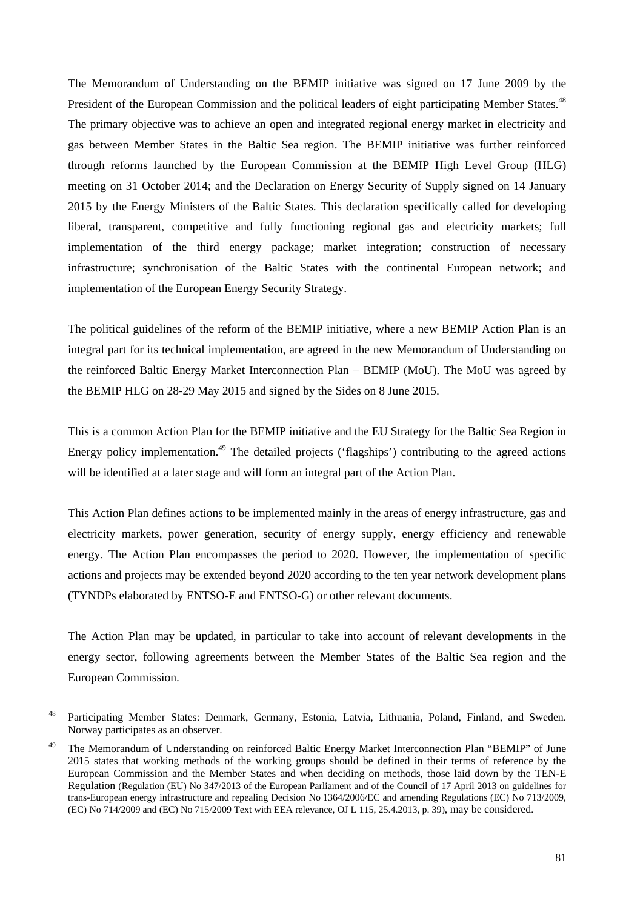The Memorandum of Understanding on the BEMIP initiative was signed on 17 June 2009 by the President of the European Commission and the political leaders of eight participating Member States.<sup>48</sup> The primary objective was to achieve an open and integrated regional energy market in electricity and gas between Member States in the Baltic Sea region. The BEMIP initiative was further reinforced through reforms launched by the European Commission at the BEMIP High Level Group (HLG) meeting on 31 October 2014; and the Declaration on Energy Security of Supply signed on 14 January 2015 by the Energy Ministers of the Baltic States. This declaration specifically called for developing liberal, transparent, competitive and fully functioning regional gas and electricity markets; full implementation of the third energy package; market integration; construction of necessary infrastructure; synchronisation of the Baltic States with the continental European network; and implementation of the European Energy Security Strategy.

The political guidelines of the reform of the BEMIP initiative, where a new BEMIP Action Plan is an integral part for its technical implementation, are agreed in the new Memorandum of Understanding on the reinforced Baltic Energy Market Interconnection Plan – BEMIP (MoU). The MoU was agreed by the BEMIP HLG on 28-29 May 2015 and signed by the Sides on 8 June 2015.

This is a common Action Plan for the BEMIP initiative and the EU Strategy for the Baltic Sea Region in Energy policy implementation.<sup>49</sup> The detailed projects ('flagships') contributing to the agreed actions will be identified at a later stage and will form an integral part of the Action Plan.

This Action Plan defines actions to be implemented mainly in the areas of energy infrastructure, gas and electricity markets, power generation, security of energy supply, energy efficiency and renewable energy. The Action Plan encompasses the period to 2020. However, the implementation of specific actions and projects may be extended beyond 2020 according to the ten year network development plans (TYNDPs elaborated by ENTSO-E and ENTSO-G) or other relevant documents.

The Action Plan may be updated, in particular to take into account of relevant developments in the energy sector, following agreements between the Member States of the Baltic Sea region and the European Commission.

1

<sup>48</sup> Participating Member States: Denmark, Germany, Estonia, Latvia, Lithuania, Poland, Finland, and Sweden. Norway participates as an observer.

<sup>&</sup>lt;sup>49</sup> The Memorandum of Understanding on reinforced Baltic Energy Market Interconnection Plan "BEMIP" of June 2015 states that working methods of the working groups should be defined in their terms of reference by the European Commission and the Member States and when deciding on methods, those laid down by the TEN-E Regulation (Regulation (EU) No 347/2013 of the European Parliament and of the Council of 17 April 2013 on guidelines for trans-European energy infrastructure and repealing Decision No 1364/2006/EC and amending Regulations (EC) No 713/2009, (EC) No 714/2009 and (EC) No 715/2009 Text with EEA relevance, OJ L 115, 25.4.2013, p. 39), may be considered.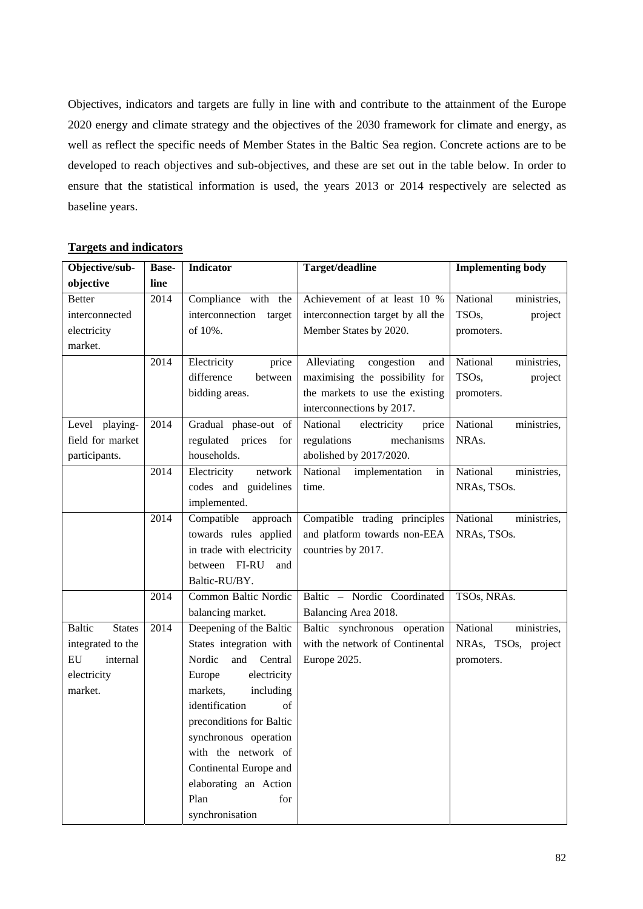Objectives, indicators and targets are fully in line with and contribute to the attainment of the Europe 2020 energy and climate strategy and the objectives of the 2030 framework for climate and energy, as well as reflect the specific needs of Member States in the Baltic Sea region. Concrete actions are to be developed to reach objectives and sub-objectives, and these are set out in the table below. In order to ensure that the statistical information is used, the years 2013 or 2014 respectively are selected as baseline years.

| Objective/sub-                 | <b>Base-</b>    | <b>Indicator</b>          | Target/deadline                   | <b>Implementing body</b> |
|--------------------------------|-----------------|---------------------------|-----------------------------------|--------------------------|
| objective                      | line            |                           |                                   |                          |
| <b>Better</b>                  | 2014            | Compliance with the       | Achievement of at least 10 %      | National<br>ministries,  |
| interconnected                 |                 | interconnection target    | interconnection target by all the | TSOs,<br>project         |
| electricity                    |                 | of 10%.                   | Member States by 2020.            | promoters.               |
| market.                        |                 |                           |                                   |                          |
|                                | 2014            | Electricity<br>price      | Alleviating<br>congestion<br>and  | National<br>ministries,  |
|                                |                 | difference<br>between     | maximising the possibility for    | TSOs,<br>project         |
|                                |                 | bidding areas.            | the markets to use the existing   | promoters.               |
|                                |                 |                           | interconnections by 2017.         |                          |
| Level playing-                 | 2014            | Gradual phase-out of      | National<br>electricity<br>price  | National<br>ministries,  |
| field for market               |                 | regulated prices<br>for   | regulations<br>mechanisms         | NRAs.                    |
| participants.                  |                 | households.               | abolished by 2017/2020.           |                          |
|                                | 2014            | Electricity<br>network    | National<br>implementation<br>in  | National<br>ministries,  |
|                                |                 | codes and guidelines      | time.                             | NRAs, TSOs.              |
|                                |                 | implemented.              |                                   |                          |
|                                | 2014            | Compatible<br>approach    | Compatible trading principles     | National<br>ministries,  |
|                                |                 | towards rules applied     | and platform towards non-EEA      | NRAs, TSOs.              |
|                                |                 | in trade with electricity | countries by 2017.                |                          |
|                                |                 | between FI-RU<br>and      |                                   |                          |
|                                |                 | Baltic-RU/BY.             |                                   |                          |
|                                | 2014            | Common Baltic Nordic      | Baltic - Nordic Coordinated       | TSOs, NRAs.              |
|                                |                 | balancing market.         | Balancing Area 2018.              |                          |
| <b>Baltic</b><br><b>States</b> | 2014            | Deepening of the Baltic   | Baltic synchronous operation      | National<br>ministries,  |
| integrated to the              |                 | States integration with   | with the network of Continental   | NRAs, TSOs, project      |
| EU<br>internal                 |                 | Nordic<br>and Central     | Europe 2025.                      | promoters.               |
| electricity                    |                 | electricity<br>Europe     |                                   |                          |
| market.                        |                 | markets,<br>including     |                                   |                          |
|                                |                 | identification<br>of      |                                   |                          |
|                                |                 | preconditions for Baltic  |                                   |                          |
|                                |                 | synchronous operation     |                                   |                          |
|                                |                 | with the network of       |                                   |                          |
|                                |                 | Continental Europe and    |                                   |                          |
|                                |                 | elaborating an Action     |                                   |                          |
|                                |                 | Plan<br>for               |                                   |                          |
|                                | synchronisation |                           |                                   |                          |

## **Targets and indicators**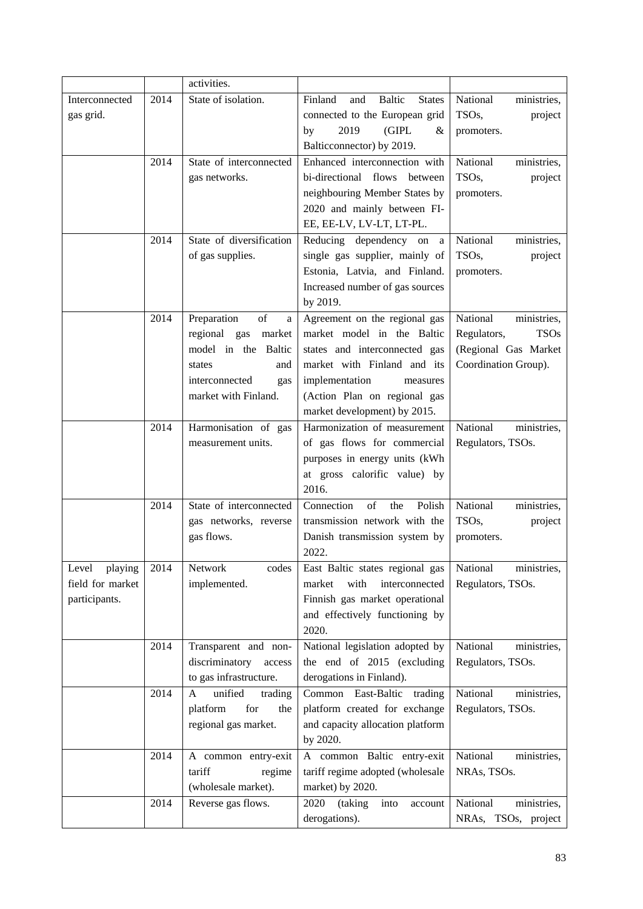|                  |      | activities.              |                                                  |                               |
|------------------|------|--------------------------|--------------------------------------------------|-------------------------------|
| Interconnected   | 2014 | State of isolation.      | <b>Baltic</b><br>Finland<br>and<br><b>States</b> | National<br>ministries,       |
| gas grid.        |      |                          | connected to the European grid                   | TSOs,<br>project              |
|                  |      |                          | 2019<br>(GIPL<br>by<br>&                         | promoters.                    |
|                  |      |                          | Balticconnector) by 2019.                        |                               |
|                  | 2014 | State of interconnected  | Enhanced interconnection with                    | National<br>ministries,       |
|                  |      | gas networks.            | bi-directional flows between                     | TSO <sub>s</sub> ,<br>project |
|                  |      |                          | neighbouring Member States by                    | promoters.                    |
|                  |      |                          | 2020 and mainly between FI-                      |                               |
|                  |      |                          | EE, EE-LV, LV-LT, LT-PL.                         |                               |
|                  | 2014 | State of diversification | Reducing dependency on<br>a                      | National<br>ministries,       |
|                  |      | of gas supplies.         | single gas supplier, mainly of                   | TSOs,<br>project              |
|                  |      |                          | Estonia, Latvia, and Finland.                    | promoters.                    |
|                  |      |                          | Increased number of gas sources                  |                               |
|                  |      |                          | by 2019.                                         |                               |
|                  | 2014 | Preparation<br>of<br>a   | Agreement on the regional gas                    | National<br>ministries,       |
|                  |      | regional gas<br>market   | market model in the Baltic                       | Regulators,<br><b>TSOs</b>    |
|                  |      | model in the Baltic      | states and interconnected gas                    | (Regional Gas Market          |
|                  |      | states<br>and            | market with Finland and its                      | Coordination Group).          |
|                  |      | interconnected<br>gas    | implementation<br>measures                       |                               |
|                  |      | market with Finland.     | (Action Plan on regional gas                     |                               |
|                  |      |                          | market development) by 2015.                     |                               |
|                  | 2014 | Harmonisation of gas     | Harmonization of measurement                     | National<br>ministries,       |
|                  |      | measurement units.       | of gas flows for commercial                      | Regulators, TSOs.             |
|                  |      |                          | purposes in energy units (kWh                    |                               |
|                  |      |                          | at gross calorific value) by                     |                               |
|                  |      |                          | 2016.                                            |                               |
|                  | 2014 | State of interconnected  | Connection<br>of<br>Polish<br>the                | National<br>ministries,       |
|                  |      | gas networks, reverse    | transmission network with the                    | TSO <sub>s</sub> ,<br>project |
|                  |      | gas flows.               | Danish transmission system by                    | promoters.                    |
|                  |      |                          | 2022.                                            |                               |
| playing<br>Level | 2014 | Network<br>codes         | East Baltic states regional gas                  | National<br>ministries,       |
| field for market |      | implemented.             | with<br>interconnected<br>market                 | Regulators, TSOs.             |
| participants.    |      |                          | Finnish gas market operational                   |                               |
|                  |      |                          | and effectively functioning by                   |                               |
|                  |      |                          | 2020.                                            |                               |
|                  | 2014 | Transparent and non-     | National legislation adopted by                  | National<br>ministries,       |
|                  |      | discriminatory<br>access | the end of 2015 (excluding                       | Regulators, TSOs.             |
|                  |      | to gas infrastructure.   | derogations in Finland).                         |                               |
|                  | 2014 | unified<br>A<br>trading  | East-Baltic trading<br>Common                    | National<br>ministries,       |
|                  |      | platform<br>for<br>the   | platform created for exchange                    | Regulators, TSOs.             |
|                  |      | regional gas market.     | and capacity allocation platform                 |                               |
|                  |      |                          | by 2020.                                         |                               |
|                  | 2014 | A common entry-exit      | A common Baltic entry-exit                       | National<br>ministries,       |
|                  |      | tariff<br>regime         | tariff regime adopted (wholesale                 | NRAs, TSOs.                   |
|                  |      | (wholesale market).      | market) by 2020.                                 |                               |
|                  | 2014 | Reverse gas flows.       | (taking<br>2020<br>into<br>account               | National<br>ministries,       |
|                  |      |                          | derogations).                                    | NRAs, TSOs, project           |
|                  |      |                          |                                                  |                               |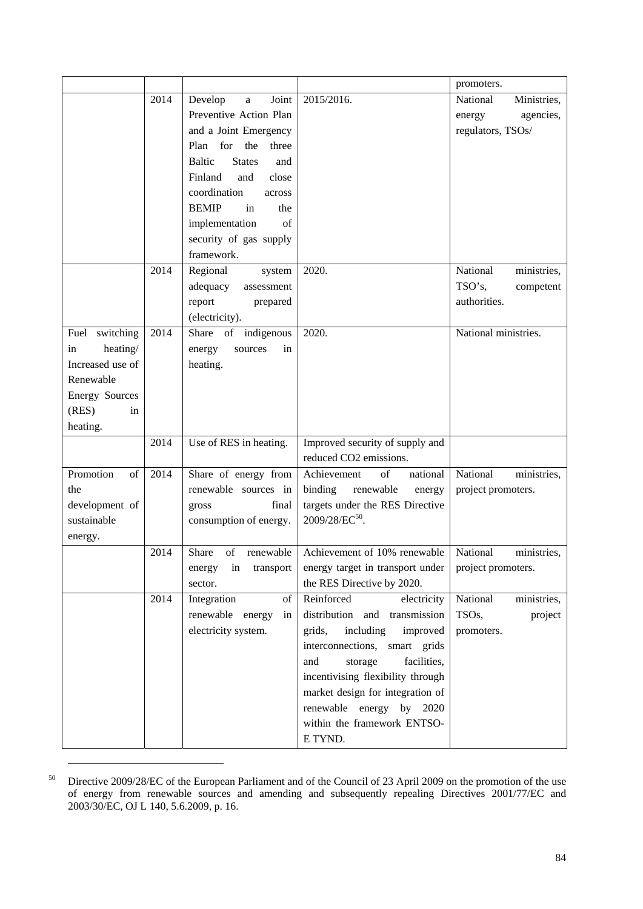|                       |      |                                       |                                   | promoters.              |
|-----------------------|------|---------------------------------------|-----------------------------------|-------------------------|
|                       | 2014 | Develop<br>Joint<br>a                 | 2015/2016.                        | National<br>Ministries, |
|                       |      | Preventive Action Plan                |                                   | agencies,<br>energy     |
|                       |      | and a Joint Emergency                 |                                   | regulators, TSOs/       |
|                       |      | for<br>the<br>Plan<br>three           |                                   |                         |
|                       |      | <b>States</b><br><b>Baltic</b><br>and |                                   |                         |
|                       |      | Finland<br>and<br>close               |                                   |                         |
|                       |      | coordination<br>across                |                                   |                         |
|                       |      | <b>BEMIP</b><br>in<br>the             |                                   |                         |
|                       |      | implementation<br>of                  |                                   |                         |
|                       |      | security of gas supply                |                                   |                         |
|                       |      | framework.                            |                                   |                         |
|                       | 2014 | Regional<br>system                    | 2020.                             | National<br>ministries, |
|                       |      | adequacy<br>assessment                |                                   | TSO's.<br>competent     |
|                       |      | report<br>prepared                    |                                   | authorities.            |
|                       |      | (electricity).                        |                                   |                         |
| Fuel switching        | 2014 | Share of indigenous                   | 2020.                             | National ministries.    |
| heating/<br>in        |      | energy<br>sources<br>in               |                                   |                         |
| Increased use of      |      | heating.                              |                                   |                         |
| Renewable             |      |                                       |                                   |                         |
| <b>Energy Sources</b> |      |                                       |                                   |                         |
| (RES)<br>in           |      |                                       |                                   |                         |
| heating.              |      |                                       |                                   |                         |
|                       | 2014 | Use of RES in heating.                | Improved security of supply and   |                         |
|                       |      |                                       | reduced CO2 emissions.            |                         |
| Promotion<br>of       | 2014 | Share of energy from                  | of<br>Achievement<br>national     | National<br>ministries, |
| the                   |      | renewable sources in                  | binding<br>renewable<br>energy    | project promoters.      |
| development of        |      | final<br>gross                        | targets under the RES Directive   |                         |
| sustainable           |      | consumption of energy.                | 2009/28/EC <sup>50</sup> .        |                         |
| energy.               |      |                                       |                                   |                         |
|                       | 2014 | Share<br>renewable<br>of              | Achievement of 10% renewable      | National<br>ministries, |
|                       |      | in<br>transport<br>energy             | energy target in transport under  | project promoters.      |
|                       |      | sector.                               | the RES Directive by 2020.        |                         |
|                       | 2014 | Integration<br>of                     | Reinforced<br>electricity         | National<br>ministries, |
|                       |      | renewable energy<br>in                | distribution and transmission     | TSOs,<br>project        |
|                       |      | electricity system.                   | grids,<br>including<br>improved   | promoters.              |
|                       |      |                                       | interconnections, smart grids     |                         |
|                       |      |                                       | and<br>storage<br>facilities,     |                         |
|                       |      |                                       | incentivising flexibility through |                         |
|                       |      |                                       | market design for integration of  |                         |
|                       |      |                                       | renewable energy by 2020          |                         |
|                       |      |                                       | within the framework ENTSO-       |                         |
|                       |      |                                       | E TYND.                           |                         |

<sup>&</sup>lt;sup>50</sup> Directive 2009/28/EC of the European Parliament and of the Council of 23 April 2009 on the promotion of the use of energy from renewable sources and amending and subsequently repealing Directives 2001/77/EC and 2003/30/EC, OJ L 140, 5.6.2009, p. 16.

1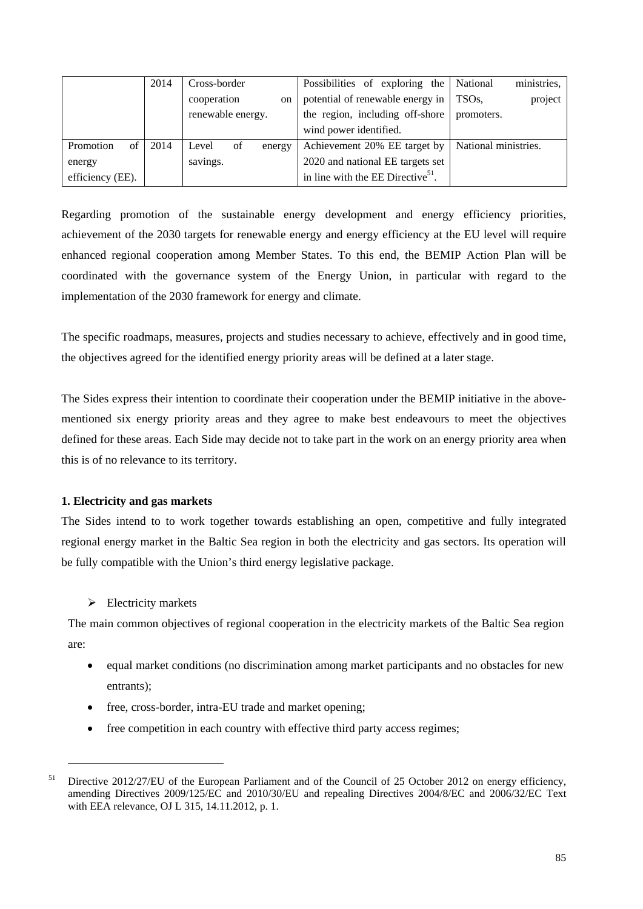|                  | 2014 | Cross-border          |  | Possibilities of exploring the                | National             | ministries, |
|------------------|------|-----------------------|--|-----------------------------------------------|----------------------|-------------|
|                  |      | cooperation<br>on     |  | potential of renewable energy in              | TSO <sub>s</sub> .   | project     |
|                  |      | renewable energy.     |  | the region, including off-shore               | promoters.           |             |
|                  |      |                       |  | wind power identified.                        |                      |             |
| Promotion<br>of  | 2014 | of<br>Level<br>energy |  | Achievement 20% EE target by                  | National ministries. |             |
| energy           |      | savings.              |  | 2020 and national EE targets set              |                      |             |
| efficiency (EE). |      |                       |  | in line with the EE Directive <sup>51</sup> . |                      |             |

Regarding promotion of the sustainable energy development and energy efficiency priorities, achievement of the 2030 targets for renewable energy and energy efficiency at the EU level will require enhanced regional cooperation among Member States. To this end, the BEMIP Action Plan will be coordinated with the governance system of the Energy Union, in particular with regard to the implementation of the 2030 framework for energy and climate.

The specific roadmaps, measures, projects and studies necessary to achieve, effectively and in good time, the objectives agreed for the identified energy priority areas will be defined at a later stage.

The Sides express their intention to coordinate their cooperation under the BEMIP initiative in the abovementioned six energy priority areas and they agree to make best endeavours to meet the objectives defined for these areas. Each Side may decide not to take part in the work on an energy priority area when this is of no relevance to its territory.

## **1. Electricity and gas markets**

The Sides intend to to work together towards establishing an open, competitive and fully integrated regional energy market in the Baltic Sea region in both the electricity and gas sectors. Its operation will be fully compatible with the Union's third energy legislative package.

## $\triangleright$  Electricity markets

1

The main common objectives of regional cooperation in the electricity markets of the Baltic Sea region are:

- equal market conditions (no discrimination among market participants and no obstacles for new entrants);
- free, cross-border, intra-EU trade and market opening;
- free competition in each country with effective third party access regimes;

<sup>&</sup>lt;sup>51</sup> Directive 2012/27/EU of the European Parliament and of the Council of 25 October 2012 on energy efficiency, amending Directives 2009/125/EC and 2010/30/EU and repealing Directives 2004/8/EC and 2006/32/EC Text with EEA relevance, OJ L 315, 14.11.2012, p. 1.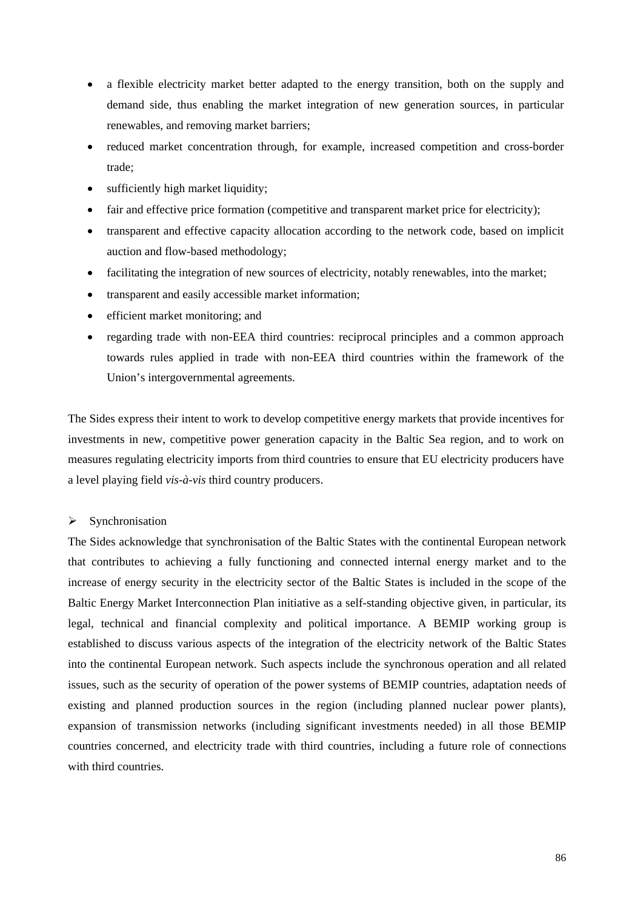- a flexible electricity market better adapted to the energy transition, both on the supply and demand side, thus enabling the market integration of new generation sources, in particular renewables, and removing market barriers;
- reduced market concentration through, for example, increased competition and cross-border trade;
- sufficiently high market liquidity;
- fair and effective price formation (competitive and transparent market price for electricity);
- transparent and effective capacity allocation according to the network code, based on implicit auction and flow-based methodology;
- facilitating the integration of new sources of electricity, notably renewables, into the market;
- transparent and easily accessible market information;
- efficient market monitoring; and
- regarding trade with non-EEA third countries: reciprocal principles and a common approach towards rules applied in trade with non-EEA third countries within the framework of the Union's intergovernmental agreements.

The Sides express their intent to work to develop competitive energy markets that provide incentives for investments in new, competitive power generation capacity in the Baltic Sea region, and to work on measures regulating electricity imports from third countries to ensure that EU electricity producers have a level playing field *vis-à-vis* third country producers.

## $\triangleright$  Synchronisation

The Sides acknowledge that synchronisation of the Baltic States with the continental European network that contributes to achieving a fully functioning and connected internal energy market and to the increase of energy security in the electricity sector of the Baltic States is included in the scope of the Baltic Energy Market Interconnection Plan initiative as a self-standing objective given, in particular, its legal, technical and financial complexity and political importance. A BEMIP working group is established to discuss various aspects of the integration of the electricity network of the Baltic States into the continental European network. Such aspects include the synchronous operation and all related issues, such as the security of operation of the power systems of BEMIP countries, adaptation needs of existing and planned production sources in the region (including planned nuclear power plants), expansion of transmission networks (including significant investments needed) in all those BEMIP countries concerned, and electricity trade with third countries, including a future role of connections with third countries.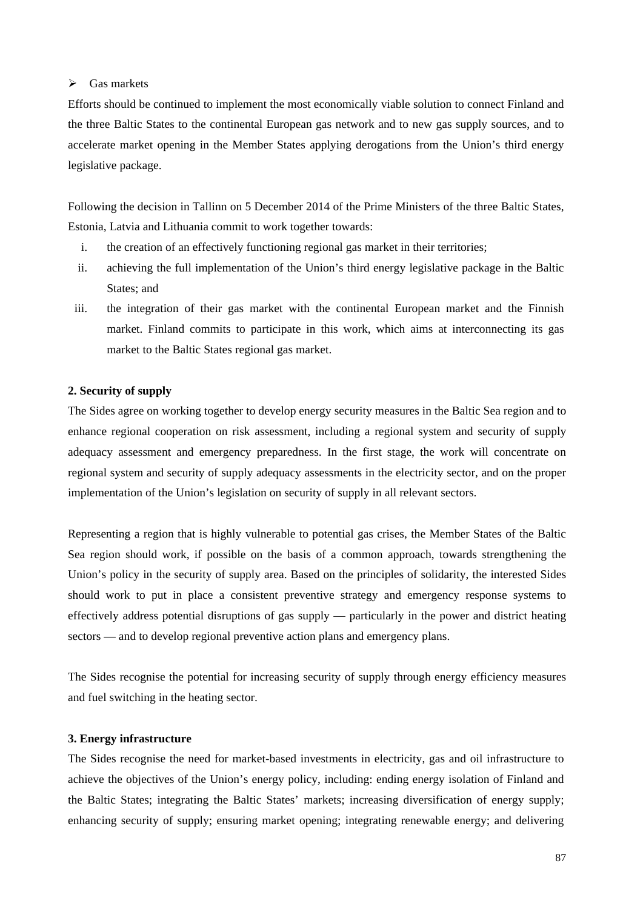## $\triangleright$  Gas markets

Efforts should be continued to implement the most economically viable solution to connect Finland and the three Baltic States to the continental European gas network and to new gas supply sources, and to accelerate market opening in the Member States applying derogations from the Union's third energy legislative package.

Following the decision in Tallinn on 5 December 2014 of the Prime Ministers of the three Baltic States, Estonia, Latvia and Lithuania commit to work together towards:

- i. the creation of an effectively functioning regional gas market in their territories;
- ii. achieving the full implementation of the Union's third energy legislative package in the Baltic States; and
- iii. the integration of their gas market with the continental European market and the Finnish market. Finland commits to participate in this work, which aims at interconnecting its gas market to the Baltic States regional gas market.

#### **2. Security of supply**

The Sides agree on working together to develop energy security measures in the Baltic Sea region and to enhance regional cooperation on risk assessment, including a regional system and security of supply adequacy assessment and emergency preparedness. In the first stage, the work will concentrate on regional system and security of supply adequacy assessments in the electricity sector, and on the proper implementation of the Union's legislation on security of supply in all relevant sectors.

Representing a region that is highly vulnerable to potential gas crises, the Member States of the Baltic Sea region should work, if possible on the basis of a common approach, towards strengthening the Union's policy in the security of supply area. Based on the principles of solidarity, the interested Sides should work to put in place a consistent preventive strategy and emergency response systems to effectively address potential disruptions of gas supply — particularly in the power and district heating sectors — and to develop regional preventive action plans and emergency plans.

The Sides recognise the potential for increasing security of supply through energy efficiency measures and fuel switching in the heating sector.

#### **3. Energy infrastructure**

The Sides recognise the need for market-based investments in electricity, gas and oil infrastructure to achieve the objectives of the Union's energy policy, including: ending energy isolation of Finland and the Baltic States; integrating the Baltic States' markets; increasing diversification of energy supply; enhancing security of supply; ensuring market opening; integrating renewable energy; and delivering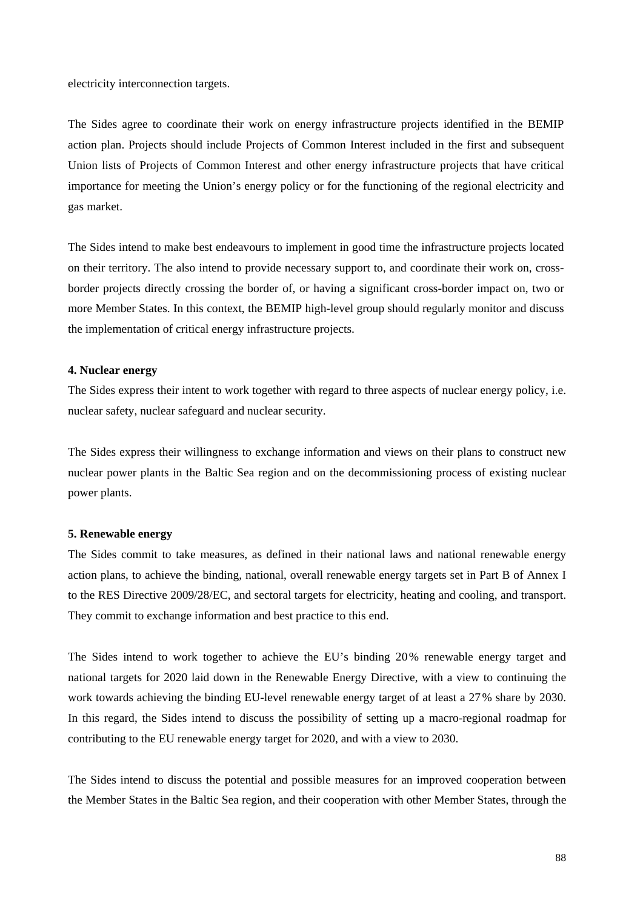electricity interconnection targets.

The Sides agree to coordinate their work on energy infrastructure projects identified in the BEMIP action plan. Projects should include Projects of Common Interest included in the first and subsequent Union lists of Projects of Common Interest and other energy infrastructure projects that have critical importance for meeting the Union's energy policy or for the functioning of the regional electricity and gas market.

The Sides intend to make best endeavours to implement in good time the infrastructure projects located on their territory. The also intend to provide necessary support to, and coordinate their work on, crossborder projects directly crossing the border of, or having a significant cross-border impact on, two or more Member States. In this context, the BEMIP high-level group should regularly monitor and discuss the implementation of critical energy infrastructure projects.

#### **4. Nuclear energy**

The Sides express their intent to work together with regard to three aspects of nuclear energy policy, i.e. nuclear safety, nuclear safeguard and nuclear security.

The Sides express their willingness to exchange information and views on their plans to construct new nuclear power plants in the Baltic Sea region and on the decommissioning process of existing nuclear power plants.

#### **5. Renewable energy**

The Sides commit to take measures, as defined in their national laws and national renewable energy action plans, to achieve the binding, national, overall renewable energy targets set in Part B of Annex I to the RES Directive 2009/28/EC, and sectoral targets for electricity, heating and cooling, and transport. They commit to exchange information and best practice to this end.

The Sides intend to work together to achieve the EU's binding 20% renewable energy target and national targets for 2020 laid down in the Renewable Energy Directive, with a view to continuing the work towards achieving the binding EU-level renewable energy target of at least a 27% share by 2030. In this regard, the Sides intend to discuss the possibility of setting up a macro-regional roadmap for contributing to the EU renewable energy target for 2020, and with a view to 2030.

The Sides intend to discuss the potential and possible measures for an improved cooperation between the Member States in the Baltic Sea region, and their cooperation with other Member States, through the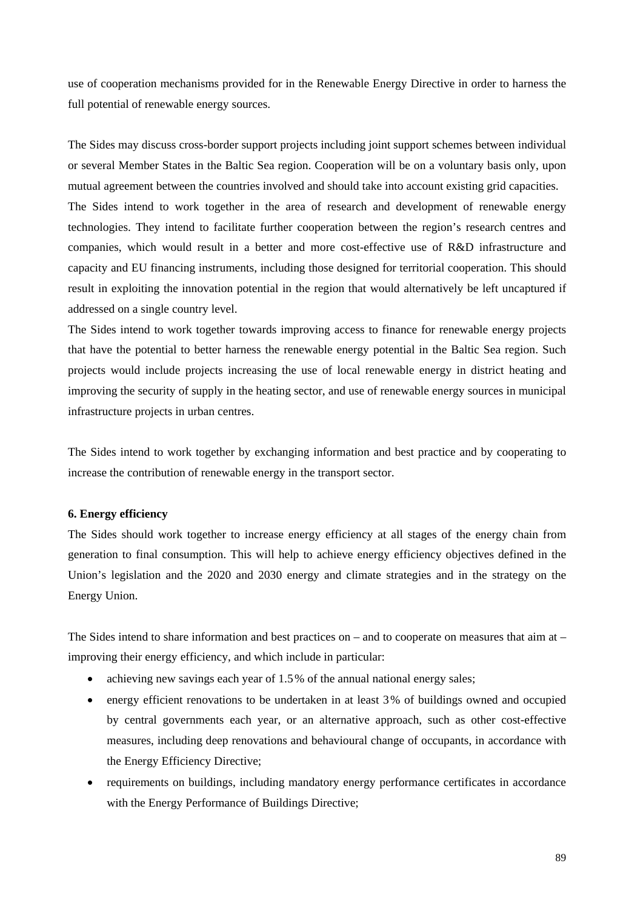use of cooperation mechanisms provided for in the Renewable Energy Directive in order to harness the full potential of renewable energy sources.

The Sides may discuss cross-border support projects including joint support schemes between individual or several Member States in the Baltic Sea region. Cooperation will be on a voluntary basis only, upon mutual agreement between the countries involved and should take into account existing grid capacities. The Sides intend to work together in the area of research and development of renewable energy technologies. They intend to facilitate further cooperation between the region's research centres and companies, which would result in a better and more cost-effective use of R&D infrastructure and capacity and EU financing instruments, including those designed for territorial cooperation. This should result in exploiting the innovation potential in the region that would alternatively be left uncaptured if addressed on a single country level.

The Sides intend to work together towards improving access to finance for renewable energy projects that have the potential to better harness the renewable energy potential in the Baltic Sea region. Such projects would include projects increasing the use of local renewable energy in district heating and improving the security of supply in the heating sector, and use of renewable energy sources in municipal infrastructure projects in urban centres.

The Sides intend to work together by exchanging information and best practice and by cooperating to increase the contribution of renewable energy in the transport sector.

## **6. Energy efficiency**

The Sides should work together to increase energy efficiency at all stages of the energy chain from generation to final consumption. This will help to achieve energy efficiency objectives defined in the Union's legislation and the 2020 and 2030 energy and climate strategies and in the strategy on the Energy Union.

The Sides intend to share information and best practices on – and to cooperate on measures that aim at – improving their energy efficiency, and which include in particular:

- achieving new savings each year of 1.5% of the annual national energy sales;
- energy efficient renovations to be undertaken in at least 3% of buildings owned and occupied by central governments each year, or an alternative approach, such as other cost-effective measures, including deep renovations and behavioural change of occupants, in accordance with the Energy Efficiency Directive;
- requirements on buildings, including mandatory energy performance certificates in accordance with the Energy Performance of Buildings Directive;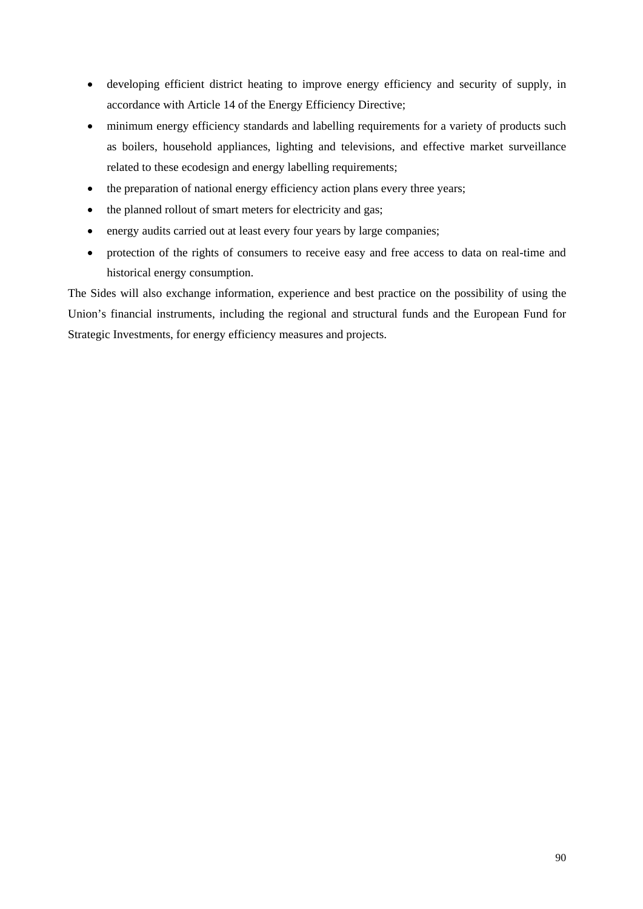- developing efficient district heating to improve energy efficiency and security of supply, in accordance with Article 14 of the Energy Efficiency Directive;
- minimum energy efficiency standards and labelling requirements for a variety of products such as boilers, household appliances, lighting and televisions, and effective market surveillance related to these ecodesign and energy labelling requirements;
- the preparation of national energy efficiency action plans every three years;
- the planned rollout of [smart meters f](https://ec.europa.eu/energy/en/topics/markets-and-consumers/smart-grids-and-meters)or electricity and gas;
- energy audits carried out at least every four years by large companies;
- protection of the rights of consumers to receive easy and free access to data on real-time and historical energy consumption.

The Sides will also exchange information, experience and best practice on the possibility of using the Union's financial instruments, including the regional and structural funds and the European Fund for Strategic Investments, for energy efficiency measures and projects.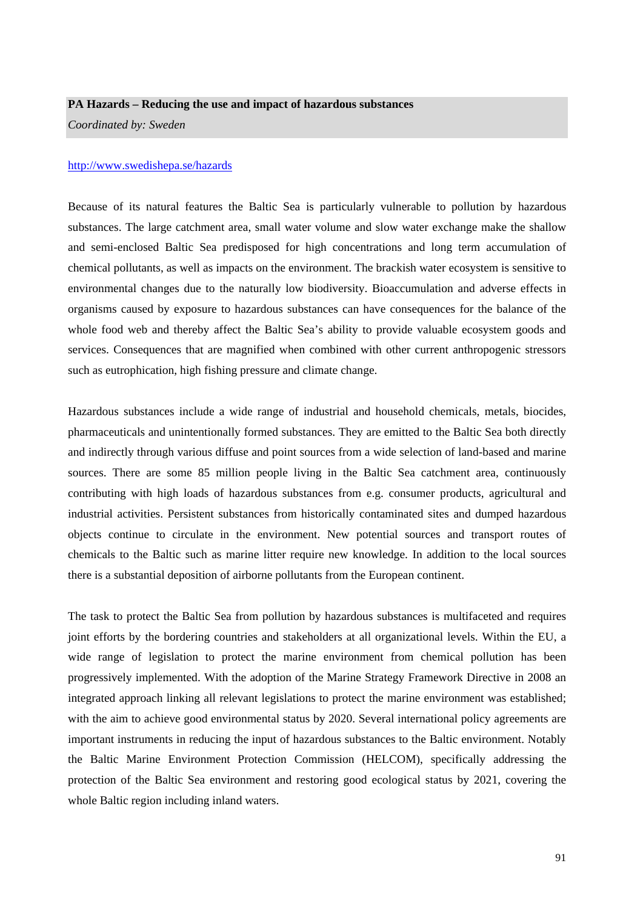#### **PA Hazards – Reducing the use and impact of hazardous substances**

*Coordinated by: Sweden* 

#### <http://www.swedishepa.se/hazards>

Because of its natural features the Baltic Sea is particularly vulnerable to pollution by hazardous substances. The large catchment area, small water volume and slow water exchange make the shallow and semi-enclosed Baltic Sea predisposed for high concentrations and long term accumulation of chemical pollutants, as well as impacts on the environment. The brackish water ecosystem is sensitive to environmental changes due to the naturally low biodiversity. Bioaccumulation and adverse effects in organisms caused by exposure to hazardous substances can have consequences for the balance of the whole food web and thereby affect the Baltic Sea's ability to provide valuable ecosystem goods and services. Consequences that are magnified when combined with other current anthropogenic stressors such as eutrophication, high fishing pressure and climate change.

Hazardous substances include a wide range of industrial and household chemicals, metals, biocides, pharmaceuticals and unintentionally formed substances. They are emitted to the Baltic Sea both directly and indirectly through various diffuse and point sources from a wide selection of land-based and marine sources. There are some 85 million people living in the Baltic Sea catchment area, continuously contributing with high loads of hazardous substances from e.g. consumer products, agricultural and industrial activities. Persistent substances from historically contaminated sites and dumped hazardous objects continue to circulate in the environment. New potential sources and transport routes of chemicals to the Baltic such as marine litter require new knowledge. In addition to the local sources there is a substantial deposition of airborne pollutants from the European continent.

The task to protect the Baltic Sea from pollution by hazardous substances is multifaceted and requires joint efforts by the bordering countries and stakeholders at all organizational levels. Within the EU, a wide range of legislation to protect the marine environment from chemical pollution has been progressively implemented. With the adoption of the Marine Strategy Framework Directive in 2008 an integrated approach linking all relevant legislations to protect the marine environment was established; with the aim to achieve good environmental status by 2020. Several international policy agreements are important instruments in reducing the input of hazardous substances to the Baltic environment. Notably the Baltic Marine Environment Protection Commission (HELCOM), specifically addressing the protection of the Baltic Sea environment and restoring good ecological status by 2021, covering the whole Baltic region including inland waters.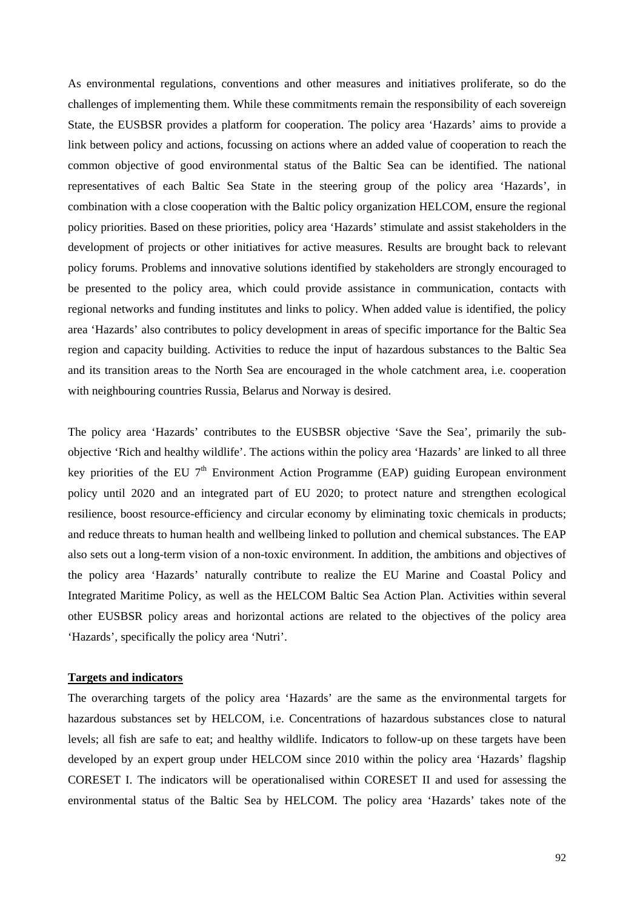As environmental regulations, conventions and other measures and initiatives proliferate, so do the challenges of implementing them. While these commitments remain the responsibility of each sovereign State, the EUSBSR provides a platform for cooperation. The policy area 'Hazards' aims to provide a link between policy and actions, focussing on actions where an added value of cooperation to reach the common objective of good environmental status of the Baltic Sea can be identified. The national representatives of each Baltic Sea State in the steering group of the policy area 'Hazards', in combination with a close cooperation with the Baltic policy organization HELCOM, ensure the regional policy priorities. Based on these priorities, policy area 'Hazards' stimulate and assist stakeholders in the development of projects or other initiatives for active measures. Results are brought back to relevant policy forums. Problems and innovative solutions identified by stakeholders are strongly encouraged to be presented to the policy area, which could provide assistance in communication, contacts with regional networks and funding institutes and links to policy. When added value is identified, the policy area 'Hazards' also contributes to policy development in areas of specific importance for the Baltic Sea region and capacity building. Activities to reduce the input of hazardous substances to the Baltic Sea and its transition areas to the North Sea are encouraged in the whole catchment area, i.e. cooperation with neighbouring countries Russia, Belarus and Norway is desired.

The policy area 'Hazards' contributes to the EUSBSR objective 'Save the Sea', primarily the subobjective 'Rich and healthy wildlife'. The actions within the policy area 'Hazards' are linked to all three key priorities of the EU  $7<sup>th</sup>$  Environment Action Programme (EAP) guiding European environment policy until 2020 and an integrated part of EU 2020; to protect nature and strengthen ecological resilience, boost resource-efficiency and circular economy by eliminating toxic chemicals in products; and reduce threats to human health and wellbeing linked to pollution and chemical substances. The EAP also sets out a long-term vision of a non-toxic environment. In addition, the ambitions and objectives of the policy area 'Hazards' naturally contribute to realize the EU Marine and Coastal Policy and Integrated Maritime Policy, as well as the HELCOM Baltic Sea Action Plan. Activities within several other EUSBSR policy areas and horizontal actions are related to the objectives of the policy area 'Hazards', specifically the policy area 'Nutri'.

#### **Targets and indicators**

The overarching targets of the policy area 'Hazards' are the same as the environmental targets for hazardous substances set by HELCOM, i.e. Concentrations of hazardous substances close to natural levels; all fish are safe to eat; and healthy wildlife. Indicators to follow-up on these targets have been developed by an expert group under HELCOM since 2010 within the policy area 'Hazards' flagship CORESET I. The indicators will be operationalised within CORESET II and used for assessing the environmental status of the Baltic Sea by HELCOM. The policy area 'Hazards' takes note of the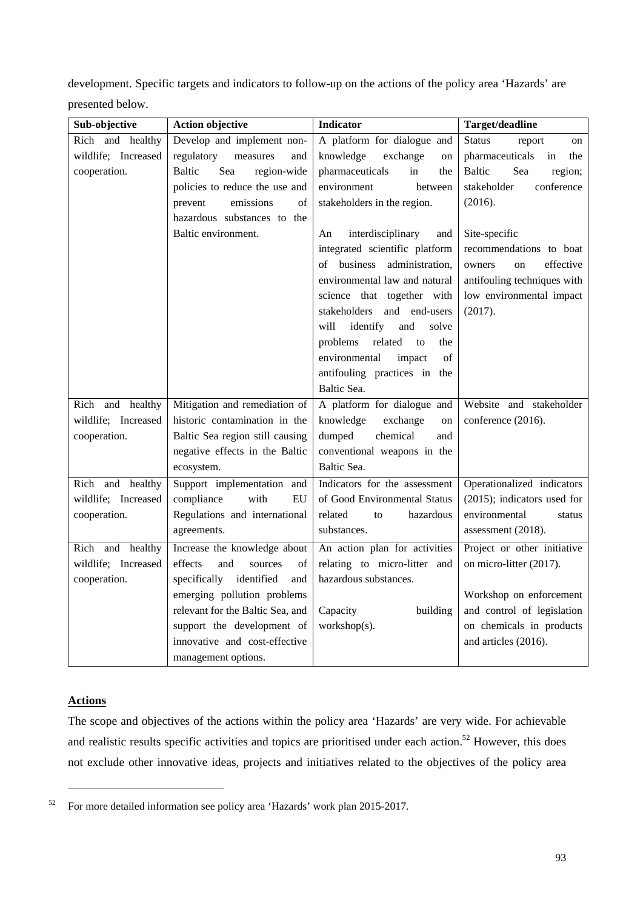development. Specific targets and indicators to follow-up on the actions of the policy area 'Hazards' are presented below.

| Sub-objective       | <b>Action objective</b>             | <b>Indicator</b>                 | Target/deadline                 |
|---------------------|-------------------------------------|----------------------------------|---------------------------------|
| Rich and healthy    | Develop and implement non-          | A platform for dialogue and      | <b>Status</b><br>report<br>on   |
| wildlife; Increased | regulatory<br>measures<br>and       | knowledge<br>exchange<br>on      | pharmaceuticals<br>in<br>the    |
| cooperation.        | <b>Baltic</b><br>Sea<br>region-wide | pharmaceuticals<br>in<br>the     | Sea<br><b>Baltic</b><br>region; |
|                     | policies to reduce the use and      | environment<br>between           | conference<br>stakeholder       |
|                     | emissions<br>of<br>prevent          | stakeholders in the region.      | (2016).                         |
|                     | hazardous substances to the         |                                  |                                 |
|                     | Baltic environment.                 | interdisciplinary<br>An<br>and   | Site-specific                   |
|                     |                                     | integrated scientific platform   | recommendations to boat         |
|                     |                                     | of business<br>administration,   | effective<br>owners<br>on       |
|                     |                                     | environmental law and natural    | antifouling techniques with     |
|                     |                                     | science that together with       | low environmental impact        |
|                     |                                     | stakeholders and end-users       | (2017).                         |
|                     |                                     | identify<br>will<br>and<br>solve |                                 |
|                     |                                     | problems<br>related<br>to<br>the |                                 |
|                     |                                     | environmental<br>impact<br>of    |                                 |
|                     |                                     | antifouling practices in the     |                                 |
|                     |                                     | Baltic Sea.                      |                                 |
| Rich and healthy    | Mitigation and remediation of       | A platform for dialogue and      | Website and stakeholder         |
| wildlife; Increased | historic contamination in the       | knowledge<br>exchange<br>on      | conference (2016).              |
| cooperation.        | Baltic Sea region still causing     | dumped<br>chemical<br>and        |                                 |
|                     | negative effects in the Baltic      | conventional weapons in the      |                                 |
|                     | ecosystem.                          | Baltic Sea.                      |                                 |
| Rich and healthy    | Support implementation and          | Indicators for the assessment    | Operationalized indicators      |
| wildlife; Increased | with<br>compliance<br>EU            | of Good Environmental Status     | (2015); indicators used for     |
| cooperation.        | Regulations and international       | related<br>hazardous<br>to       | environmental<br>status         |
|                     | agreements.                         | substances.                      | assessment (2018).              |
| Rich and healthy    | Increase the knowledge about        | An action plan for activities    | Project or other initiative     |
| wildlife; Increased | effects<br>and<br>of<br>sources     | relating to micro-litter and     | on micro-litter (2017).         |
| cooperation.        | specifically identified<br>and      | hazardous substances.            |                                 |
|                     | emerging pollution problems         |                                  | Workshop on enforcement         |
|                     | relevant for the Baltic Sea, and    | Capacity<br>building             | and control of legislation      |
|                     | support the development of          | workshop(s).                     | on chemicals in products        |
|                     | innovative and cost-effective       |                                  | and articles (2016).            |
|                     | management options.                 |                                  |                                 |

## **Actions**

-

The scope and objectives of the actions within the policy area 'Hazards' are very wide. For achievable and realistic results specific activities and topics are prioritised under each action.<sup>52</sup> However, this does not exclude other innovative ideas, projects and initiatives related to the objectives of the policy area

<sup>52</sup> For more detailed information see policy area 'Hazards' work plan 2015-2017.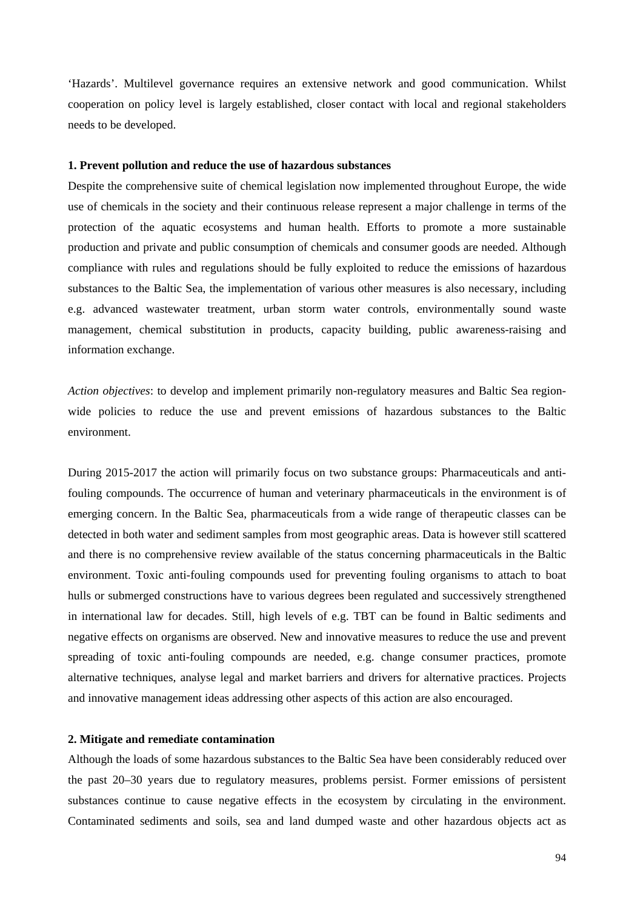'Hazards'. Multilevel governance requires an extensive network and good communication. Whilst cooperation on policy level is largely established, closer contact with local and regional stakeholders needs to be developed.

#### **1. Prevent pollution and reduce the use of hazardous substances**

Despite the comprehensive suite of chemical legislation now implemented throughout Europe, the wide use of chemicals in the society and their continuous release represent a major challenge in terms of the protection of the aquatic ecosystems and human health. Efforts to promote a more sustainable production and private and public consumption of chemicals and consumer goods are needed. Although compliance with rules and regulations should be fully exploited to reduce the emissions of hazardous substances to the Baltic Sea, the implementation of various other measures is also necessary, including e.g. advanced wastewater treatment, urban storm water controls, environmentally sound waste management, chemical substitution in products, capacity building, public awareness-raising and information exchange.

*Action objectives*: to develop and implement primarily non-regulatory measures and Baltic Sea regionwide policies to reduce the use and prevent emissions of hazardous substances to the Baltic environment.

During 2015-2017 the action will primarily focus on two substance groups: Pharmaceuticals and antifouling compounds. The occurrence of human and veterinary pharmaceuticals in the environment is of emerging concern. In the Baltic Sea, pharmaceuticals from a wide range of therapeutic classes can be detected in both water and sediment samples from most geographic areas. Data is however still scattered and there is no comprehensive review available of the status concerning pharmaceuticals in the Baltic environment. Toxic anti-fouling compounds used for preventing fouling organisms to attach to boat hulls or submerged constructions have to various degrees been regulated and successively strengthened in international law for decades. Still, high levels of e.g. TBT can be found in Baltic sediments and negative effects on organisms are observed. New and innovative measures to reduce the use and prevent spreading of toxic anti-fouling compounds are needed, e.g. change consumer practices, promote alternative techniques, analyse legal and market barriers and drivers for alternative practices. Projects and innovative management ideas addressing other aspects of this action are also encouraged.

#### **2. Mitigate and remediate contamination**

Although the loads of some hazardous substances to the Baltic Sea have been considerably reduced over the past 20–30 years due to regulatory measures, problems persist. Former emissions of persistent substances continue to cause negative effects in the ecosystem by circulating in the environment. Contaminated sediments and soils, sea and land dumped waste and other hazardous objects act as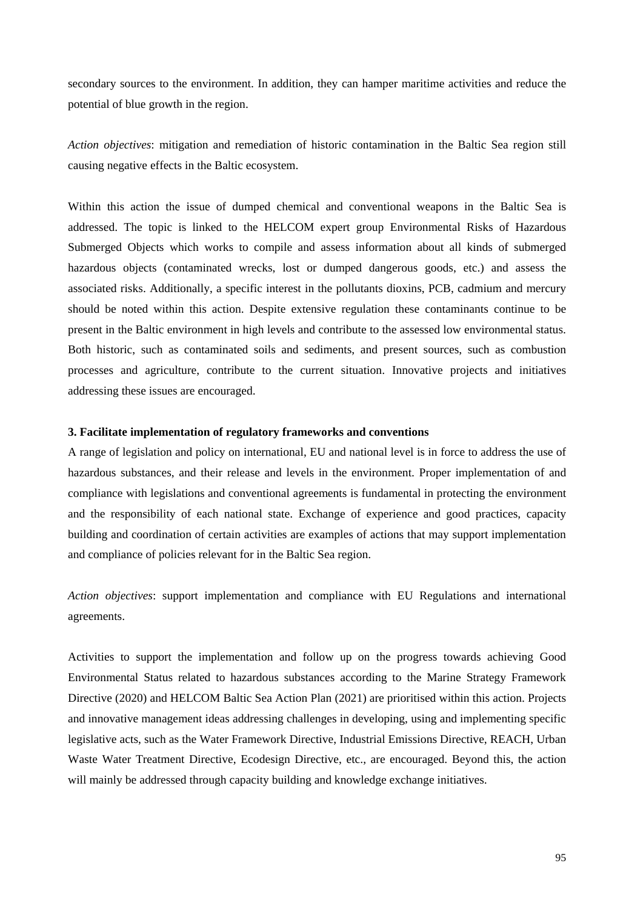secondary sources to the environment. In addition, they can hamper maritime activities and reduce the potential of blue growth in the region.

*Action objectives*: mitigation and remediation of historic contamination in the Baltic Sea region still causing negative effects in the Baltic ecosystem.

Within this action the issue of dumped chemical and conventional weapons in the Baltic Sea is addressed. The topic is linked to the HELCOM expert group Environmental Risks of Hazardous Submerged Objects which works to compile and assess information about all kinds of submerged hazardous objects (contaminated wrecks, lost or dumped dangerous goods, etc.) and assess the associated risks. Additionally, a specific interest in the pollutants dioxins, PCB, cadmium and mercury should be noted within this action. Despite extensive regulation these contaminants continue to be present in the Baltic environment in high levels and contribute to the assessed low environmental status. Both historic, such as contaminated soils and sediments, and present sources, such as combustion processes and agriculture, contribute to the current situation. Innovative projects and initiatives addressing these issues are encouraged.

#### **3. Facilitate implementation of regulatory frameworks and conventions**

A range of legislation and policy on international, EU and national level is in force to address the use of hazardous substances, and their release and levels in the environment. Proper implementation of and compliance with legislations and conventional agreements is fundamental in protecting the environment and the responsibility of each national state. Exchange of experience and good practices, capacity building and coordination of certain activities are examples of actions that may support implementation and compliance of policies relevant for in the Baltic Sea region.

*Action objectives*: support implementation and compliance with EU Regulations and international agreements.

Activities to support the implementation and follow up on the progress towards achieving Good Environmental Status related to hazardous substances according to the Marine Strategy Framework Directive (2020) and HELCOM Baltic Sea Action Plan (2021) are prioritised within this action. Projects and innovative management ideas addressing challenges in developing, using and implementing specific legislative acts, such as the Water Framework Directive, Industrial Emissions Directive, REACH, Urban Waste Water Treatment Directive, Ecodesign Directive, etc., are encouraged. Beyond this, the action will mainly be addressed through capacity building and knowledge exchange initiatives.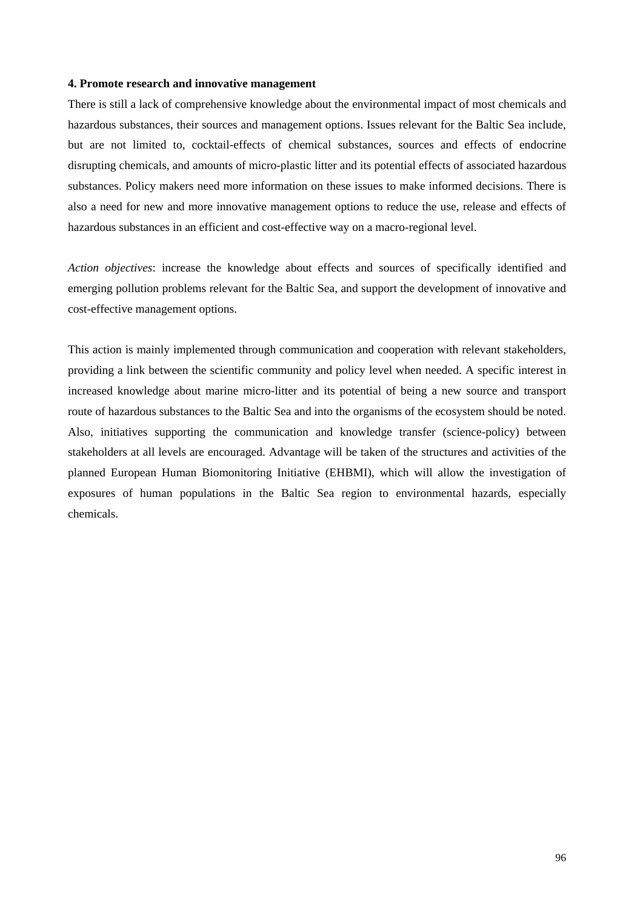#### **4. Promote research and innovative management**

There is still a lack of comprehensive knowledge about the environmental impact of most chemicals and hazardous substances, their sources and management options. Issues relevant for the Baltic Sea include, but are not limited to, cocktail-effects of chemical substances, sources and effects of endocrine disrupting chemicals, and amounts of micro-plastic litter and its potential effects of associated hazardous substances. Policy makers need more information on these issues to make informed decisions. There is also a need for new and more innovative management options to reduce the use, release and effects of hazardous substances in an efficient and cost-effective way on a macro-regional level.

*Action objectives*: increase the knowledge about effects and sources of specifically identified and emerging pollution problems relevant for the Baltic Sea, and support the development of innovative and cost-effective management options.

This action is mainly implemented through communication and cooperation with relevant stakeholders, providing a link between the scientific community and policy level when needed. A specific interest in increased knowledge about marine micro-litter and its potential of being a new source and transport route of hazardous substances to the Baltic Sea and into the organisms of the ecosystem should be noted. Also, initiatives supporting the communication and knowledge transfer (science-policy) between stakeholders at all levels are encouraged. Advantage will be taken of the structures and activities of the planned European Human Biomonitoring Initiative (EHBMI), which will allow the investigation of exposures of human populations in the Baltic Sea region to environmental hazards, especially chemicals.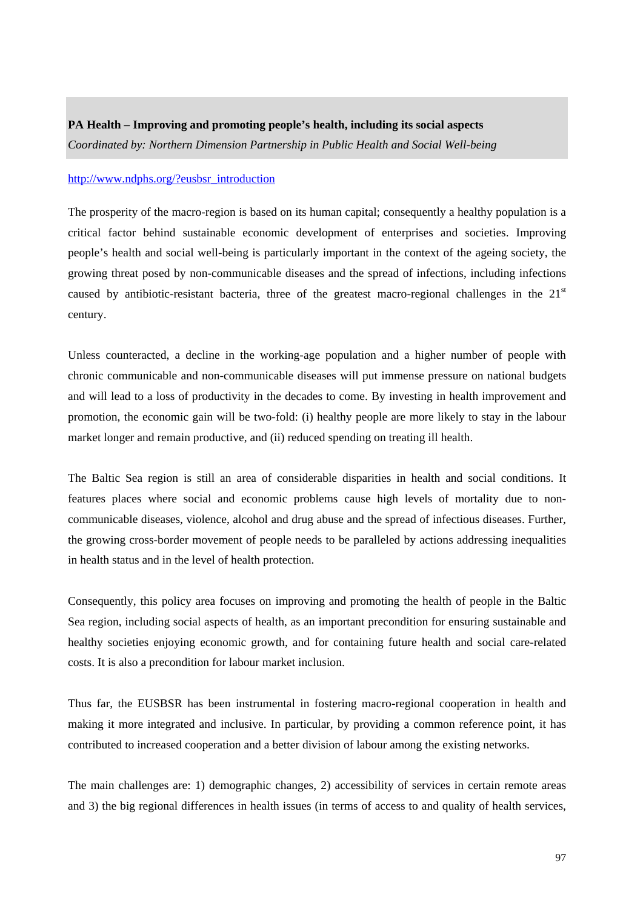## **PA Health – Improving and promoting people's health, including its social aspects**

*Coordinated by: Northern Dimension Partnership in Public Health and Social Well-being* 

#### [http://www.ndphs.org/?eusbsr\\_introduction](http://www.ndphs.org/?eusbsr_introduction)

The prosperity of the macro-region is based on its human capital; consequently a healthy population is a critical factor behind sustainable economic development of enterprises and societies. Improving people's health and social well-being is particularly important in the context of the ageing society, the growing threat posed by non-communicable diseases and the spread of infections, including infections caused by antibiotic-resistant bacteria, three of the greatest macro-regional challenges in the  $21<sup>st</sup>$ century.

Unless counteracted, a decline in the working-age population and a higher number of people with chronic communicable and non-communicable diseases will put immense pressure on national budgets and will lead to a loss of productivity in the decades to come. By investing in health improvement and promotion, the economic gain will be two-fold: (i) healthy people are more likely to stay in the labour market longer and remain productive, and (ii) reduced spending on treating ill health.

The Baltic Sea region is still an area of considerable disparities in health and social conditions. It features places where social and economic problems cause high levels of mortality due to noncommunicable diseases, violence, alcohol and drug abuse and the spread of infectious diseases. Further, the growing cross-border movement of people needs to be paralleled by actions addressing inequalities in health status and in the level of health protection.

Consequently, this policy area focuses on improving and promoting the health of people in the Baltic Sea region, including social aspects of health, as an important precondition for ensuring sustainable and healthy societies enjoying economic growth, and for containing future health and social care-related costs. It is also a precondition for labour market inclusion.

Thus far, the EUSBSR has been instrumental in fostering macro-regional cooperation in health and making it more integrated and inclusive. In particular, by providing a common reference point, it has contributed to increased cooperation and a better division of labour among the existing networks.

The main challenges are: 1) demographic changes, 2) accessibility of services in certain remote areas and 3) the big regional differences in health issues (in terms of access to and quality of health services,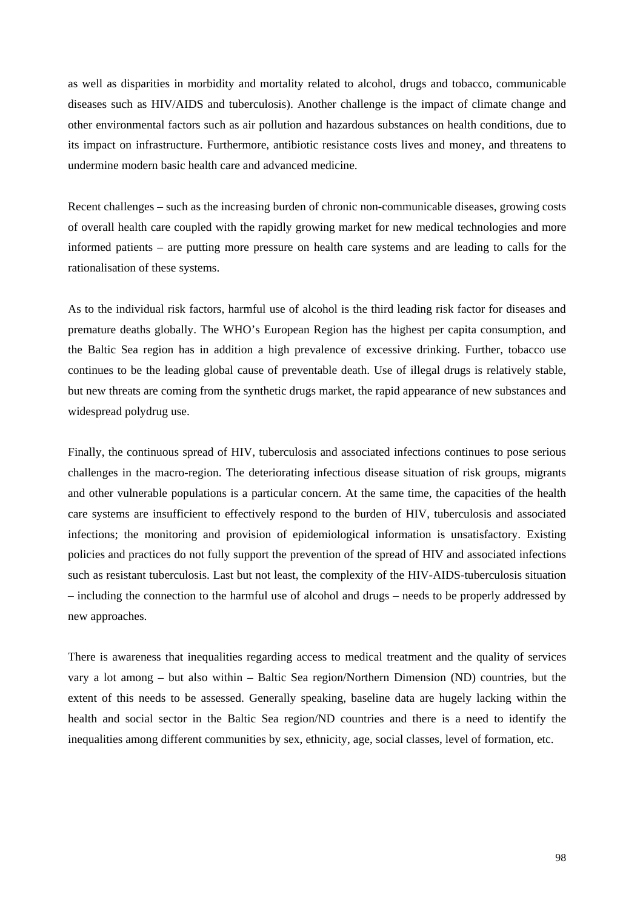as well as disparities in morbidity and mortality related to alcohol, drugs and tobacco, communicable diseases such as HIV/AIDS and tuberculosis). Another challenge is the impact of climate change and other environmental factors such as air pollution and hazardous substances on health conditions, due to its impact on infrastructure. Furthermore, antibiotic resistance costs lives and money, and threatens to undermine modern basic health care and advanced medicine.

Recent challenges – such as the increasing burden of chronic non-communicable diseases, growing costs of overall health care coupled with the rapidly growing market for new medical technologies and more informed patients – are putting more pressure on health care systems and are leading to calls for the rationalisation of these systems.

As to the individual risk factors, harmful use of alcohol is the third leading risk factor for diseases and premature deaths globally. The WHO's European Region has the highest per capita consumption, and the Baltic Sea region has in addition a high prevalence of excessive drinking. Further, tobacco use continues to be the leading global cause of preventable death. Use of illegal drugs is relatively stable, but new threats are coming from the synthetic drugs market, the rapid appearance of new substances and widespread polydrug use.

Finally, the continuous spread of HIV, tuberculosis and associated infections continues to pose serious challenges in the macro-region. The deteriorating infectious disease situation of risk groups, migrants and other vulnerable populations is a particular concern. At the same time, the capacities of the health care systems are insufficient to effectively respond to the burden of HIV, tuberculosis and associated infections; the monitoring and provision of epidemiological information is unsatisfactory. Existing policies and practices do not fully support the prevention of the spread of HIV and associated infections such as resistant tuberculosis. Last but not least, the complexity of the HIV-AIDS-tuberculosis situation – including the connection to the harmful use of alcohol and drugs – needs to be properly addressed by new approaches.

There is awareness that inequalities regarding access to medical treatment and the quality of services vary a lot among – but also within – Baltic Sea region/Northern Dimension (ND) countries, but the extent of this needs to be assessed. Generally speaking, baseline data are hugely lacking within the health and social sector in the Baltic Sea region/ND countries and there is a need to identify the inequalities among different communities by sex, ethnicity, age, social classes, level of formation, etc.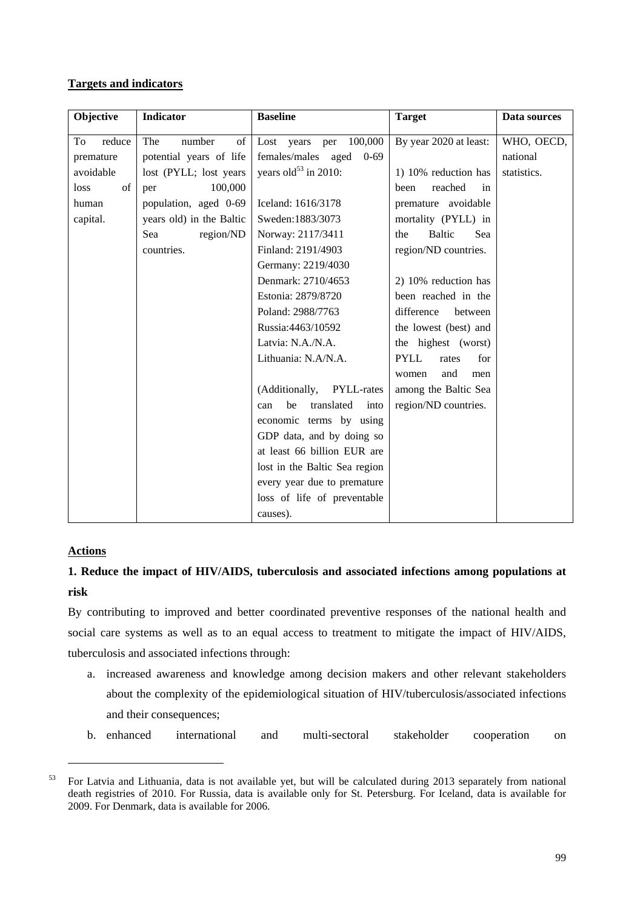## **Targets and indicators**

| Objective    | <b>Indicator</b>         | <b>Baseline</b>                  | <b>Target</b>               | Data sources |
|--------------|--------------------------|----------------------------------|-----------------------------|--------------|
| To<br>reduce | The<br>number<br>of      | 100,000<br>Lost<br>years<br>per  | By year 2020 at least:      | WHO, OECD,   |
| premature    | potential years of life  | females/males aged<br>$0 - 69$   |                             | national     |
| avoidable    | lost (PYLL; lost years   | years old <sup>53</sup> in 2010: | 1) 10% reduction has        | statistics.  |
| of<br>loss   | 100,000<br>per           |                                  | reached<br>been<br>in       |              |
| human        | population, aged 0-69    | Iceland: 1616/3178               | premature avoidable         |              |
| capital.     | years old) in the Baltic | Sweden: 1883/3073                | mortality (PYLL) in         |              |
|              | region/ND<br>Sea         | Norway: 2117/3411                | <b>Baltic</b><br>Sea<br>the |              |
|              | countries.               | Finland: 2191/4903               | region/ND countries.        |              |
|              |                          | Germany: 2219/4030               |                             |              |
|              |                          | Denmark: 2710/4653               | 2) 10% reduction has        |              |
|              |                          | Estonia: 2879/8720               | been reached in the         |              |
|              |                          | Poland: 2988/7763                | difference<br>between       |              |
|              |                          | Russia: 4463/10592               | the lowest (best) and       |              |
|              |                          | Latvia: N.A./N.A.                | the highest (worst)         |              |
|              |                          | Lithuania: N.A/N.A.              | <b>PYLL</b><br>rates<br>for |              |
|              |                          |                                  | and<br>women<br>men         |              |
|              |                          | (Additionally, PYLL-rates        | among the Baltic Sea        |              |
|              |                          | translated<br>be<br>into<br>can  | region/ND countries.        |              |
|              |                          | economic terms by using          |                             |              |
|              |                          | GDP data, and by doing so        |                             |              |
|              |                          | at least 66 billion EUR are      |                             |              |
|              |                          | lost in the Baltic Sea region    |                             |              |
|              |                          | every year due to premature      |                             |              |
|              |                          | loss of life of preventable      |                             |              |
|              |                          | causes).                         |                             |              |

## **Actions**

1

## **1. Reduce the impact of HIV/AIDS, tuberculosis and associated infections among populations at risk**

By contributing to improved and better coordinated preventive responses of the national health and social care systems as well as to an equal access to treatment to mitigate the impact of HIV/AIDS, tuberculosis and associated infections through:

- a. increased awareness and knowledge among decision makers and other relevant stakeholders about the complexity of the epidemiological situation of HIV/tuberculosis/associated infections and their consequences;
- b. enhanced international and multi-sectoral stakeholder cooperation on

<sup>53</sup> For Latvia and Lithuania, data is not available yet, but will be calculated during 2013 separately from national death registries of 2010. For Russia, data is available only for St. Petersburg. For Iceland, data is available for 2009. For Denmark, data is available for 2006.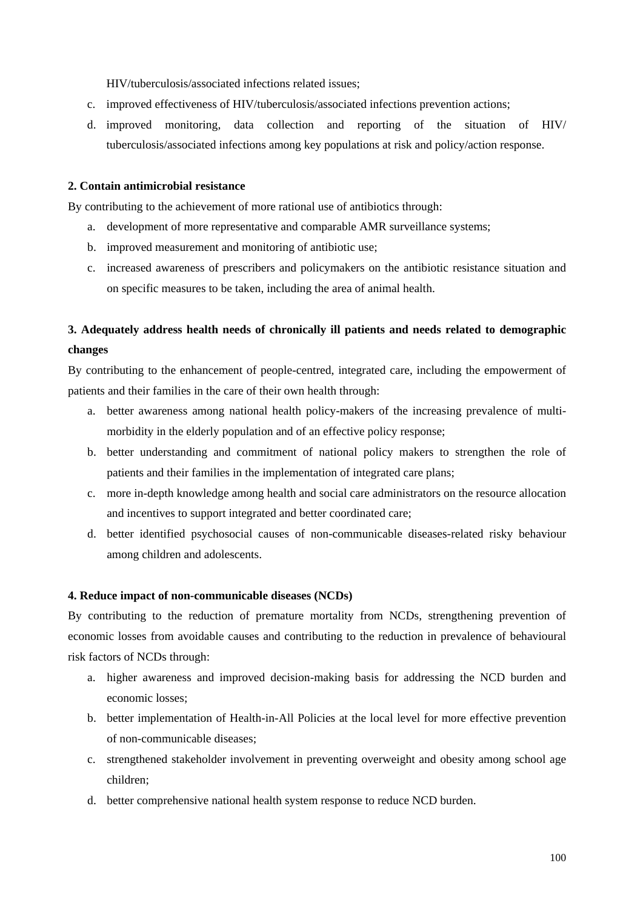HIV/tuberculosis/associated infections related issues;

- c. improved effectiveness of HIV/tuberculosis/associated infections prevention actions;
- d. improved monitoring, data collection and reporting of the situation of HIV/ tuberculosis/associated infections among key populations at risk and policy/action response.

#### **2. Contain antimicrobial resistance**

By contributing to the achievement of more rational use of antibiotics through:

- a. development of more representative and comparable AMR surveillance systems;
- b. improved measurement and monitoring of antibiotic use;
- c. increased awareness of prescribers and policymakers on the antibiotic resistance situation and on specific measures to be taken, including the area of animal health.

## **3. Adequately address health needs of chronically ill patients and needs related to demographic changes**

By contributing to the enhancement of people-centred, integrated care, including the empowerment of patients and their families in the care of their own health through:

- a. better awareness among national health policy-makers of the increasing prevalence of multimorbidity in the elderly population and of an effective policy response;
- b. better understanding and commitment of national policy makers to strengthen the role of patients and their families in the implementation of integrated care plans;
- c. more in-depth knowledge among health and social care administrators on the resource allocation and incentives to support integrated and better coordinated care;
- d. better identified psychosocial causes of non-communicable diseases-related risky behaviour among children and adolescents.

## **4. Reduce impact of non-communicable diseases (NCDs)**

By contributing to the reduction of premature mortality from NCDs, strengthening prevention of economic losses from avoidable causes and contributing to the reduction in prevalence of behavioural risk factors of NCDs through:

- a. higher awareness and improved decision-making basis for addressing the NCD burden and economic losses;
- b. better implementation of Health-in-All Policies at the local level for more effective prevention of non-communicable diseases;
- c. strengthened stakeholder involvement in preventing overweight and obesity among school age children;
- d. better comprehensive national health system response to reduce NCD burden.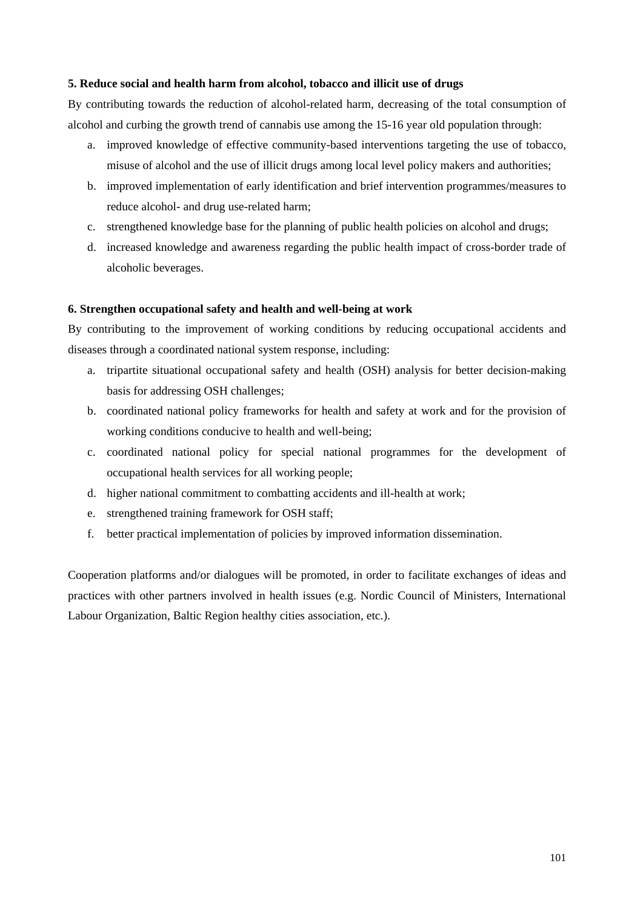## **5. Reduce social and health harm from alcohol, tobacco and illicit use of drugs**

By contributing towards the reduction of alcohol-related harm, decreasing of the total consumption of alcohol and curbing the growth trend of cannabis use among the 15-16 year old population through:

- a. improved knowledge of effective community-based interventions targeting the use of tobacco, misuse of alcohol and the use of illicit drugs among local level policy makers and authorities;
- b. improved implementation of early identification and brief intervention programmes/measures to reduce alcohol- and drug use-related harm;
- c. strengthened knowledge base for the planning of public health policies on alcohol and drugs;
- d. increased knowledge and awareness regarding the public health impact of cross-border trade of alcoholic beverages.

## **6. Strengthen occupational safety and health and well-being at work**

By contributing to the improvement of working conditions by reducing occupational accidents and diseases through a coordinated national system response, including:

- a. tripartite situational occupational safety and health (OSH) analysis for better decision-making basis for addressing OSH challenges;
- b. coordinated national policy frameworks for health and safety at work and for the provision of working conditions conducive to health and well-being;
- c. coordinated national policy for special national programmes for the development of occupational health services for all working people;
- d. higher national commitment to combatting accidents and ill-health at work;
- e. strengthened training framework for OSH staff;
- f. better practical implementation of policies by improved information dissemination.

Cooperation platforms and/or dialogues will be promoted, in order to facilitate exchanges of ideas and practices with other partners involved in health issues (e.g. Nordic Council of Ministers, International Labour Organization, Baltic Region healthy cities association, etc.).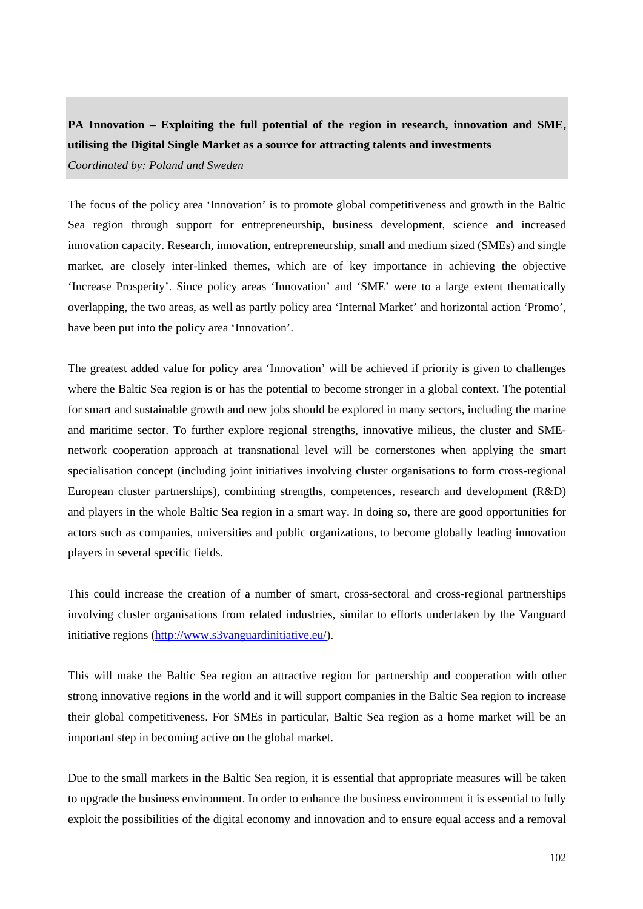# **PA Innovation – Exploiting the full potential of the region in research, innovation and SME, utilising the Digital Single Market as a source for attracting talents and investments**

*Coordinated by: Poland and Sweden* 

The focus of the policy area 'Innovation' is to promote global competitiveness and growth in the Baltic Sea region through support for entrepreneurship, business development, science and increased innovation capacity. Research, innovation, entrepreneurship, small and medium sized (SMEs) and single market, are closely inter-linked themes, which are of key importance in achieving the objective 'Increase Prosperity'. Since policy areas 'Innovation' and 'SME' were to a large extent thematically overlapping, the two areas, as well as partly policy area 'Internal Market' and horizontal action 'Promo', have been put into the policy area 'Innovation'.

The greatest added value for policy area 'Innovation' will be achieved if priority is given to challenges where the Baltic Sea region is or has the potential to become stronger in a global context. The potential for smart and sustainable growth and new jobs should be explored in many sectors, including the marine and maritime sector. To further explore regional strengths, innovative milieus, the cluster and SMEnetwork cooperation approach at transnational level will be cornerstones when applying the smart specialisation concept (including joint initiatives involving cluster organisations to form cross-regional European cluster partnerships), combining strengths, competences, research and development (R&D) and players in the whole Baltic Sea region in a smart way. In doing so, there are good opportunities for actors such as companies, universities and public organizations, to become globally leading innovation players in several specific fields.

This could increase the creation of a number of smart, cross-sectoral and cross-regional partnerships involving cluster organisations from related industries, similar to efforts undertaken by the Vanguard initiative regions [\(http://www.s3vanguardinitiative.eu/\)](http://www.s3vanguardinitiative.eu/).

This will make the Baltic Sea region an attractive region for partnership and cooperation with other strong innovative regions in the world and it will support companies in the Baltic Sea region to increase their global competitiveness. For SMEs in particular, Baltic Sea region as a home market will be an important step in becoming active on the global market.

Due to the small markets in the Baltic Sea region, it is essential that appropriate measures will be taken to upgrade the business environment. In order to enhance the business environment it is essential to fully exploit the possibilities of the digital economy and innovation and to ensure equal access and a removal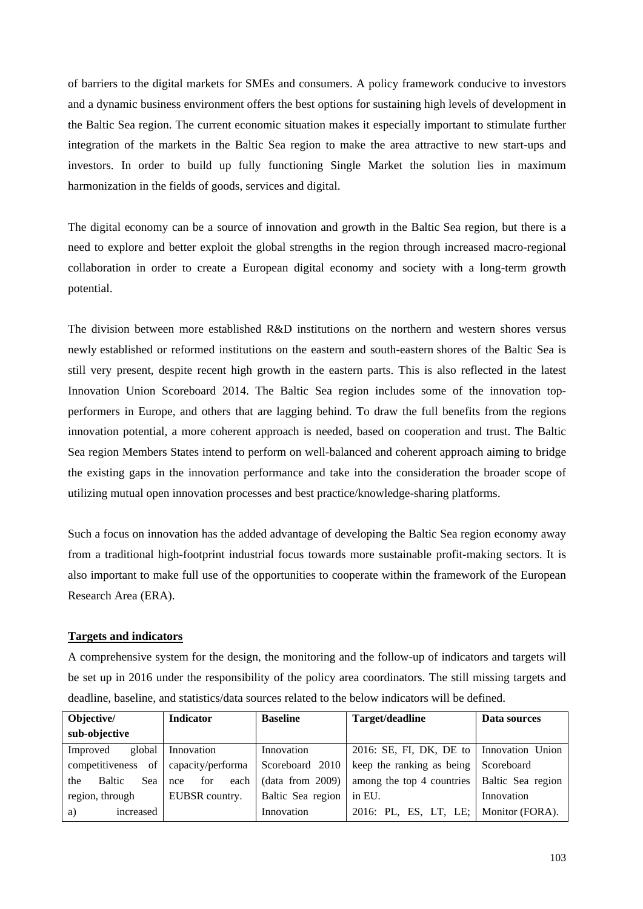of barriers to the digital markets for SMEs and consumers. A policy framework conducive to investors and a dynamic business environment offers the best options for sustaining high levels of development in the Baltic Sea region. The current economic situation makes it especially important to stimulate further integration of the markets in the Baltic Sea region to make the area attractive to new start-ups and investors. In order to build up fully functioning Single Market the solution lies in maximum harmonization in the fields of goods, services and digital.

The digital economy can be a source of innovation and growth in the Baltic Sea region, but there is a need to explore and better exploit the global strengths in the region through increased macro-regional collaboration in order to create a European digital economy and society with a long-term growth potential.

The division between more established R&D institutions on the northern and western shores versus newly established or reformed institutions on the eastern and south-eastern shores of the Baltic Sea is still very present, despite recent high growth in the eastern parts. This is also reflected in the latest Innovation Union Scoreboard 2014. The Baltic Sea region includes some of the innovation topperformers in Europe, and others that are lagging behind. To draw the full benefits from the regions innovation potential, a more coherent approach is needed, based on cooperation and trust. The Baltic Sea region Members States intend to perform on well-balanced and coherent approach aiming to bridge the existing gaps in the innovation performance and take into the consideration the broader scope of utilizing mutual open innovation processes and best practice/knowledge-sharing platforms.

Such a focus on innovation has the added advantage of developing the Baltic Sea region economy away from a traditional high-footprint industrial focus towards more sustainable profit-making sectors. It is also important to make full use of the opportunities to cooperate within the framework of the European Research Area (ERA).

## **Targets and indicators**

A comprehensive system for the design, the monitoring and the follow-up of indicators and targets will be set up in 2016 under the responsibility of the policy area coordinators. The still missing targets and deadline, baseline, and statistics/data sources related to the below indicators will be defined.

| Objective/                  | <b>Indicator</b>   | <b>Baseline</b>   | Target/deadline                         | Data sources      |
|-----------------------------|--------------------|-------------------|-----------------------------------------|-------------------|
| sub-objective               |                    |                   |                                         |                   |
| global<br>Improved          | Innovation         | Innovation        | 2016: SE, FI, DK, DE to                 | Innovation Union  |
| of<br>competitiveness       | capacity/performa  | Scoreboard 2010   | keep the ranking as being               | Scoreboard        |
| <b>Baltic</b><br>Sea<br>the | each<br>for<br>nce | (data from 2009)  | among the top 4 countries               | Baltic Sea region |
| region, through             | EUBSR country.     | Baltic Sea region | in EU.                                  | Innovation        |
| a)<br>increased             |                    | Innovation        | 2016: PL, ES, LT, LE;   Monitor (FORA). |                   |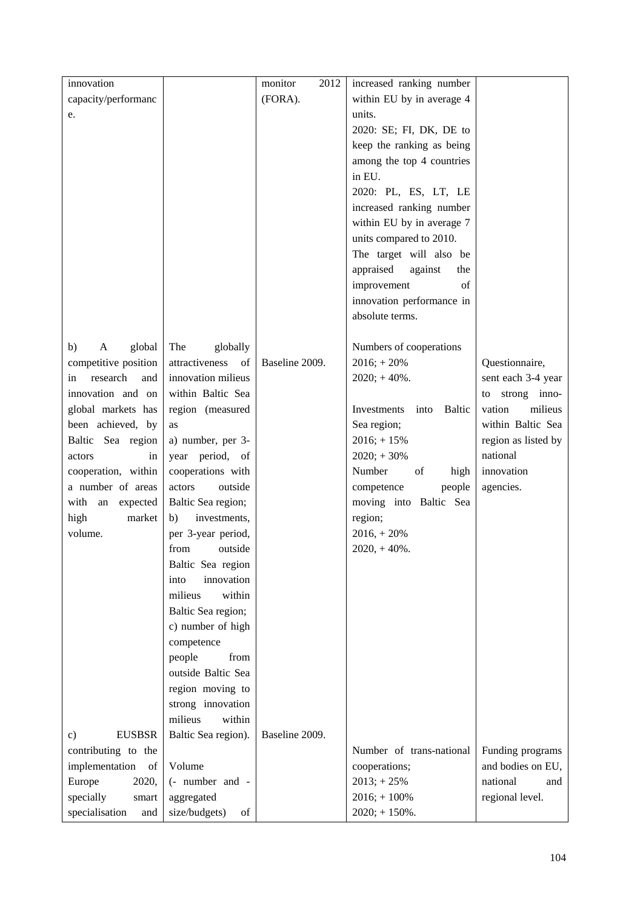| innovation                     |                      | monitor<br>2012 | increased ranking number      |                                       |
|--------------------------------|----------------------|-----------------|-------------------------------|---------------------------------------|
| capacity/performanc            |                      | (FORA).         | within EU by in average 4     |                                       |
| e.                             |                      |                 | units.                        |                                       |
|                                |                      |                 | 2020: SE; FI, DK, DE to       |                                       |
|                                |                      |                 | keep the ranking as being     |                                       |
|                                |                      |                 | among the top 4 countries     |                                       |
|                                |                      |                 | in EU.                        |                                       |
|                                |                      |                 | 2020: PL, ES, LT, LE          |                                       |
|                                |                      |                 | increased ranking number      |                                       |
|                                |                      |                 | within EU by in average 7     |                                       |
|                                |                      |                 | units compared to 2010.       |                                       |
|                                |                      |                 |                               |                                       |
|                                |                      |                 | The target will also be       |                                       |
|                                |                      |                 | appraised<br>against<br>the   |                                       |
|                                |                      |                 | improvement<br>of             |                                       |
|                                |                      |                 | innovation performance in     |                                       |
|                                |                      |                 | absolute terms.               |                                       |
|                                |                      |                 |                               |                                       |
| global<br>b)<br>A              | The<br>globally      |                 | Numbers of cooperations       |                                       |
| competitive position           | attractiveness<br>of | Baseline 2009.  | $2016$ ; + $20%$              | Questionnaire,                        |
| research<br>and<br>in          | innovation milieus   |                 | $2020; +40%$ .                | sent each 3-4 year                    |
| innovation and on              | within Baltic Sea    |                 |                               | strong inno-<br>to                    |
| global markets has             | region (measured     |                 | Investments<br>Baltic<br>into | vation<br>milieus                     |
| been achieved, by              | as                   |                 | Sea region;                   | within Baltic Sea                     |
| Baltic Sea region              | a) number, per 3-    |                 | $2016$ ; + 15%                | region as listed by                   |
| actors<br>in                   | year period, of      |                 | $2020; +30%$                  | national                              |
| cooperation, within            | cooperations with    |                 | Number<br>of<br>high          | innovation                            |
| a number of areas              | actors<br>outside    |                 | competence<br>people          | agencies.                             |
| with an<br>expected            | Baltic Sea region;   |                 | moving into Baltic Sea        |                                       |
| high<br>market                 | investments,<br>b)   |                 | region;                       |                                       |
| volume.                        | per 3-year period,   |                 | $2016 + 20%$                  |                                       |
|                                | outside<br>from      |                 | $2020, +40\%$ .               |                                       |
|                                | Baltic Sea region    |                 |                               |                                       |
|                                | innovation<br>into   |                 |                               |                                       |
|                                | milieus<br>within    |                 |                               |                                       |
|                                | Baltic Sea region;   |                 |                               |                                       |
|                                | c) number of high    |                 |                               |                                       |
|                                | competence           |                 |                               |                                       |
|                                | people<br>from       |                 |                               |                                       |
|                                | outside Baltic Sea   |                 |                               |                                       |
|                                | region moving to     |                 |                               |                                       |
|                                | strong innovation    |                 |                               |                                       |
|                                | milieus<br>within    |                 |                               |                                       |
| <b>EUSBSR</b><br>$\mathbf{c})$ | Baltic Sea region).  | Baseline 2009.  |                               |                                       |
| contributing to the            |                      |                 | Number of trans-national      |                                       |
|                                | Volume               |                 |                               | Funding programs<br>and bodies on EU, |
| implementation<br>of           |                      |                 | cooperations;                 | national                              |
| Europe<br>2020,                | (- number and -      |                 | $2013; +25%$                  | and                                   |
| specially<br>smart             | aggregated           |                 | $2016$ ; + $100%$             | regional level.                       |
| specialisation<br>and          | size/budgets)<br>of  |                 | $2020; +150\%$ .              |                                       |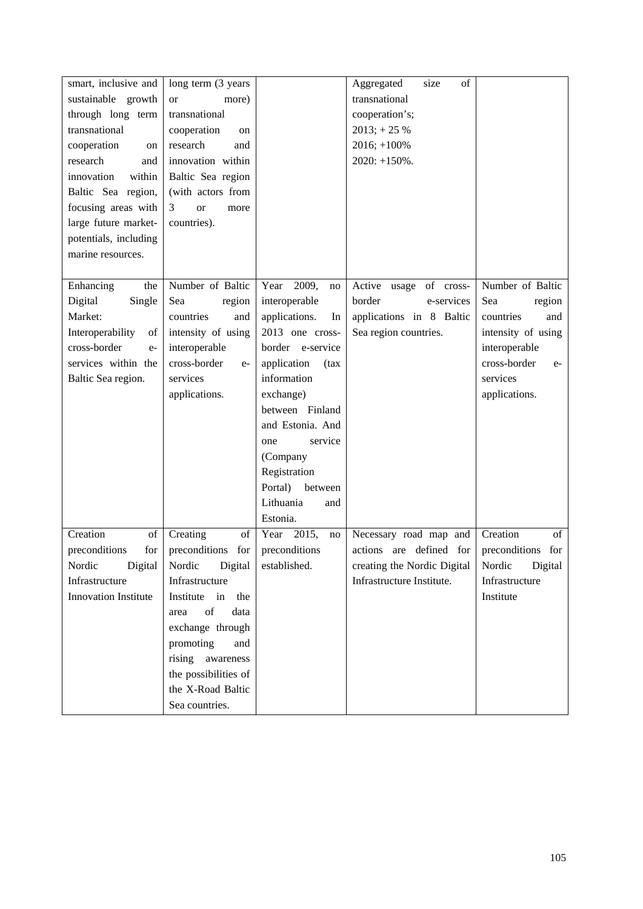| smart, inclusive and         | long term (3 years)    |                     | of<br>Aggregated<br>size     |                      |
|------------------------------|------------------------|---------------------|------------------------------|----------------------|
| sustainable growth           | more)<br><b>or</b>     |                     | transnational                |                      |
| through long term            | transnational          |                     | cooperation's;               |                      |
| transnational                | cooperation<br>on      |                     | $2013$ ; + 25 %              |                      |
| cooperation<br>on            | research<br>and        |                     | $2016; +100%$                |                      |
| research<br>and              | innovation within      |                     | $2020: +150\%$ .             |                      |
| innovation<br>within         | Baltic Sea region      |                     |                              |                      |
| Baltic Sea region,           | (with actors from      |                     |                              |                      |
| focusing areas with          | 3<br><b>or</b><br>more |                     |                              |                      |
| large future market-         | countries).            |                     |                              |                      |
| potentials, including        |                        |                     |                              |                      |
| marine resources.            |                        |                     |                              |                      |
|                              |                        |                     |                              |                      |
| Enhancing<br>the             | Number of Baltic       | 2009,<br>Year<br>no | Active<br>of cross-<br>usage | Number of Baltic     |
| Digital<br>Single            | Sea<br>region          | interoperable       | border<br>e-services         | Sea<br>region        |
| Market:                      | countries<br>and       | applications.<br>In | applications in 8 Baltic     | countries<br>and     |
| Interoperability<br>$\sigma$ | intensity of using     | 2013 one cross-     | Sea region countries.        | intensity of using   |
| cross-border<br>$e-$         | interoperable          | border e-service    |                              | interoperable        |
| services within the          | cross-border<br>$e-$   | application<br>(tax |                              | cross-border<br>$e-$ |
| Baltic Sea region.           | services               | information         |                              | services             |
|                              | applications.          | exchange)           |                              | applications.        |
|                              |                        | between Finland     |                              |                      |
|                              |                        | and Estonia. And    |                              |                      |
|                              |                        | service<br>one      |                              |                      |
|                              |                        | (Company            |                              |                      |
|                              |                        | Registration        |                              |                      |
|                              |                        | Portal)<br>between  |                              |                      |
|                              |                        | Lithuania<br>and    |                              |                      |
|                              |                        | Estonia.            |                              |                      |
| Creation<br>of               | Creating<br>of         | 2015,<br>Year<br>no | Necessary road map and       | Creation<br>of       |
| preconditions<br>for         | preconditions<br>for   | preconditions       | actions are defined for      | preconditions for    |
| Nordic<br>Digital            | Digital<br>Nordic      | established.        | creating the Nordic Digital  | Digital<br>Nordic    |
| Infrastructure               | Infrastructure         |                     | Infrastructure Institute.    | Infrastructure       |
| Innovation Institute         | in<br>Institute<br>the |                     |                              | Institute            |
|                              | of<br>data<br>area     |                     |                              |                      |
|                              | exchange through       |                     |                              |                      |
|                              | promoting<br>and       |                     |                              |                      |
|                              | rising awareness       |                     |                              |                      |
|                              | the possibilities of   |                     |                              |                      |
|                              | the X-Road Baltic      |                     |                              |                      |
|                              | Sea countries.         |                     |                              |                      |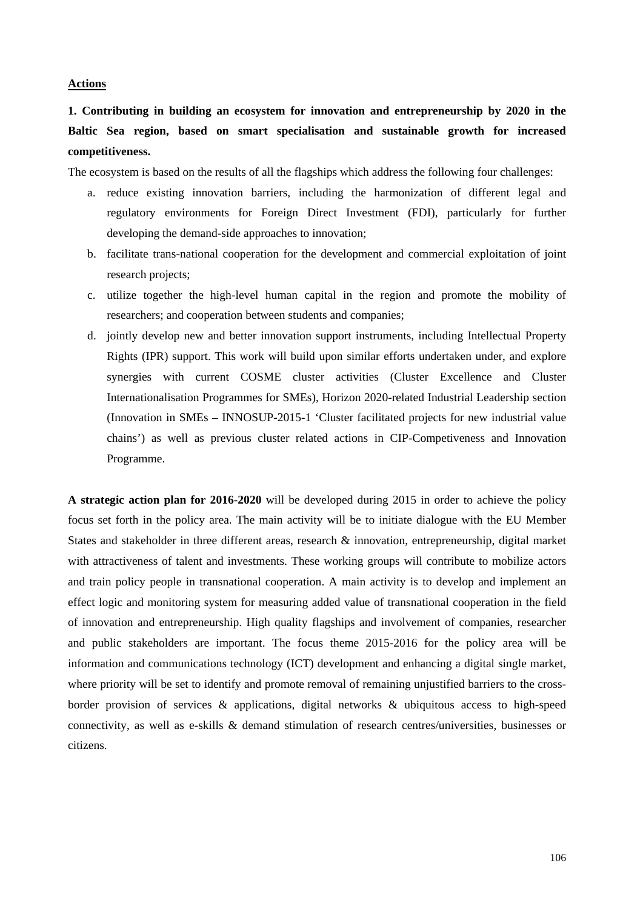#### **Actions**

# **1. Contributing in building an ecosystem for innovation and entrepreneurship by 2020 in the Baltic Sea region, based on smart specialisation and sustainable growth for increased competitiveness.**

The ecosystem is based on the results of all the flagships which address the following four challenges:

- a. reduce existing innovation barriers, including the harmonization of different legal and regulatory environments for Foreign Direct Investment (FDI), particularly for further developing the demand-side approaches to innovation:
- b. facilitate trans-national cooperation for the development and commercial exploitation of joint research projects;
- c. utilize together the high-level human capital in the region and promote the mobility of researchers; and cooperation between students and companies;
- d. jointly develop new and better innovation support instruments, including Intellectual Property Rights (IPR) support. This work will build upon similar efforts undertaken under, and explore synergies with current COSME cluster activities (Cluster Excellence and Cluster Internationalisation Programmes for SMEs), Horizon 2020-related Industrial Leadership section (Innovation in SMEs – INNOSUP-2015-1 'Cluster facilitated projects for new industrial value chains') as well as previous cluster related actions in CIP-Competiveness and Innovation Programme.

**A strategic action plan for 2016-2020** will be developed during 2015 in order to achieve the policy focus set forth in the policy area. The main activity will be to initiate dialogue with the EU Member States and stakeholder in three different areas, research & innovation, entrepreneurship, digital market with attractiveness of talent and investments. These working groups will contribute to mobilize actors and train policy people in transnational cooperation. A main activity is to develop and implement an effect logic and monitoring system for measuring added value of transnational cooperation in the field of innovation and entrepreneurship. High quality flagships and involvement of companies, researcher and public stakeholders are important. The focus theme 2015-2016 for the policy area will be information and communications technology (ICT) development and enhancing a digital single market, where priority will be set to identify and promote removal of remaining unjustified barriers to the crossborder provision of services & applications, digital networks & ubiquitous access to high-speed connectivity, as well as e-skills & demand stimulation of research centres/universities, businesses or citizens.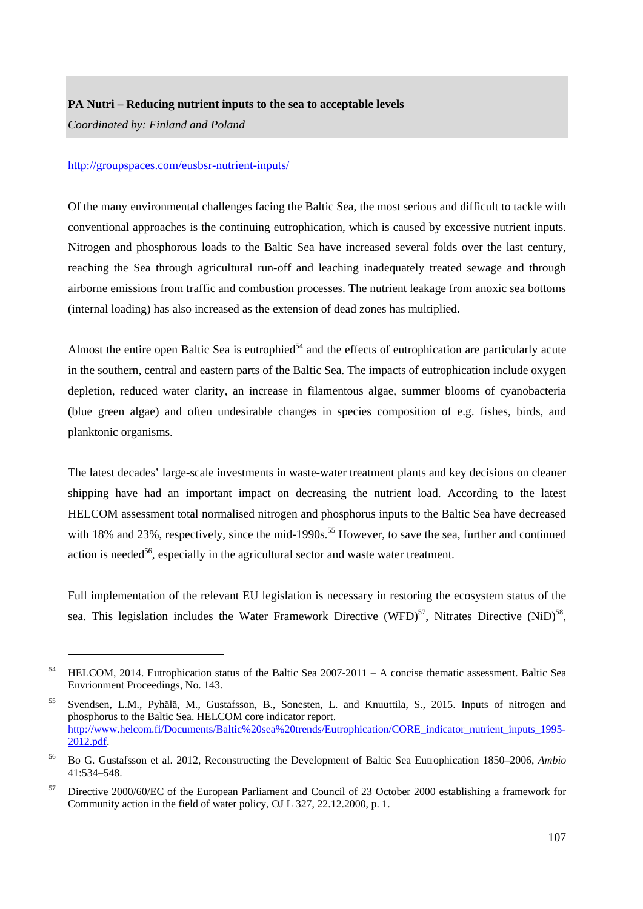#### **PA Nutri – Reducing nutrient inputs to the sea to acceptable levels**

*Coordinated by: Finland and Poland* 

-

### <http://groupspaces.com/eusbsr-nutrient-inputs/>

Of the many environmental challenges facing the Baltic Sea, the most serious and difficult to tackle with conventional approaches is the continuing eutrophication, which is caused by excessive nutrient inputs. Nitrogen and phosphorous loads to the Baltic Sea have increased several folds over the last century, reaching the Sea through agricultural run-off and leaching inadequately treated sewage and through airborne emissions from traffic and combustion processes. The nutrient leakage from anoxic sea bottoms (internal loading) has also increased as the extension of dead zones has multiplied.

Almost the entire open Baltic Sea is eutrophied<sup>54</sup> and the effects of eutrophication are particularly acute in the southern, central and eastern parts of the Baltic Sea. The impacts of eutrophication include oxygen depletion, reduced water clarity, an increase in filamentous algae, summer blooms of cyanobacteria (blue green algae) and often undesirable changes in species composition of e.g. fishes, birds, and planktonic organisms.

The latest decades' large-scale investments in waste-water treatment plants and key decisions on cleaner shipping have had an important impact on decreasing the nutrient load. According to the latest HELCOM assessment total normalised nitrogen and phosphorus inputs to the Baltic Sea have decreased with 18% and 23%, respectively, since the mid-1990s.<sup>55</sup> However, to save the sea, further and continued action is needed<sup>56</sup>, especially in the agricultural sector and waste water treatment.

Full implementation of the relevant EU legislation is necessary in restoring the ecosystem status of the sea. This legislation includes the Water Framework Directive (WFD)<sup>57</sup>, Nitrates Directive (NiD)<sup>58</sup>,

<sup>54</sup> HELCOM, 2014. Eutrophication status of the Baltic Sea 2007-2011 – A concise thematic assessment. Baltic Sea Envrionment Proceedings, No. 143.

<sup>55</sup> Svendsen, L.M., Pyhälä, M., Gustafsson, B., Sonesten, L. and Knuuttila, S., 2015. Inputs of nitrogen and phosphorus to the Baltic Sea. HELCOM core indicator report. [http://www.helcom.fi/Documents/Baltic%20sea%20trends/Eutrophication/CORE\\_indicator\\_nutrient\\_inputs\\_1995-](http://www.helcom.fi/Documents/Baltic%20sea%20trends/Eutrophication/CORE_indicator_nutrient_inputs_1995-2012.pdf) [2012.pdf.](http://www.helcom.fi/Documents/Baltic%20sea%20trends/Eutrophication/CORE_indicator_nutrient_inputs_1995-2012.pdf) 

<sup>56</sup> Bo G. Gustafsson et al. 2012, Reconstructing the Development of Baltic Sea Eutrophication 1850–2006, *Ambio* 41:534–548.

<sup>57</sup> Directive 2000/60/EC of the European Parliament and Council of 23 October 2000 establishing a framework for Community action in the field of water policy, OJ L 327, 22.12.2000, p. 1.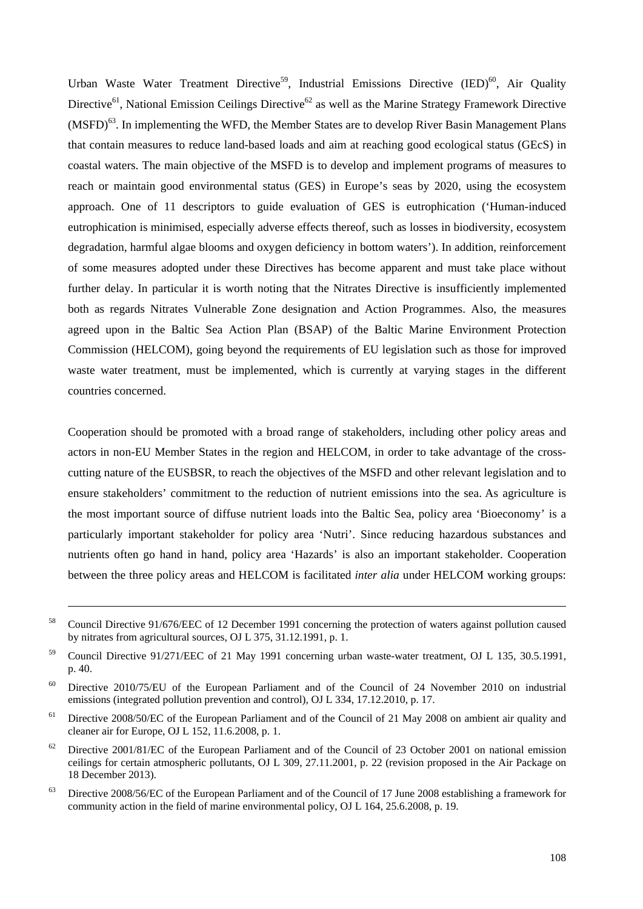Urban Waste Water Treatment Directive<sup>59</sup>, Industrial Emissions Directive (IED)<sup>60</sup>, Air Quality Directive<sup>61</sup>, National Emission Ceilings Directive<sup>62</sup> as well as the Marine Strategy Framework Directive  $(MSFD)<sup>63</sup>$ . In implementing the WFD, the Member States are to develop River Basin Management Plans that contain measures to reduce land-based loads and aim at reaching good ecological status (GEcS) in coastal waters. The main objective of the MSFD is to develop and implement programs of measures to reach or maintain good environmental status (GES) in Europe's seas by 2020, using the ecosystem approach. One of 11 descriptors to guide evaluation of GES is eutrophication ('Human-induced eutrophication is minimised, especially adverse effects thereof, such as losses in biodiversity, ecosystem degradation, harmful algae blooms and oxygen deficiency in bottom waters'). In addition, reinforcement of some measures adopted under these Directives has become apparent and must take place without further delay. In particular it is worth noting that the Nitrates Directive is insufficiently implemented both as regards Nitrates Vulnerable Zone designation and Action Programmes. Also, the measures agreed upon in the Baltic Sea Action Plan (BSAP) of the Baltic Marine Environment Protection Commission (HELCOM), going beyond the requirements of EU legislation such as those for improved waste water treatment, must be implemented, which is currently at varying stages in the different countries concerned.

Cooperation should be promoted with a broad range of stakeholders, including other policy areas and actors in non-EU Member States in the region and HELCOM, in order to take advantage of the crosscutting nature of the EUSBSR, to reach the objectives of the MSFD and other relevant legislation and to ensure stakeholders' commitment to the reduction of nutrient emissions into the sea. As agriculture is the most important source of diffuse nutrient loads into the Baltic Sea, policy area 'Bioeconomy' is a particularly important stakeholder for policy area 'Nutri'. Since reducing hazardous substances and nutrients often go hand in hand, policy area 'Hazards' is also an important stakeholder. Cooperation between the three policy areas and HELCOM is facilitated *inter alia* under HELCOM working groups:

 $\overline{a}$ 

- <sup>61</sup> Directive 2008/50/EC of the European Parliament and of the Council of 21 May 2008 on ambient air quality and cleaner air for Europe, OJ L 152, 11.6.2008, p. 1.
- $62$  Directive 2001/81/EC of the European Parliament and of the Council of 23 October 2001 on national emission ceilings for certain atmospheric pollutants, OJ L 309, 27.11.2001, p. 22 (revision proposed in the Air Package on 18 December 2013).
- <sup>63</sup> Directive 2008/56/EC of the European Parliament and of the Council of 17 June 2008 establishing a framework for community action in the field of marine environmental policy, OJ L 164, 25.6.2008, p. 19.

<sup>&</sup>lt;sup>58</sup> Council Directive 91/676/EEC of 12 December 1991 concerning the protection of waters against pollution caused by nitrates from agricultural sources, OJ L 375, 31.12.1991, p. 1.

<sup>&</sup>lt;sup>59</sup> Council Directive 91/271/EEC of 21 May 1991 concerning urban waste-water treatment, OJ L 135, 30.5.1991, p. 40.

<sup>60</sup> Directive 2010/75/EU of the European Parliament and of the Council of 24 November 2010 on industrial emissions (integrated pollution prevention and control), OJ L 334, 17.12.2010, p. 17.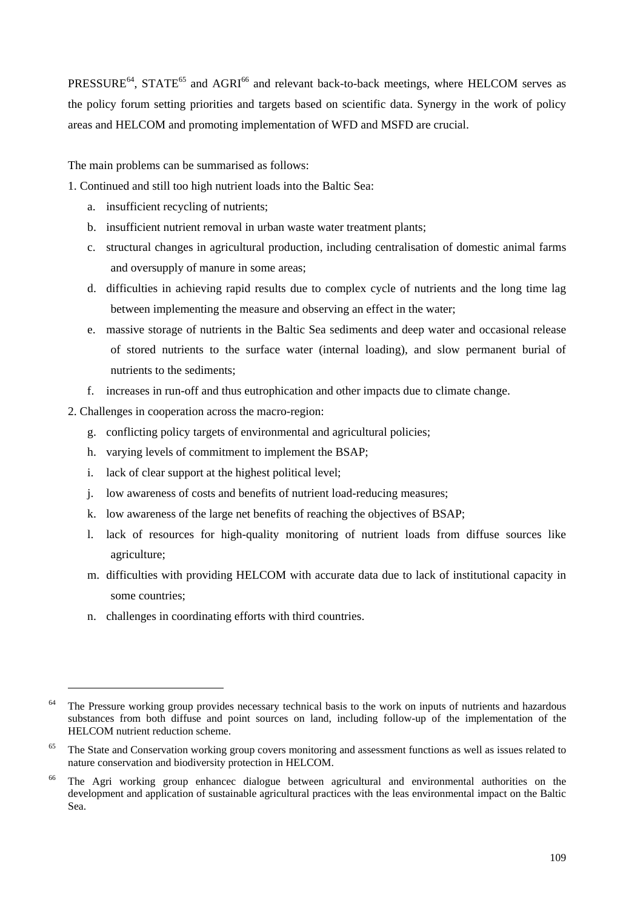PRESSURE<sup>64</sup>, STATE<sup>65</sup> and AGRI<sup>66</sup> and relevant back-to-back meetings, where HELCOM serves as the policy forum setting priorities and targets based on scientific data. Synergy in the work of policy areas and HELCOM and promoting implementation of WFD and MSFD are crucial.

The main problems can be summarised as follows:

1. Continued and still too high nutrient loads into the Baltic Sea:

- a. insufficient recycling of nutrients;
- b. insufficient nutrient removal in urban waste water treatment plants;
- c. structural changes in agricultural production, including centralisation of domestic animal farms and oversupply of manure in some areas;
- d. difficulties in achieving rapid results due to complex cycle of nutrients and the long time lag between implementing the measure and observing an effect in the water;
- e. massive storage of nutrients in the Baltic Sea sediments and deep water and occasional release of stored nutrients to the surface water (internal loading), and slow permanent burial of nutrients to the sediments;
- f. increases in run-off and thus eutrophication and other impacts due to climate change.
- 2. Challenges in cooperation across the macro-region:
	- g. conflicting policy targets of environmental and agricultural policies;
	- h. varying levels of commitment to implement the BSAP;
	- i. lack of clear support at the highest political level;
	- j. low awareness of costs and benefits of nutrient load-reducing measures;
	- k. low awareness of the large net benefits of reaching the objectives of BSAP;
	- l. lack of resources for high-quality monitoring of nutrient loads from diffuse sources like agriculture;
	- m. difficulties with providing HELCOM with accurate data due to lack of institutional capacity in some countries;
	- n. challenges in coordinating efforts with third countries.

1

 $64$  The Pressure working group provides necessary technical basis to the work on inputs of nutrients and hazardous substances from both diffuse and point sources on land, including follow-up of the implementation of the HELCOM nutrient reduction scheme.

<sup>&</sup>lt;sup>65</sup> The State and Conservation working group covers monitoring and assessment functions as well as issues related to nature conservation and biodiversity protection in HELCOM.

<sup>&</sup>lt;sup>66</sup> The Agri working group enhancec dialogue between agricultural and environmental authorities on the development and application of sustainable agricultural practices with the leas environmental impact on the Baltic Sea.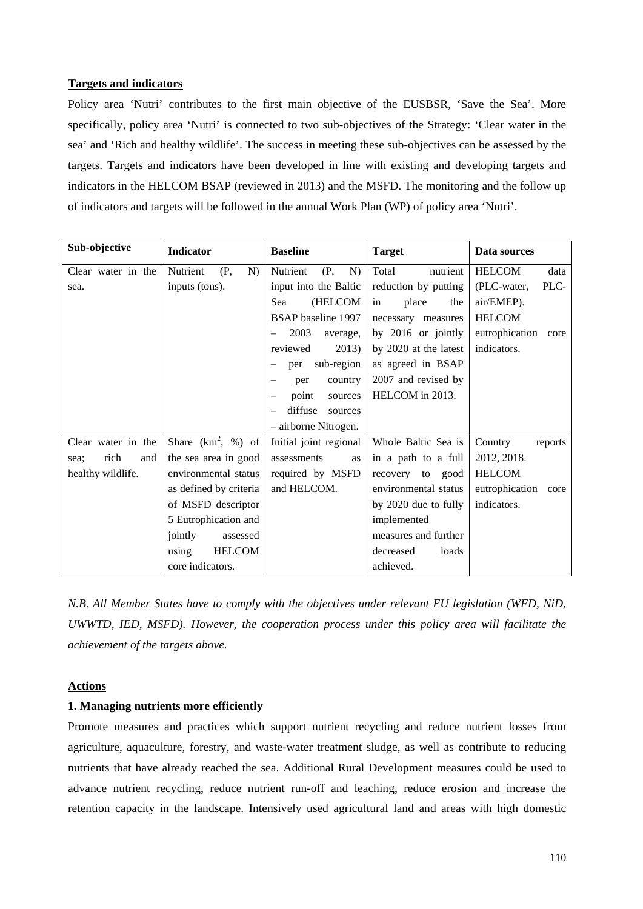### **Targets and indicators**

Policy area 'Nutri' contributes to the first main objective of the EUSBSR, 'Save the Sea'. More specifically, policy area 'Nutri' is connected to two sub-objectives of the Strategy: 'Clear water in the sea' and 'Rich and healthy wildlife'. The success in meeting these sub-objectives can be assessed by the targets. Targets and indicators have been developed in line with existing and developing targets and indicators in the HELCOM BSAP (reviewed in 2013) and the MSFD. The monitoring and the follow up of indicators and targets will be followed in the annual Work Plan (WP) of policy area 'Nutri'.

| Sub-objective       | Indicator              | <b>Baseline</b>           | <b>Target</b>         | Data sources           |
|---------------------|------------------------|---------------------------|-----------------------|------------------------|
| Clear water in the  | Nutrient<br>(P,<br>N)  | Nutrient<br>N)<br>(P,     | Total<br>nutrient     | <b>HELCOM</b><br>data  |
| sea.                | inputs (tons).         | input into the Baltic     | reduction by putting  | PLC-<br>(PLC-water,    |
|                     |                        | (HELCOM<br>Sea            | place<br>in<br>the    | air/EMEP).             |
|                     |                        | <b>BSAP</b> baseline 1997 | necessary measures    | <b>HELCOM</b>          |
|                     |                        | 2003<br>average,          | by 2016 or jointly    | eutrophication<br>core |
|                     |                        | reviewed<br>2013)         | by 2020 at the latest | indicators.            |
|                     |                        | sub-region<br>per         | as agreed in BSAP     |                        |
|                     |                        | country<br>per            | 2007 and revised by   |                        |
|                     |                        | point<br>sources          | HELCOM in 2013.       |                        |
|                     |                        | diffuse<br>sources        |                       |                        |
|                     |                        | - airborne Nitrogen.      |                       |                        |
| Clear water in the  | Share $(km^2, %)$ of   | Initial joint regional    | Whole Baltic Sea is   | Country<br>reports     |
| rich<br>and<br>sea; | the sea area in good   | assessments<br>as         | in a path to a full   | 2012, 2018.            |
| healthy wildlife.   | environmental status   | required by MSFD          | recovery<br>to good   | <b>HELCOM</b>          |
|                     | as defined by criteria | and HELCOM.               | environmental status  | eutrophication<br>core |
|                     | of MSFD descriptor     |                           | by 2020 due to fully  | indicators.            |
|                     | 5 Eutrophication and   |                           | implemented           |                        |
|                     | jointly<br>assessed    |                           | measures and further  |                        |
|                     | <b>HELCOM</b><br>using |                           | decreased<br>loads    |                        |
|                     | core indicators.       |                           | achieved.             |                        |

*N.B. All Member States have to comply with the objectives under relevant EU legislation (WFD, NiD, UWWTD, IED, MSFD). However, the cooperation process under this policy area will facilitate the achievement of the targets above.* 

#### **Actions**

## **1. Managing nutrients more efficiently**

Promote measures and practices which support nutrient recycling and reduce nutrient losses from agriculture, aquaculture, forestry, and waste-water treatment sludge, as well as contribute to reducing nutrients that have already reached the sea. Additional Rural Development measures could be used to advance nutrient recycling, reduce nutrient run-off and leaching, reduce erosion and increase the retention capacity in the landscape. Intensively used agricultural land and areas with high domestic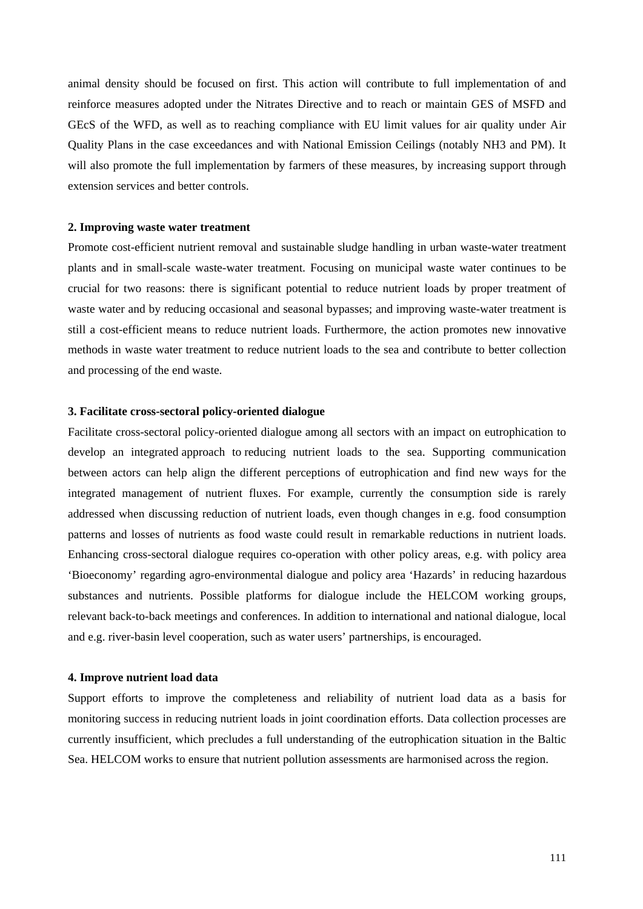animal density should be focused on first. This action will contribute to full implementation of and reinforce measures adopted under the Nitrates Directive and to reach or maintain GES of MSFD and GEcS of the WFD, as well as to reaching compliance with EU limit values for air quality under Air Quality Plans in the case exceedances and with National Emission Ceilings (notably NH3 and PM). It will also promote the full implementation by farmers of these measures, by increasing support through extension services and better controls.

#### **2. Improving waste water treatment**

Promote cost-efficient nutrient removal and sustainable sludge handling in urban waste-water treatment plants and in small-scale waste-water treatment. Focusing on municipal waste water continues to be crucial for two reasons: there is significant potential to reduce nutrient loads by proper treatment of waste water and by reducing occasional and seasonal bypasses; and improving waste-water treatment is still a cost-efficient means to reduce nutrient loads. Furthermore, the action promotes new innovative methods in waste water treatment to reduce nutrient loads to the sea and contribute to better collection and processing of the end waste.

#### **3. Facilitate cross-sectoral policy-oriented dialogue**

Facilitate cross-sectoral policy-oriented dialogue among all sectors with an impact on eutrophication to develop an integrated approach to reducing nutrient loads to the sea. Supporting communication between actors can help align the different perceptions of eutrophication and find new ways for the integrated management of nutrient fluxes. For example, currently the consumption side is rarely addressed when discussing reduction of nutrient loads, even though changes in e.g. food consumption patterns and losses of nutrients as food waste could result in remarkable reductions in nutrient loads. Enhancing cross-sectoral dialogue requires co-operation with other policy areas, e.g. with policy area 'Bioeconomy' regarding agro-environmental dialogue and policy area 'Hazards' in reducing hazardous substances and nutrients. Possible platforms for dialogue include the HELCOM working groups, relevant back-to-back meetings and conferences. In addition to international and national dialogue, local and e.g. river-basin level cooperation, such as water users' partnerships, is encouraged.

#### **4. Improve nutrient load data**

Support efforts to improve the completeness and reliability of nutrient load data as a basis for monitoring success in reducing nutrient loads in joint coordination efforts. Data collection processes are currently insufficient, which precludes a full understanding of the eutrophication situation in the Baltic Sea. HELCOM works to ensure that nutrient pollution assessments are harmonised across the region.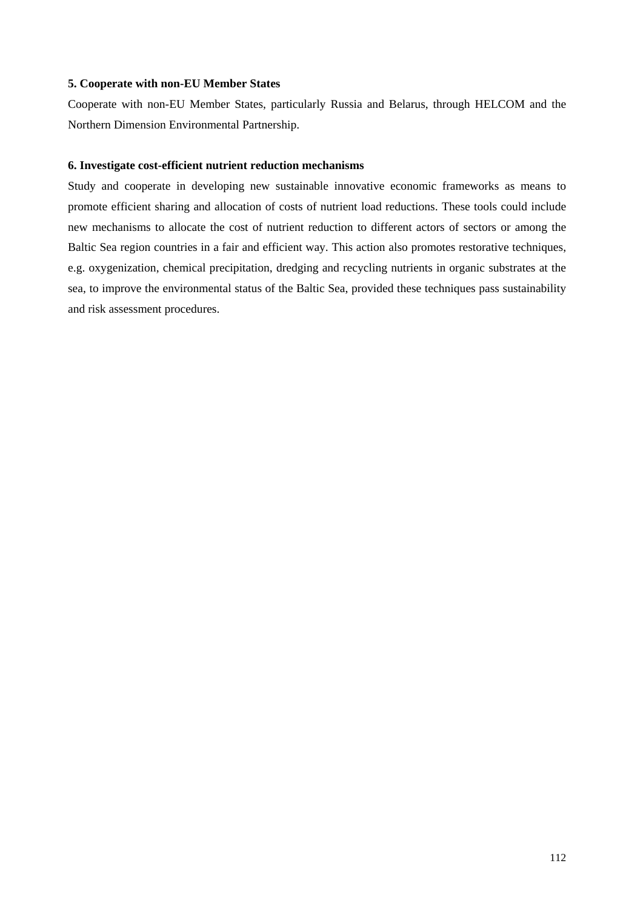## **5. Cooperate with non-EU Member States**

Cooperate with non-EU Member States, particularly Russia and Belarus, through HELCOM and the Northern Dimension Environmental Partnership.

### **6. Investigate cost-efficient nutrient reduction mechanisms**

Study and cooperate in developing new sustainable innovative economic frameworks as means to promote efficient sharing and allocation of costs of nutrient load reductions. These tools could include new mechanisms to allocate the cost of nutrient reduction to different actors of sectors or among the Baltic Sea region countries in a fair and efficient way. This action also promotes restorative techniques, e.g. oxygenization, chemical precipitation, dredging and recycling nutrients in organic substrates at the sea, to improve the environmental status of the Baltic Sea, provided these techniques pass sustainability and risk assessment procedures.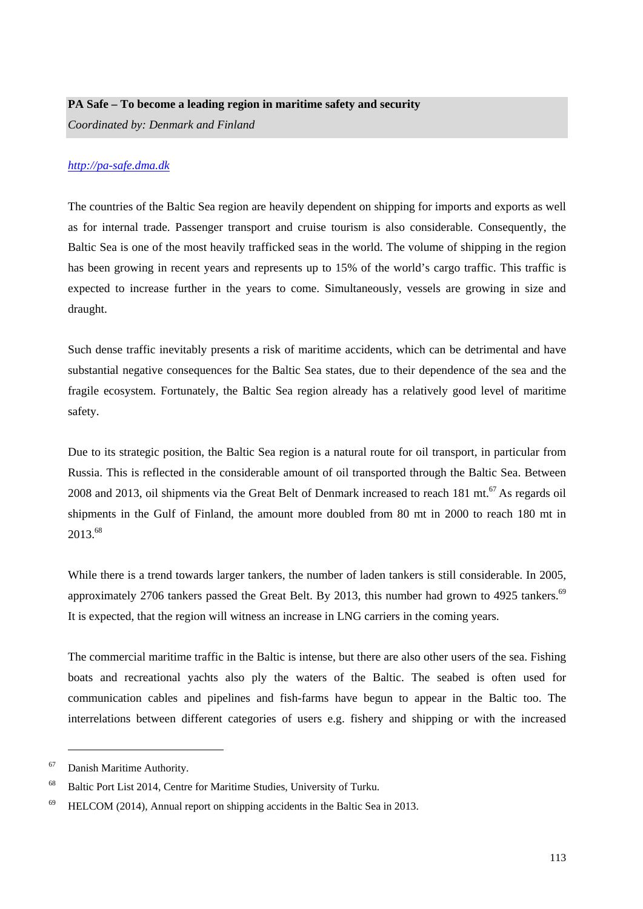## **PA Safe – To become a leading region in maritime safety and security**

*Coordinated by: Denmark and Finland* 

## *[http://pa-safe.dma.dk](http://pa-safe.dma.dk/)*

The countries of the Baltic Sea region are heavily dependent on shipping for imports and exports as well as for internal trade. Passenger transport and cruise tourism is also considerable. Consequently, the Baltic Sea is one of the most heavily trafficked seas in the world. The volume of shipping in the region has been growing in recent years and represents up to 15% of the world's cargo traffic. This traffic is expected to increase further in the years to come. Simultaneously, vessels are growing in size and draught.

Such dense traffic inevitably presents a risk of maritime accidents, which can be detrimental and have substantial negative consequences for the Baltic Sea states, due to their dependence of the sea and the fragile ecosystem. Fortunately, the Baltic Sea region already has a relatively good level of maritime safety.

Due to its strategic position, the Baltic Sea region is a natural route for oil transport, in particular from Russia. This is reflected in the considerable amount of oil transported through the Baltic Sea. Between 2008 and 2013, oil shipments via the Great Belt of Denmark increased to reach 181 mt.<sup>67</sup> As regards oil shipments in the Gulf of Finland, the amount more doubled from 80 mt in 2000 to reach 180 mt in 2013.68

While there is a trend towards larger tankers, the number of laden tankers is still considerable. In 2005, approximately 2706 tankers passed the Great Belt. By 2013, this number had grown to 4925 tankers.<sup>69</sup> It is expected, that the region will witness an increase in LNG carriers in the coming years.

The commercial maritime traffic in the Baltic is intense, but there are also other users of the sea. Fishing boats and recreational yachts also ply the waters of the Baltic. The seabed is often used for communication cables and pipelines and fish-farms have begun to appear in the Baltic too. The interrelations between different categories of users e.g. fishery and shipping or with the increased

1

<sup>67</sup> Danish Maritime Authority.

<sup>&</sup>lt;sup>68</sup> Baltic Port List 2014, Centre for Maritime Studies, University of Turku.

 $69$  HELCOM (2014), Annual report on shipping accidents in the Baltic Sea in 2013.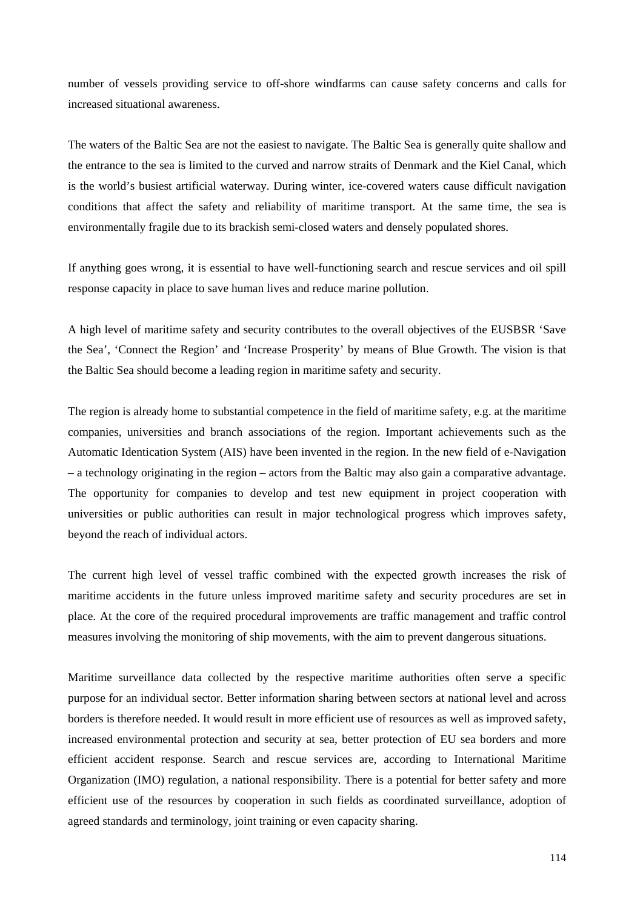number of vessels providing service to off-shore windfarms can cause safety concerns and calls for increased situational awareness.

The waters of the Baltic Sea are not the easiest to navigate. The Baltic Sea is generally quite shallow and the entrance to the sea is limited to the curved and narrow straits of Denmark and the Kiel Canal, which is the world's busiest artificial waterway. During winter, ice-covered waters cause difficult navigation conditions that affect the safety and reliability of maritime transport. At the same time, the sea is environmentally fragile due to its brackish semi-closed waters and densely populated shores.

If anything goes wrong, it is essential to have well-functioning search and rescue services and oil spill response capacity in place to save human lives and reduce marine pollution.

A high level of maritime safety and security contributes to the overall objectives of the EUSBSR 'Save the Sea', 'Connect the Region' and 'Increase Prosperity' by means of Blue Growth. The vision is that the Baltic Sea should become a leading region in maritime safety and security.

The region is already home to substantial competence in the field of maritime safety, e.g. at the maritime companies, universities and branch associations of the region. Important achievements such as the Automatic Identication System (AIS) have been invented in the region. In the new field of e-Navigation – a technology originating in the region – actors from the Baltic may also gain a comparative advantage. The opportunity for companies to develop and test new equipment in project cooperation with universities or public authorities can result in major technological progress which improves safety, beyond the reach of individual actors.

The current high level of vessel traffic combined with the expected growth increases the risk of maritime accidents in the future unless improved maritime safety and security procedures are set in place. At the core of the required procedural improvements are traffic management and traffic control measures involving the monitoring of ship movements, with the aim to prevent dangerous situations.

Maritime surveillance data collected by the respective maritime authorities often serve a specific purpose for an individual sector. Better information sharing between sectors at national level and across borders is therefore needed. It would result in more efficient use of resources as well as improved safety, increased environmental protection and security at sea, better protection of EU sea borders and more efficient accident response. Search and rescue services are, according to International Maritime Organization (IMO) regulation, a national responsibility. There is a potential for better safety and more efficient use of the resources by cooperation in such fields as coordinated surveillance, adoption of agreed standards and terminology, joint training or even capacity sharing.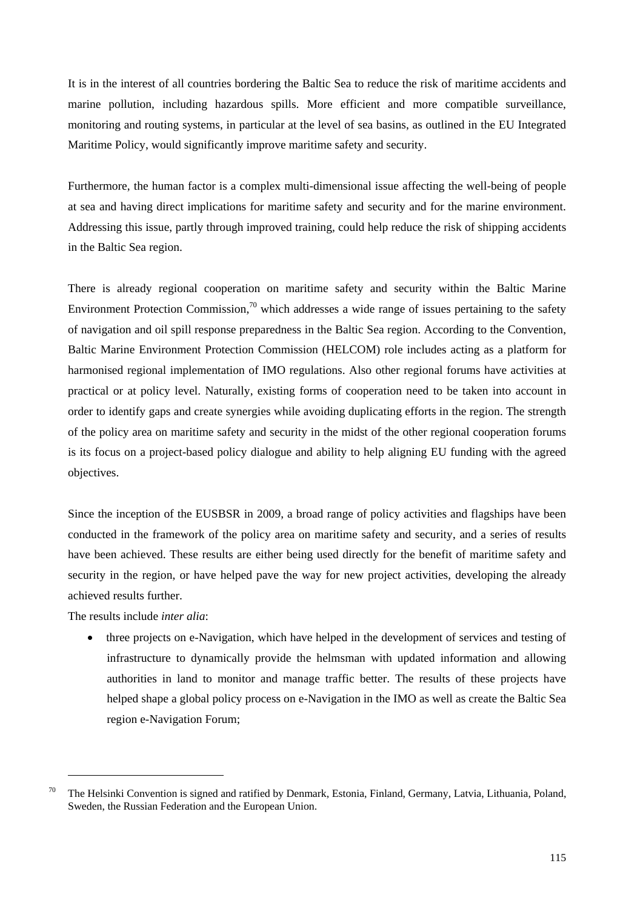It is in the interest of all countries bordering the Baltic Sea to reduce the risk of maritime accidents and marine pollution, including hazardous spills. More efficient and more compatible surveillance, monitoring and routing systems, in particular at the level of sea basins, as outlined in the EU Integrated Maritime Policy, would significantly improve maritime safety and security.

Furthermore, the human factor is a complex multi-dimensional issue affecting the well-being of people at sea and having direct implications for maritime safety and security and for the marine environment. Addressing this issue, partly through improved training, could help reduce the risk of shipping accidents in the Baltic Sea region.

There is already regional cooperation on maritime safety and security within the Baltic Marine Environment Protection Commission,<sup>70</sup> which addresses a wide range of issues pertaining to the safety of navigation and oil spill response preparedness in the Baltic Sea region. According to the Convention, Baltic Marine Environment Protection Commission (HELCOM) role includes acting as a platform for harmonised regional implementation of IMO regulations. Also other regional forums have activities at practical or at policy level. Naturally, existing forms of cooperation need to be taken into account in order to identify gaps and create synergies while avoiding duplicating efforts in the region. The strength of the policy area on maritime safety and security in the midst of the other regional cooperation forums is its focus on a project-based policy dialogue and ability to help aligning EU funding with the agreed objectives.

Since the inception of the EUSBSR in 2009, a broad range of policy activities and flagships have been conducted in the framework of the policy area on maritime safety and security, and a series of results have been achieved. These results are either being used directly for the benefit of maritime safety and security in the region, or have helped pave the way for new project activities, developing the already achieved results further.

The results include *inter alia*:

1

• three projects on e-Navigation, which have helped in the development of services and testing of infrastructure to dynamically provide the helmsman with updated information and allowing authorities in land to monitor and manage traffic better. The results of these projects have helped shape a global policy process on e-Navigation in the IMO as well as create the Baltic Sea region e-Navigation Forum;

 $70$  The Helsinki Convention is signed and ratified by Denmark, Estonia, Finland, Germany, Latvia, Lithuania, Poland, Sweden, the Russian Federation and the European Union.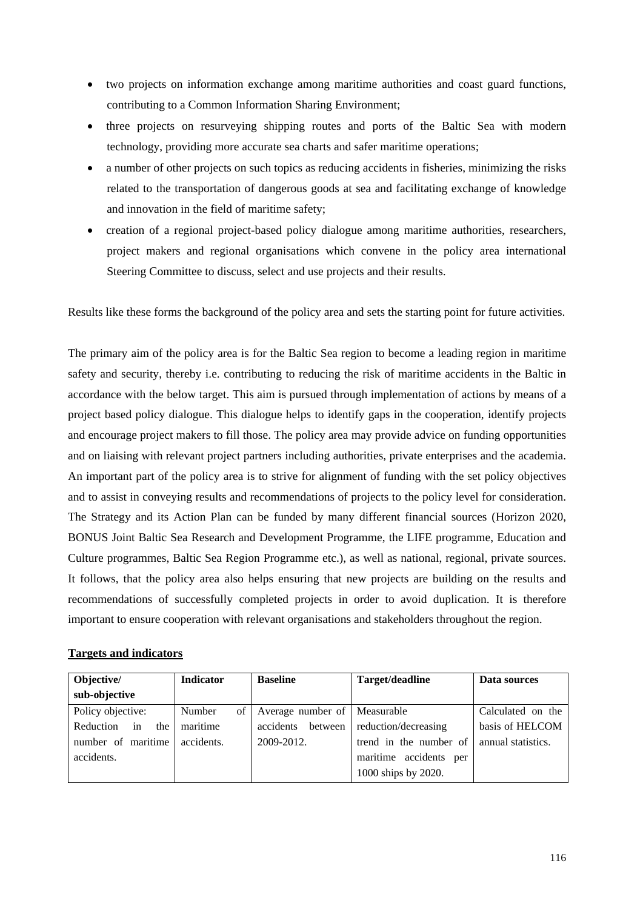- two projects on information exchange among maritime authorities and coast guard functions, contributing to a Common Information Sharing Environment;
- three projects on resurveying shipping routes and ports of the Baltic Sea with modern technology, providing more accurate sea charts and safer maritime operations;
- a number of other projects on such topics as reducing accidents in fisheries, minimizing the risks related to the transportation of dangerous goods at sea and facilitating exchange of knowledge and innovation in the field of maritime safety;
- creation of a regional project-based policy dialogue among maritime authorities, researchers, project makers and regional organisations which convene in the policy area international Steering Committee to discuss, select and use projects and their results.

Results like these forms the background of the policy area and sets the starting point for future activities.

The primary aim of the policy area is for the Baltic Sea region to become a leading region in maritime safety and security, thereby i.e. contributing to reducing the risk of maritime accidents in the Baltic in accordance with the below target. This aim is pursued through implementation of actions by means of a project based policy dialogue. This dialogue helps to identify gaps in the cooperation, identify projects and encourage project makers to fill those. The policy area may provide advice on funding opportunities and on liaising with relevant project partners including authorities, private enterprises and the academia. An important part of the policy area is to strive for alignment of funding with the set policy objectives and to assist in conveying results and recommendations of projects to the policy level for consideration. The Strategy and its Action Plan can be funded by many different financial sources (Horizon 2020, BONUS Joint Baltic Sea Research and Development Programme, the LIFE programme, Education and Culture programmes, Baltic Sea Region Programme etc.), as well as national, regional, private sources. It follows, that the policy area also helps ensuring that new projects are building on the results and recommendations of successfully completed projects in order to avoid duplication. It is therefore important to ensure cooperation with relevant organisations and stakeholders throughout the region.

## **Targets and indicators**

| Objective/             | <b>Indicator</b> | <b>Baseline</b>      | Target/deadline           | Data sources       |
|------------------------|------------------|----------------------|---------------------------|--------------------|
| sub-objective          |                  |                      |                           |                    |
| Policy objective:      | of<br>Number     | Average number of    | Measurable                | Calculated on the  |
| in<br>Reduction<br>the | maritime         | accidents<br>between | reduction/decreasing      | basis of HELCOM    |
| number of maritime     | accidents.       | 2009-2012.           | trend in the number of    | annual statistics. |
| accidents.             |                  |                      | maritime accidents<br>per |                    |
|                        |                  |                      | 1000 ships by 2020.       |                    |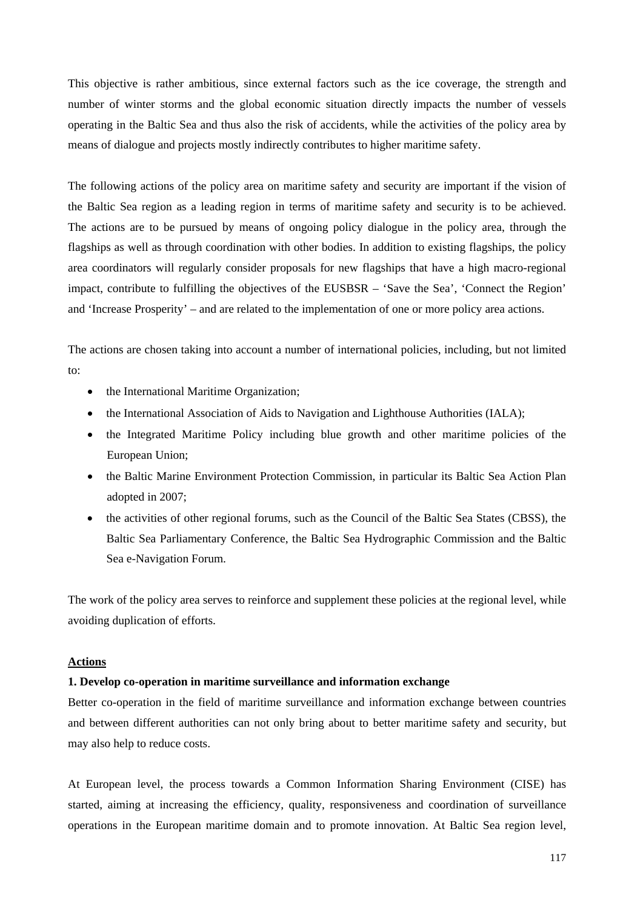This objective is rather ambitious, since external factors such as the ice coverage, the strength and number of winter storms and the global economic situation directly impacts the number of vessels operating in the Baltic Sea and thus also the risk of accidents, while the activities of the policy area by means of dialogue and projects mostly indirectly contributes to higher maritime safety.

The following actions of the policy area on maritime safety and security are important if the vision of the Baltic Sea region as a leading region in terms of maritime safety and security is to be achieved. The actions are to be pursued by means of ongoing policy dialogue in the policy area, through the flagships as well as through coordination with other bodies. In addition to existing flagships, the policy area coordinators will regularly consider proposals for new flagships that have a high macro-regional impact, contribute to fulfilling the objectives of the EUSBSR – 'Save the Sea', 'Connect the Region' and 'Increase Prosperity' – and are related to the implementation of one or more policy area actions.

The actions are chosen taking into account a number of international policies, including, but not limited to:

- the International Maritime Organization;
- the International Association of Aids to Navigation and Lighthouse Authorities (IALA);
- the Integrated Maritime Policy including blue growth and other maritime policies of the European Union;
- the Baltic Marine Environment Protection Commission, in particular its Baltic Sea Action Plan adopted in 2007;
- the activities of other regional forums, such as the Council of the Baltic Sea States (CBSS), the Baltic Sea Parliamentary Conference, the Baltic Sea Hydrographic Commission and the Baltic Sea e-Navigation Forum.

The work of the policy area serves to reinforce and supplement these policies at the regional level, while avoiding duplication of efforts.

## **Actions**

#### **1. Develop co-operation in maritime surveillance and information exchange**

Better co-operation in the field of maritime surveillance and information exchange between countries and between different authorities can not only bring about to better maritime safety and security, but may also help to reduce costs.

At European level, the process towards a Common Information Sharing Environment (CISE) has started, aiming at increasing the efficiency, quality, responsiveness and coordination of surveillance operations in the European maritime domain and to promote innovation. At Baltic Sea region level,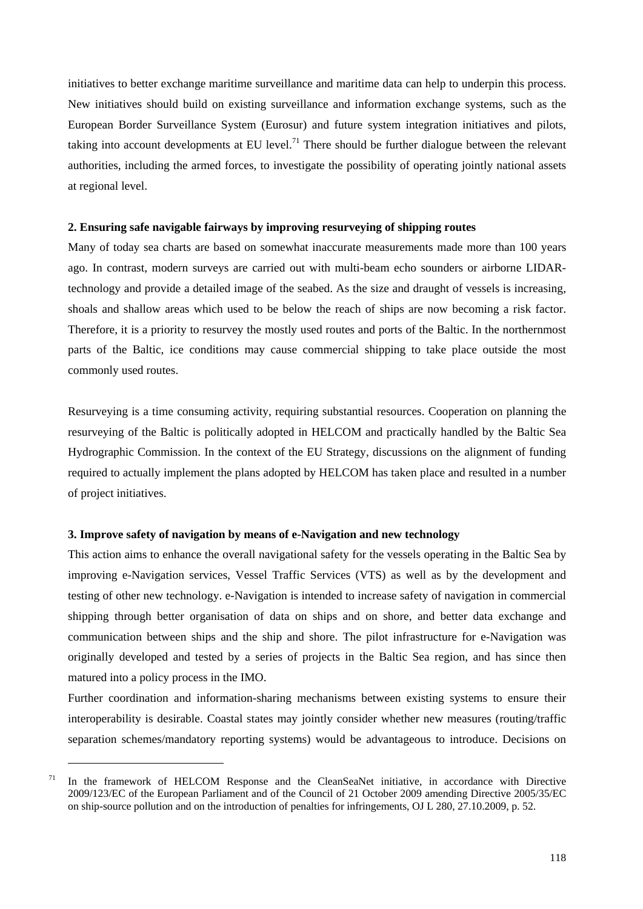initiatives to better exchange maritime surveillance and maritime data can help to underpin this process. New initiatives should build on existing surveillance and information exchange systems, such as the European Border Surveillance System (Eurosur) and future system integration initiatives and pilots, taking into account developments at EU level.<sup>71</sup> There should be further dialogue between the relevant authorities, including the armed forces, to investigate the possibility of operating jointly national assets at regional level.

#### **2. Ensuring safe navigable fairways by improving resurveying of shipping routes**

Many of today sea charts are based on somewhat inaccurate measurements made more than 100 years ago. In contrast, modern surveys are carried out with multi-beam echo sounders or airborne LIDARtechnology and provide a detailed image of the seabed. As the size and draught of vessels is increasing, shoals and shallow areas which used to be below the reach of ships are now becoming a risk factor. Therefore, it is a priority to resurvey the mostly used routes and ports of the Baltic. In the northernmost parts of the Baltic, ice conditions may cause commercial shipping to take place outside the most commonly used routes.

Resurveying is a time consuming activity, requiring substantial resources. Cooperation on planning the resurveying of the Baltic is politically adopted in HELCOM and practically handled by the Baltic Sea Hydrographic Commission. In the context of the EU Strategy, discussions on the alignment of funding required to actually implement the plans adopted by HELCOM has taken place and resulted in a number of project initiatives.

#### **3. Improve safety of navigation by means of e-Navigation and new technology**

1

This action aims to enhance the overall navigational safety for the vessels operating in the Baltic Sea by improving e-Navigation services, Vessel Traffic Services (VTS) as well as by the development and testing of other new technology. e-Navigation is intended to increase safety of navigation in commercial shipping through better organisation of data on ships and on shore, and better data exchange and communication between ships and the ship and shore. The pilot infrastructure for e-Navigation was originally developed and tested by a series of projects in the Baltic Sea region, and has since then matured into a policy process in the IMO.

Further coordination and information-sharing mechanisms between existing systems to ensure their interoperability is desirable. Coastal states may jointly consider whether new measures (routing/traffic separation schemes/mandatory reporting systems) would be advantageous to introduce. Decisions on

 $71$  In the framework of HELCOM Response and the CleanSeaNet initiative, in accordance with Directive 2009/123/EC of the European Parliament and of the Council of 21 October 2009 amending Directive 2005/35/EC on ship-source pollution and on the introduction of penalties for infringements, OJ L 280, 27.10.2009, p. 52.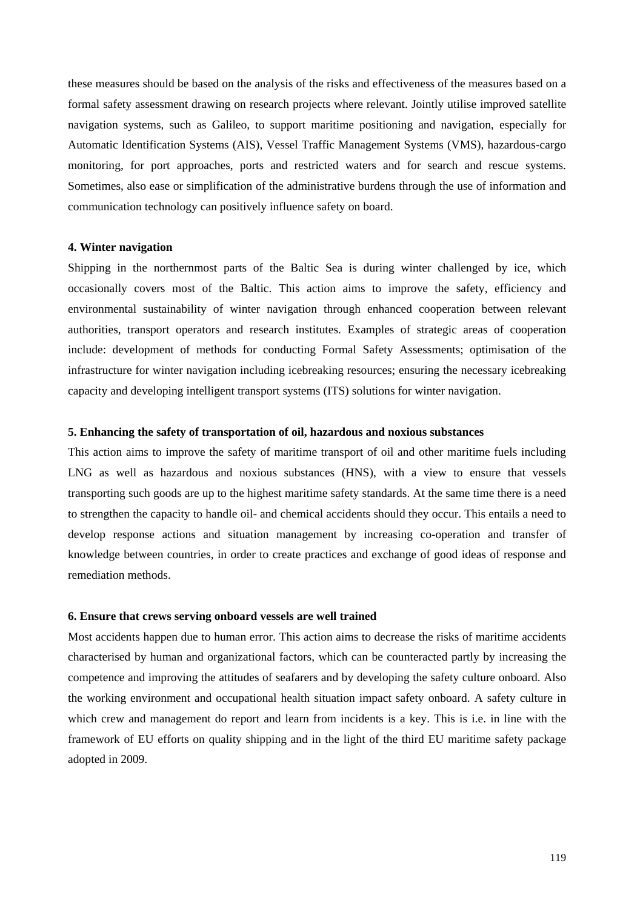these measures should be based on the analysis of the risks and effectiveness of the measures based on a formal safety assessment drawing on research projects where relevant. Jointly utilise improved satellite navigation systems, such as Galileo, to support maritime positioning and navigation, especially for Automatic Identification Systems (AIS), Vessel Traffic Management Systems (VMS), hazardous-cargo monitoring, for port approaches, ports and restricted waters and for search and rescue systems. Sometimes, also ease or simplification of the administrative burdens through the use of information and communication technology can positively influence safety on board.

#### **4. Winter navigation**

Shipping in the northernmost parts of the Baltic Sea is during winter challenged by ice, which occasionally covers most of the Baltic. This action aims to improve the safety, efficiency and environmental sustainability of winter navigation through enhanced cooperation between relevant authorities, transport operators and research institutes. Examples of strategic areas of cooperation include: development of methods for conducting Formal Safety Assessments; optimisation of the infrastructure for winter navigation including icebreaking resources; ensuring the necessary icebreaking capacity and developing intelligent transport systems (ITS) solutions for winter navigation.

### **5. Enhancing the safety of transportation of oil, hazardous and noxious substances**

This action aims to improve the safety of maritime transport of oil and other maritime fuels including LNG as well as hazardous and noxious substances (HNS), with a view to ensure that vessels transporting such goods are up to the highest maritime safety standards. At the same time there is a need to strengthen the capacity to handle oil- and chemical accidents should they occur. This entails a need to develop response actions and situation management by increasing co-operation and transfer of knowledge between countries, in order to create practices and exchange of good ideas of response and remediation methods.

## **6. Ensure that crews serving onboard vessels are well trained**

Most accidents happen due to human error. This action aims to decrease the risks of maritime accidents characterised by human and organizational factors, which can be counteracted partly by increasing the competence and improving the attitudes of seafarers and by developing the safety culture onboard. Also the working environment and occupational health situation impact safety onboard. A safety culture in which crew and management do report and learn from incidents is a key. This is i.e. in line with the framework of EU efforts on quality shipping and in the light of the third EU maritime safety package adopted in 2009.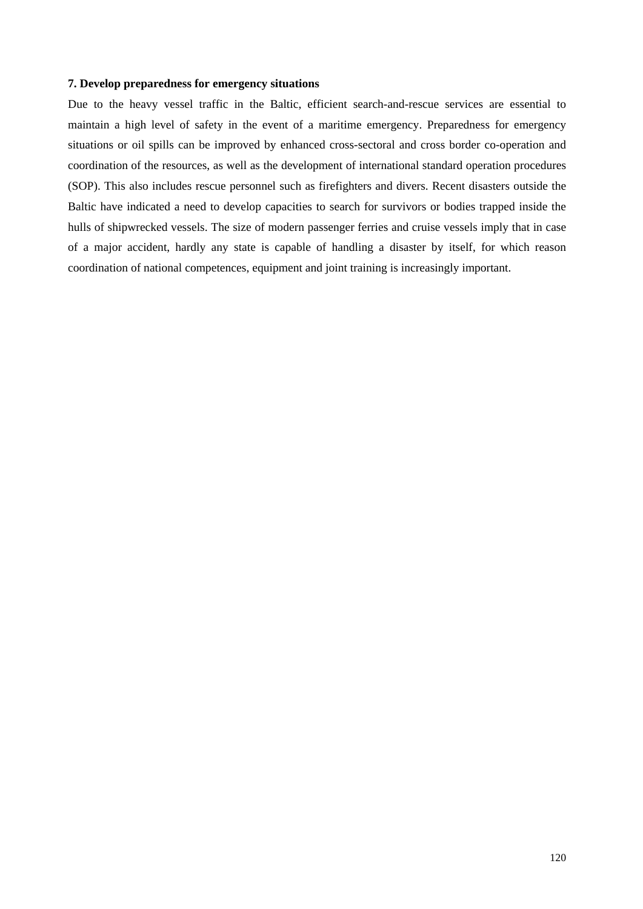### **7. Develop preparedness for emergency situations**

Due to the heavy vessel traffic in the Baltic, efficient search-and-rescue services are essential to maintain a high level of safety in the event of a maritime emergency. Preparedness for emergency situations or oil spills can be improved by enhanced cross-sectoral and cross border co-operation and coordination of the resources, as well as the development of international standard operation procedures (SOP). This also includes rescue personnel such as firefighters and divers. Recent disasters outside the Baltic have indicated a need to develop capacities to search for survivors or bodies trapped inside the hulls of shipwrecked vessels. The size of modern passenger ferries and cruise vessels imply that in case of a major accident, hardly any state is capable of handling a disaster by itself, for which reason coordination of national competences, equipment and joint training is increasingly important.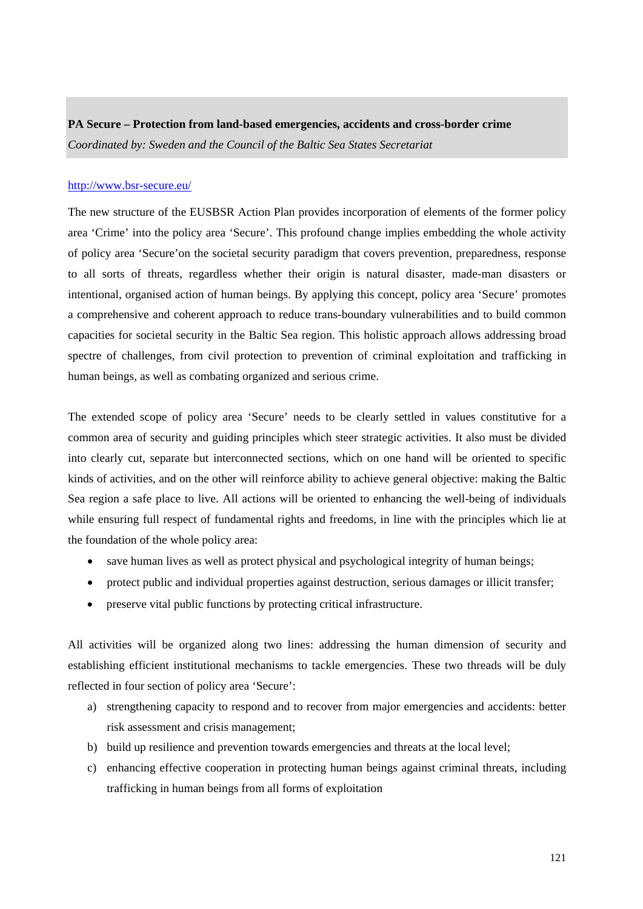# **PA Secure – Protection from land-based emergencies, accidents and cross-border crime**  *Coordinated by: Sweden and the Council of the Baltic Sea States Secretariat*

## <http://www.bsr-secure.eu/>

The new structure of the EUSBSR Action Plan provides incorporation of elements of the former policy area 'Crime' into the policy area 'Secure'. This profound change implies embedding the whole activity of policy area 'Secure'on the societal security paradigm that covers prevention, preparedness, response to all sorts of threats, regardless whether their origin is natural disaster, made-man disasters or intentional, organised action of human beings. By applying this concept, policy area 'Secure' promotes a comprehensive and coherent approach to reduce trans-boundary vulnerabilities and to build common capacities for societal security in the Baltic Sea region. This holistic approach allows addressing broad spectre of challenges, from civil protection to prevention of criminal exploitation and trafficking in human beings, as well as combating organized and serious crime.

The extended scope of policy area 'Secure' needs to be clearly settled in values constitutive for a common area of security and guiding principles which steer strategic activities. It also must be divided into clearly cut, separate but interconnected sections, which on one hand will be oriented to specific kinds of activities, and on the other will reinforce ability to achieve general objective: making the Baltic Sea region a safe place to live. All actions will be oriented to enhancing the well-being of individuals while ensuring full respect of fundamental rights and freedoms, in line with the principles which lie at the foundation of the whole policy area:

- save human lives as well as protect physical and psychological integrity of human beings;
- protect public and individual properties against destruction, serious damages or illicit transfer;
- preserve vital public functions by protecting critical infrastructure.

All activities will be organized along two lines: addressing the human dimension of security and establishing efficient institutional mechanisms to tackle emergencies. These two threads will be duly reflected in four section of policy area 'Secure':

- a) strengthening capacity to respond and to recover from major emergencies and accidents: better risk assessment and crisis management;
- b) build up resilience and prevention towards emergencies and threats at the local level;
- c) enhancing effective cooperation in protecting human beings against criminal threats, including trafficking in human beings from all forms of exploitation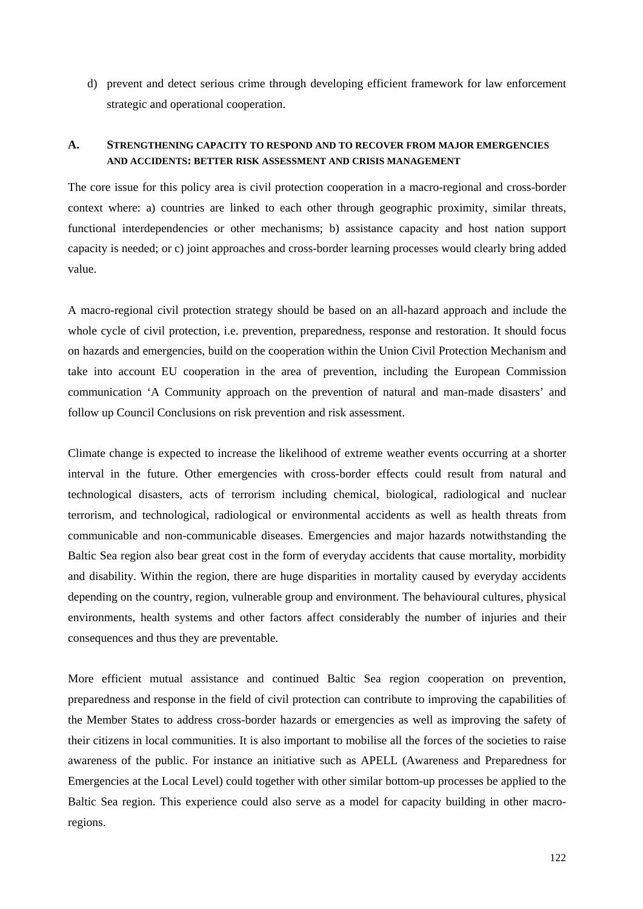d) prevent and detect serious crime through developing efficient framework for law enforcement strategic and operational cooperation.

## **A. STRENGTHENING CAPACITY TO RESPOND AND TO RECOVER FROM MAJOR EMERGENCIES AND ACCIDENTS: BETTER RISK ASSESSMENT AND CRISIS MANAGEMENT**

The core issue for this policy area is civil protection cooperation in a macro-regional and cross-border context where: a) countries are linked to each other through geographic proximity, similar threats, functional interdependencies or other mechanisms; b) assistance capacity and host nation support capacity is needed; or c) joint approaches and cross-border learning processes would clearly bring added value.

A macro-regional civil protection strategy should be based on an all-hazard approach and include the whole cycle of civil protection, i.e. prevention, preparedness, response and restoration. It should focus on hazards and emergencies, build on the cooperation within the Union Civil Protection Mechanism and take into account EU cooperation in the area of prevention, including the European Commission communication 'A Community approach on the prevention of natural and man-made disasters' and follow up Council Conclusions on risk prevention and risk assessment.

Climate change is expected to increase the likelihood of extreme weather events occurring at a shorter interval in the future. Other emergencies with cross-border effects could result from natural and technological disasters, acts of terrorism including chemical, biological, radiological and nuclear terrorism, and technological, radiological or environmental accidents as well as health threats from communicable and non-communicable diseases. Emergencies and major hazards notwithstanding the Baltic Sea region also bear great cost in the form of everyday accidents that cause mortality, morbidity and disability. Within the region, there are huge disparities in mortality caused by everyday accidents depending on the country, region, vulnerable group and environment. The behavioural cultures, physical environments, health systems and other factors affect considerably the number of injuries and their consequences and thus they are preventable.

More efficient mutual assistance and continued Baltic Sea region cooperation on prevention, preparedness and response in the field of civil protection can contribute to improving the capabilities of the Member States to address cross-border hazards or emergencies as well as improving the safety of their citizens in local communities. It is also important to mobilise all the forces of the societies to raise awareness of the public. For instance an initiative such as APELL (Awareness and Preparedness for Emergencies at the Local Level) could together with other similar bottom-up processes be applied to the Baltic Sea region. This experience could also serve as a model for capacity building in other macroregions.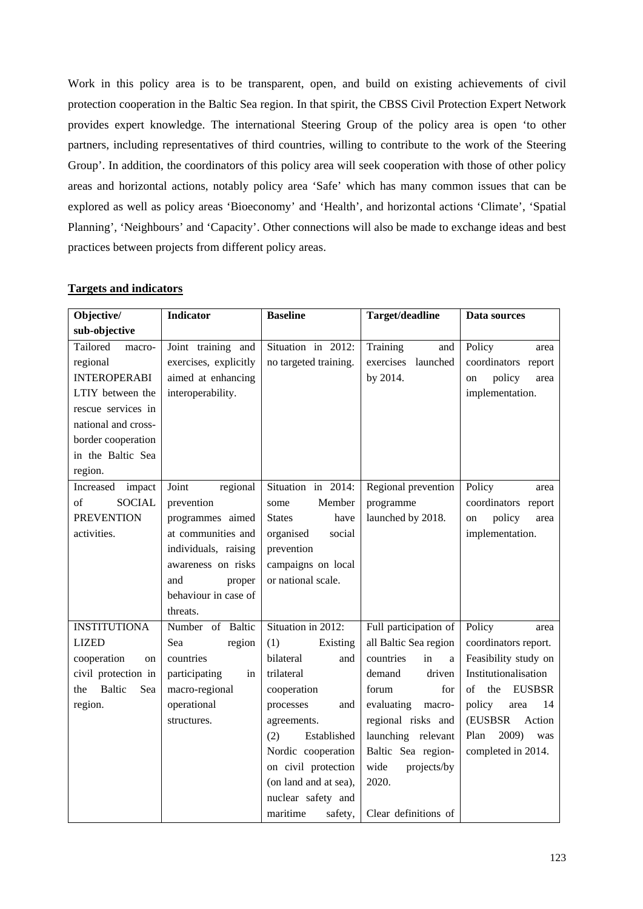Work in this policy area is to be transparent, open, and build on existing achievements of civil protection cooperation in the Baltic Sea region. In that spirit, the CBSS Civil Protection Expert Network provides expert knowledge. The international Steering Group of the policy area is open 'to other partners, including representatives of third countries, willing to contribute to the work of the Steering Group'. In addition, the coordinators of this policy area will seek cooperation with those of other policy areas and horizontal actions, notably policy area 'Safe' which has many common issues that can be explored as well as policy areas 'Bioeconomy' and 'Health', and horizontal actions 'Climate', 'Spatial Planning', 'Neighbours' and 'Capacity'. Other connections will also be made to exchange ideas and best practices between projects from different policy areas.

| Objective/                                                                                                                                                                   | <b>Indicator</b>                                                                       | <b>Baseline</b>                             | Target/deadline                                      | Data sources                                                                     |
|------------------------------------------------------------------------------------------------------------------------------------------------------------------------------|----------------------------------------------------------------------------------------|---------------------------------------------|------------------------------------------------------|----------------------------------------------------------------------------------|
| sub-objective                                                                                                                                                                |                                                                                        |                                             |                                                      |                                                                                  |
| Tailored<br>macro-<br>regional<br><b>INTEROPERABI</b><br>LTIY between the<br>rescue services in<br>national and cross-<br>border cooperation<br>in the Baltic Sea<br>region. | Joint training and<br>exercises, explicitly<br>aimed at enhancing<br>interoperability. | Situation in 2012:<br>no targeted training. | Training<br>and<br>exercises<br>launched<br>by 2014. | Policy<br>area<br>coordinators report<br>policy<br>area<br>on<br>implementation. |
| Increased impact                                                                                                                                                             | Joint<br>regional                                                                      | Situation in 2014:                          | Regional prevention                                  | Policy<br>area                                                                   |
| <b>SOCIAL</b><br>of                                                                                                                                                          | prevention                                                                             | Member<br>some                              | programme                                            | coordinators report                                                              |
| <b>PREVENTION</b>                                                                                                                                                            | programmes aimed                                                                       | <b>States</b><br>have                       | launched by 2018.                                    | policy<br>on<br>area                                                             |
| activities.                                                                                                                                                                  | at communities and                                                                     | social<br>organised                         |                                                      | implementation.                                                                  |
|                                                                                                                                                                              | individuals, raising                                                                   | prevention                                  |                                                      |                                                                                  |
|                                                                                                                                                                              | awareness on risks                                                                     | campaigns on local                          |                                                      |                                                                                  |
|                                                                                                                                                                              | and<br>proper                                                                          | or national scale.                          |                                                      |                                                                                  |
|                                                                                                                                                                              | behaviour in case of                                                                   |                                             |                                                      |                                                                                  |
|                                                                                                                                                                              | threats.                                                                               |                                             |                                                      |                                                                                  |
| <b>INSTITUTIONA</b>                                                                                                                                                          | Number of Baltic                                                                       | Situation in 2012:                          | Full participation of                                | Policy<br>area                                                                   |
| <b>LIZED</b>                                                                                                                                                                 | Sea<br>region                                                                          | (1)<br>Existing                             | all Baltic Sea region                                | coordinators report.                                                             |
| cooperation<br>on                                                                                                                                                            | countries                                                                              | bilateral<br>and                            | in<br>countries<br>$\mathbf{a}$                      | Feasibility study on                                                             |
| civil protection in                                                                                                                                                          | participating<br>in                                                                    | trilateral                                  | driven<br>demand                                     | Institutionalisation                                                             |
| <b>Baltic</b><br>the<br>Sea                                                                                                                                                  | macro-regional                                                                         | cooperation                                 | forum<br>for                                         | of<br>the<br><b>EUSBSR</b>                                                       |
| region.                                                                                                                                                                      | operational                                                                            | processes<br>and                            | evaluating<br>macro-                                 | policy<br>14<br>area                                                             |
|                                                                                                                                                                              | structures.                                                                            | agreements.                                 | regional risks and                                   | (EUSBSR<br>Action                                                                |
|                                                                                                                                                                              |                                                                                        | (2)<br>Established                          | launching relevant                                   | Plan<br>2009)<br>was                                                             |
|                                                                                                                                                                              |                                                                                        | Nordic cooperation                          | Baltic Sea region-                                   | completed in 2014.                                                               |
|                                                                                                                                                                              |                                                                                        | on civil protection                         | wide<br>projects/by                                  |                                                                                  |
|                                                                                                                                                                              |                                                                                        | (on land and at sea),                       | 2020.                                                |                                                                                  |
|                                                                                                                                                                              |                                                                                        | nuclear safety and                          |                                                      |                                                                                  |
|                                                                                                                                                                              |                                                                                        | maritime<br>safety,                         | Clear definitions of                                 |                                                                                  |

## **Targets and indicators**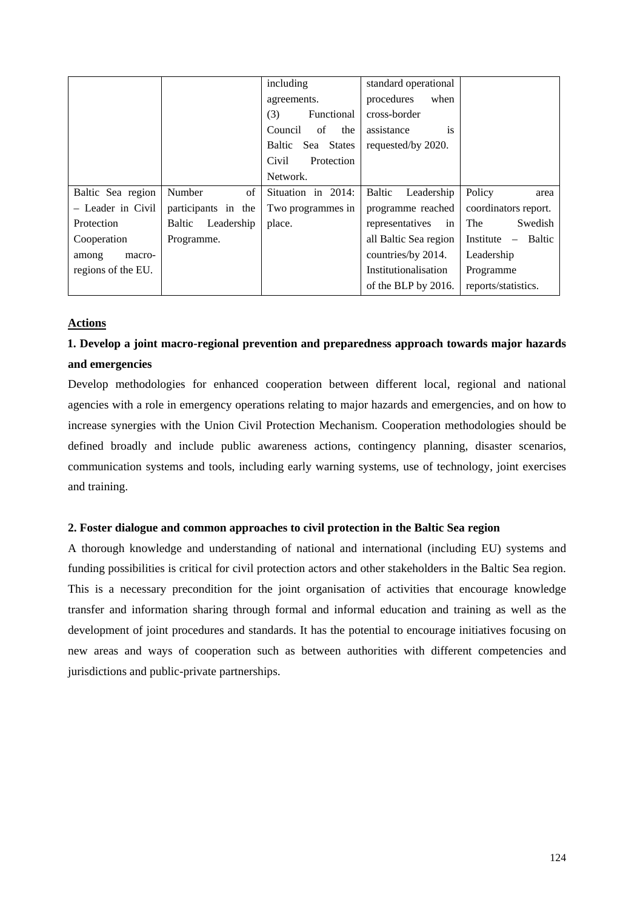|                    |                      | including            | standard operational        |                       |
|--------------------|----------------------|----------------------|-----------------------------|-----------------------|
|                    |                      | agreements.          | procedures<br>when          |                       |
|                    |                      | Functional<br>(3)    | cross-border                |                       |
|                    |                      | Council<br>of<br>the | assistance<br><sup>is</sup> |                       |
|                    |                      | Sea States<br>Baltic | requested/by 2020.          |                       |
|                    |                      | Civil<br>Protection  |                             |                       |
|                    |                      | Network.             |                             |                       |
| Baltic Sea region  | Number<br>of         | Situation in 2014:   | Baltic<br>Leadership        | Policy<br>area        |
| - Leader in Civil  | participants in the  | Two programmes in    | programme reached           | coordinators report.  |
| Protection         | Leadership<br>Baltic | place.               | representatives<br>in       | <b>The</b><br>Swedish |
| Cooperation        | Programme.           |                      | all Baltic Sea region       | Institute – Baltic    |
| among<br>macro-    |                      |                      | countries/by 2014.          | Leadership            |
| regions of the EU. |                      |                      | Institutionalisation        | Programme             |
|                    |                      |                      | of the BLP by 2016.         | reports/statistics.   |

## **Actions**

## **1. Develop a joint macro-regional prevention and preparedness approach towards major hazards and emergencies**

Develop methodologies for enhanced cooperation between different local, regional and national agencies with a role in emergency operations relating to major hazards and emergencies, and on how to increase synergies with the Union Civil Protection Mechanism. Cooperation methodologies should be defined broadly and include public awareness actions, contingency planning, disaster scenarios, communication systems and tools, including early warning systems, use of technology, joint exercises and training.

## **2. Foster dialogue and common approaches to civil protection in the Baltic Sea region**

A thorough knowledge and understanding of national and international (including EU) systems and funding possibilities is critical for civil protection actors and other stakeholders in the Baltic Sea region. This is a necessary precondition for the joint organisation of activities that encourage knowledge transfer and information sharing through formal and informal education and training as well as the development of joint procedures and standards. It has the potential to encourage initiatives focusing on new areas and ways of cooperation such as between authorities with different competencies and jurisdictions and public-private partnerships.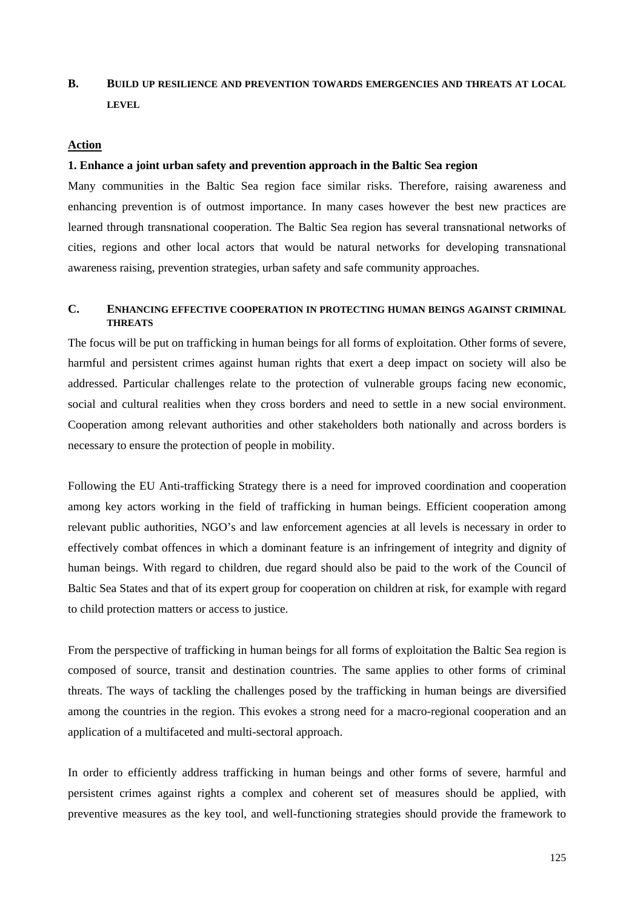## **B. BUILD UP RESILIENCE AND PREVENTION TOWARDS EMERGENCIES AND THREATS AT LOCAL LEVEL**

#### **Action**

#### **1. Enhance a joint urban safety and prevention approach in the Baltic Sea region**

Many communities in the Baltic Sea region face similar risks. Therefore, raising awareness and enhancing prevention is of outmost importance. In many cases however the best new practices are learned through transnational cooperation. The Baltic Sea region has several transnational networks of cities, regions and other local actors that would be natural networks for developing transnational awareness raising, prevention strategies, urban safety and safe community approaches.

## **C. ENHANCING EFFECTIVE COOPERATION IN PROTECTING HUMAN BEINGS AGAINST CRIMINAL THREATS**

The focus will be put on trafficking in human beings for all forms of exploitation. Other forms of severe, harmful and persistent crimes against human rights that exert a deep impact on society will also be addressed. Particular challenges relate to the protection of vulnerable groups facing new economic, social and cultural realities when they cross borders and need to settle in a new social environment. Cooperation among relevant authorities and other stakeholders both nationally and across borders is necessary to ensure the protection of people in mobility.

Following the EU Anti-trafficking Strategy there is a need for improved coordination and cooperation among key actors working in the field of trafficking in human beings. Efficient cooperation among relevant public authorities, NGO's and law enforcement agencies at all levels is necessary in order to effectively combat offences in which a dominant feature is an infringement of integrity and dignity of human beings. With regard to children, due regard should also be paid to the work of the Council of Baltic Sea States and that of its expert group for cooperation on children at risk, for example with regard to child protection matters or access to justice.

From the perspective of trafficking in human beings for all forms of exploitation the Baltic Sea region is composed of source, transit and destination countries. The same applies to other forms of criminal threats. The ways of tackling the challenges posed by the trafficking in human beings are diversified among the countries in the region. This evokes a strong need for a macro-regional cooperation and an application of a multifaceted and multi-sectoral approach.

In order to efficiently address trafficking in human beings and other forms of severe, harmful and persistent crimes against rights a complex and coherent set of measures should be applied, with preventive measures as the key tool, and well-functioning strategies should provide the framework to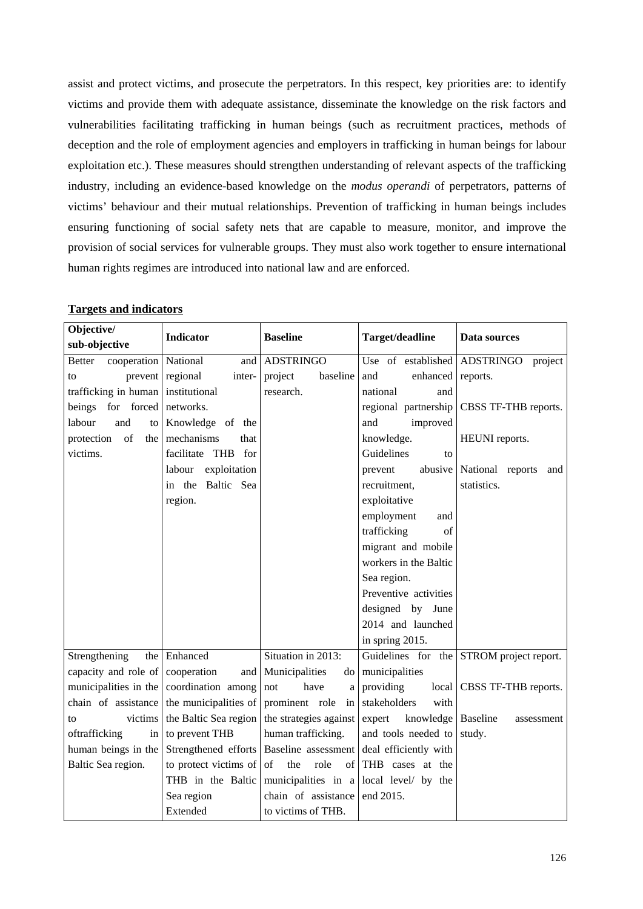assist and protect victims, and prosecute the perpetrators. In this respect, key priorities are: to identify victims and provide them with adequate assistance, disseminate the knowledge on the risk factors and vulnerabilities facilitating trafficking in human beings (such as recruitment practices, methods of deception and the role of employment agencies and employers in trafficking in human beings for labour exploitation etc.). These measures should strengthen understanding of relevant aspects of the trafficking industry, including an evidence-based knowledge on the *modus operandi* of perpetrators, patterns of victims' behaviour and their mutual relationships. Prevention of trafficking in human beings includes ensuring functioning of social safety nets that are capable to measure, monitor, and improve the provision of social services for vulnerable groups. They must also work together to ensure international human rights regimes are introduced into national law and are enforced.

| Objective/                                                                                                              |                            |                                         |                                           |                                          |
|-------------------------------------------------------------------------------------------------------------------------|----------------------------|-----------------------------------------|-------------------------------------------|------------------------------------------|
| sub-objective                                                                                                           | <b>Indicator</b>           | <b>Baseline</b>                         | Target/deadline                           | Data sources                             |
| cooperation   National<br><b>Better</b>                                                                                 | and                        | <b>ADSTRINGO</b>                        | Use of established ADSTRINGO              | project                                  |
| to                                                                                                                      | prevent regional<br>inter- | project<br>baseline                     | and<br>enhanced                           | reports.                                 |
| trafficking in human                                                                                                    | institutional              | research.                               | national<br>and                           |                                          |
| beings for forced                                                                                                       | networks.                  |                                         | regional partnership                      | CBSS TF-THB reports.                     |
| and<br>labour<br>to                                                                                                     | Knowledge of the           |                                         | improved<br>and                           |                                          |
| $% \left( \left( \mathcal{A},\mathcal{A}\right) \right) =\left( \mathcal{A},\mathcal{A}\right)$ of<br>protection<br>the | mechanisms<br>that         |                                         | knowledge.                                | HEUNI reports.                           |
| victims.                                                                                                                | facilitate THB<br>for      |                                         | Guidelines<br>to                          |                                          |
|                                                                                                                         | exploitation<br>labour     |                                         | abusive<br>prevent                        | National reports<br>and                  |
|                                                                                                                         | in the Baltic Sea          |                                         | recruitment,                              | statistics.                              |
|                                                                                                                         | region.                    |                                         | exploitative                              |                                          |
|                                                                                                                         |                            |                                         | employment<br>and                         |                                          |
|                                                                                                                         |                            |                                         | trafficking<br>of                         |                                          |
|                                                                                                                         |                            |                                         | migrant and mobile                        |                                          |
|                                                                                                                         |                            |                                         | workers in the Baltic                     |                                          |
|                                                                                                                         |                            |                                         | Sea region.                               |                                          |
|                                                                                                                         |                            |                                         | Preventive activities                     |                                          |
|                                                                                                                         |                            |                                         | designed by June                          |                                          |
|                                                                                                                         |                            |                                         | 2014 and launched                         |                                          |
|                                                                                                                         |                            |                                         | in spring 2015.                           |                                          |
| Strengthening<br>the                                                                                                    | Enhanced                   | Situation in 2013:                      |                                           | Guidelines for the STROM project report. |
| capacity and role of                                                                                                    | cooperation<br>and         | Municipalities<br>do                    | municipalities                            |                                          |
| municipalities in the                                                                                                   | coordination among         | have<br>not<br>a                        | providing<br>local                        | CBSS TF-THB reports.                     |
| chain of assistance                                                                                                     | the municipalities of      | prominent role<br>in                    | stakeholders<br>with                      |                                          |
| victims<br>to                                                                                                           | the Baltic Sea region      | the strategies against                  | knowledge   Baseline<br>expert            | assessment                               |
| oftrafficking<br>in                                                                                                     | to prevent THB             | human trafficking.                      | and tools needed to                       | study.                                   |
| human beings in the                                                                                                     | Strengthened efforts       |                                         | Baseline assessment deal efficiently with |                                          |
| Baltic Sea region.                                                                                                      | to protect victims of      | the<br>role<br>$of \sqrt{ }of$          | THB cases at the                          |                                          |
|                                                                                                                         | THB in the Baltic          | municipalities in a local level/ by the |                                           |                                          |
|                                                                                                                         | Sea region                 | chain of assistance                     | end 2015.                                 |                                          |
|                                                                                                                         | Extended                   | to victims of THB.                      |                                           |                                          |

## **Targets and indicators**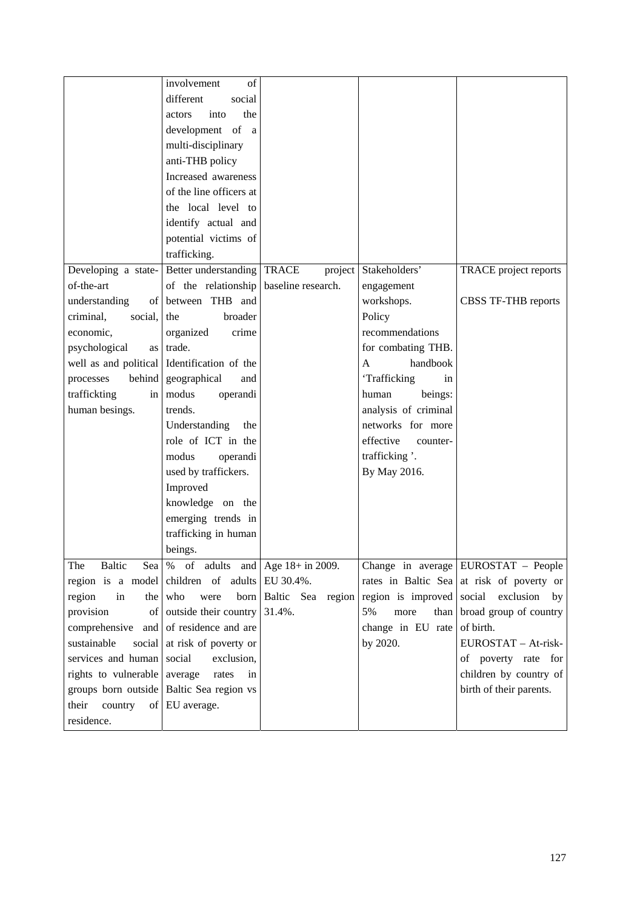|                              | $\overline{inv}$ olvement<br>of                               |                         |                          |                                                          |
|------------------------------|---------------------------------------------------------------|-------------------------|--------------------------|----------------------------------------------------------|
|                              | different<br>social                                           |                         |                          |                                                          |
|                              | into<br>the<br>actors                                         |                         |                          |                                                          |
|                              | development of a                                              |                         |                          |                                                          |
|                              | multi-disciplinary                                            |                         |                          |                                                          |
|                              | anti-THB policy                                               |                         |                          |                                                          |
|                              | Increased awareness                                           |                         |                          |                                                          |
|                              | of the line officers at                                       |                         |                          |                                                          |
|                              | the local level to                                            |                         |                          |                                                          |
|                              | identify actual and                                           |                         |                          |                                                          |
|                              | potential victims of                                          |                         |                          |                                                          |
|                              | trafficking.                                                  |                         |                          |                                                          |
| Developing a state-          | Better understanding                                          | <b>TRACE</b><br>project | Stakeholders'            | TRACE project reports                                    |
| of-the-art                   | of the relationship                                           | baseline research.      | engagement               |                                                          |
| understanding                | of between THB and                                            |                         | workshops.               | CBSS TF-THB reports                                      |
| criminal.<br>social,         | broader<br>the                                                |                         | Policy                   |                                                          |
| economic,                    | organized<br>crime                                            |                         | recommendations          |                                                          |
| psychological<br>as          | trade.                                                        |                         | for combating THB.       |                                                          |
|                              | well as and political Identification of the                   |                         | handbook<br>$\mathbf{A}$ |                                                          |
| behind<br>processes          | geographical<br>and                                           |                         | 'Trafficking<br>in       |                                                          |
| traffickting                 | in modus<br>operandi                                          |                         | beings:<br>human         |                                                          |
| human besings.               | trends.                                                       |                         | analysis of criminal     |                                                          |
|                              | Understanding<br>the                                          |                         | networks for more        |                                                          |
|                              | role of ICT in the                                            |                         | effective<br>counter-    |                                                          |
|                              | modus<br>operandi                                             |                         | trafficking '.           |                                                          |
|                              | used by traffickers.                                          |                         | By May 2016.             |                                                          |
|                              | Improved                                                      |                         |                          |                                                          |
|                              | knowledge on the                                              |                         |                          |                                                          |
|                              | emerging trends in                                            |                         |                          |                                                          |
|                              | trafficking in human                                          |                         |                          |                                                          |
|                              | beings.                                                       |                         |                          |                                                          |
| Baltic<br>The                | Sea   % of adults and $  \text{Age } 18 + \text{ in } 2009$ . |                         |                          | Change in average EUROSTAT - People                      |
|                              | region is a model children of adults                          | EU 30.4%.               |                          | rates in Baltic Sea at risk of poverty or                |
| region<br>in                 | the who<br>were<br>born                                       |                         |                          | Baltic Sea region region is improved social exclusion by |
| provision                    | of outside their country                                      | 31.4%.                  | 5%<br>more<br>than       | broad group of country                                   |
| comprehensive and            | of residence and are                                          |                         | change in EU rate        | of birth.                                                |
| sustainable                  | social at risk of poverty or                                  |                         | by 2020.                 | EUROSTAT - At-risk-                                      |
| services and human social    | exclusion,                                                    |                         |                          | of poverty rate for                                      |
| rights to vulnerable average | rates<br>in                                                   |                         |                          | children by country of                                   |
|                              | groups born outside   Baltic Sea region vs                    |                         |                          | birth of their parents.                                  |
| their<br>country             | of EU average.                                                |                         |                          |                                                          |
| residence.                   |                                                               |                         |                          |                                                          |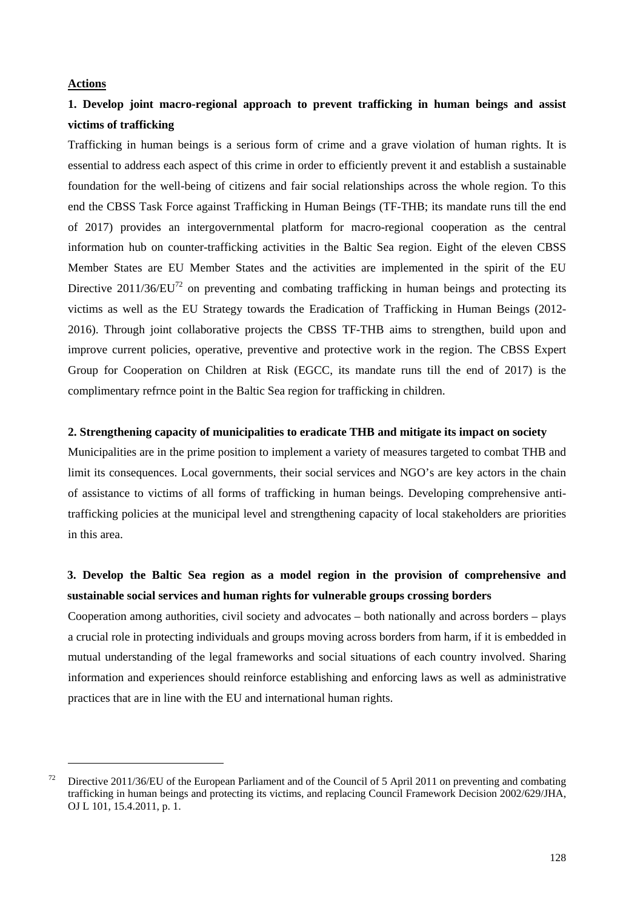#### **Actions**

1

## **1. Develop joint macro-regional approach to prevent trafficking in human beings and assist victims of trafficking**

Trafficking in human beings is a serious form of crime and a grave violation of human rights. It is essential to address each aspect of this crime in order to efficiently prevent it and establish a sustainable foundation for the well-being of citizens and fair social relationships across the whole region. To this end the CBSS Task Force against Trafficking in Human Beings (TF-THB; its mandate runs till the end of 2017) provides an intergovernmental platform for macro-regional cooperation as the central information hub on counter-trafficking activities in the Baltic Sea region. Eight of the eleven CBSS Member States are EU Member States and the activities are implemented in the spirit of the EU Directive 2011/36/EU<sup>72</sup> on preventing and combating trafficking in human beings and protecting its victims as well as the EU Strategy towards the Eradication of Trafficking in Human Beings (2012- 2016). Through joint collaborative projects the CBSS TF-THB aims to strengthen, build upon and improve current policies, operative, preventive and protective work in the region. The CBSS Expert Group for Cooperation on Children at Risk (EGCC, its mandate runs till the end of 2017) is the complimentary refrnce point in the Baltic Sea region for trafficking in children.

## **2. Strengthening capacity of municipalities to eradicate THB and mitigate its impact on society**

Municipalities are in the prime position to implement a variety of measures targeted to combat THB and limit its consequences. Local governments, their social services and NGO's are key actors in the chain of assistance to victims of all forms of trafficking in human beings. Developing comprehensive antitrafficking policies at the municipal level and strengthening capacity of local stakeholders are priorities in this area.

## **3. Develop the Baltic Sea region as a model region in the provision of comprehensive and sustainable social services and human rights for vulnerable groups crossing borders**

Cooperation among authorities, civil society and advocates – both nationally and across borders – plays a crucial role in protecting individuals and groups moving across borders from harm, if it is embedded in mutual understanding of the legal frameworks and social situations of each country involved. Sharing information and experiences should reinforce establishing and enforcing laws as well as administrative practices that are in line with the EU and international human rights.

<sup>&</sup>lt;sup>72</sup> Directive 2011/36/EU of the European Parliament and of the Council of 5 April 2011 on preventing and combating trafficking in human beings and protecting its victims, and replacing Council Framework Decision 2002/629/JHA, OJ L 101, 15.4.2011, p. 1.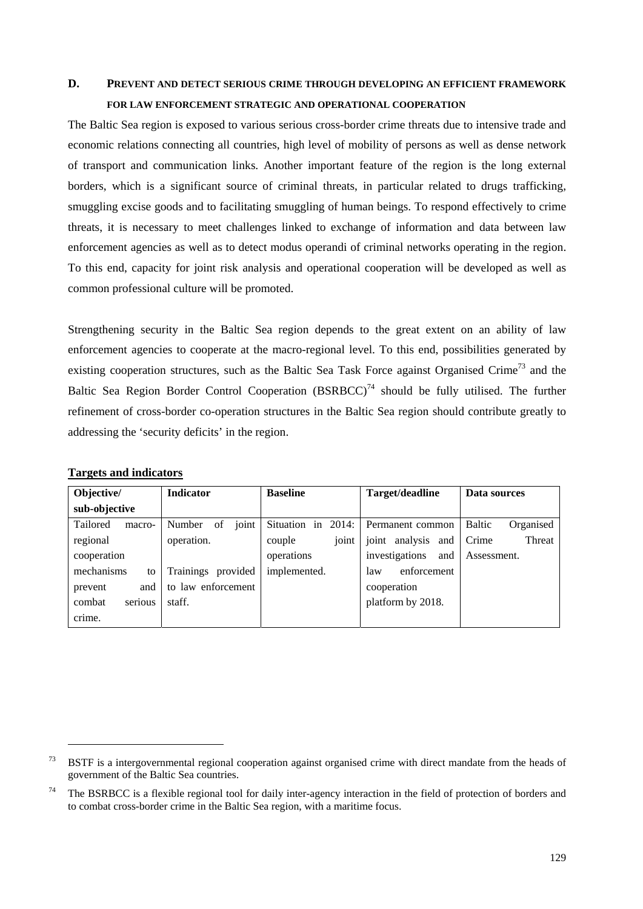# **D. PREVENT AND DETECT SERIOUS CRIME THROUGH DEVELOPING AN EFFICIENT FRAMEWORK FOR LAW ENFORCEMENT STRATEGIC AND OPERATIONAL COOPERATION**

The Baltic Sea region is exposed to various serious cross-border crime threats due to intensive trade and economic relations connecting all countries, high level of mobility of persons as well as dense network of transport and communication links. Another important feature of the region is the long external borders, which is a significant source of criminal threats, in particular related to drugs trafficking, smuggling excise goods and to facilitating smuggling of human beings. To respond effectively to crime threats, it is necessary to meet challenges linked to exchange of information and data between law enforcement agencies as well as to detect modus operandi of criminal networks operating in the region. To this end, capacity for joint risk analysis and operational cooperation will be developed as well as common professional culture will be promoted.

Strengthening security in the Baltic Sea region depends to the great extent on an ability of law enforcement agencies to cooperate at the macro-regional level. To this end, possibilities generated by existing cooperation structures, such as the Baltic Sea Task Force against Organised Crime<sup>73</sup> and the Baltic Sea Region Border Control Cooperation  $(BSRBCC)^{74}$  should be fully utilised. The further refinement of cross-border co-operation structures in the Baltic Sea region should contribute greatly to addressing the 'security deficits' in the region.

| Objective/         | <b>Indicator</b>      | <b>Baseline</b>    | Target/deadline       | Data sources        |
|--------------------|-----------------------|--------------------|-----------------------|---------------------|
| sub-objective      |                       |                    |                       |                     |
| Tailored<br>macro- | joint<br>Number<br>of | Situation in 2014: | Permanent common      | Baltic<br>Organised |
| regional           | operation.            | joint<br>couple    | joint<br>analysis and | Crime<br>Threat     |
| cooperation        |                       | operations         | investigations<br>and | Assessment.         |
| mechanisms<br>to   | Trainings<br>provided | implemented.       | enforcement<br>law    |                     |
| prevent<br>and     | to law enforcement    |                    | cooperation           |                     |
| combat<br>serious  | staff.                |                    | platform by 2018.     |                     |
| crime.             |                       |                    |                       |                     |

**Targets and indicators**

-

 $73$  BSTF is a intergovernmental regional cooperation against organised crime with direct mandate from the heads of government of the Baltic Sea countries.

<sup>&</sup>lt;sup>74</sup> The BSRBCC is a flexible regional tool for daily inter-agency interaction in the field of protection of borders and to combat cross-border crime in the Baltic Sea region, with a maritime focus.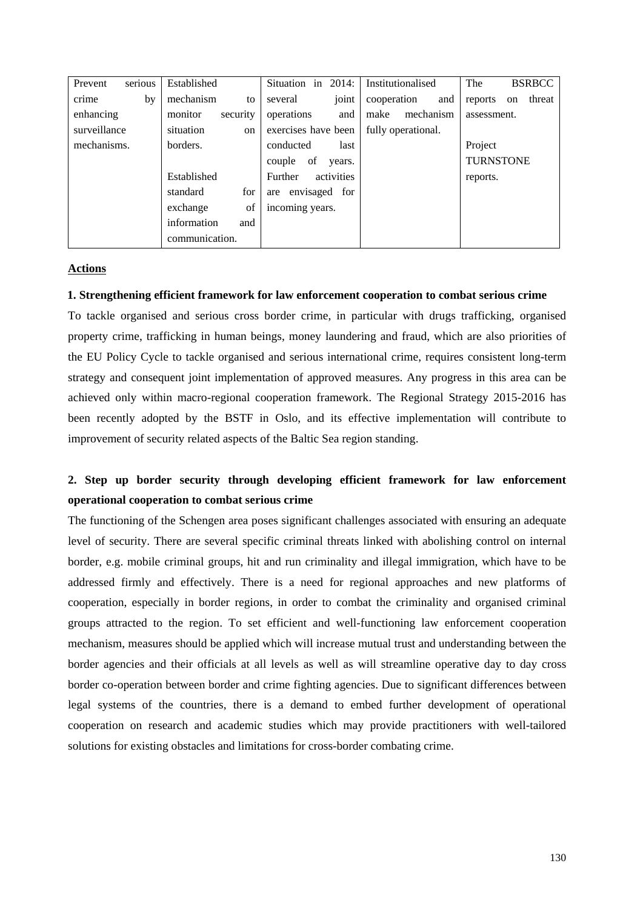| serious<br>Prevent | Established         | Situation in 2014:     | Institutionalised  | The<br><b>BSRBCC</b>    |
|--------------------|---------------------|------------------------|--------------------|-------------------------|
| crime<br>by        | mechanism<br>to     | joint<br>several       | cooperation<br>and | threat<br>reports<br>on |
| enhancing          | security<br>monitor | operations<br>and      | mechanism<br>make  | assessment.             |
| surveillance       | situation<br>on     | exercises have been    | fully operational. |                         |
| mechanisms.        | borders.            | conducted<br>last      |                    | Project                 |
|                    |                     | of<br>couple<br>years. |                    | <b>TURNSTONE</b>        |
|                    | Established         | activities<br>Further  |                    | reports.                |
|                    | for<br>standard     | are envisaged for      |                    |                         |
|                    | of<br>exchange      | incoming years.        |                    |                         |
|                    | information<br>and  |                        |                    |                         |
|                    | communication.      |                        |                    |                         |

#### **Actions**

#### **1. Strengthening efficient framework for law enforcement cooperation to combat serious crime**

To tackle organised and serious cross border crime, in particular with drugs trafficking, organised property crime, trafficking in human beings, money laundering and fraud, which are also priorities of the EU Policy Cycle to tackle organised and serious international crime, requires consistent long-term strategy and consequent joint implementation of approved measures. Any progress in this area can be achieved only within macro-regional cooperation framework. The Regional Strategy 2015-2016 has been recently adopted by the BSTF in Oslo, and its effective implementation will contribute to improvement of security related aspects of the Baltic Sea region standing.

## **2. Step up border security through developing efficient framework for law enforcement operational cooperation to combat serious crime**

The functioning of the Schengen area poses significant challenges associated with ensuring an adequate level of security. There are several specific criminal threats linked with abolishing control on internal border, e.g. mobile criminal groups, hit and run criminality and illegal immigration, which have to be addressed firmly and effectively. There is a need for regional approaches and new platforms of cooperation, especially in border regions, in order to combat the criminality and organised criminal groups attracted to the region. To set efficient and well-functioning law enforcement cooperation mechanism, measures should be applied which will increase mutual trust and understanding between the border agencies and their officials at all levels as well as will streamline operative day to day cross border co-operation between border and crime fighting agencies. Due to significant differences between legal systems of the countries, there is a demand to embed further development of operational cooperation on research and academic studies which may provide practitioners with well-tailored solutions for existing obstacles and limitations for cross-border combating crime.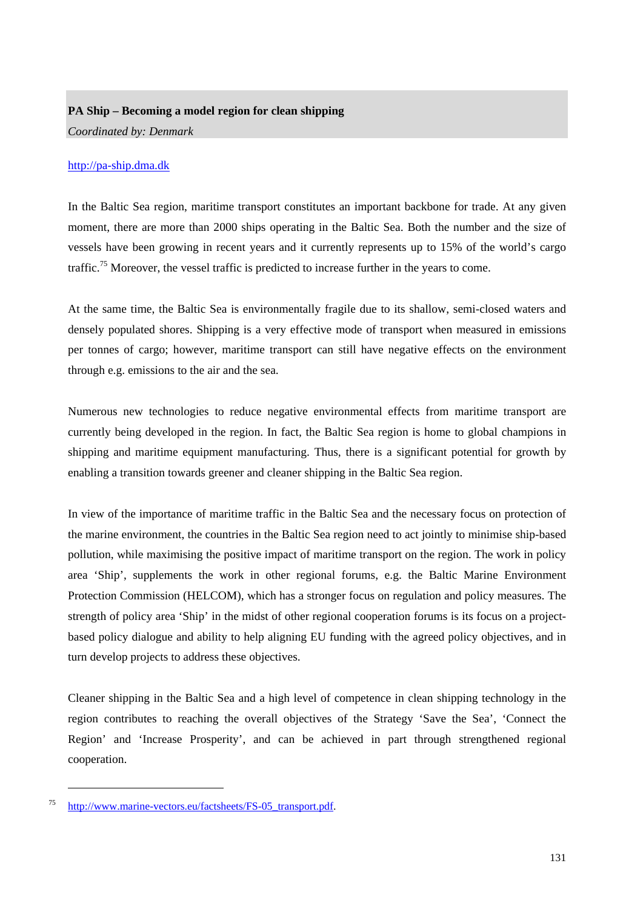## **PA Ship – Becoming a model region for clean shipping**

*Coordinated by: Denmark* 

## [http://pa-ship.dma.dk](http://pa-ship.dma.dk/)

In the Baltic Sea region, maritime transport constitutes an important backbone for trade. At any given moment, there are more than 2000 ships operating in the Baltic Sea. Both the number and the size of vessels have been growing in recent years and it currently represents up to 15% of the world's cargo traffic.75 Moreover, the vessel traffic is predicted to increase further in the years to come.

At the same time, the Baltic Sea is environmentally fragile due to its shallow, semi-closed waters and densely populated shores. Shipping is a very effective mode of transport when measured in emissions per tonnes of cargo; however, maritime transport can still have negative effects on the environment through e.g. emissions to the air and the sea.

Numerous new technologies to reduce negative environmental effects from maritime transport are currently being developed in the region. In fact, the Baltic Sea region is home to global champions in shipping and maritime equipment manufacturing. Thus, there is a significant potential for growth by enabling a transition towards greener and cleaner shipping in the Baltic Sea region.

In view of the importance of maritime traffic in the Baltic Sea and the necessary focus on protection of the marine environment, the countries in the Baltic Sea region need to act jointly to minimise ship-based pollution, while maximising the positive impact of maritime transport on the region. The work in policy area 'Ship', supplements the work in other regional forums, e.g. the Baltic Marine Environment Protection Commission (HELCOM), which has a stronger focus on regulation and policy measures. The strength of policy area 'Ship' in the midst of other regional cooperation forums is its focus on a projectbased policy dialogue and ability to help aligning EU funding with the agreed policy objectives, and in turn develop projects to address these objectives.

Cleaner shipping in the Baltic Sea and a high level of competence in clean shipping technology in the region contributes to reaching the overall objectives of the Strategy 'Save the Sea', 'Connect the Region' and 'Increase Prosperity', and can be achieved in part through strengthened regional cooperation.

-

<sup>75</sup> [http://www.marine-vectors.eu/factsheets/FS-05\\_transport.pdf.](http://www.marine-vectors.eu/factsheets/FS-05_transport.pdf)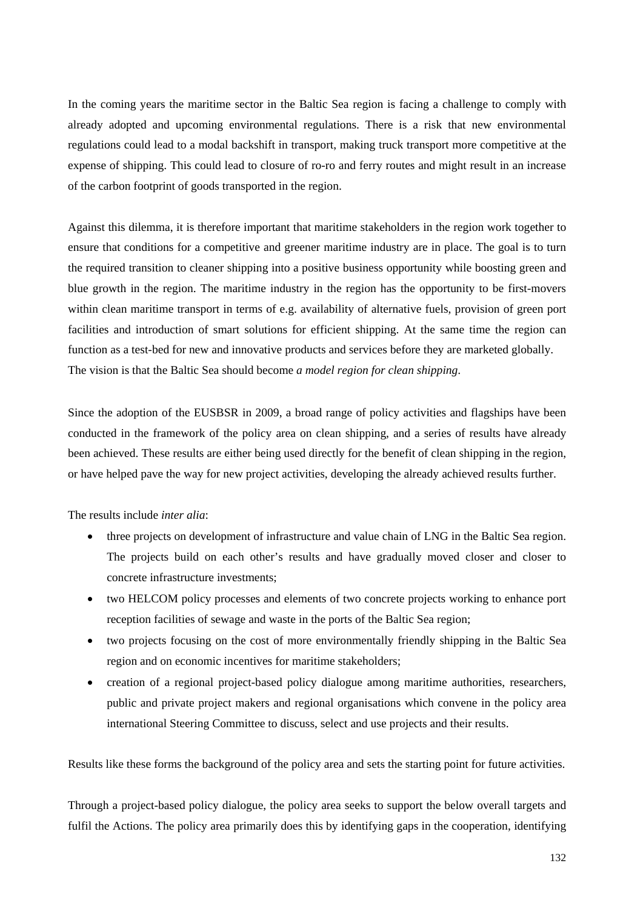In the coming years the maritime sector in the Baltic Sea region is facing a challenge to comply with already adopted and upcoming environmental regulations. There is a risk that new environmental regulations could lead to a modal backshift in transport, making truck transport more competitive at the expense of shipping. This could lead to closure of ro-ro and ferry routes and might result in an increase of the carbon footprint of goods transported in the region.

Against this dilemma, it is therefore important that maritime stakeholders in the region work together to ensure that conditions for a competitive and greener maritime industry are in place. The goal is to turn the required transition to cleaner shipping into a positive business opportunity while boosting green and blue growth in the region. The maritime industry in the region has the opportunity to be first-movers within clean maritime transport in terms of e.g. availability of alternative fuels, provision of green port facilities and introduction of smart solutions for efficient shipping. At the same time the region can function as a test-bed for new and innovative products and services before they are marketed globally. The vision is that the Baltic Sea should become *a model region for clean shipping*.

Since the adoption of the EUSBSR in 2009, a broad range of policy activities and flagships have been conducted in the framework of the policy area on clean shipping, and a series of results have already been achieved. These results are either being used directly for the benefit of clean shipping in the region, or have helped pave the way for new project activities, developing the already achieved results further.

The results include *inter alia*:

- three projects on development of infrastructure and value chain of LNG in the Baltic Sea region. The projects build on each other's results and have gradually moved closer and closer to concrete infrastructure investments;
- two HELCOM policy processes and elements of two concrete projects working to enhance port reception facilities of sewage and waste in the ports of the Baltic Sea region;
- two projects focusing on the cost of more environmentally friendly shipping in the Baltic Sea region and on economic incentives for maritime stakeholders;
- creation of a regional project-based policy dialogue among maritime authorities, researchers, public and private project makers and regional organisations which convene in the policy area international Steering Committee to discuss, select and use projects and their results.

Results like these forms the background of the policy area and sets the starting point for future activities.

Through a project-based policy dialogue, the policy area seeks to support the below overall targets and fulfil the Actions. The policy area primarily does this by identifying gaps in the cooperation, identifying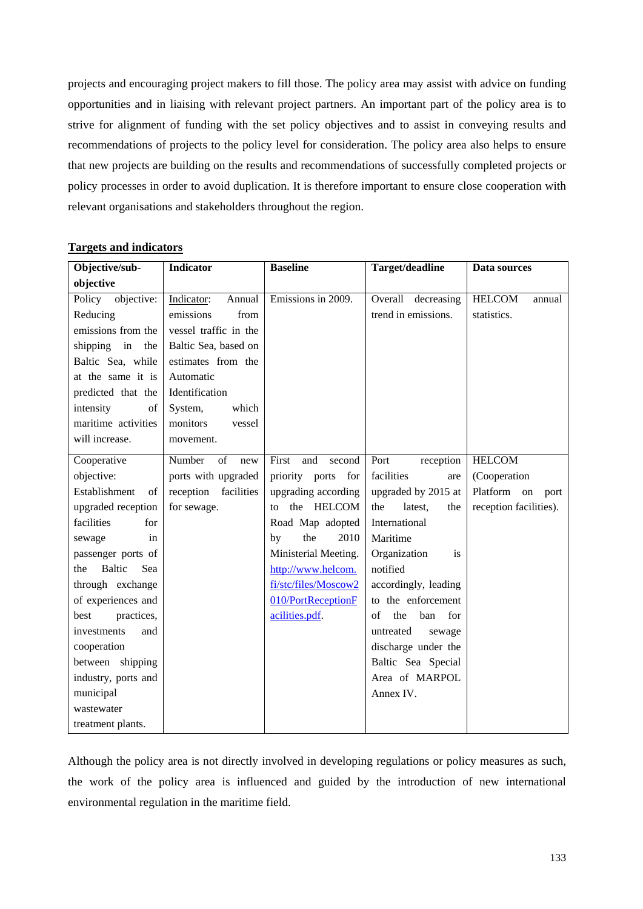projects and encouraging project makers to fill those. The policy area may assist with advice on funding opportunities and in liaising with relevant project partners. An important part of the policy area is to strive for alignment of funding with the set policy objectives and to assist in conveying results and recommendations of projects to the policy level for consideration. The policy area also helps to ensure that new projects are building on the results and recommendations of successfully completed projects or policy processes in order to avoid duplication. It is therefore important to ensure close cooperation with relevant organisations and stakeholders throughout the region.

| Objective/sub-        | <b>Indicator</b>      | <b>Baseline</b>        | Target/deadline         | Data sources            |
|-----------------------|-----------------------|------------------------|-------------------------|-------------------------|
| objective             |                       |                        |                         |                         |
| objective:<br>Policy  | Indicator:<br>Annual  | Emissions in 2009.     | Overall decreasing      | <b>HELCOM</b><br>annual |
| Reducing              | emissions<br>from     |                        | trend in emissions.     | statistics.             |
| emissions from the    | vessel traffic in the |                        |                         |                         |
| in<br>shipping<br>the | Baltic Sea, based on  |                        |                         |                         |
| Baltic Sea, while     | estimates from the    |                        |                         |                         |
| at the same it is     | Automatic             |                        |                         |                         |
| predicted that the    | Identification        |                        |                         |                         |
| intensity<br>of       | System,<br>which      |                        |                         |                         |
| maritime activities   | monitors<br>vessel    |                        |                         |                         |
| will increase.        | movement.             |                        |                         |                         |
| Cooperative           | Number<br>of<br>new   | second<br>First<br>and | Port<br>reception       | <b>HELCOM</b>           |
| objective:            | ports with upgraded   | priority ports for     | facilities<br>are       | (Cooperation            |
| Establishment<br>of   | reception facilities  | upgrading according    | upgraded by 2015 at     | Platform on<br>port     |
| upgraded reception    | for sewage.           | the HELCOM<br>to       | latest,<br>the<br>the   | reception facilities).  |
| facilities<br>for     |                       | Road Map adopted       | International           |                         |
| sewage<br>in          |                       | 2010<br>the<br>by      | Maritime                |                         |
| passenger ports of    |                       | Ministerial Meeting.   | Organization<br>is      |                         |
| Baltic<br>Sea<br>the  |                       | http://www.helcom.     | notified                |                         |
| through exchange      |                       | fi/stc/files/Moscow2   | accordingly, leading    |                         |
| of experiences and    |                       | 010/PortReceptionF     | to the enforcement      |                         |
| practices,<br>best    |                       | acilities.pdf.         | the<br>of<br>ban<br>for |                         |
| investments<br>and    |                       |                        | untreated<br>sewage     |                         |
| cooperation           |                       |                        | discharge under the     |                         |
| between shipping      |                       |                        | Baltic Sea Special      |                         |
| industry, ports and   |                       |                        | Area of MARPOL          |                         |
| municipal             |                       |                        | Annex IV.               |                         |
| wastewater            |                       |                        |                         |                         |
| treatment plants.     |                       |                        |                         |                         |

## **Targets and indicators**

Although the policy area is not directly involved in developing regulations or policy measures as such, the work of the policy area is influenced and guided by the introduction of new international environmental regulation in the maritime field.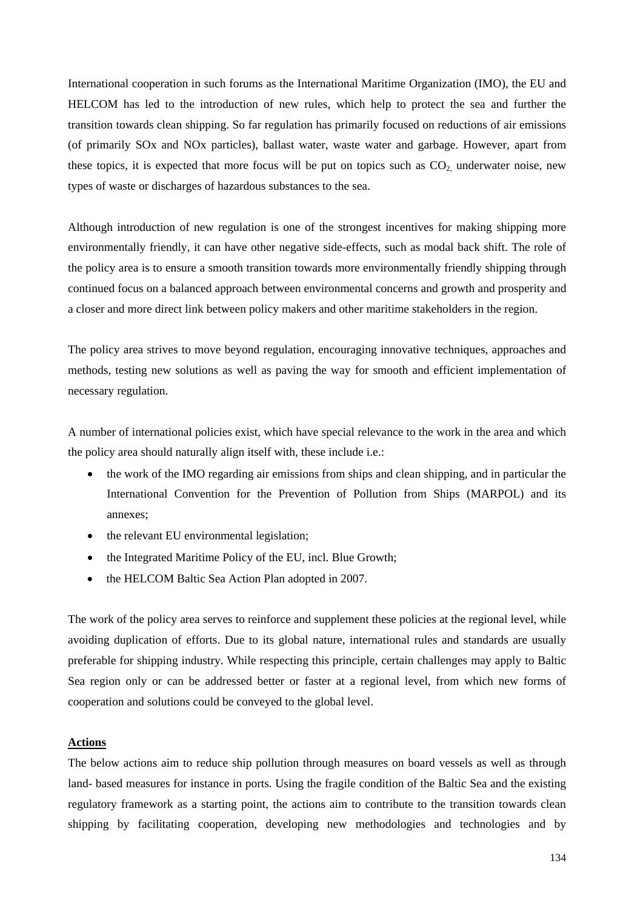International cooperation in such forums as the International Maritime Organization (IMO), the EU and HELCOM has led to the introduction of new rules, which help to protect the sea and further the transition towards clean shipping. So far regulation has primarily focused on reductions of air emissions (of primarily SOx and NOx particles), ballast water, waste water and garbage. However, apart from these topics, it is expected that more focus will be put on topics such as  $CO<sub>2</sub>$  underwater noise, new types of waste or discharges of hazardous substances to the sea.

Although introduction of new regulation is one of the strongest incentives for making shipping more environmentally friendly, it can have other negative side-effects, such as modal back shift. The role of the policy area is to ensure a smooth transition towards more environmentally friendly shipping through continued focus on a balanced approach between environmental concerns and growth and prosperity and a closer and more direct link between policy makers and other maritime stakeholders in the region.

The policy area strives to move beyond regulation, encouraging innovative techniques, approaches and methods, testing new solutions as well as paving the way for smooth and efficient implementation of necessary regulation.

A number of international policies exist, which have special relevance to the work in the area and which the policy area should naturally align itself with, these include i.e.:

- the work of the IMO regarding air emissions from ships and clean shipping, and in particular the International Convention for the Prevention of Pollution from Ships (MARPOL) and its annexes;
- the relevant EU environmental legislation;
- the Integrated Maritime Policy of the EU, incl. Blue Growth;
- the HELCOM Baltic Sea Action Plan adopted in 2007.

The work of the policy area serves to reinforce and supplement these policies at the regional level, while avoiding duplication of efforts. Due to its global nature, international rules and standards are usually preferable for shipping industry. While respecting this principle, certain challenges may apply to Baltic Sea region only or can be addressed better or faster at a regional level, from which new forms of cooperation and solutions could be conveyed to the global level.

### **Actions**

The below actions aim to reduce ship pollution through measures on board vessels as well as through land- based measures for instance in ports. Using the fragile condition of the Baltic Sea and the existing regulatory framework as a starting point, the actions aim to contribute to the transition towards clean shipping by facilitating cooperation, developing new methodologies and technologies and by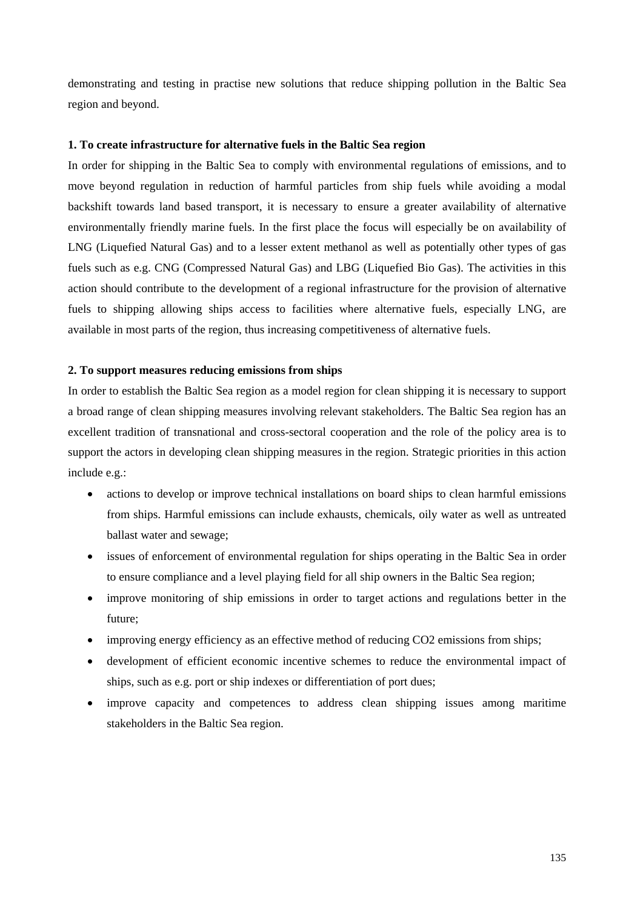demonstrating and testing in practise new solutions that reduce shipping pollution in the Baltic Sea region and beyond.

#### **1. To create infrastructure for alternative fuels in the Baltic Sea region**

In order for shipping in the Baltic Sea to comply with environmental regulations of emissions, and to move beyond regulation in reduction of harmful particles from ship fuels while avoiding a modal backshift towards land based transport, it is necessary to ensure a greater availability of alternative environmentally friendly marine fuels. In the first place the focus will especially be on availability of LNG (Liquefied Natural Gas) and to a lesser extent methanol as well as potentially other types of gas fuels such as e.g. CNG (Compressed Natural Gas) and LBG (Liquefied Bio Gas). The activities in this action should contribute to the development of a regional infrastructure for the provision of alternative fuels to shipping allowing ships access to facilities where alternative fuels, especially LNG, are available in most parts of the region, thus increasing competitiveness of alternative fuels.

#### **2. To support measures reducing emissions from ships**

In order to establish the Baltic Sea region as a model region for clean shipping it is necessary to support a broad range of clean shipping measures involving relevant stakeholders. The Baltic Sea region has an excellent tradition of transnational and cross-sectoral cooperation and the role of the policy area is to support the actors in developing clean shipping measures in the region. Strategic priorities in this action include e.g.:

- actions to develop or improve technical installations on board ships to clean harmful emissions from ships. Harmful emissions can include exhausts, chemicals, oily water as well as untreated ballast water and sewage;
- issues of enforcement of environmental regulation for ships operating in the Baltic Sea in order to ensure compliance and a level playing field for all ship owners in the Baltic Sea region;
- improve monitoring of ship emissions in order to target actions and regulations better in the future;
- improving energy efficiency as an effective method of reducing CO2 emissions from ships;
- development of efficient economic incentive schemes to reduce the environmental impact of ships, such as e.g. port or ship indexes or differentiation of port dues;
- improve capacity and competences to address clean shipping issues among maritime stakeholders in the Baltic Sea region.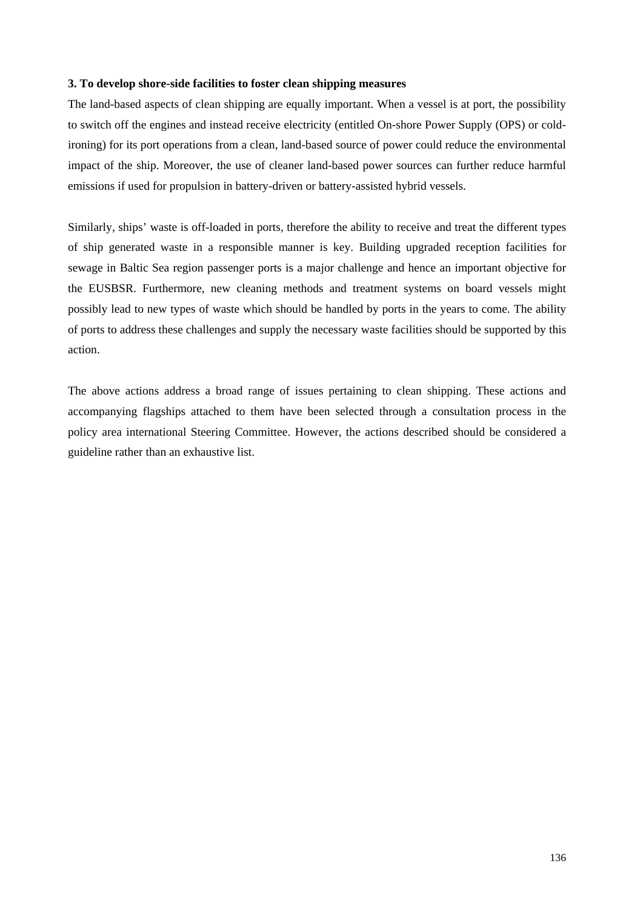### **3. To develop shore-side facilities to foster clean shipping measures**

The land-based aspects of clean shipping are equally important. When a vessel is at port, the possibility to switch off the engines and instead receive electricity (entitled On-shore Power Supply (OPS) or coldironing) for its port operations from a clean, land-based source of power could reduce the environmental impact of the ship. Moreover, the use of cleaner land-based power sources can further reduce harmful emissions if used for propulsion in battery-driven or battery-assisted hybrid vessels.

Similarly, ships' waste is off-loaded in ports, therefore the ability to receive and treat the different types of ship generated waste in a responsible manner is key. Building upgraded reception facilities for sewage in Baltic Sea region passenger ports is a major challenge and hence an important objective for the EUSBSR. Furthermore, new cleaning methods and treatment systems on board vessels might possibly lead to new types of waste which should be handled by ports in the years to come. The ability of ports to address these challenges and supply the necessary waste facilities should be supported by this action.

The above actions address a broad range of issues pertaining to clean shipping. These actions and accompanying flagships attached to them have been selected through a consultation process in the policy area international Steering Committee. However, the actions described should be considered a guideline rather than an exhaustive list.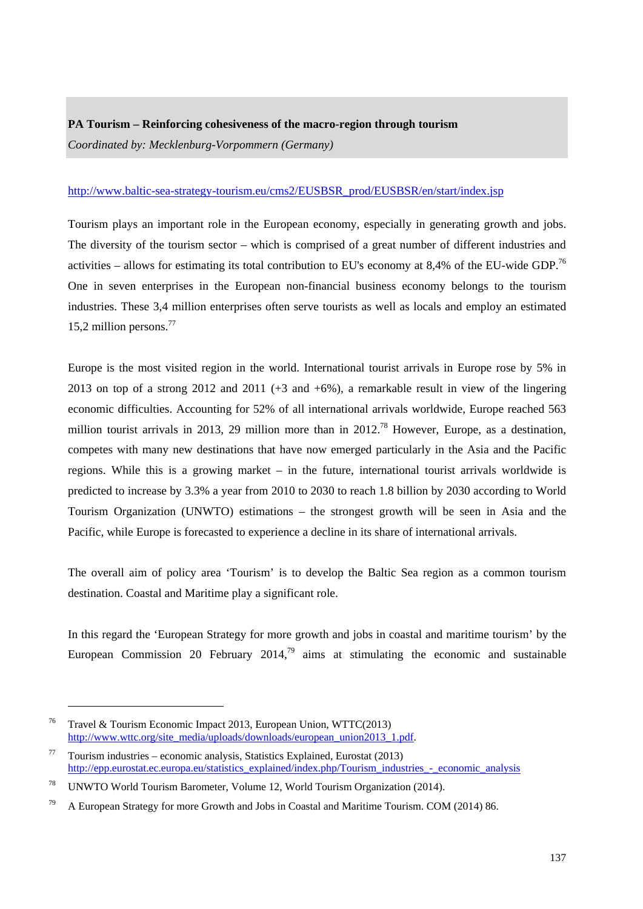## **PA Tourism – Reinforcing cohesiveness of the macro-region through tourism**  *Coordinated by: Mecklenburg-Vorpommern (Germany)*

## [http://www.baltic-sea-strategy-tourism.eu/cms2/EUSBSR\\_prod/EUSBSR/en/start/index.jsp](http://www.baltic-sea-strategy-tourism.eu/cms2/EUSBSR_prod/EUSBSR/en/start/index.jsp)

Tourism plays an important role in the European economy, especially in generating growth and jobs. The diversity of the tourism sector – which is comprised of a great number of different industries and activities – allows for estimating its total contribution to EU's economy at 8,4% of the EU-wide GDP.<sup>76</sup> One in seven enterprises in the European non-financial business economy belongs to the tourism industries. These 3,4 million enterprises often serve tourists as well as locals and employ an estimated 15.2 million persons.<sup>77</sup>

Europe is the most visited region in the world. International tourist arrivals in Europe rose by 5% in 2013 on top of a strong 2012 and 2011 ( $+3$  and  $+6\%$ ), a remarkable result in view of the lingering economic difficulties. Accounting for 52% of all international arrivals worldwide, Europe reached 563 million tourist arrivals in 2013, 29 million more than in  $2012<sup>78</sup>$  However, Europe, as a destination, competes with many new destinations that have now emerged particularly in the Asia and the Pacific regions. While this is a growing market – in the future, international tourist arrivals worldwide is predicted to increase by 3.3% a year from 2010 to 2030 to reach 1.8 billion by 2030 according to World Tourism Organization (UNWTO) estimations – the strongest growth will be seen in Asia and the Pacific, while Europe is forecasted to experience a decline in its share of international arrivals.

The overall aim of policy area 'Tourism' is to develop the Baltic Sea region as a common tourism destination. Coastal and Maritime play a significant role.

In this regard the 'European Strategy for more growth and jobs in coastal and maritime tourism' by the European Commission 20 February 2014,<sup>79</sup> aims at stimulating the economic and sustainable

1

<sup>76</sup> Travel & Tourism Economic Impact 2013, European Union, WTTC(2013) http://www.wttc.org/site\_media/uploads/downloads/european\_union2013\_1.pdf.

 $77$  Tourism industries – economic analysis, Statistics Explained, Eurostat (2013) http://epp.eurostat.ec.europa.eu/statistics\_explained/index.php/Tourism\_industries\_-\_economic\_analysis

<sup>78</sup> UNWTO World Tourism Barometer, Volume 12, World Tourism Organization (2014).

<sup>&</sup>lt;sup>79</sup> A European Strategy for more Growth and Jobs in Coastal and Maritime Tourism. COM (2014) 86.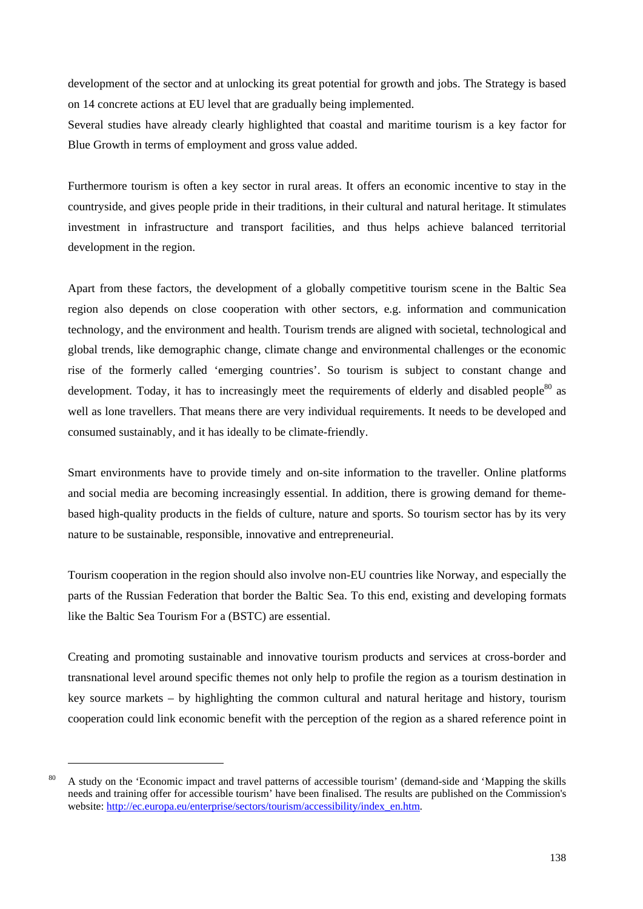development of the sector and at unlocking its great potential for growth and jobs. The Strategy is based on 14 concrete actions at EU level that are gradually being implemented.

Several studies have already clearly highlighted that coastal and maritime tourism is a key factor for Blue Growth in terms of employment and gross value added.

Furthermore tourism is often a key sector in rural areas. It offers an economic incentive to stay in the countryside, and gives people pride in their traditions, in their cultural and natural heritage. It stimulates investment in infrastructure and transport facilities, and thus helps achieve balanced territorial development in the region.

Apart from these factors, the development of a globally competitive tourism scene in the Baltic Sea region also depends on close cooperation with other sectors, e.g. information and communication technology, and the environment and health. Tourism trends are aligned with societal, technological and global trends, like demographic change, climate change and environmental challenges or the economic rise of the formerly called 'emerging countries'. So tourism is subject to constant change and development. Today, it has to increasingly meet the requirements of elderly and disabled people<sup>80</sup> as well as lone travellers. That means there are very individual requirements. It needs to be developed and consumed sustainably, and it has ideally to be climate-friendly.

Smart environments have to provide timely and on-site information to the traveller. Online platforms and social media are becoming increasingly essential. In addition, there is growing demand for themebased high-quality products in the fields of culture, nature and sports. So tourism sector has by its very nature to be sustainable, responsible, innovative and entrepreneurial.

Tourism cooperation in the region should also involve non-EU countries like Norway, and especially the parts of the Russian Federation that border the Baltic Sea. To this end, existing and developing formats like the Baltic Sea Tourism For a (BSTC) are essential.

Creating and promoting sustainable and innovative tourism products and services at cross-border and transnational level around specific themes not only help to profile the region as a tourism destination in key source markets – by highlighting the common cultural and natural heritage and history, tourism cooperation could link economic benefit with the perception of the region as a shared reference point in

1

<sup>&</sup>lt;sup>80</sup> A study on the 'Economic impact and travel patterns of accessible tourism' (demand-side and 'Mapping the skills needs and training offer for accessible tourism' have been finalised. The results are published on the Commission's website[: http://ec.europa.eu/enterprise/sectors/tourism/accessibility/index\\_en.htm.](http://ec.europa.eu/enterprise/sectors/tourism/accessibility/index_en.htm)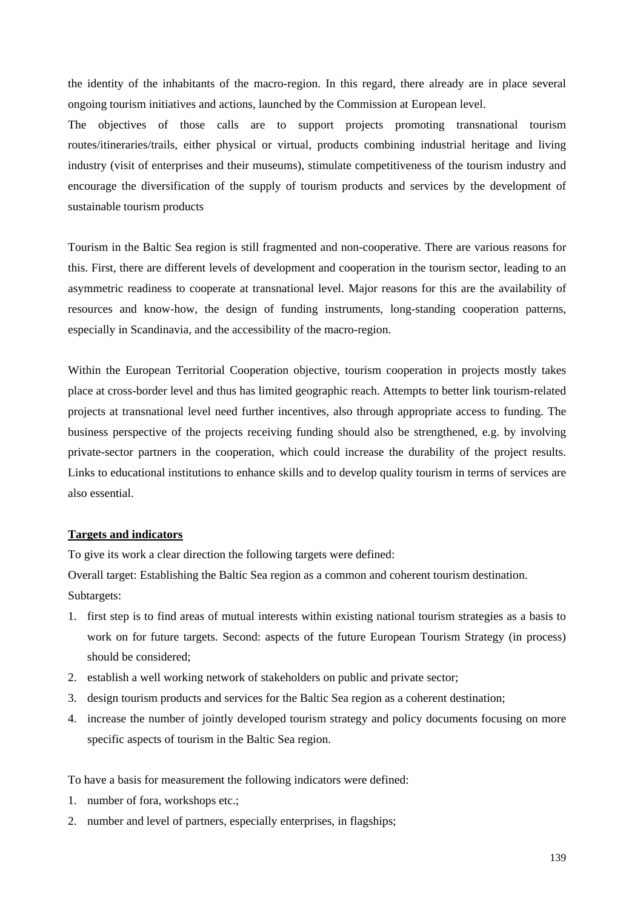the identity of the inhabitants of the macro-region. In this regard, there already are in place several ongoing tourism initiatives and actions, launched by the Commission at European level.

The objectives of those calls are to support projects promoting transnational tourism routes/itineraries/trails, either physical or virtual, products combining industrial heritage and living industry (visit of enterprises and their museums), stimulate competitiveness of the tourism industry and encourage the diversification of the supply of tourism products and services by the development of sustainable tourism products

Tourism in the Baltic Sea region is still fragmented and non-cooperative. There are various reasons for this. First, there are different levels of development and cooperation in the tourism sector, leading to an asymmetric readiness to cooperate at transnational level. Major reasons for this are the availability of resources and know-how, the design of funding instruments, long-standing cooperation patterns, especially in Scandinavia, and the accessibility of the macro-region.

Within the European Territorial Cooperation objective, tourism cooperation in projects mostly takes place at cross-border level and thus has limited geographic reach. Attempts to better link tourism-related projects at transnational level need further incentives, also through appropriate access to funding. The business perspective of the projects receiving funding should also be strengthened, e.g. by involving private-sector partners in the cooperation, which could increase the durability of the project results. Links to educational institutions to enhance skills and to develop quality tourism in terms of services are also essential.

## **Targets and indicators**

To give its work a clear direction the following targets were defined:

Overall target: Establishing the Baltic Sea region as a common and coherent tourism destination. Subtargets:

- 1. first step is to find areas of mutual interests within existing national tourism strategies as a basis to work on for future targets. Second: aspects of the future European Tourism Strategy (in process) should be considered;
- 2. establish a well working network of stakeholders on public and private sector;
- 3. design tourism products and services for the Baltic Sea region as a coherent destination;
- 4. increase the number of jointly developed tourism strategy and policy documents focusing on more specific aspects of tourism in the Baltic Sea region.

To have a basis for measurement the following indicators were defined:

- 1. number of fora, workshops etc.;
- 2. number and level of partners, especially enterprises, in flagships;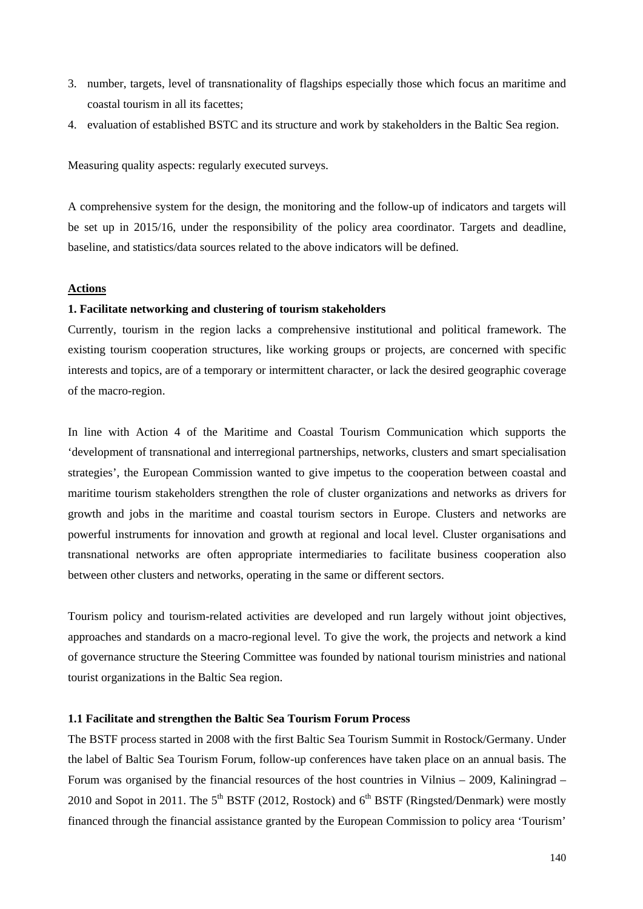- 3. number, targets, level of transnationality of flagships especially those which focus an maritime and coastal tourism in all its facettes;
- 4. evaluation of established BSTC and its structure and work by stakeholders in the Baltic Sea region.

Measuring quality aspects: regularly executed surveys.

A comprehensive system for the design, the monitoring and the follow-up of indicators and targets will be set up in 2015/16, under the responsibility of the policy area coordinator. Targets and deadline, baseline, and statistics/data sources related to the above indicators will be defined.

#### **Actions**

#### **1. Facilitate networking and clustering of tourism stakeholders**

Currently, tourism in the region lacks a comprehensive institutional and political framework. The existing tourism cooperation structures, like working groups or projects, are concerned with specific interests and topics, are of a temporary or intermittent character, or lack the desired geographic coverage of the macro-region.

In line with Action 4 of the Maritime and Coastal Tourism Communication which supports the 'development of transnational and interregional partnerships, networks, clusters and smart specialisation strategies', the European Commission wanted to give impetus to the cooperation between coastal and maritime tourism stakeholders strengthen the role of cluster organizations and networks as drivers for growth and jobs in the maritime and coastal tourism sectors in Europe. Clusters and networks are powerful instruments for innovation and growth at regional and local level. Cluster organisations and transnational networks are often appropriate intermediaries to facilitate business cooperation also between other clusters and networks, operating in the same or different sectors.

Tourism policy and tourism-related activities are developed and run largely without joint objectives, approaches and standards on a macro-regional level. To give the work, the projects and network a kind of governance structure the Steering Committee was founded by national tourism ministries and national tourist organizations in the Baltic Sea region.

## **1.1 Facilitate and strengthen the Baltic Sea Tourism Forum Process**

The BSTF process started in 2008 with the first Baltic Sea Tourism Summit in Rostock/Germany. Under the label of Baltic Sea Tourism Forum, follow-up conferences have taken place on an annual basis. The Forum was organised by the financial resources of the host countries in Vilnius – 2009, Kaliningrad – 2010 and Sopot in 2011. The  $5<sup>th</sup> BSTF$  (2012, Rostock) and  $6<sup>th</sup> BSTF$  (Ringsted/Denmark) were mostly financed through the financial assistance granted by the European Commission to policy area 'Tourism'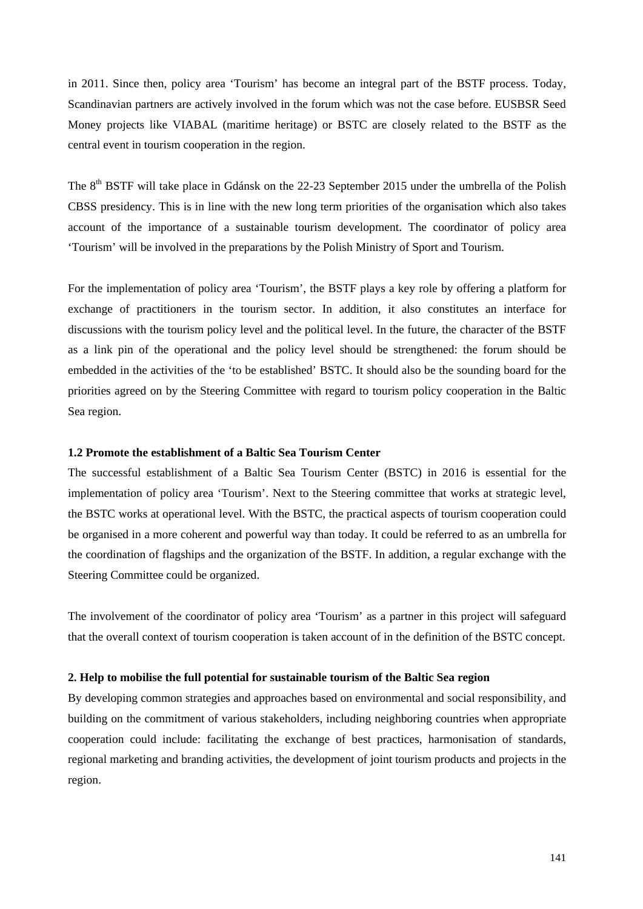in 2011. Since then, policy area 'Tourism' has become an integral part of the BSTF process. Today, Scandinavian partners are actively involved in the forum which was not the case before. EUSBSR Seed Money projects like VIABAL (maritime heritage) or BSTC are closely related to the BSTF as the central event in tourism cooperation in the region.

The 8<sup>th</sup> BSTF will take place in Gdánsk on the 22-23 September 2015 under the umbrella of the Polish CBSS presidency. This is in line with the new long term priorities of the organisation which also takes account of the importance of a sustainable tourism development. The coordinator of policy area 'Tourism' will be involved in the preparations by the Polish Ministry of Sport and Tourism.

For the implementation of policy area 'Tourism', the BSTF plays a key role by offering a platform for exchange of practitioners in the tourism sector. In addition, it also constitutes an interface for discussions with the tourism policy level and the political level. In the future, the character of the BSTF as a link pin of the operational and the policy level should be strengthened: the forum should be embedded in the activities of the 'to be established' BSTC. It should also be the sounding board for the priorities agreed on by the Steering Committee with regard to tourism policy cooperation in the Baltic Sea region.

#### **1.2 Promote the establishment of a Baltic Sea Tourism Center**

The successful establishment of a Baltic Sea Tourism Center (BSTC) in 2016 is essential for the implementation of policy area 'Tourism'. Next to the Steering committee that works at strategic level, the BSTC works at operational level. With the BSTC, the practical aspects of tourism cooperation could be organised in a more coherent and powerful way than today. It could be referred to as an umbrella for the coordination of flagships and the organization of the BSTF. In addition, a regular exchange with the Steering Committee could be organized.

The involvement of the coordinator of policy area 'Tourism' as a partner in this project will safeguard that the overall context of tourism cooperation is taken account of in the definition of the BSTC concept.

#### **2. Help to mobilise the full potential for sustainable tourism of the Baltic Sea region**

By developing common strategies and approaches based on environmental and social responsibility, and building on the commitment of various stakeholders, including neighboring countries when appropriate cooperation could include: facilitating the exchange of best practices, harmonisation of standards, regional marketing and branding activities, the development of joint tourism products and projects in the region.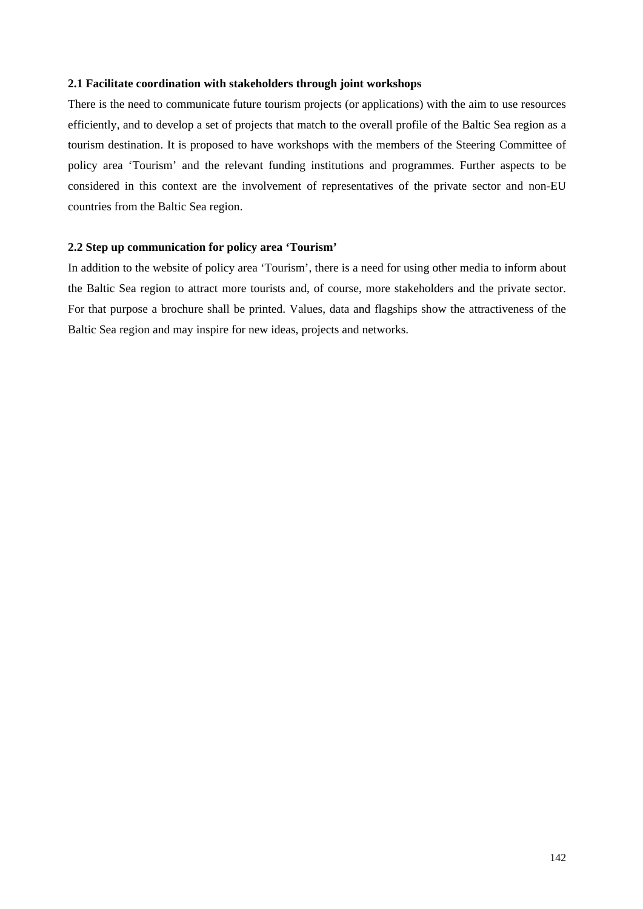#### **2.1 Facilitate coordination with stakeholders through joint workshops**

There is the need to communicate future tourism projects (or applications) with the aim to use resources efficiently, and to develop a set of projects that match to the overall profile of the Baltic Sea region as a tourism destination. It is proposed to have workshops with the members of the Steering Committee of policy area 'Tourism' and the relevant funding institutions and programmes. Further aspects to be considered in this context are the involvement of representatives of the private sector and non-EU countries from the Baltic Sea region.

### **2.2 Step up communication for policy area 'Tourism'**

In addition to the website of policy area 'Tourism', there is a need for using other media to inform about the Baltic Sea region to attract more tourists and, of course, more stakeholders and the private sector. For that purpose a brochure shall be printed. Values, data and flagships show the attractiveness of the Baltic Sea region and may inspire for new ideas, projects and networks.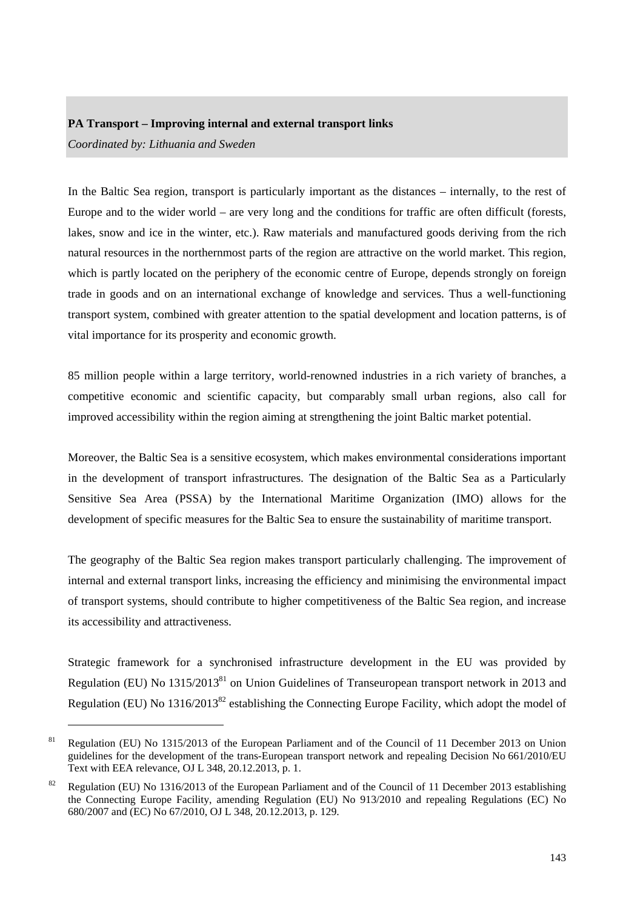#### **PA Transport – Improving internal and external transport links**

*Coordinated by: Lithuania and Sweden* 

-

In the Baltic Sea region, transport is particularly important as the distances – internally, to the rest of Europe and to the wider world – are very long and the conditions for traffic are often difficult (forests, lakes, snow and ice in the winter, etc.). Raw materials and manufactured goods deriving from the rich natural resources in the northernmost parts of the region are attractive on the world market. This region, which is partly located on the periphery of the economic centre of Europe, depends strongly on foreign trade in goods and on an international exchange of knowledge and services. Thus a well-functioning transport system, combined with greater attention to the spatial development and location patterns, is of vital importance for its prosperity and economic growth.

85 million people within a large territory, world-renowned industries in a rich variety of branches, a competitive economic and scientific capacity, but comparably small urban regions, also call for improved accessibility within the region aiming at strengthening the joint Baltic market potential.

Moreover, the Baltic Sea is a sensitive ecosystem, which makes environmental considerations important in the development of transport infrastructures. The designation of the Baltic Sea as a Particularly Sensitive Sea Area (PSSA) by the International Maritime Organization (IMO) allows for the development of specific measures for the Baltic Sea to ensure the sustainability of maritime transport.

The geography of the Baltic Sea region makes transport particularly challenging. The improvement of internal and external transport links, increasing the efficiency and minimising the environmental impact of transport systems, should contribute to higher competitiveness of the Baltic Sea region, and increase its accessibility and attractiveness.

Strategic framework for a synchronised infrastructure development in the EU was provided by Regulation (EU) No 1315/2013<sup>81</sup> on Union Guidelines of Transeuropean transport network in 2013 and Regulation (EU) No 1316/2013<sup>82</sup> establishing the Connecting Europe Facility, which adopt the model of

<sup>&</sup>lt;sup>81</sup> Regulation (EU) No 1315/2013 of the European Parliament and of the Council of 11 December 2013 on Union guidelines for the development of the trans-European transport network and repealing Decision No 661/2010/EU Text with EEA relevance, OJ L 348, 20.12.2013, p. 1.

<sup>&</sup>lt;sup>82</sup> Regulation (EU) No 1316/2013 of the European Parliament and of the Council of 11 December 2013 establishing the Connecting Europe Facility, amending Regulation (EU) No 913/2010 and repealing Regulations (EC) No 680/2007 and (EC) No 67/2010, OJ L 348, 20.12.2013, p. 129.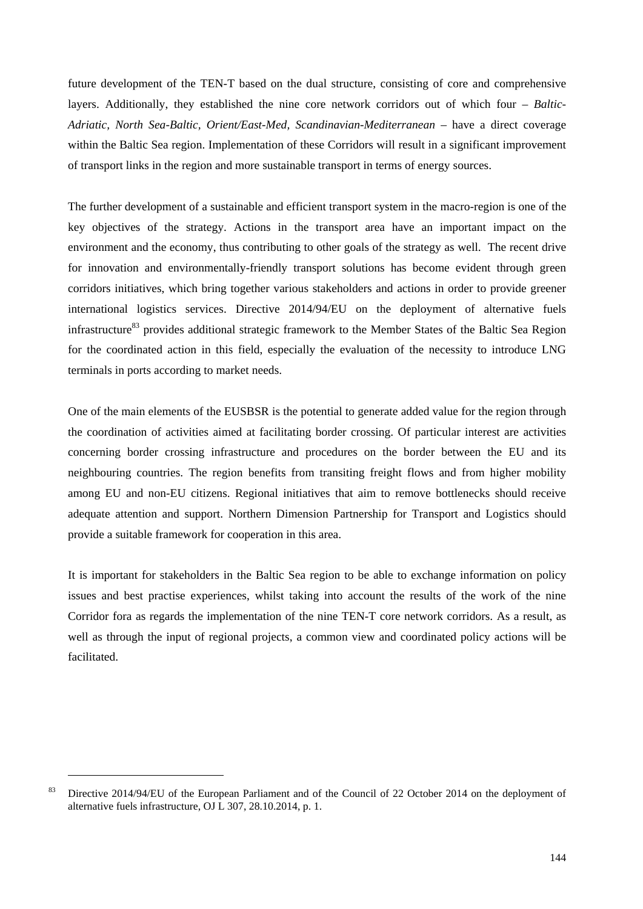future development of the TEN-T based on the dual structure, consisting of core and comprehensive layers. Additionally, they established the nine core network corridors out of which four – *Baltic-*Adriatic, North Sea-Baltic, Orient/East-Med, Scandinavian-Mediterranean – have a direct coverage within the Baltic Sea region. Implementation of these Corridors will result in a significant improvement of transport links in the region and more sustainable transport in terms of energy sources.

The further development of a sustainable and efficient transport system in the macro-region is one of the key objectives of the strategy. Actions in the transport area have an important impact on the environment and the economy, thus contributing to other goals of the strategy as well. The recent drive for innovation and environmentally-friendly transport solutions has become evident through green corridors initiatives, which bring together various stakeholders and actions in order to provide greener international logistics services. Directive 2014/94/EU on the deployment of alternative fuels infrastructure<sup>83</sup> provides additional strategic framework to the Member States of the Baltic Sea Region for the coordinated action in this field, especially the evaluation of the necessity to introduce LNG terminals in ports according to market needs.

One of the main elements of the EUSBSR is the potential to generate added value for the region through the coordination of activities aimed at facilitating border crossing. Of particular interest are activities concerning border crossing infrastructure and procedures on the border between the EU and its neighbouring countries. The region benefits from transiting freight flows and from higher mobility among EU and non-EU citizens. Regional initiatives that aim to remove bottlenecks should receive adequate attention and support. Northern Dimension Partnership for Transport and Logistics should provide a suitable framework for cooperation in this area.

It is important for stakeholders in the Baltic Sea region to be able to exchange information on policy issues and best practise experiences, whilst taking into account the results of the work of the nine Corridor fora as regards the implementation of the nine TEN-T core network corridors. As a result, as well as through the input of regional projects, a common view and coordinated policy actions will be facilitated.

<sup>&</sup>lt;sup>83</sup> Directive 2014/94/EU of the European Parliament and of the Council of 22 October 2014 on the deployment of alternative fuels infrastructure, OJ L 307, 28.10.2014, p. 1.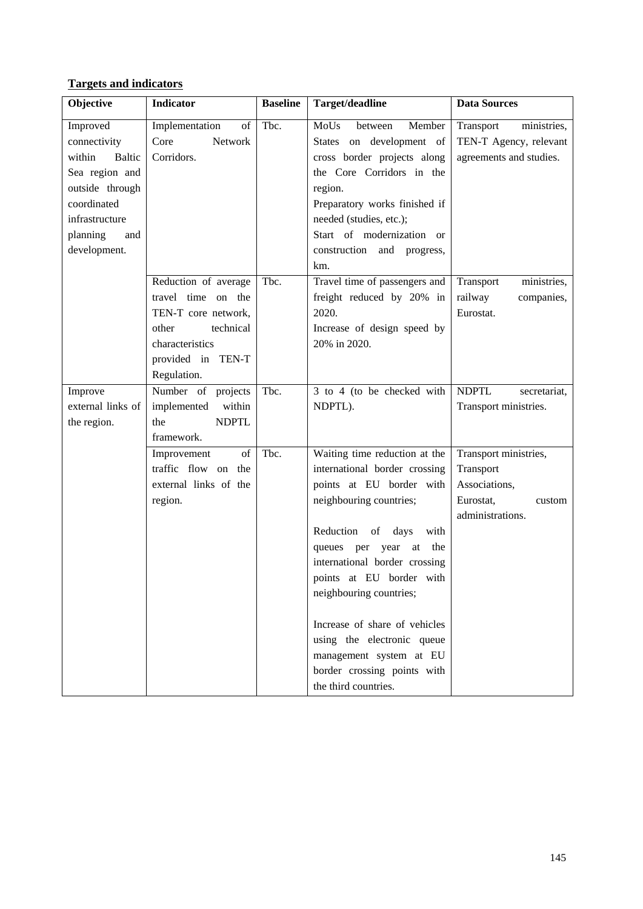## **Targets and indicators**

| Objective         | <b>Indicator</b>      | <b>Baseline</b> | Target/deadline                                           | <b>Data Sources</b>          |
|-------------------|-----------------------|-----------------|-----------------------------------------------------------|------------------------------|
| Improved          | Implementation<br>of  | Tbc.            | MoUs<br>between<br>Member                                 | Transport<br>ministries,     |
| connectivity      | Core<br>Network       |                 | States on development of                                  | TEN-T Agency, relevant       |
| within<br>Baltic  | Corridors.            |                 | cross border projects along                               | agreements and studies.      |
| Sea region and    |                       |                 | the Core Corridors in the                                 |                              |
| outside through   |                       |                 | region.                                                   |                              |
| coordinated       |                       |                 | Preparatory works finished if                             |                              |
| infrastructure    |                       |                 | needed (studies, etc.);                                   |                              |
| planning<br>and   |                       |                 | Start of modernization or                                 |                              |
| development.      |                       |                 | construction and progress,                                |                              |
|                   |                       |                 | km.                                                       |                              |
|                   | Reduction of average  | Tbc.            | Travel time of passengers and                             | Transport<br>ministries,     |
|                   | travel time on the    |                 | freight reduced by 20% in                                 | railway<br>companies,        |
|                   | TEN-T core network,   |                 | 2020.                                                     | Eurostat.                    |
|                   | technical<br>other    |                 | Increase of design speed by                               |                              |
|                   | characteristics       |                 | 20% in 2020.                                              |                              |
|                   | provided in TEN-T     |                 |                                                           |                              |
|                   | Regulation.           |                 |                                                           |                              |
| Improve           | Number of projects    | Tbc.            | 3 to 4 (to be checked with                                | <b>NDPTL</b><br>secretariat, |
| external links of | implemented<br>within |                 | NDPTL).                                                   | Transport ministries.        |
| the region.       | <b>NDPTL</b><br>the   |                 |                                                           |                              |
|                   | framework.            |                 |                                                           |                              |
|                   | Improvement<br>of     | Tbc.            | Waiting time reduction at the                             | Transport ministries,        |
|                   | traffic flow on the   |                 | international border crossing                             | Transport                    |
|                   | external links of the |                 | points at EU border with                                  | Associations,                |
|                   | region.               |                 | neighbouring countries;                                   | Eurostat,<br>custom          |
|                   |                       |                 |                                                           | administrations.             |
|                   |                       |                 | Reduction<br>of<br>days<br>with<br>the                    |                              |
|                   |                       |                 | queues per<br>year<br>at<br>international border crossing |                              |
|                   |                       |                 | points at EU border with                                  |                              |
|                   |                       |                 | neighbouring countries;                                   |                              |
|                   |                       |                 |                                                           |                              |
|                   |                       |                 | Increase of share of vehicles                             |                              |
|                   |                       |                 | using the electronic queue                                |                              |
|                   |                       |                 | management system at EU                                   |                              |
|                   |                       |                 | border crossing points with                               |                              |
|                   |                       |                 | the third countries.                                      |                              |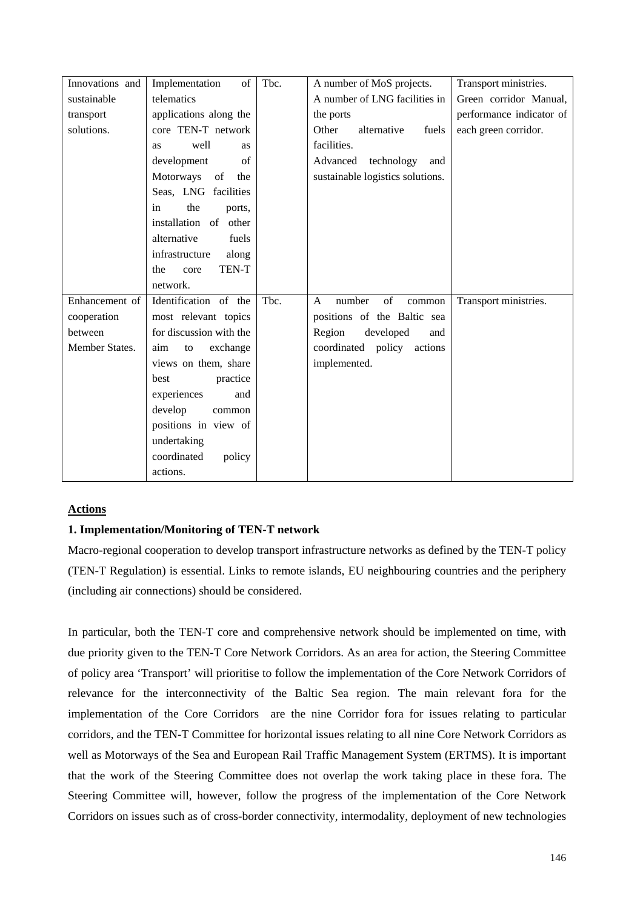| Innovations and | Implementation<br>of           | Tbc. | A number of MoS projects.              | Transport ministries.    |
|-----------------|--------------------------------|------|----------------------------------------|--------------------------|
| sustainable     | telematics                     |      | A number of LNG facilities in          | Green corridor Manual,   |
| transport       | applications along the         |      | the ports                              | performance indicator of |
| solutions.      | core TEN-T network             |      | Other<br>alternative<br>fuels          | each green corridor.     |
|                 | well<br><b>as</b><br><b>as</b> |      | facilities.                            |                          |
|                 | development<br>of              |      | Advanced technology<br>and             |                          |
|                 | Motorways of<br>the            |      | sustainable logistics solutions.       |                          |
|                 | Seas, LNG facilities           |      |                                        |                          |
|                 | the<br>ports,<br>in            |      |                                        |                          |
|                 | installation<br>of other       |      |                                        |                          |
|                 | alternative<br>fuels           |      |                                        |                          |
|                 | infrastructure<br>along        |      |                                        |                          |
|                 | TEN-T<br>the<br>core           |      |                                        |                          |
|                 | network.                       |      |                                        |                          |
| Enhancement of  | Identification of the          | Tbc. | of<br>number<br>$\mathsf{A}$<br>common | Transport ministries.    |
| cooperation     | most relevant topics           |      | positions of the Baltic sea            |                          |
| between         | for discussion with the        |      | Region<br>developed<br>and             |                          |
| Member States.  | exchange<br>aim<br>to          |      | coordinated policy actions             |                          |
|                 | views on them, share           |      | implemented.                           |                          |
|                 | practice<br>best               |      |                                        |                          |
|                 | experiences<br>and             |      |                                        |                          |
|                 | develop<br>common              |      |                                        |                          |
|                 | positions in view of           |      |                                        |                          |
|                 | undertaking                    |      |                                        |                          |
|                 | coordinated<br>policy          |      |                                        |                          |
|                 | actions.                       |      |                                        |                          |

## **Actions**

#### **1. Implementation/Monitoring of TEN-T network**

Macro-regional cooperation to develop transport infrastructure networks as defined by the TEN-T policy (TEN-T Regulation) is essential. Links to remote islands, EU neighbouring countries and the periphery (including air connections) should be considered.

In particular, both the TEN-T core and comprehensive network should be implemented on time, with due priority given to the TEN-T Core Network Corridors. As an area for action, the Steering Committee of policy area 'Transport' will prioritise to follow the implementation of the Core Network Corridors of relevance for the interconnectivity of the Baltic Sea region. The main relevant fora for the implementation of the Core Corridors are the nine Corridor fora for issues relating to particular corridors, and the TEN-T Committee for horizontal issues relating to all nine Core Network Corridors as well as Motorways of the Sea and European Rail Traffic Management System (ERTMS). It is important that the work of the Steering Committee does not overlap the work taking place in these fora. The Steering Committee will, however, follow the progress of the implementation of the Core Network Corridors on issues such as of cross-border connectivity, intermodality, deployment of new technologies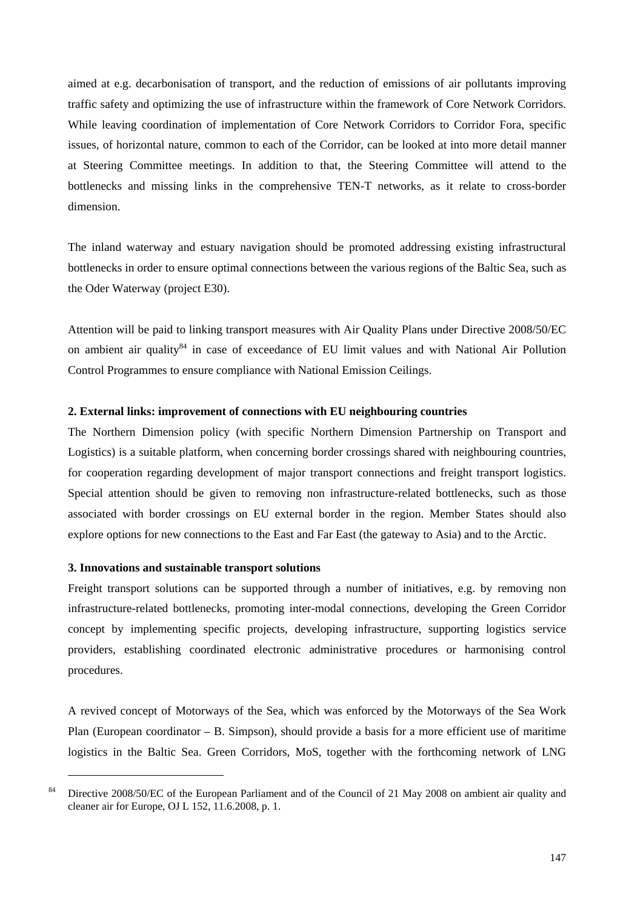aimed at e.g. decarbonisation of transport, and the reduction of emissions of air pollutants improving traffic safety and optimizing the use of infrastructure within the framework of Core Network Corridors. While leaving coordination of implementation of Core Network Corridors to Corridor Fora, specific issues, of horizontal nature, common to each of the Corridor, can be looked at into more detail manner at Steering Committee meetings. In addition to that, the Steering Committee will attend to the bottlenecks and missing links in the comprehensive TEN-T networks, as it relate to cross-border dimension.

The inland waterway and estuary navigation should be promoted addressing existing infrastructural bottlenecks in order to ensure optimal connections between the various regions of the Baltic Sea, such as the Oder Waterway (project E30).

Attention will be paid to linking transport measures with Air Quality Plans under Directive 2008/50/EC on ambient air quality<sup>84</sup> in case of exceedance of EU limit values and with National Air Pollution Control Programmes to ensure compliance with National Emission Ceilings.

#### **2. External links: improvement of connections with EU neighbouring countries**

The Northern Dimension policy (with specific Northern Dimension Partnership on Transport and Logistics) is a suitable platform, when concerning border crossings shared with neighbouring countries, for cooperation regarding development of major transport connections and freight transport logistics. Special attention should be given to removing non infrastructure-related bottlenecks, such as those associated with border crossings on EU external border in the region. Member States should also explore options for new connections to the East and Far East (the gateway to Asia) and to the Arctic.

#### **3. Innovations and sustainable transport solutions**

1

Freight transport solutions can be supported through a number of initiatives, e.g. by removing non infrastructure-related bottlenecks, promoting inter-modal connections, developing the Green Corridor concept by implementing specific projects, developing infrastructure, supporting logistics service providers, establishing coordinated electronic administrative procedures or harmonising control procedures.

A revived concept of Motorways of the Sea, which was enforced by the Motorways of the Sea Work Plan (European coordinator – B. Simpson), should provide a basis for a more efficient use of maritime logistics in the Baltic Sea. Green Corridors, MoS, together with the forthcoming network of LNG

<sup>&</sup>lt;sup>84</sup> Directive 2008/50/EC of the European Parliament and of the Council of 21 May 2008 on ambient air quality and cleaner air for Europe, OJ L 152, 11.6.2008, p. 1.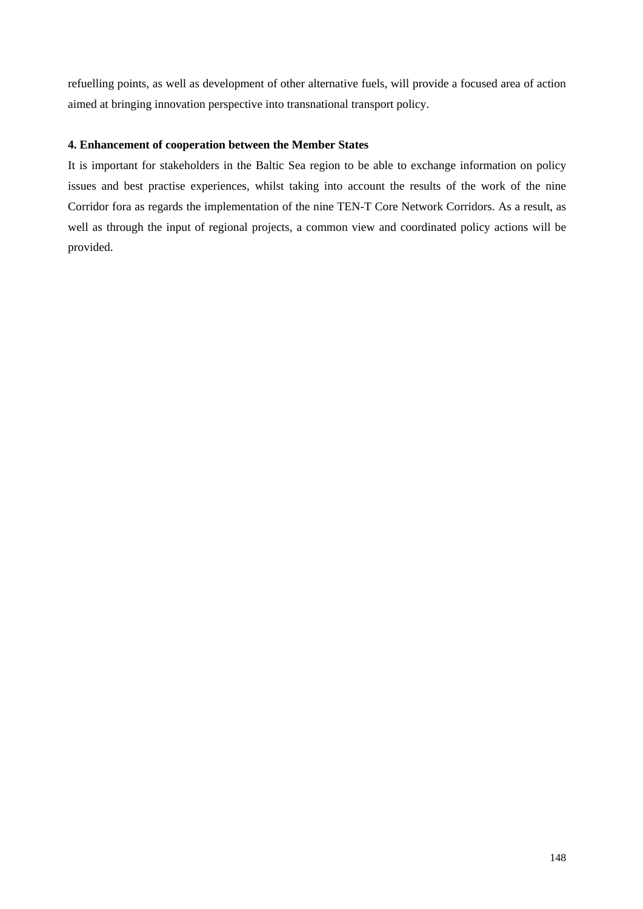refuelling points, as well as development of other alternative fuels, will provide a focused area of action aimed at bringing innovation perspective into transnational transport policy.

## **4. Enhancement of cooperation between the Member States**

It is important for stakeholders in the Baltic Sea region to be able to exchange information on policy issues and best practise experiences, whilst taking into account the results of the work of the nine Corridor fora as regards the implementation of the nine TEN-T Core Network Corridors. As a result, as well as through the input of regional projects, a common view and coordinated policy actions will be provided.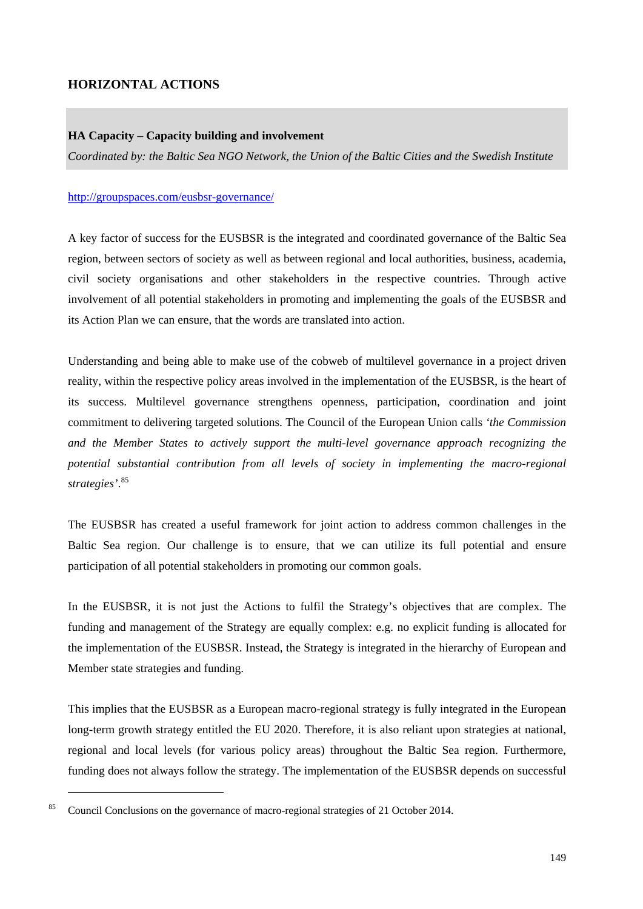## **HORIZONTAL ACTIONS**

#### **HA Capacity – Capacity building and involvement**

*Coordinated by: the Baltic Sea NGO Network, the Union of the Baltic Cities and the Swedish Institute* 

#### <http://groupspaces.com/eusbsr-governance/>

A key factor of success for the EUSBSR is the integrated and coordinated governance of the Baltic Sea region, between sectors of society as well as between regional and local authorities, business, academia, civil society organisations and other stakeholders in the respective countries. Through active involvement of all potential stakeholders in promoting and implementing the goals of the EUSBSR and its Action Plan we can ensure, that the words are translated into action.

Understanding and being able to make use of the cobweb of multilevel governance in a project driven reality, within the respective policy areas involved in the implementation of the EUSBSR, is the heart of its success. Multilevel governance strengthens openness, participation, coordination and joint commitment to delivering targeted solutions. The Council of the European Union calls *'the Commission and the Member States to actively support the multi-level governance approach recognizing the potential substantial contribution from all levels of society in implementing the macro-regional strategies'*. 85

The EUSBSR has created a useful framework for joint action to address common challenges in the Baltic Sea region. Our challenge is to ensure, that we can utilize its full potential and ensure participation of all potential stakeholders in promoting our common goals.

In the EUSBSR, it is not just the Actions to fulfil the Strategy's objectives that are complex. The funding and management of the Strategy are equally complex: e.g. no explicit funding is allocated for the implementation of the EUSBSR. Instead, the Strategy is integrated in the hierarchy of European and Member state strategies and funding.

This implies that the EUSBSR as a European macro-regional strategy is fully integrated in the European long-term growth strategy entitled the EU 2020. Therefore, it is also reliant upon strategies at national, regional and local levels (for various policy areas) throughout the Baltic Sea region. Furthermore, funding does not always follow the strategy. The implementation of the EUSBSR depends on successful

<sup>85</sup> Council Conclusions on the governance of macro-regional strategies of 21 October 2014.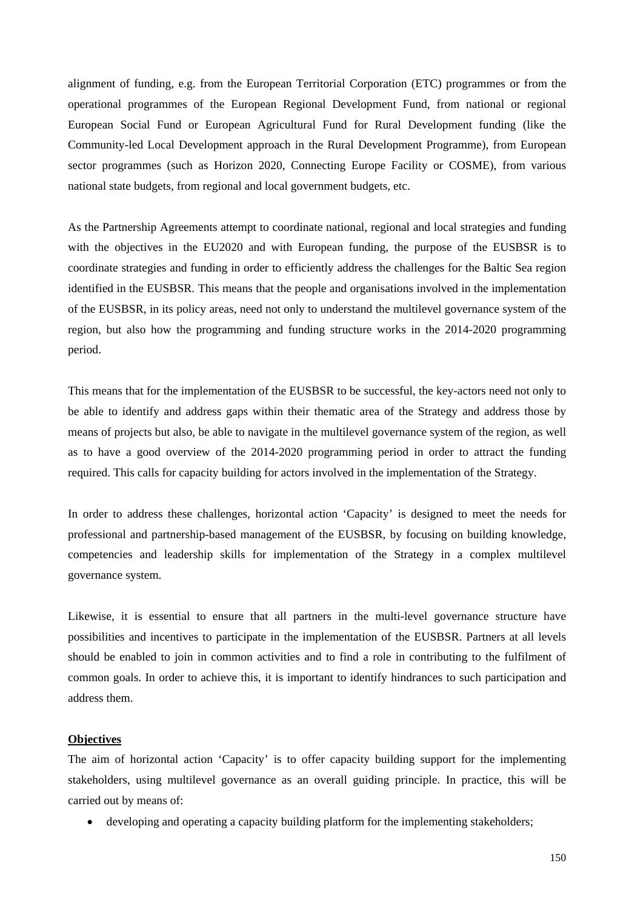alignment of funding, e.g. from the European Territorial Corporation (ETC) programmes or from the operational programmes of the European Regional Development Fund, from national or regional European Social Fund or European Agricultural Fund for Rural Development funding (like the Community-led Local Development approach in the Rural Development Programme), from European sector programmes (such as Horizon 2020, Connecting Europe Facility or COSME), from various national state budgets, from regional and local government budgets, etc.

As the Partnership Agreements attempt to coordinate national, regional and local strategies and funding with the objectives in the EU2020 and with European funding, the purpose of the EUSBSR is to coordinate strategies and funding in order to efficiently address the challenges for the Baltic Sea region identified in the EUSBSR. This means that the people and organisations involved in the implementation of the EUSBSR, in its policy areas, need not only to understand the multilevel governance system of the region, but also how the programming and funding structure works in the 2014-2020 programming period.

This means that for the implementation of the EUSBSR to be successful, the key-actors need not only to be able to identify and address gaps within their thematic area of the Strategy and address those by means of projects but also, be able to navigate in the multilevel governance system of the region, as well as to have a good overview of the 2014-2020 programming period in order to attract the funding required. This calls for capacity building for actors involved in the implementation of the Strategy.

In order to address these challenges, horizontal action 'Capacity' is designed to meet the needs for professional and partnership-based management of the EUSBSR, by focusing on building knowledge, competencies and leadership skills for implementation of the Strategy in a complex multilevel governance system.

Likewise, it is essential to ensure that all partners in the multi-level governance structure have possibilities and incentives to participate in the implementation of the EUSBSR. Partners at all levels should be enabled to join in common activities and to find a role in contributing to the fulfilment of common goals. In order to achieve this, it is important to identify hindrances to such participation and address them.

### **Objectives**

The aim of horizontal action 'Capacity' is to offer capacity building support for the implementing stakeholders, using multilevel governance as an overall guiding principle. In practice, this will be carried out by means of:

• developing and operating a capacity building platform for the implementing stakeholders;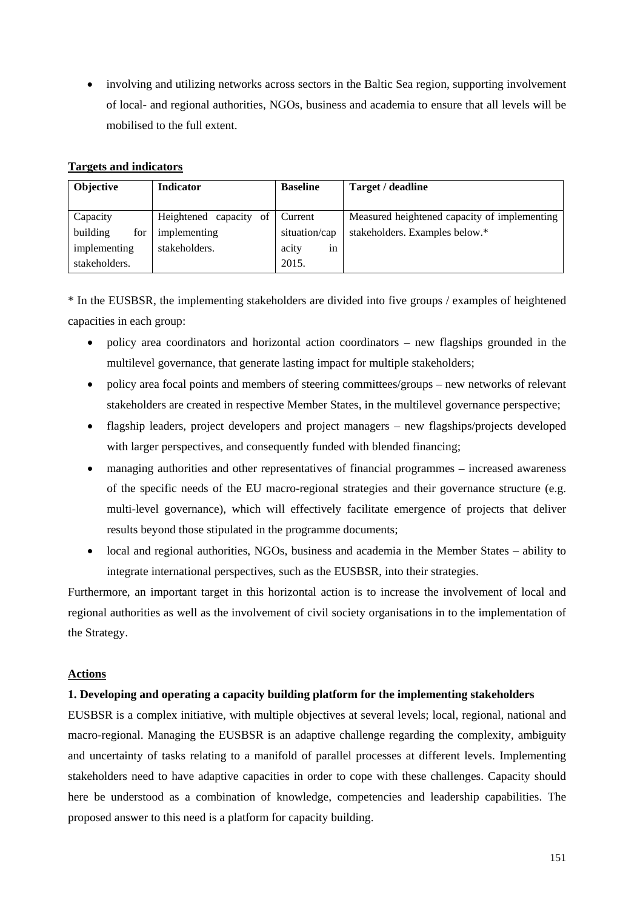• involving and utilizing networks across sectors in the Baltic Sea region, supporting involvement of local- and regional authorities, NGOs, business and academia to ensure that all levels will be mobilised to the full extent.

## **Targets and indicators**

| <b>Objective</b> | <b>Indicator</b>          | <b>Baseline</b> | Target / deadline                            |
|------------------|---------------------------|-----------------|----------------------------------------------|
|                  |                           |                 |                                              |
| Capacity         | Heightened capacity<br>of | Current         | Measured heightened capacity of implementing |
| building<br>for  | implementing              | situation/cap   | stakeholders. Examples below.*               |
| implementing     | stakeholders.             | acity<br>1n     |                                              |
| stakeholders.    |                           | 2015.           |                                              |

\* In the EUSBSR, the implementing stakeholders are divided into five groups / examples of heightened capacities in each group:

- policy area coordinators and horizontal action coordinators new flagships grounded in the multilevel governance, that generate lasting impact for multiple stakeholders;
- policy area focal points and members of steering committees/groups new networks of relevant stakeholders are created in respective Member States, in the multilevel governance perspective;
- flagship leaders, project developers and project managers new flagships/projects developed with larger perspectives, and consequently funded with blended financing;
- managing authorities and other representatives of financial programmes increased awareness of the specific needs of the EU macro-regional strategies and their governance structure (e.g. multi-level governance), which will effectively facilitate emergence of projects that deliver results beyond those stipulated in the programme documents;
- local and regional authorities, NGOs, business and academia in the Member States ability to integrate international perspectives, such as the EUSBSR, into their strategies.

Furthermore, an important target in this horizontal action is to increase the involvement of local and regional authorities as well as the involvement of civil society organisations in to the implementation of the Strategy.

#### **Actions**

## **1. Developing and operating a capacity building platform for the implementing stakeholders**

EUSBSR is a complex initiative, with multiple objectives at several levels; local, regional, national and macro-regional. Managing the EUSBSR is an adaptive challenge regarding the complexity, ambiguity and uncertainty of tasks relating to a manifold of parallel processes at different levels. Implementing stakeholders need to have adaptive capacities in order to cope with these challenges. Capacity should here be understood as a combination of knowledge, competencies and leadership capabilities. The proposed answer to this need is a platform for capacity building.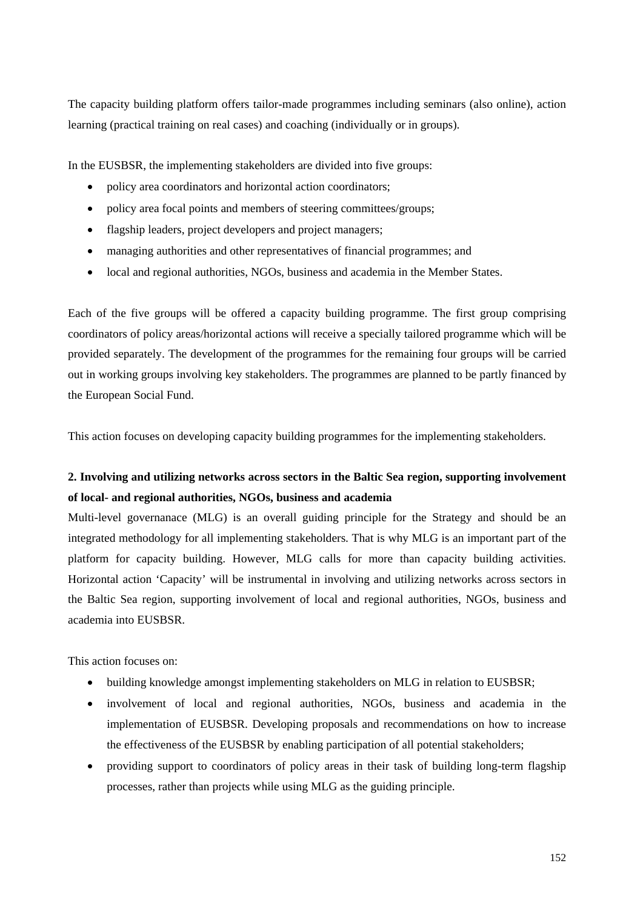The capacity building platform offers tailor-made programmes including seminars (also online), action learning (practical training on real cases) and coaching (individually or in groups).

In the EUSBSR, the implementing stakeholders are divided into five groups:

- policy area coordinators and horizontal action coordinators;
- policy area focal points and members of steering committees/groups;
- flagship leaders, project developers and project managers;
- managing authorities and other representatives of financial programmes; and
- local and regional authorities, NGOs, business and academia in the Member States.

Each of the five groups will be offered a capacity building programme. The first group comprising coordinators of policy areas/horizontal actions will receive a specially tailored programme which will be provided separately. The development of the programmes for the remaining four groups will be carried out in working groups involving key stakeholders. The programmes are planned to be partly financed by the European Social Fund.

This action focuses on developing capacity building programmes for the implementing stakeholders.

# **2. Involving and utilizing networks across sectors in the Baltic Sea region, supporting involvement of local- and regional authorities, NGOs, business and academia**

Multi-level governanace (MLG) is an overall guiding principle for the Strategy and should be an integrated methodology for all implementing stakeholders. That is why MLG is an important part of the platform for capacity building. However, MLG calls for more than capacity building activities. Horizontal action 'Capacity' will be instrumental in involving and utilizing networks across sectors in the Baltic Sea region, supporting involvement of local and regional authorities, NGOs, business and academia into EUSBSR.

This action focuses on:

- building knowledge amongst implementing stakeholders on MLG in relation to EUSBSR;
- involvement of local and regional authorities. NGOs, business and academia in the implementation of EUSBSR. Developing proposals and recommendations on how to increase the effectiveness of the EUSBSR by enabling participation of all potential stakeholders;
- providing support to coordinators of policy areas in their task of building long-term flagship processes, rather than projects while using MLG as the guiding principle.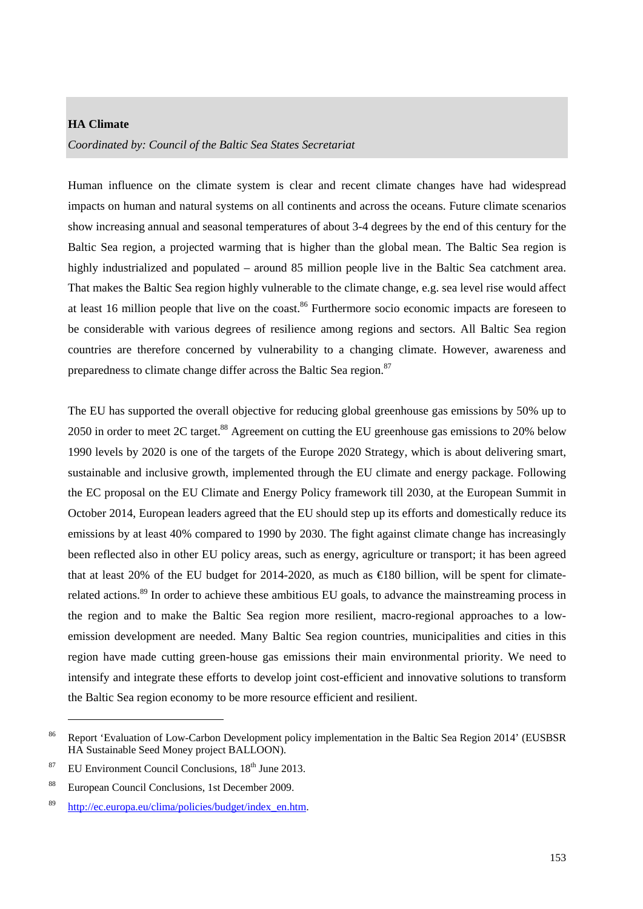#### **HA Climate**

*Coordinated by: Council of the Baltic Sea States Secretariat*

Human influence on the climate system is clear and recent climate changes have had widespread impacts on human and natural systems on all continents and across the oceans. Future climate scenarios show increasing annual and seasonal temperatures of about 3-4 degrees by the end of this century for the Baltic Sea region, a projected warming that is higher than the global mean. The Baltic Sea region is highly industrialized and populated – around 85 million people live in the Baltic Sea catchment area. That makes the Baltic Sea region highly vulnerable to the climate change, e.g. sea level rise would affect at least 16 million people that live on the coast.<sup>86</sup> Furthermore socio economic impacts are foreseen to be considerable with various degrees of resilience among regions and sectors. All Baltic Sea region countries are therefore concerned by vulnerability to a changing climate. However, awareness and preparedness to climate change differ across the Baltic Sea region.<sup>87</sup>

The EU has supported the overall objective for reducing global greenhouse gas emissions by 50% up to 2050 in order to meet 2C target.<sup>88</sup> Agreement on cutting the EU greenhouse gas emissions to 20% below 1990 levels by 2020 is one of the targets of the [Europe 2020 Strategy,](http://ec.europa.eu/europe2020/index_en.htm) which is about delivering smart, sustainable and inclusive growth, implemented through the EU climate and energy package. Following the EC proposal on the EU Climate and Energy Policy framework till 2030, at the European Summit in October 2014, European leaders agreed that the EU should step up its efforts and domestically reduce its emissions by at least 40% compared to 1990 by 2030. The fight against climate change has increasingly been reflected also in other EU policy areas, such as energy, agriculture or transport; it has been agreed that at least 20% of the EU [budget for 2014-2020,](http://ec.europa.eu/clima/policies/budget/index_en.htm) as much as  $\in$  80 billion, will be spent for climaterelated actions.<sup>89</sup> In order to achieve these ambitious EU goals, to advance the [mainstreaming p](http://ec.europa.eu/clima/policies/brief/mainstreaming/index_en.htm)rocess in the region and to make the Baltic Sea region more resilient, macro-regional approaches to a lowemission development are needed. Many Baltic Sea region countries, municipalities and cities in this region have made cutting green-house gas emissions their main environmental priority. We need to intensify and integrate these efforts to develop joint cost-efficient and innovative solutions to transform the Baltic Sea region economy to be more resource efficient and resilient.

<sup>&</sup>lt;sup>86</sup> Report 'Evaluation of Low-Carbon Development policy implementation in the Baltic Sea Region 2014' (EUSBSR HA Sustainable Seed Money project BALLOON).

<sup>&</sup>lt;sup>87</sup> EU Environment Council Conclusions,  $18<sup>th</sup>$  June 2013.

<sup>88</sup> European Council Conclusions, 1st December 2009.

<sup>89</sup> [http://ec.europa.eu/clima/policies/budget/index\\_en.htm.](http://ec.europa.eu/clima/policies/budget/index_en.htm)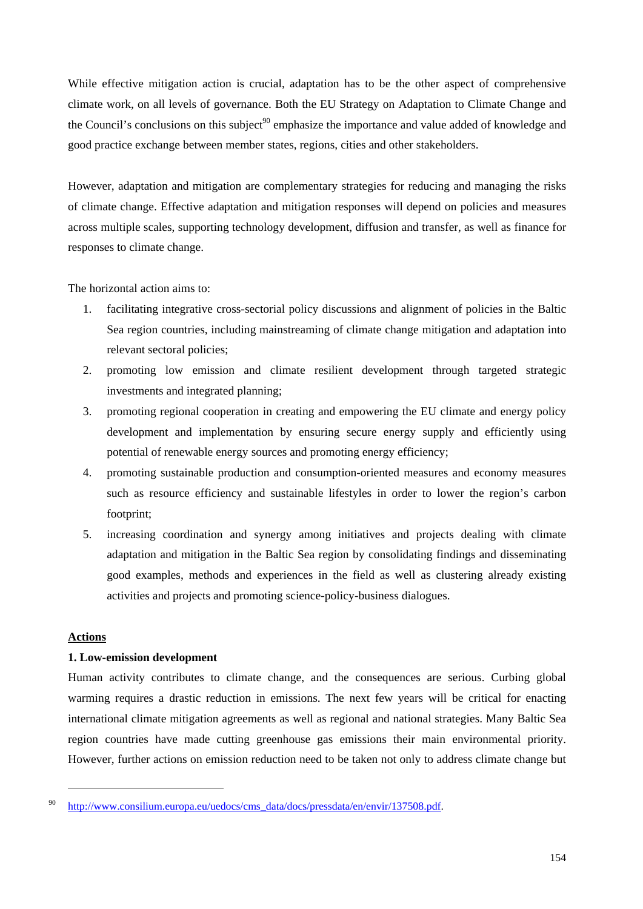While effective mitigation action is crucial, adaptation has to be the other aspect of comprehensive climate work, on all levels of governance. Both the EU Strategy on Adaptation to Climate Change and the Council's conclusions on this subject<sup>90</sup> emphasize the importance and value added of knowledge and good practice exchange between member states, regions, cities and other stakeholders.

However, adaptation and mitigation are complementary strategies for reducing and managing the risks of climate change. Effective adaptation and mitigation responses will depend on policies and measures across multiple scales, supporting technology development, diffusion and transfer, as well as finance for responses to climate change.

The horizontal action aims to:

- 1. facilitating integrative cross-sectorial policy discussions and alignment of policies in the Baltic Sea region countries, including mainstreaming of climate change mitigation and adaptation into relevant sectoral policies;
- 2. promoting low emission and climate resilient development through targeted strategic investments and integrated planning;
- 3. promoting regional cooperation in creating and empowering the EU climate and energy policy development and implementation by ensuring secure energy supply and efficiently using potential of renewable energy sources and promoting energy efficiency;
- 4. promoting sustainable production and consumption-oriented measures and economy measures such as resource efficiency and sustainable lifestyles in order to lower the region's carbon footprint;
- 5. increasing coordination and synergy among initiatives and projects dealing with climate adaptation and mitigation in the Baltic Sea region by consolidating findings and disseminating good examples, methods and experiences in the field as well as clustering already existing activities and projects and promoting science-policy-business dialogues.

#### **Actions**

-

## **1. Low-emission development**

Human activity contributes to climate change, and the consequences are serious. Curbing global warming requires a drastic reduction in emissions. The next few years will be critical for enacting international climate mitigation agreements as well as regional and national strategies. Many Baltic Sea region countries have made cutting greenhouse gas emissions their main environmental priority. However, further actions on emission reduction need to be taken not only to address climate change but

<sup>90</sup> [http://www.consilium.europa.eu/uedocs/cms\\_](http://www.consilium.europa.eu/uedocs/cms_data/docs/pressdata/en/envir/137508.pdf)data/docs/pressdata/en/envir/137508.pdf.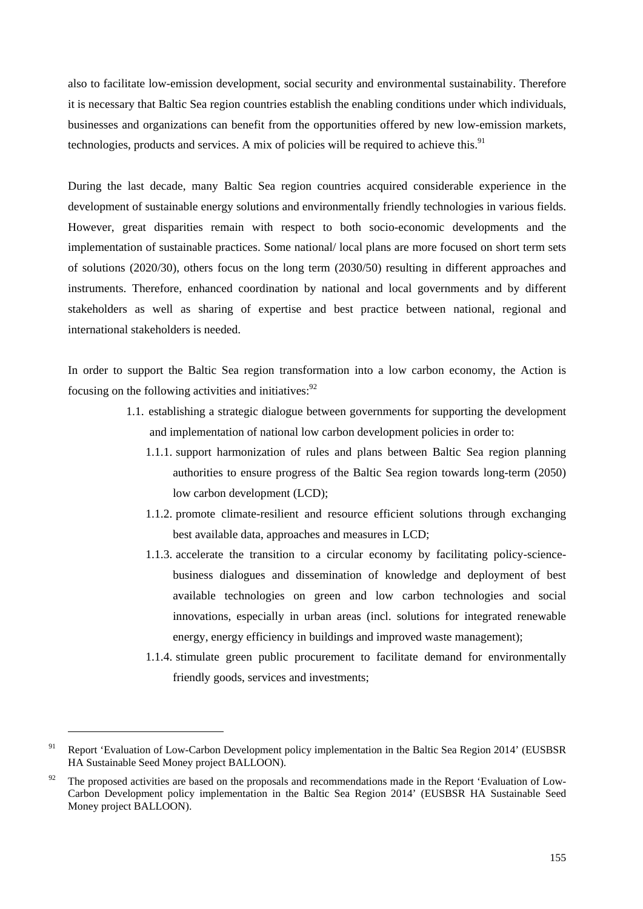also to facilitate low-emission development, social security and environmental sustainability. Therefore it is necessary that Baltic Sea region countries establish the enabling conditions under which individuals, businesses and organizations can benefit from the opportunities offered by new low-emission markets, technologies, products and services. A mix of policies will be required to achieve this.<sup>91</sup>

During the last decade, many Baltic Sea region countries acquired considerable experience in the development of sustainable energy solutions and environmentally friendly technologies in various fields. However, great disparities remain with respect to both socio-economic developments and the implementation of sustainable practices. Some national/ local plans are more focused on short term sets of solutions (2020/30), others focus on the long term (2030/50) resulting in different approaches and instruments. Therefore, enhanced coordination by national and local governments and by different stakeholders as well as sharing of expertise and best practice between national, regional and international stakeholders is needed.

In order to support the Baltic Sea region transformation into a low carbon economy, the Action is focusing on the following activities and initiatives:<sup>92</sup>

- 1.1. establishing a strategic dialogue between governments for supporting the development and implementation of national low carbon development policies in order to:
	- 1.1.1. support harmonization of rules and plans between Baltic Sea region planning authorities to ensure progress of the Baltic Sea region towards long-term (2050) low carbon development (LCD);
	- 1.1.2. promote climate-resilient and resource efficient solutions through exchanging best available data, approaches and measures in LCD;
	- 1.1.3. accelerate the transition to a circular economy by facilitating policy-sciencebusiness dialogues and dissemination of knowledge and deployment of best available technologies on green and low carbon technologies and social innovations, especially in urban areas (incl. solutions for integrated renewable energy, energy efficiency in buildings and improved waste management);
	- 1.1.4. stimulate green public procurement to facilitate demand for environmentally friendly goods, services and investments;

<sup>&</sup>lt;sup>91</sup> Report 'Evaluation of Low-Carbon Development policy implementation in the Baltic Sea Region 2014' (EUSBSR HA Sustainable Seed Money project BALLOON).

 $92$  The proposed activities are based on the proposals and recommendations made in the Report 'Evaluation of Low-Carbon Development policy implementation in the Baltic Sea Region 2014' (EUSBSR HA Sustainable Seed Money project BALLOON).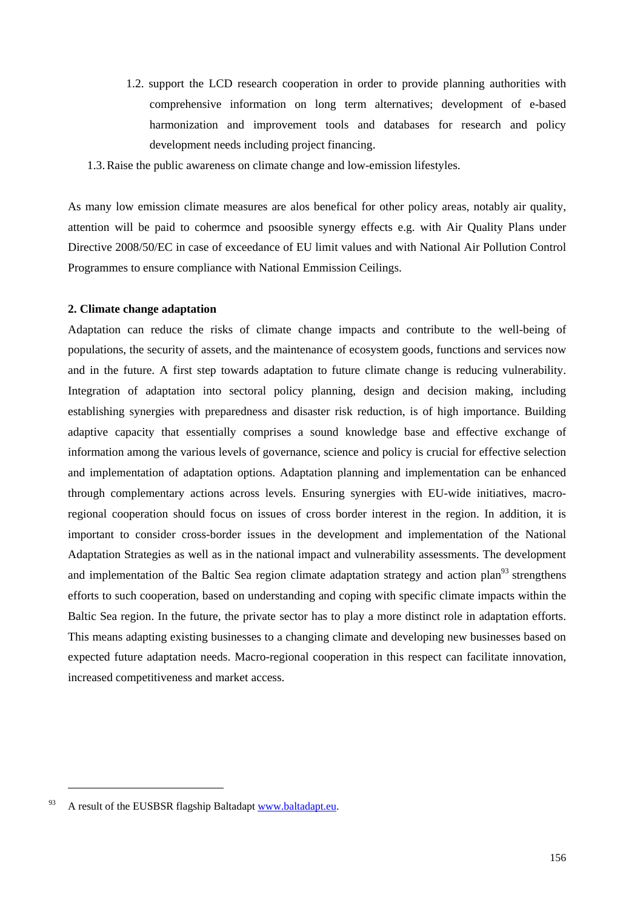- 1.2. support the LCD research cooperation in order to provide planning authorities with comprehensive information on long term alternatives; development of e-based harmonization and improvement tools and databases for research and policy development needs including project financing.
- 1.3.Raise the public awareness on climate change and low-emission lifestyles.

As many low emission climate measures are alos benefical for other policy areas, notably air quality, attention will be paid to cohermce and psoosible synergy effects e.g. with Air Quality Plans under Directive 2008/50/EC in case of exceedance of EU limit values and with National Air Pollution Control Programmes to ensure compliance with National Emmission Ceilings.

### **2. Climate change adaptation**

Adaptation can reduce the risks of climate change impacts and contribute to the well-being of populations, the security of assets, and the maintenance of ecosystem goods, functions and services now and in the future. A first step towards adaptation to future climate change is reducing vulnerability. Integration of adaptation into sectoral policy planning, design and decision making, including establishing synergies with preparedness and disaster risk reduction, is of high importance. Building adaptive capacity that essentially comprises a sound knowledge base and effective exchange of information among the various levels of governance, science and policy is crucial for effective selection and implementation of adaptation options. Adaptation planning and implementation can be enhanced through complementary actions across levels. Ensuring synergies with EU-wide initiatives, macroregional cooperation should focus on issues of cross border interest in the region. In addition, it is important to consider cross-border issues in the development and implementation of the National Adaptation Strategies as well as in the national impact and vulnerability assessments. The development and implementation of the Baltic Sea region climate adaptation strategy and action plan<sup>93</sup> strengthens efforts to such cooperation, based on understanding and coping with specific climate impacts within the Baltic Sea region. In the future, the private sector has to play a more distinct role in adaptation efforts. This means adapting existing businesses to a changing climate and developing new businesses based on expected future adaptation needs. Macro-regional cooperation in this respect can facilitate innovation, increased competitiveness and market access.

 $^{93}$  A result of the EUSBSR flagship Baltadapt www.baltadapt.eu.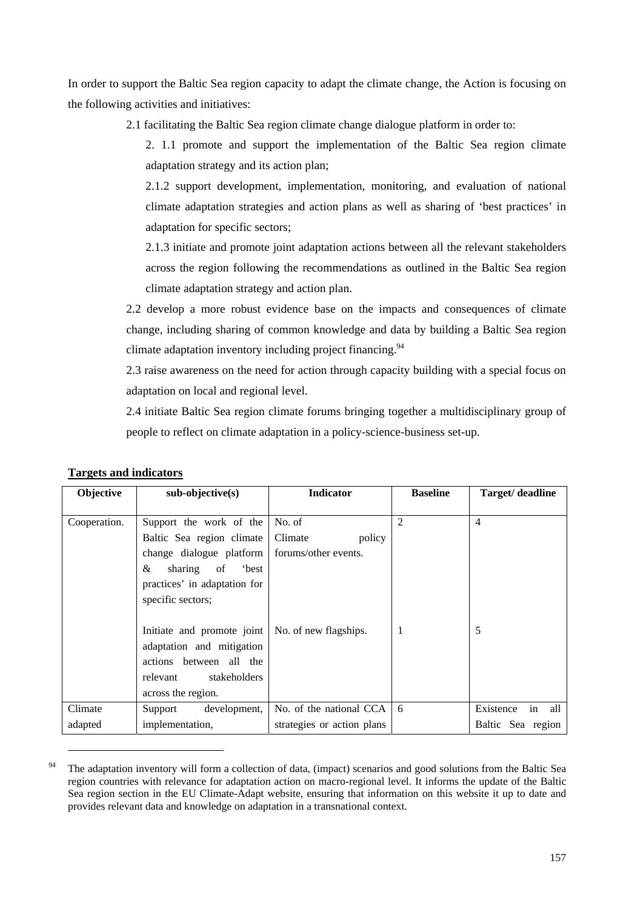In order to support the Baltic Sea region capacity to adapt the climate change, the Action is focusing on the following activities and initiatives:

2.1 facilitating the Baltic Sea region climate change dialogue platform in order to:

2. 1.1 promote and support the implementation of the Baltic Sea region climate adaptation strategy and its action plan;

2.1.2 support development, implementation, monitoring, and evaluation of national climate adaptation strategies and action plans as well as sharing of 'best practices' in adaptation for specific sectors;

2.1.3 initiate and promote joint adaptation actions between all the relevant stakeholders across the region following the recommendations as outlined in the Baltic Sea region climate adaptation strategy and action plan.

2.2 develop a more robust evidence base on the impacts and consequences of climate change, including sharing of common knowledge and data by building a Baltic Sea region climate adaptation inventory including project financing.<sup>94</sup>

2.3 raise awareness on the need for action through capacity building with a special focus on adaptation on local and regional level.

2.4 initiate Baltic Sea region climate forums bringing together a multidisciplinary group of people to reflect on climate adaptation in a policy-science-business set-up.

| Objective    | $sub-objective(s)$                                                                                                                                                         | <b>Indicator</b>                                    | <b>Baseline</b> | Target/ deadline       |
|--------------|----------------------------------------------------------------------------------------------------------------------------------------------------------------------------|-----------------------------------------------------|-----------------|------------------------|
| Cooperation. | Support the work of the<br>Baltic Sea region climate<br>change dialogue platform<br>&<br>sharing<br><i>best</i><br>of<br>practices' in adaptation for<br>specific sectors; | No. of<br>Climate<br>policy<br>forums/other events. | $\overline{2}$  | 4                      |
|              | Initiate and promote joint<br>adaptation and mitigation<br>actions between all the<br>stakeholders<br>relevant<br>across the region.                                       | No. of new flagships.                               | -1              | 5                      |
| Climate      | Support<br>development,                                                                                                                                                    | No. of the national CCA                             | 6               | in<br>all<br>Existence |
| adapted      | implementation,                                                                                                                                                            | strategies or action plans                          |                 | Baltic Sea region      |

### **Targets and indicators**

<sup>&</sup>lt;sup>94</sup> The adaptation inventory will form a collection of data, (impact) scenarios and good solutions from the Baltic Sea region countries with relevance for adaptation action on macro-regional level. It informs the update of the Baltic Sea region section in the EU Climate-Adapt website, ensuring that information on this website it up to date and provides relevant data and knowledge on adaptation in a transnational context.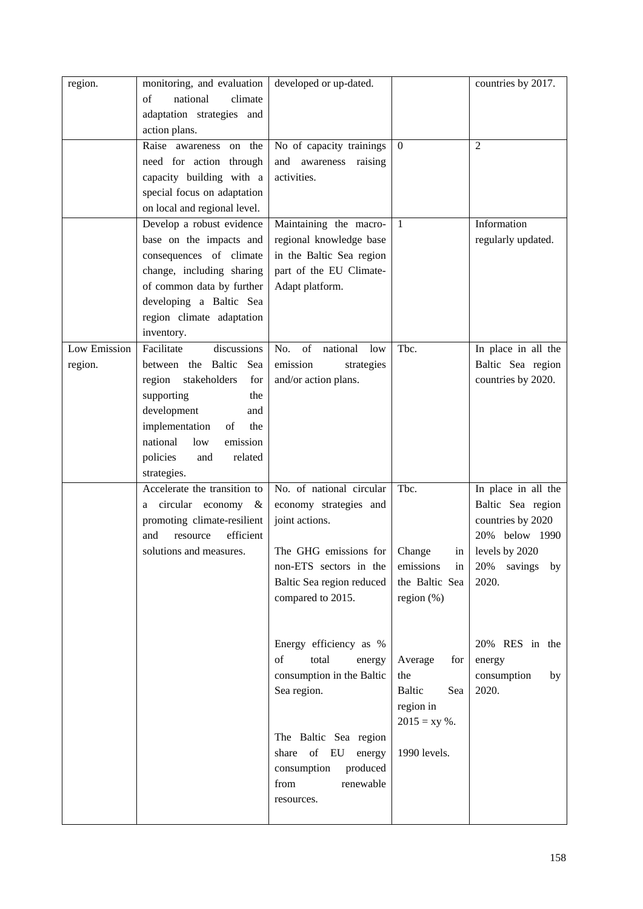| region.      | monitoring, and evaluation   | developed or up-dated.       |                 | countries by 2017.   |
|--------------|------------------------------|------------------------------|-----------------|----------------------|
|              | national<br>climate<br>of    |                              |                 |                      |
|              | adaptation strategies and    |                              |                 |                      |
|              | action plans.                |                              |                 |                      |
|              | Raise awareness on the       | No of capacity trainings     | $\overline{0}$  | 2                    |
|              | need for action through      | and awareness<br>raising     |                 |                      |
|              | capacity building with a     | activities.                  |                 |                      |
|              | special focus on adaptation  |                              |                 |                      |
|              | on local and regional level. |                              |                 |                      |
|              | Develop a robust evidence    | Maintaining the macro-       | $\mathbf{1}$    | Information          |
|              | base on the impacts and      | regional knowledge base      |                 | regularly updated.   |
|              | consequences of climate      | in the Baltic Sea region     |                 |                      |
|              | change, including sharing    | part of the EU Climate-      |                 |                      |
|              | of common data by further    |                              |                 |                      |
|              |                              | Adapt platform.              |                 |                      |
|              | developing a Baltic Sea      |                              |                 |                      |
|              | region climate adaptation    |                              |                 |                      |
|              | inventory.                   |                              |                 |                      |
| Low Emission | Facilitate<br>discussions    | of<br>No.<br>national<br>low | Tbc.            | In place in all the  |
| region.      | between the Baltic<br>Sea    | emission<br>strategies       |                 | Baltic Sea region    |
|              | region stakeholders<br>for   | and/or action plans.         |                 | countries by 2020.   |
|              | supporting<br>the            |                              |                 |                      |
|              | development<br>and           |                              |                 |                      |
|              | implementation<br>the<br>of  |                              |                 |                      |
|              | national<br>low<br>emission  |                              |                 |                      |
|              | policies<br>related<br>and   |                              |                 |                      |
|              | strategies.                  |                              |                 |                      |
|              | Accelerate the transition to | No. of national circular     | Tbc.            | In place in all the  |
|              | circular economy &<br>a      | economy strategies and       |                 | Baltic Sea region    |
|              | promoting climate-resilient  | joint actions.               |                 | countries by 2020    |
|              | efficient<br>resource<br>and |                              |                 | 20% below 1990       |
|              | solutions and measures.      | The GHG emissions for        | Change<br>in    | levels by 2020       |
|              |                              | non-ETS sectors in the       | emissions<br>in | 20%<br>savings<br>by |
|              |                              | Baltic Sea region reduced    | the Baltic Sea  | 2020.                |
|              |                              | compared to 2015.            | region $(\%)$   |                      |
|              |                              |                              |                 |                      |
|              |                              |                              |                 |                      |
|              |                              | Energy efficiency as %       |                 | 20% RES in the       |
|              |                              | of<br>total<br>energy        | Average<br>for  | energy               |
|              |                              | consumption in the Baltic    | the             | consumption<br>by    |
|              |                              | Sea region.                  | Baltic<br>Sea   | 2020.                |
|              |                              |                              | region in       |                      |
|              |                              |                              | $2015 = xy %$ . |                      |
|              |                              | The Baltic Sea region        |                 |                      |
|              |                              | share of<br>EU<br>energy     | 1990 levels.    |                      |
|              |                              | consumption<br>produced      |                 |                      |
|              |                              | from<br>renewable            |                 |                      |
|              |                              | resources.                   |                 |                      |
|              |                              |                              |                 |                      |
|              |                              |                              |                 |                      |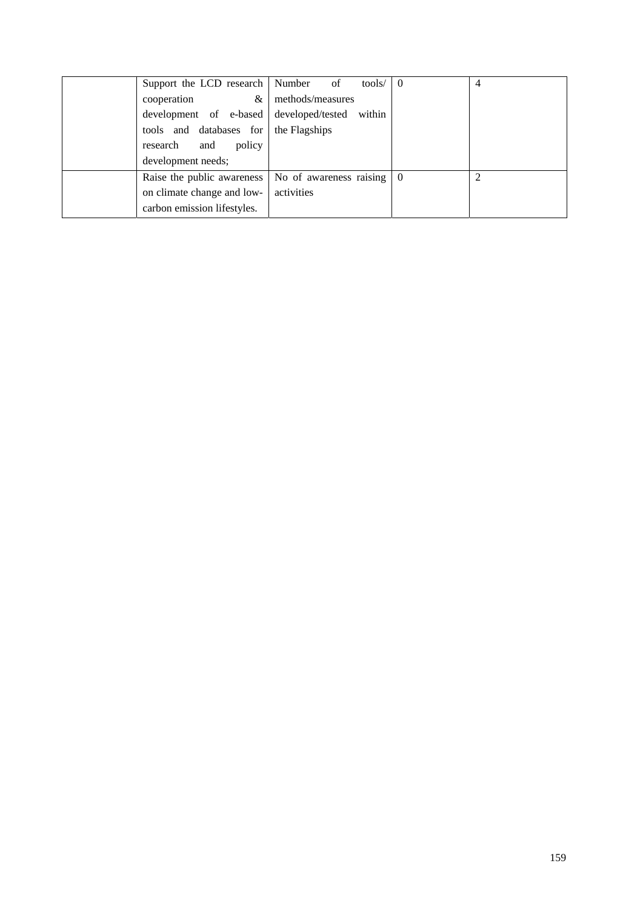| Support the LCD research Number of                                   | tools/ $\vert 0 \vert$ | 4 |
|----------------------------------------------------------------------|------------------------|---|
| $\&$<br>cooperation                                                  | methods/measures       |   |
| development of e-based developed/tested within                       |                        |   |
| tools and databases for                                              | the Flagships          |   |
| policy<br>research<br>and                                            |                        |   |
| development needs;                                                   |                        |   |
| Raise the public awareness $\vert$ No of awareness raising $\vert$ 0 |                        |   |
| on climate change and low-                                           | activities             |   |
| carbon emission lifestyles.                                          |                        |   |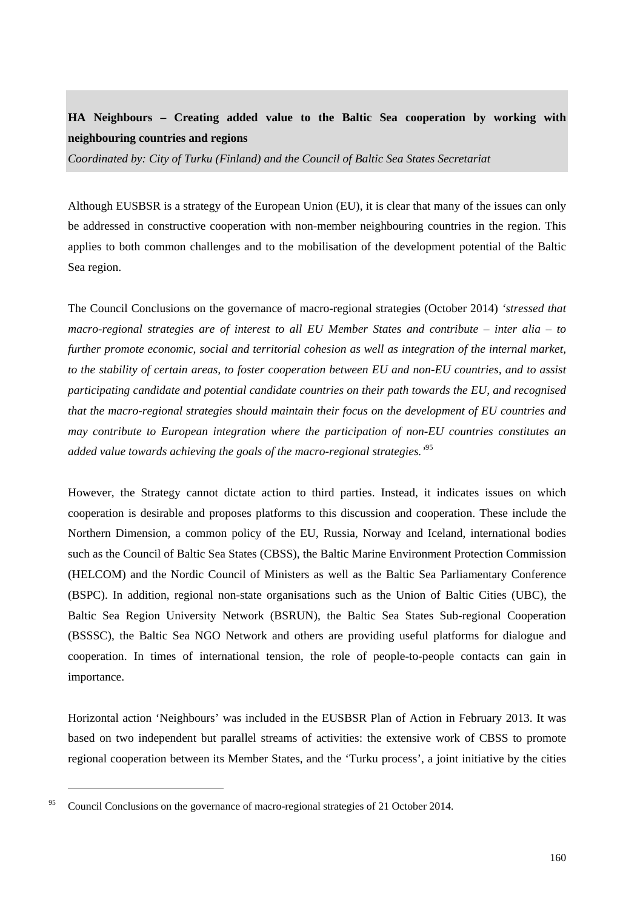# **HA Neighbours – Creating added value to the Baltic Sea cooperation by working with neighbouring countries and regions**

*Coordinated by: City of Turku (Finland) and the Council of Baltic Sea States Secretariat* 

Although EUSBSR is a strategy of the European Union (EU), it is clear that many of the issues can only be addressed in constructive cooperation with non-member neighbouring countries in the region. This applies to both common challenges and to the mobilisation of the development potential of the Baltic Sea region.

The Council Conclusions on the governance of macro-regional strategies (October 2014) *'stressed that macro-regional strategies are of interest to all EU Member States and contribute – inter alia – to further promote economic, social and territorial cohesion as well as integration of the internal market, to the stability of certain areas, to foster cooperation between EU and non-EU countries, and to assist participating candidate and potential candidate countries on their path towards the EU, and recognised that the macro-regional strategies should maintain their focus on the development of EU countries and may contribute to European integration where the participation of non-EU countries constitutes an added value towards achieving the goals of the macro-regional strategies.'*95

However, the Strategy cannot dictate action to third parties. Instead, it indicates issues on which cooperation is desirable and proposes platforms to this discussion and cooperation. These include the Northern Dimension, a common policy of the EU, Russia, Norway and Iceland, international bodies such as the Council of Baltic Sea States (CBSS), the Baltic Marine Environment Protection Commission (HELCOM) and the Nordic Council of Ministers as well as the Baltic Sea Parliamentary Conference (BSPC). In addition, regional non-state organisations such as the Union of Baltic Cities (UBC), the Baltic Sea Region University Network (BSRUN), the Baltic Sea States Sub-regional Cooperation (BSSSC), the Baltic Sea NGO Network and others are providing useful platforms for dialogue and cooperation. In times of international tension, the role of people-to-people contacts can gain in importance.

Horizontal action 'Neighbours' was included in the EUSBSR Plan of Action in February 2013. It was based on two independent but parallel streams of activities: the extensive work of CBSS to promote regional cooperation between its Member States, and the 'Turku process', a joint initiative by the cities

<sup>&</sup>lt;sup>95</sup> Council Conclusions on the governance of macro-regional strategies of 21 October 2014.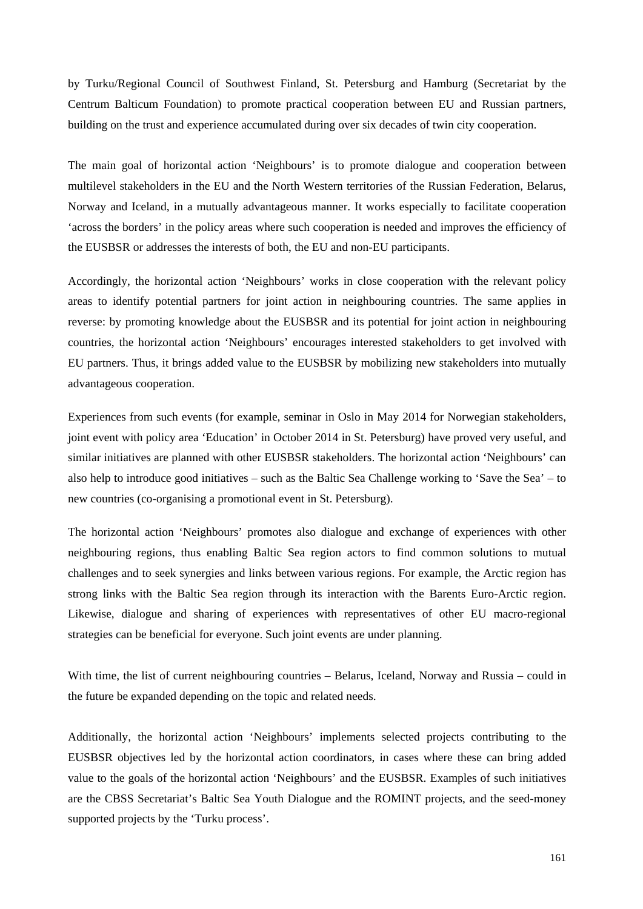by Turku/Regional Council of Southwest Finland, St. Petersburg and Hamburg (Secretariat by the Centrum Balticum Foundation) to promote practical cooperation between EU and Russian partners, building on the trust and experience accumulated during over six decades of twin city cooperation.

The main goal of horizontal action 'Neighbours' is to promote dialogue and cooperation between multilevel stakeholders in the EU and the North Western territories of the Russian Federation, Belarus, Norway and Iceland, in a mutually advantageous manner. It works especially to facilitate cooperation 'across the borders' in the policy areas where such cooperation is needed and improves the efficiency of the EUSBSR or addresses the interests of both, the EU and non-EU participants.

Accordingly, the horizontal action 'Neighbours' works in close cooperation with the relevant policy areas to identify potential partners for joint action in neighbouring countries. The same applies in reverse: by promoting knowledge about the EUSBSR and its potential for joint action in neighbouring countries, the horizontal action 'Neighbours' encourages interested stakeholders to get involved with EU partners. Thus, it brings added value to the EUSBSR by mobilizing new stakeholders into mutually advantageous cooperation.

Experiences from such events (for example, seminar in Oslo in May 2014 for Norwegian stakeholders, joint event with policy area 'Education' in October 2014 in St. Petersburg) have proved very useful, and similar initiatives are planned with other EUSBSR stakeholders. The horizontal action 'Neighbours' can also help to introduce good initiatives – such as the Baltic Sea Challenge working to 'Save the Sea' – to new countries (co-organising a promotional event in St. Petersburg).

The horizontal action 'Neighbours' promotes also dialogue and exchange of experiences with other neighbouring regions, thus enabling Baltic Sea region actors to find common solutions to mutual challenges and to seek synergies and links between various regions. For example, the Arctic region has strong links with the Baltic Sea region through its interaction with the Barents Euro-Arctic region. Likewise, dialogue and sharing of experiences with representatives of other EU macro-regional strategies can be beneficial for everyone. Such joint events are under planning.

With time, the list of current neighbouring countries – Belarus, Iceland, Norway and Russia – could in the future be expanded depending on the topic and related needs.

Additionally, the horizontal action 'Neighbours' implements selected projects contributing to the EUSBSR objectives led by the horizontal action coordinators, in cases where these can bring added value to the goals of the horizontal action 'Neighbours' and the EUSBSR. Examples of such initiatives are the CBSS Secretariat's Baltic Sea Youth Dialogue and the ROMINT projects, and the seed-money supported projects by the 'Turku process'.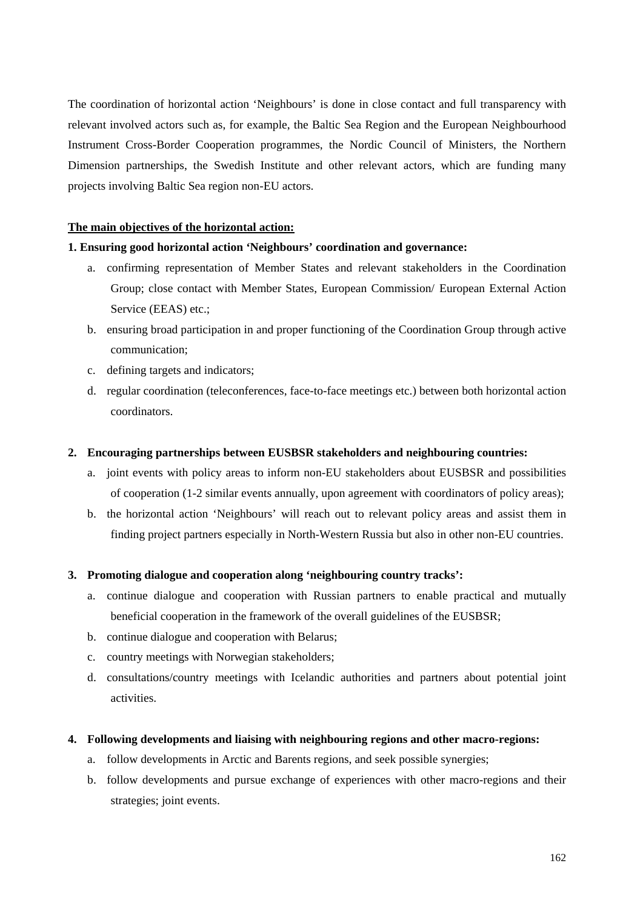The coordination of horizontal action 'Neighbours' is done in close contact and full transparency with relevant involved actors such as, for example, the Baltic Sea Region and the European Neighbourhood Instrument Cross-Border Cooperation programmes, the Nordic Council of Ministers, the Northern Dimension partnerships, the Swedish Institute and other relevant actors, which are funding many projects involving Baltic Sea region non-EU actors.

#### **The main objectives of the horizontal action:**

#### **1. Ensuring good horizontal action 'Neighbours' coordination and governance:**

- a. confirming representation of Member States and relevant stakeholders in the Coordination Group; close contact with Member States, European Commission/ European External Action Service (EEAS) etc.;
- b. ensuring broad participation in and proper functioning of the Coordination Group through active communication;
- c. defining targets and indicators;
- d. regular coordination (teleconferences, face-to-face meetings etc.) between both horizontal action coordinators.

#### **2. Encouraging partnerships between EUSBSR stakeholders and neighbouring countries:**

- a. joint events with policy areas to inform non-EU stakeholders about EUSBSR and possibilities of cooperation (1-2 similar events annually, upon agreement with coordinators of policy areas);
- b. the horizontal action 'Neighbours' will reach out to relevant policy areas and assist them in finding project partners especially in North-Western Russia but also in other non-EU countries.

#### **3. Promoting dialogue and cooperation along 'neighbouring country tracks':**

- a. continue dialogue and cooperation with Russian partners to enable practical and mutually beneficial cooperation in the framework of the overall guidelines of the EUSBSR;
- b. continue dialogue and cooperation with Belarus;
- c. country meetings with Norwegian stakeholders;
- d. consultations/country meetings with Icelandic authorities and partners about potential joint activities.

#### **4. Following developments and liaising with neighbouring regions and other macro-regions:**

- a. follow developments in Arctic and Barents regions, and seek possible synergies;
- b. follow developments and pursue exchange of experiences with other macro-regions and their strategies; joint events.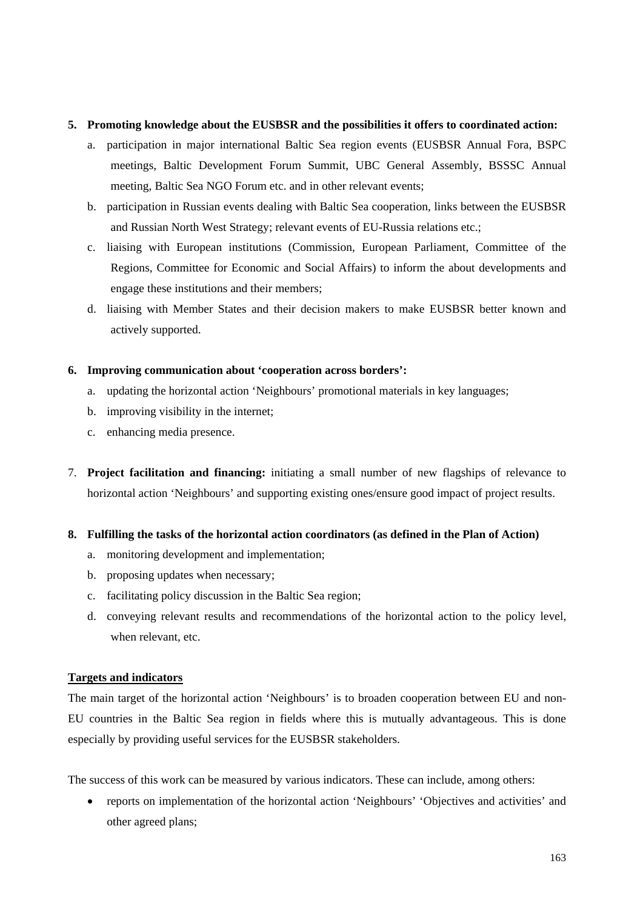### **5. Promoting knowledge about the EUSBSR and the possibilities it offers to coordinated action:**

- a. participation in major international Baltic Sea region events (EUSBSR Annual Fora, BSPC meetings, Baltic Development Forum Summit, UBC General Assembly, BSSSC Annual meeting, Baltic Sea NGO Forum etc. and in other relevant events;
- b. participation in Russian events dealing with Baltic Sea cooperation, links between the EUSBSR and Russian North West Strategy; relevant events of EU-Russia relations etc.;
- c. liaising with European institutions (Commission, European Parliament, Committee of the Regions, Committee for Economic and Social Affairs) to inform the about developments and engage these institutions and their members;
- d. liaising with Member States and their decision makers to make EUSBSR better known and actively supported.

#### **6. Improving communication about 'cooperation across borders':**

- a. updating the horizontal action 'Neighbours' promotional materials in key languages;
- b. improving visibility in the internet;
- c. enhancing media presence.
- 7. **Project facilitation and financing:** initiating a small number of new flagships of relevance to horizontal action 'Neighbours' and supporting existing ones/ensure good impact of project results.
- **8. Fulfilling the tasks of the horizontal action coordinators (as defined in the Plan of Action)** 
	- a. monitoring development and implementation;
	- b. proposing updates when necessary;
	- c. facilitating policy discussion in the Baltic Sea region;
	- d. conveying relevant results and recommendations of the horizontal action to the policy level, when relevant, etc.

## **Targets and indicators**

The main target of the horizontal action 'Neighbours' is to broaden cooperation between EU and non-EU countries in the Baltic Sea region in fields where this is mutually advantageous. This is done especially by providing useful services for the EUSBSR stakeholders.

The success of this work can be measured by various indicators. These can include, among others:

• reports on implementation of the horizontal action 'Neighbours' 'Objectives and activities' and other agreed plans;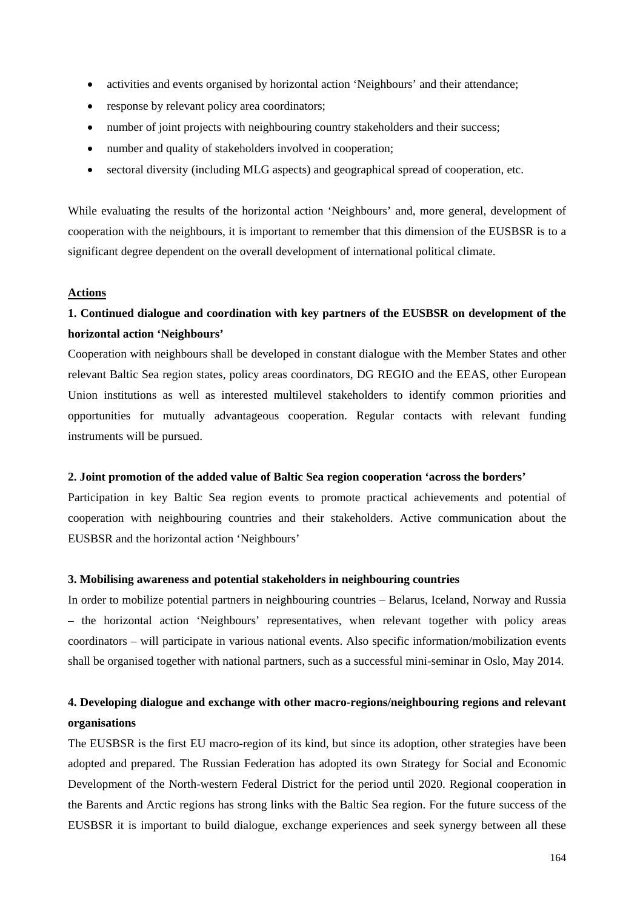- activities and events organised by horizontal action 'Neighbours' and their attendance;
- response by relevant policy area coordinators;
- number of joint projects with neighbouring country stakeholders and their success;
- number and quality of stakeholders involved in cooperation:
- sectoral diversity (including MLG aspects) and geographical spread of cooperation, etc.

While evaluating the results of the horizontal action 'Neighbours' and, more general, development of cooperation with the neighbours, it is important to remember that this dimension of the EUSBSR is to a significant degree dependent on the overall development of international political climate.

#### **Actions**

## **1. Continued dialogue and coordination with key partners of the EUSBSR on development of the horizontal action 'Neighbours'**

Cooperation with neighbours shall be developed in constant dialogue with the Member States and other relevant Baltic Sea region states, policy areas coordinators, DG REGIO and the EEAS, other European Union institutions as well as interested multilevel stakeholders to identify common priorities and opportunities for mutually advantageous cooperation. Regular contacts with relevant funding instruments will be pursued.

#### **2. Joint promotion of the added value of Baltic Sea region cooperation 'across the borders'**

Participation in key Baltic Sea region events to promote practical achievements and potential of cooperation with neighbouring countries and their stakeholders. Active communication about the EUSBSR and the horizontal action 'Neighbours'

#### **3. Mobilising awareness and potential stakeholders in neighbouring countries**

In order to mobilize potential partners in neighbouring countries – Belarus, Iceland, Norway and Russia – the horizontal action 'Neighbours' representatives, when relevant together with policy areas coordinators – will participate in various national events. Also specific information/mobilization events shall be organised together with national partners, such as a successful mini-seminar in Oslo, May 2014.

## **4. Developing dialogue and exchange with other macro-regions/neighbouring regions and relevant organisations**

The EUSBSR is the first EU macro-region of its kind, but since its adoption, other strategies have been adopted and prepared. The Russian Federation has adopted its own Strategy for Social and Economic Development of the North-western Federal District for the period until 2020. Regional cooperation in the Barents and Arctic regions has strong links with the Baltic Sea region. For the future success of the EUSBSR it is important to build dialogue, exchange experiences and seek synergy between all these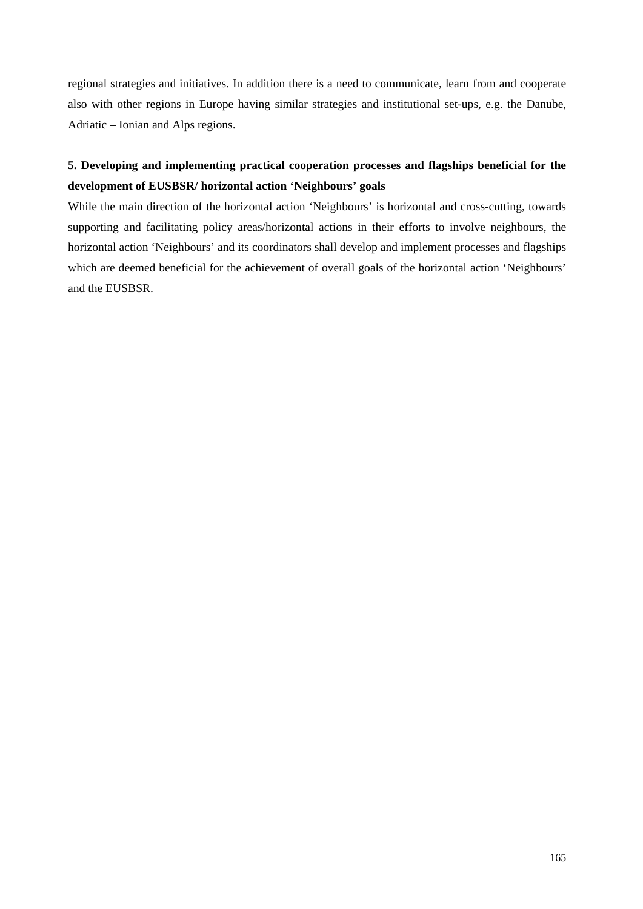regional strategies and initiatives. In addition there is a need to communicate, learn from and cooperate also with other regions in Europe having similar strategies and institutional set-ups, e.g. the Danube, Adriatic – Ionian and Alps regions.

# **5. Developing and implementing practical cooperation processes and flagships beneficial for the development of EUSBSR/ horizontal action 'Neighbours' goals**

While the main direction of the horizontal action 'Neighbours' is horizontal and cross-cutting, towards supporting and facilitating policy areas/horizontal actions in their efforts to involve neighbours, the horizontal action 'Neighbours' and its coordinators shall develop and implement processes and flagships which are deemed beneficial for the achievement of overall goals of the horizontal action 'Neighbours' and the EUSBSR.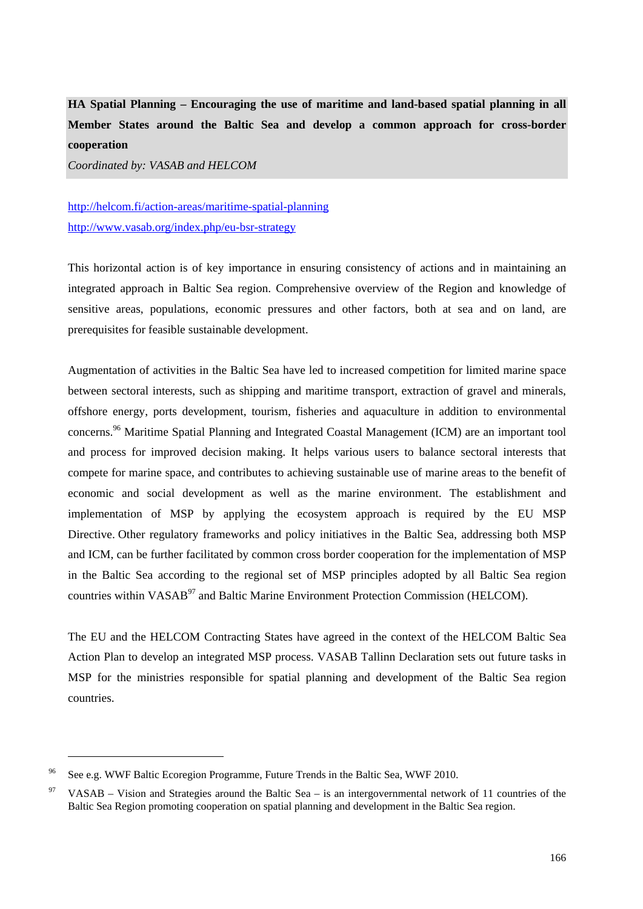**HA Spatial Planning – Encouraging the use of maritime and land-based spatial planning in all Member States around the Baltic Sea and develop a common approach for cross-border cooperation** 

*Coordinated by: VASAB and HELCOM* 

# <http://helcom.fi/action-areas/maritime-spatial-planning> <http://www.vasab.org/index.php/eu-bsr-strategy>

This horizontal action is of key importance in ensuring consistency of actions and in maintaining an integrated approach in Baltic Sea region. Comprehensive overview of the Region and knowledge of sensitive areas, populations, economic pressures and other factors, both at sea and on land, are prerequisites for feasible sustainable development.

Augmentation of activities in the Baltic Sea have led to increased competition for limited marine space between sectoral interests, such as shipping and maritime transport, extraction of gravel and minerals, offshore energy, ports development, tourism, fisheries and aquaculture in addition to environmental concerns.96 Maritime Spatial Planning and Integrated Coastal Management (ICM) are an important tool and process for improved decision making. It helps various users to balance sectoral interests that compete for marine space, and contributes to achieving sustainable use of marine areas to the benefit of economic and social development as well as the marine environment. The establishment and implementation of MSP by applying the ecosystem approach is required by the EU MSP Directive. Other regulatory frameworks and policy initiatives in the Baltic Sea, addressing both MSP and ICM, can be further facilitated by common cross border cooperation for the implementation of MSP in the Baltic Sea according to the regional set of MSP principles adopted by all Baltic Sea region countries within VASAB<sup>97</sup> and Baltic Marine Environment Protection Commission (HELCOM).

The EU and the HELCOM Contracting States have agreed in the context of the HELCOM Baltic Sea Action Plan to develop an integrated MSP process. VASAB Tallinn Declaration sets out future tasks in MSP for the ministries responsible for spatial planning and development of the Baltic Sea region countries.

<sup>96</sup> See e.g. WWF Baltic Ecoregion Programme, Future Trends in the Baltic Sea, WWF 2010.

<sup>97</sup> VASAB – Vision and Strategies around the Baltic Sea – is an intergovernmental network of 11 countries of the Baltic Sea Region promoting cooperation on spatial planning and development in the Baltic Sea region.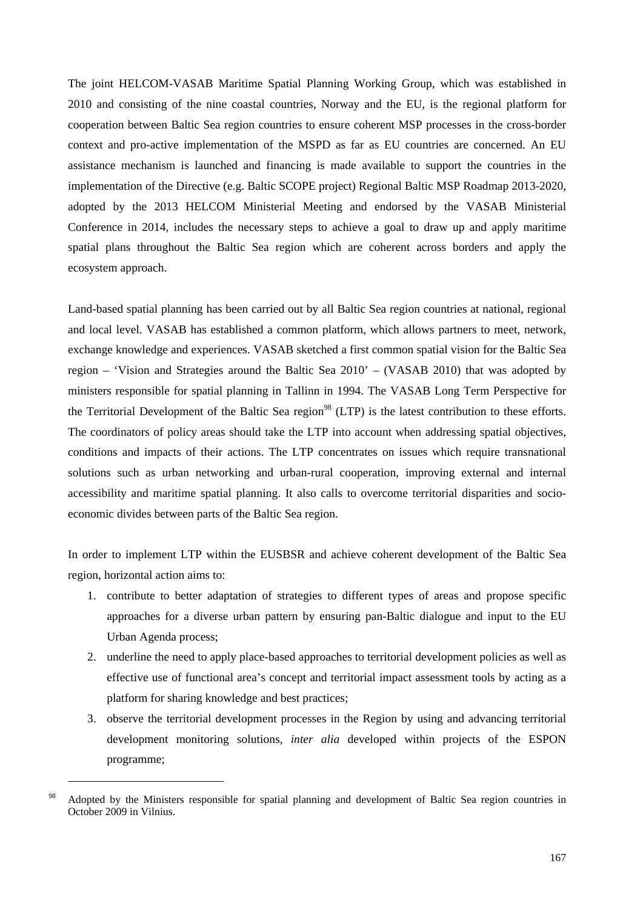The joint HELCOM-VASAB Maritime Spatial Planning Working Group, which was established in 2010 and consisting of the nine coastal countries, Norway and the EU, is the regional platform for cooperation between Baltic Sea region countries to ensure coherent MSP processes in the cross-border context and pro-active implementation of the MSPD as far as EU countries are concerned. An EU assistance mechanism is launched and financing is made available to support the countries in the implementation of the Directive (e.g. Baltic SCOPE project) Regional Baltic MSP Roadmap 2013-2020, adopted by the 2013 HELCOM Ministerial Meeting and endorsed by the VASAB Ministerial Conference in 2014, includes the necessary steps to achieve a goal to draw up and apply maritime spatial plans throughout the Baltic Sea region which are coherent across borders and apply the ecosystem approach.

Land-based spatial planning has been carried out by all Baltic Sea region countries at national, regional and local level. VASAB has established a common platform, which allows partners to meet, network, exchange knowledge and experiences. VASAB sketched a first common spatial vision for the Baltic Sea region – 'Vision and Strategies around the Baltic Sea 2010' – (VASAB 2010) that was adopted by ministers responsible for spatial planning in Tallinn in 1994. The VASAB Long Term Perspective for the Territorial Development of the Baltic Sea region<sup>98</sup> (LTP) is the latest contribution to these efforts. The coordinators of policy areas should take the LTP into account when addressing spatial objectives, conditions and impacts of their actions. The LTP concentrates on issues which require transnational solutions such as urban networking and urban-rural cooperation, improving external and internal accessibility and maritime spatial planning. It also calls to overcome territorial disparities and socioeconomic divides between parts of the Baltic Sea region.

In order to implement LTP within the EUSBSR and achieve coherent development of the Baltic Sea region, horizontal action aims to:

- 1. contribute to better adaptation of strategies to different types of areas and propose specific approaches for a diverse urban pattern by ensuring pan-Baltic dialogue and input to the EU Urban Agenda process;
- 2. underline the need to apply place-based approaches to territorial development policies as well as effective use of functional area's concept and territorial impact assessment tools by acting as a platform for sharing knowledge and best practices;
- 3. observe the territorial development processes in the Region by using and advancing territorial development monitoring solutions, *inter alia* developed within projects of the ESPON programme;

<sup>&</sup>lt;sup>98</sup> Adopted by the Ministers responsible for spatial planning and development of Baltic Sea region countries in October 2009 in Vilnius.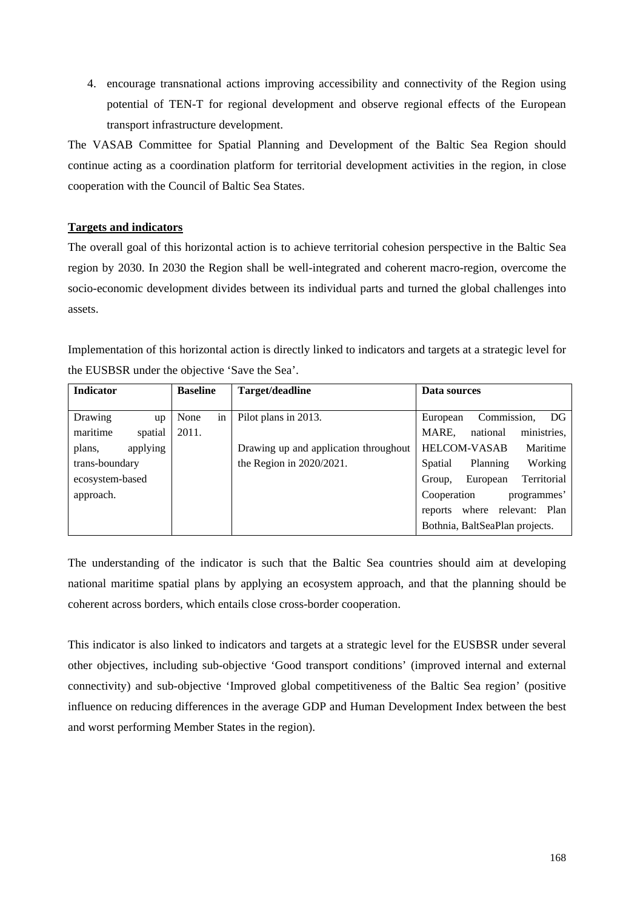4. encourage transnational actions improving accessibility and connectivity of the Region using potential of TEN-T for regional development and observe regional effects of the European transport infrastructure development.

The VASAB Committee for Spatial Planning and Development of the Baltic Sea Region should continue acting as a coordination platform for territorial development activities in the region, in close cooperation with the Council of Baltic Sea States.

## **Targets and indicators**

The overall goal of this horizontal action is to achieve territorial cohesion perspective in the Baltic Sea region by 2030. In 2030 the Region shall be well-integrated and coherent macro-region, overcome the socio-economic development divides between its individual parts and turned the global challenges into assets.

Implementation of this horizontal action is directly linked to indicators and targets at a strategic level for the EUSBSR under the objective 'Save the Sea'.

| <b>Indicator</b><br><b>Baseline</b> |            | Target/deadline                       | Data sources                       |
|-------------------------------------|------------|---------------------------------------|------------------------------------|
|                                     |            |                                       |                                    |
| Drawing<br>up                       | None<br>in | Pilot plans in 2013.                  | Commission,<br>DG<br>European      |
| maritime<br>spatial                 | 2011.      |                                       | ministries,<br>MARE,<br>national   |
| applying<br>plans,                  |            | Drawing up and application throughout | <b>HELCOM-VASAB</b><br>Maritime    |
| trans-boundary                      |            | the Region in $2020/2021$ .           | Working<br>Planning<br>Spatial     |
| ecosystem-based                     |            |                                       | Territorial<br>European<br>Group,  |
| approach.                           |            |                                       | Cooperation<br>programmes'         |
|                                     |            |                                       | relevant: Plan<br>where<br>reports |
|                                     |            |                                       | Bothnia, BaltSeaPlan projects.     |

The understanding of the indicator is such that the Baltic Sea countries should aim at developing national maritime spatial plans by applying an ecosystem approach, and that the planning should be coherent across borders, which entails close cross-border cooperation.

This indicator is also linked to indicators and targets at a strategic level for the EUSBSR under several other objectives, including sub-objective 'Good transport conditions' (improved internal and external connectivity) and sub-objective 'Improved global competitiveness of the Baltic Sea region' (positive influence on reducing differences in the average GDP and Human Development Index between the best and worst performing Member States in the region).